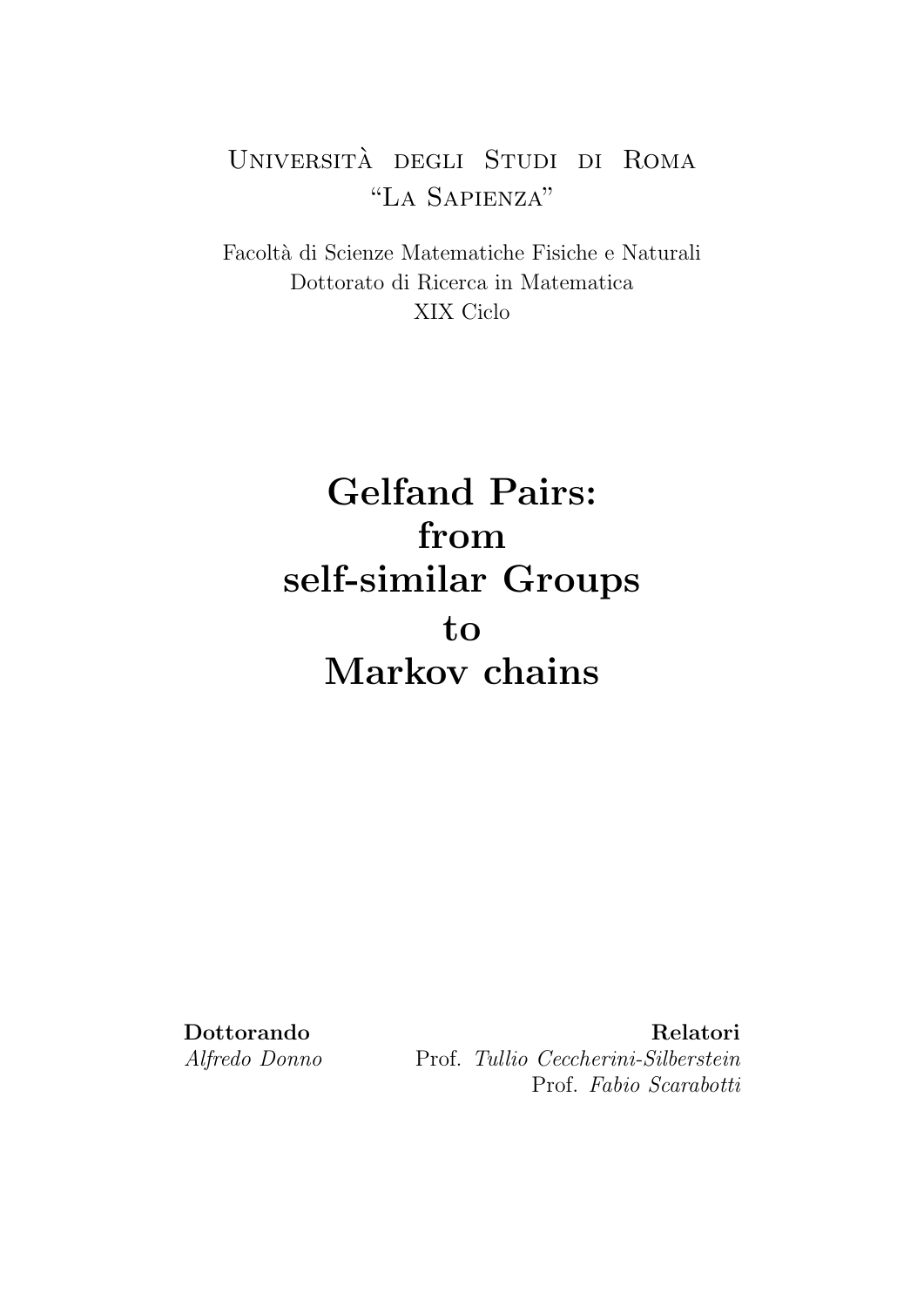# Universita degli Studi di Roma ` "La Sapienza"

Facolt`a di Scienze Matematiche Fisiche e Naturali Dottorato di Ricerca in Matematica XIX Ciclo

# Gelfand Pairs: from self-similar Groups to Markov chains

Dottorando Relatori Alfredo Donno Prof. Tullio Ceccherini-Silberstein Prof. Fabio Scarabotti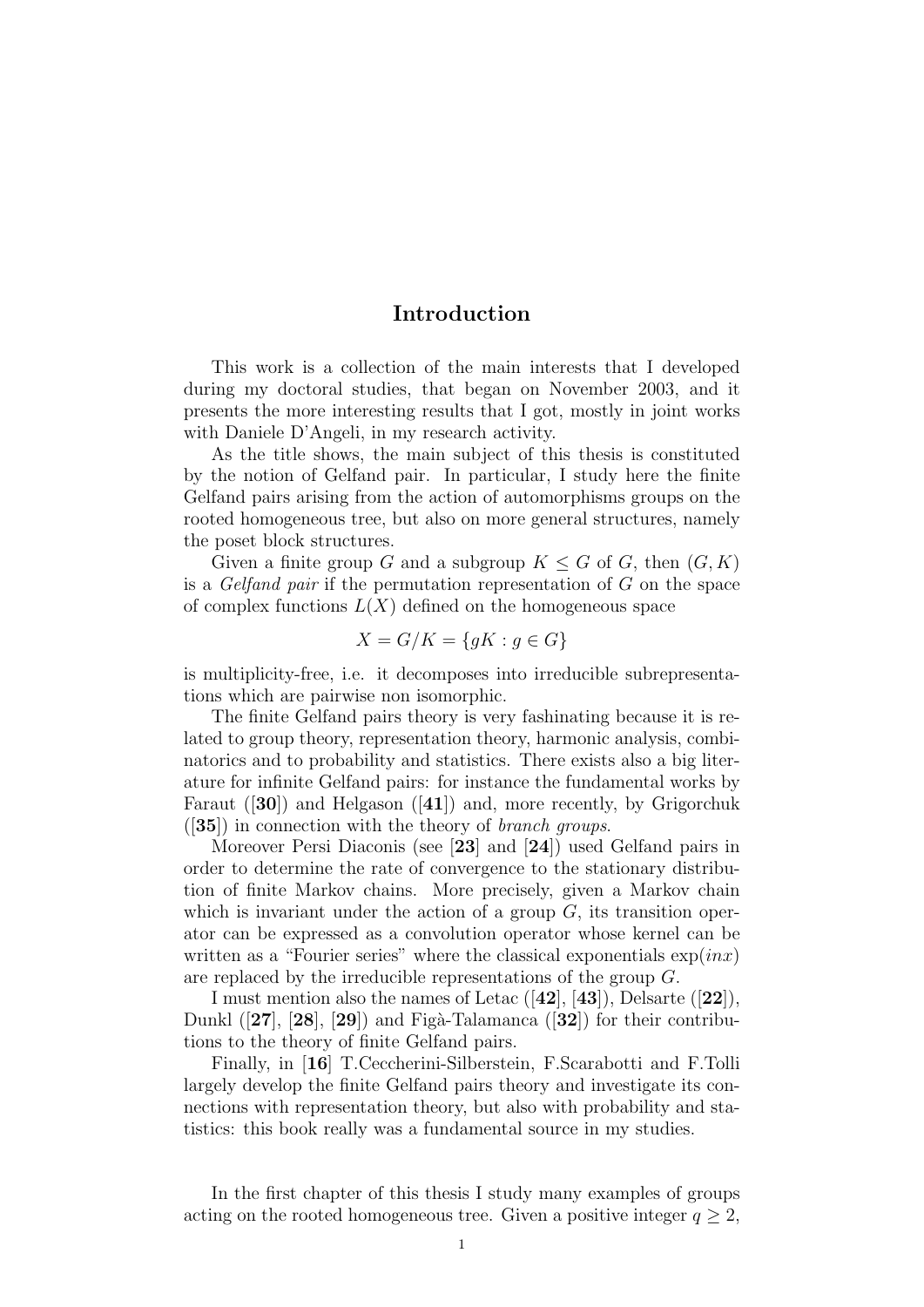# Introduction

This work is a collection of the main interests that I developed during my doctoral studies, that began on November 2003, and it presents the more interesting results that I got, mostly in joint works with Daniele D'Angeli, in my research activity.

As the title shows, the main subject of this thesis is constituted by the notion of Gelfand pair. In particular, I study here the finite Gelfand pairs arising from the action of automorphisms groups on the rooted homogeneous tree, but also on more general structures, namely the poset block structures.

Given a finite group G and a subgroup  $K \leq G$  of G, then  $(G, K)$ is a *Gelfand pair* if the permutation representation of  $G$  on the space of complex functions  $L(X)$  defined on the homogeneous space

$$
X = G/K = \{ gK : g \in G \}
$$

is multiplicity-free, i.e. it decomposes into irreducible subrepresentations which are pairwise non isomorphic.

The finite Gelfand pairs theory is very fashinating because it is related to group theory, representation theory, harmonic analysis, combinatorics and to probability and statistics. There exists also a big literature for infinite Gelfand pairs: for instance the fundamental works by Faraut ([30]) and Helgason ([41]) and, more recently, by Grigorchuk  $(35)$  in connection with the theory of *branch groups*.

Moreover Persi Diaconis (see [23] and [24]) used Gelfand pairs in order to determine the rate of convergence to the stationary distribution of finite Markov chains. More precisely, given a Markov chain which is invariant under the action of a group  $G$ , its transition operator can be expressed as a convolution operator whose kernel can be written as a "Fourier series" where the classical exponentials  $\exp(inx)$ are replaced by the irreducible representations of the group G.

I must mention also the names of Letac ([42], [43]), Delsarte ([22]), Dunkl  $([27], [28], [29])$  and Figà-Talamanca  $([32])$  for their contributions to the theory of finite Gelfand pairs.

Finally, in [16] T.Ceccherini-Silberstein, F.Scarabotti and F.Tolli largely develop the finite Gelfand pairs theory and investigate its connections with representation theory, but also with probability and statistics: this book really was a fundamental source in my studies.

In the first chapter of this thesis I study many examples of groups acting on the rooted homogeneous tree. Given a positive integer  $q \geq 2$ ,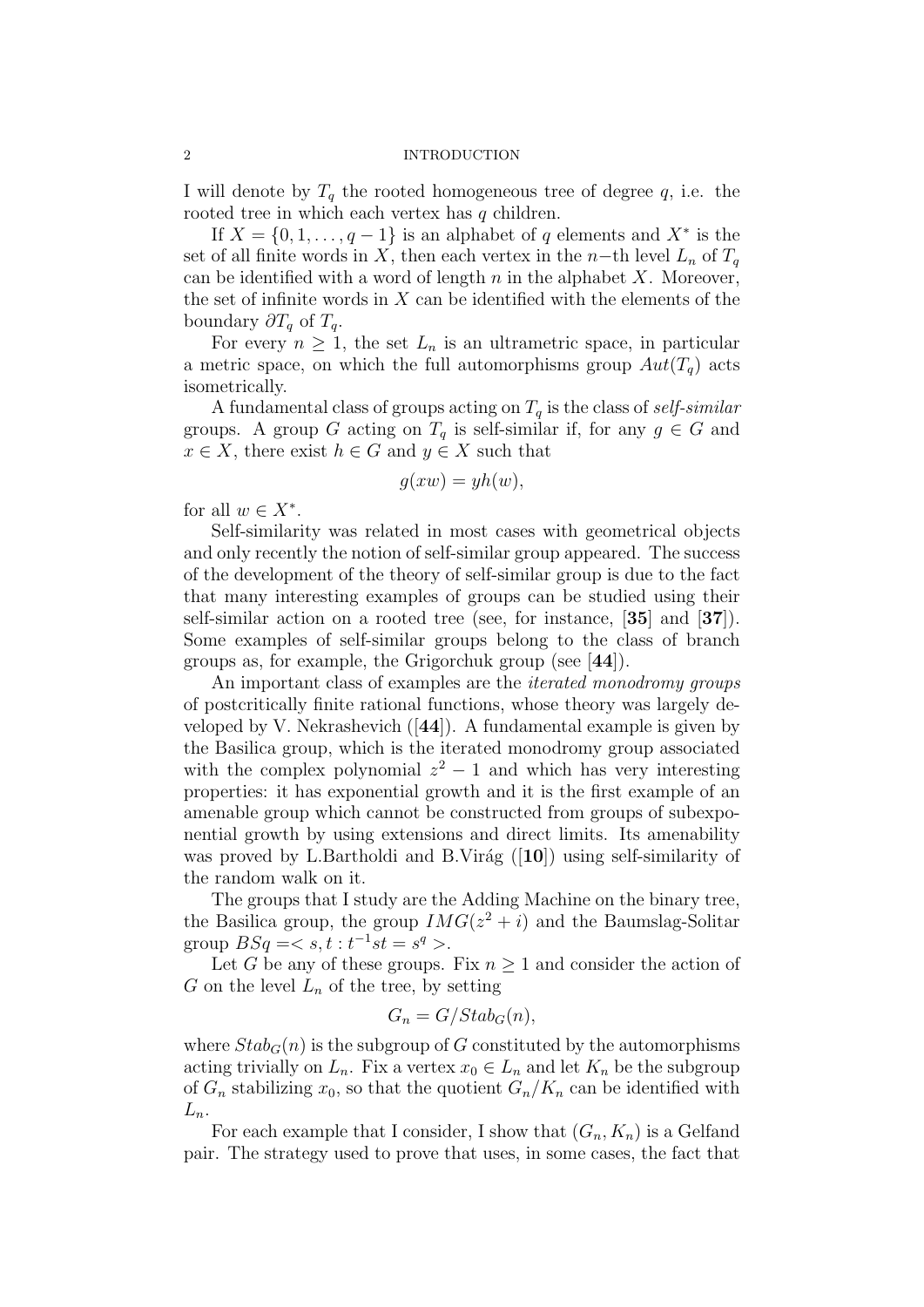I will denote by  $T_q$  the rooted homogeneous tree of degree q, i.e. the rooted tree in which each vertex has q children.

If  $X = \{0, 1, \ldots, q-1\}$  is an alphabet of q elements and  $X^*$  is the set of all finite words in X, then each vertex in the n–th level  $L_n$  of  $T_q$ can be identified with a word of length  $n$  in the alphabet  $X$ . Moreover, the set of infinite words in  $X$  can be identified with the elements of the boundary  $\partial T_q$  of  $T_q$ .

For every  $n \geq 1$ , the set  $L_n$  is an ultrametric space, in particular a metric space, on which the full automorphisms group  $Aut(T_q)$  acts isometrically.

A fundamental class of groups acting on  $T_q$  is the class of self-similar groups. A group G acting on  $T_q$  is self-similar if, for any  $g \in G$  and  $x \in X$ , there exist  $h \in G$  and  $y \in X$  such that

$$
g(xw) = yh(w),
$$

for all  $w \in X^*$ .

Self-similarity was related in most cases with geometrical objects and only recently the notion of self-similar group appeared. The success of the development of the theory of self-similar group is due to the fact that many interesting examples of groups can be studied using their self-similar action on a rooted tree (see, for instance, [35] and [37]). Some examples of self-similar groups belong to the class of branch groups as, for example, the Grigorchuk group (see [44]).

An important class of examples are the *iterated monodromy groups* of postcritically finite rational functions, whose theory was largely developed by V. Nekrashevich  $([44])$ . A fundamental example is given by the Basilica group, which is the iterated monodromy group associated with the complex polynomial  $z^2 - 1$  and which has very interesting properties: it has exponential growth and it is the first example of an amenable group which cannot be constructed from groups of subexponential growth by using extensions and direct limits. Its amenability was proved by L.Bartholdi and B.Virág  $([10])$  using self-similarity of the random walk on it.

The groups that I study are the Adding Machine on the binary tree, the Basilica group, the group  $IMG(z^2 + i)$  and the Baumslag-Solitar group  $BSq = < s, t : t^{-1}st = s^q >$ .

Let G be any of these groups. Fix  $n \geq 1$  and consider the action of G on the level  $L_n$  of the tree, by setting

$$
G_n = G/Stab_G(n),
$$

where  $Stab_G(n)$  is the subgroup of G constituted by the automorphisms acting trivially on  $L_n$ . Fix a vertex  $x_0 \in L_n$  and let  $K_n$  be the subgroup of  $G_n$  stabilizing  $x_0$ , so that the quotient  $G_n/K_n$  can be identified with  $L_n$ .

For each example that I consider, I show that  $(G_n, K_n)$  is a Gelfand pair. The strategy used to prove that uses, in some cases, the fact that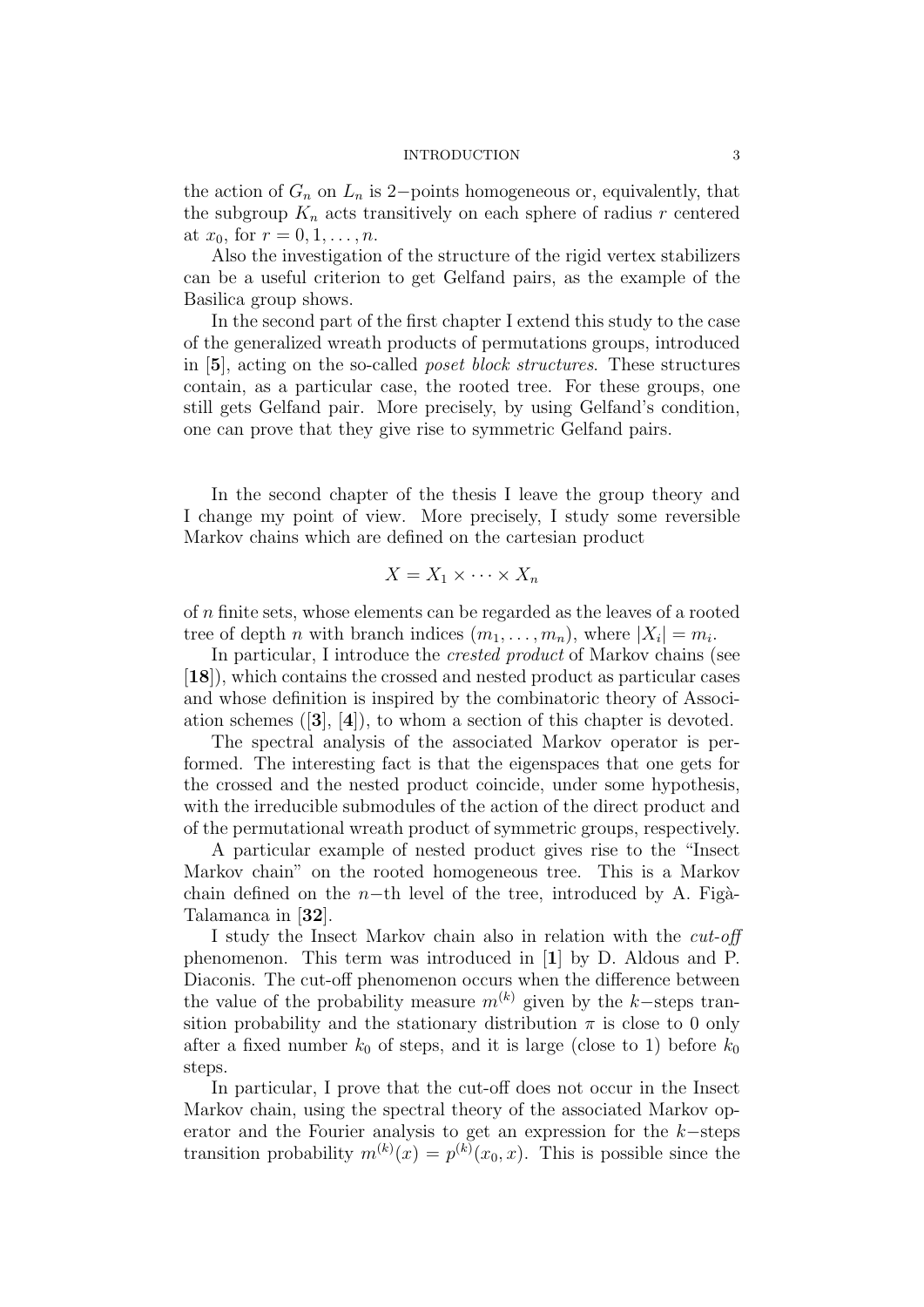#### INTRODUCTION 3

the action of  $G_n$  on  $L_n$  is 2−points homogeneous or, equivalently, that the subgroup  $K_n$  acts transitively on each sphere of radius r centered at  $x_0$ , for  $r = 0, 1, ..., n$ .

Also the investigation of the structure of the rigid vertex stabilizers can be a useful criterion to get Gelfand pairs, as the example of the Basilica group shows.

In the second part of the first chapter I extend this study to the case of the generalized wreath products of permutations groups, introduced in [5], acting on the so-called poset block structures. These structures contain, as a particular case, the rooted tree. For these groups, one still gets Gelfand pair. More precisely, by using Gelfand's condition, one can prove that they give rise to symmetric Gelfand pairs.

In the second chapter of the thesis I leave the group theory and I change my point of view. More precisely, I study some reversible Markov chains which are defined on the cartesian product

$$
X = X_1 \times \cdots \times X_n
$$

of n finite sets, whose elements can be regarded as the leaves of a rooted tree of depth *n* with branch indices  $(m_1, \ldots, m_n)$ , where  $|X_i| = m_i$ .

In particular, I introduce the *crested product* of Markov chains (see [18]), which contains the crossed and nested product as particular cases and whose definition is inspired by the combinatoric theory of Association schemes ([3], [4]), to whom a section of this chapter is devoted.

The spectral analysis of the associated Markov operator is performed. The interesting fact is that the eigenspaces that one gets for the crossed and the nested product coincide, under some hypothesis, with the irreducible submodules of the action of the direct product and of the permutational wreath product of symmetric groups, respectively.

A particular example of nested product gives rise to the "Insect Markov chain" on the rooted homogeneous tree. This is a Markov chain defined on the n−th level of the tree, introduced by A. Figà-Talamanca in [32].

I study the Insect Markov chain also in relation with the cut-off phenomenon. This term was introduced in [1] by D. Aldous and P. Diaconis. The cut-off phenomenon occurs when the difference between the value of the probability measure  $m^{(k)}$  given by the k–steps transition probability and the stationary distribution  $\pi$  is close to 0 only after a fixed number  $k_0$  of steps, and it is large (close to 1) before  $k_0$ steps.

In particular, I prove that the cut-off does not occur in the Insect Markov chain, using the spectral theory of the associated Markov operator and the Fourier analysis to get an expression for the k−steps transition probability  $m^{(k)}(x) = p^{(k)}(x_0, x)$ . This is possible since the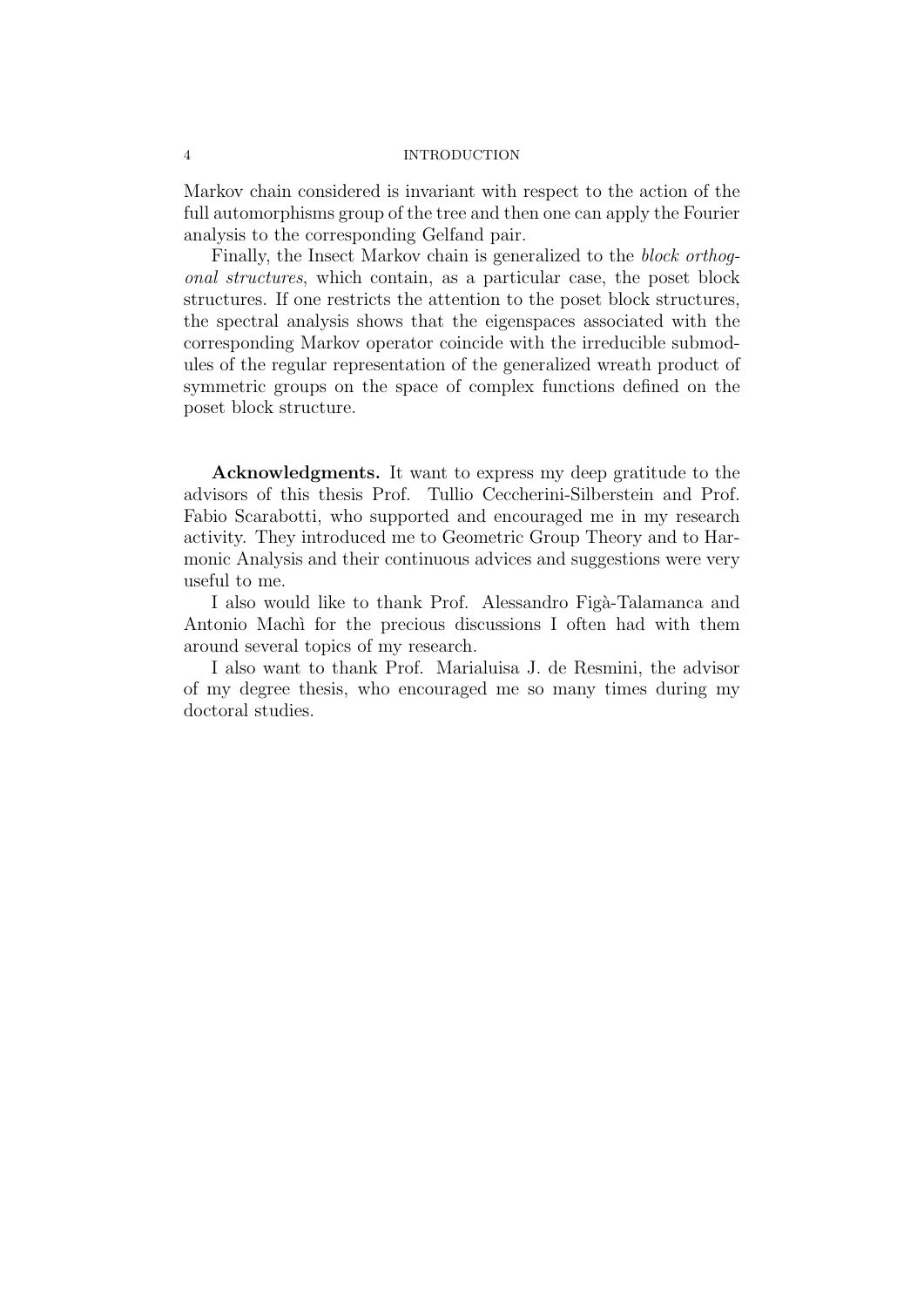# 4 INTRODUCTION

Markov chain considered is invariant with respect to the action of the full automorphisms group of the tree and then one can apply the Fourier analysis to the corresponding Gelfand pair.

Finally, the Insect Markov chain is generalized to the block orthogonal structures, which contain, as a particular case, the poset block structures. If one restricts the attention to the poset block structures, the spectral analysis shows that the eigenspaces associated with the corresponding Markov operator coincide with the irreducible submodules of the regular representation of the generalized wreath product of symmetric groups on the space of complex functions defined on the poset block structure.

Acknowledgments. It want to express my deep gratitude to the advisors of this thesis Prof. Tullio Ceccherini-Silberstein and Prof. Fabio Scarabotti, who supported and encouraged me in my research activity. They introduced me to Geometric Group Theory and to Harmonic Analysis and their continuous advices and suggestions were very useful to me.

I also would like to thank Prof. Alessandro Figà-Talamanca and Antonio Machi for the precious discussions I often had with them around several topics of my research.

I also want to thank Prof. Marialuisa J. de Resmini, the advisor of my degree thesis, who encouraged me so many times during my doctoral studies.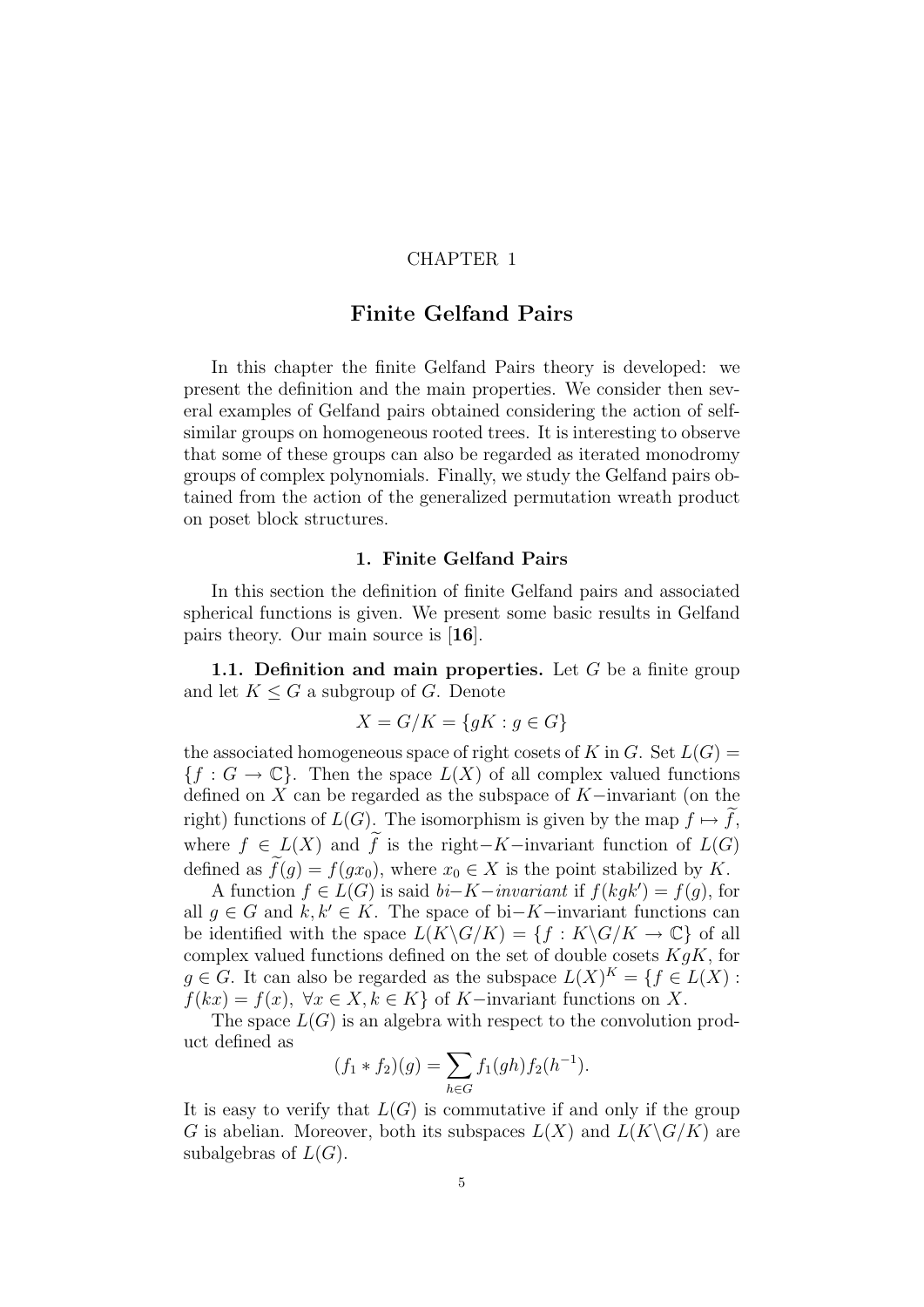# CHAPTER 1

# Finite Gelfand Pairs

In this chapter the finite Gelfand Pairs theory is developed: we present the definition and the main properties. We consider then several examples of Gelfand pairs obtained considering the action of selfsimilar groups on homogeneous rooted trees. It is interesting to observe that some of these groups can also be regarded as iterated monodromy groups of complex polynomials. Finally, we study the Gelfand pairs obtained from the action of the generalized permutation wreath product on poset block structures.

# 1. Finite Gelfand Pairs

In this section the definition of finite Gelfand pairs and associated spherical functions is given. We present some basic results in Gelfand pairs theory. Our main source is [16].

1.1. Definition and main properties. Let  $G$  be a finite group and let  $K \leq G$  a subgroup of G. Denote

$$
X = G/K = \{ gK : g \in G \}
$$

the associated homogeneous space of right cosets of K in G. Set  $L(G)$  =  ${f : G \to \mathbb{C}}$ . Then the space  $L(X)$  of all complex valued functions defined on X can be regarded as the subspace of K−invariant (on the right) functions of  $L(G)$ . The isomorphism is given by the map  $f \mapsto f$ , where  $f \in L(X)$  and  $\widetilde{f}$  is the right-K-invariant function of  $L(G)$ defined as  $f(q) = f(qx_0)$ , where  $x_0 \in X$  is the point stabilized by K.

A function  $f \in L(G)$  is said  $bi-K-invariant$  if  $f(kgk') = f(g)$ , for all  $q \in G$  and  $k, k' \in K$ . The space of bi–K−invariant functions can be identified with the space  $L(K\backslash G/K) = \{f : K\backslash G/K \to \mathbb{C}\}\$  of all complex valued functions defined on the set of double cosets  $KgK$ , for  $g \in G$ . It can also be regarded as the subspace  $L(X)^K = \{ f \in L(X) :$  $f(kx) = f(x), \forall x \in X, k \in K$  of K-invariant functions on X.

The space  $L(G)$  is an algebra with respect to the convolution product defined as

$$
(f_1 * f_2)(g) = \sum_{h \in G} f_1(gh) f_2(h^{-1}).
$$

It is easy to verify that  $L(G)$  is commutative if and only if the group G is abelian. Moreover, both its subspaces  $L(X)$  and  $L(K\backslash G/K)$  are subalgebras of  $L(G)$ .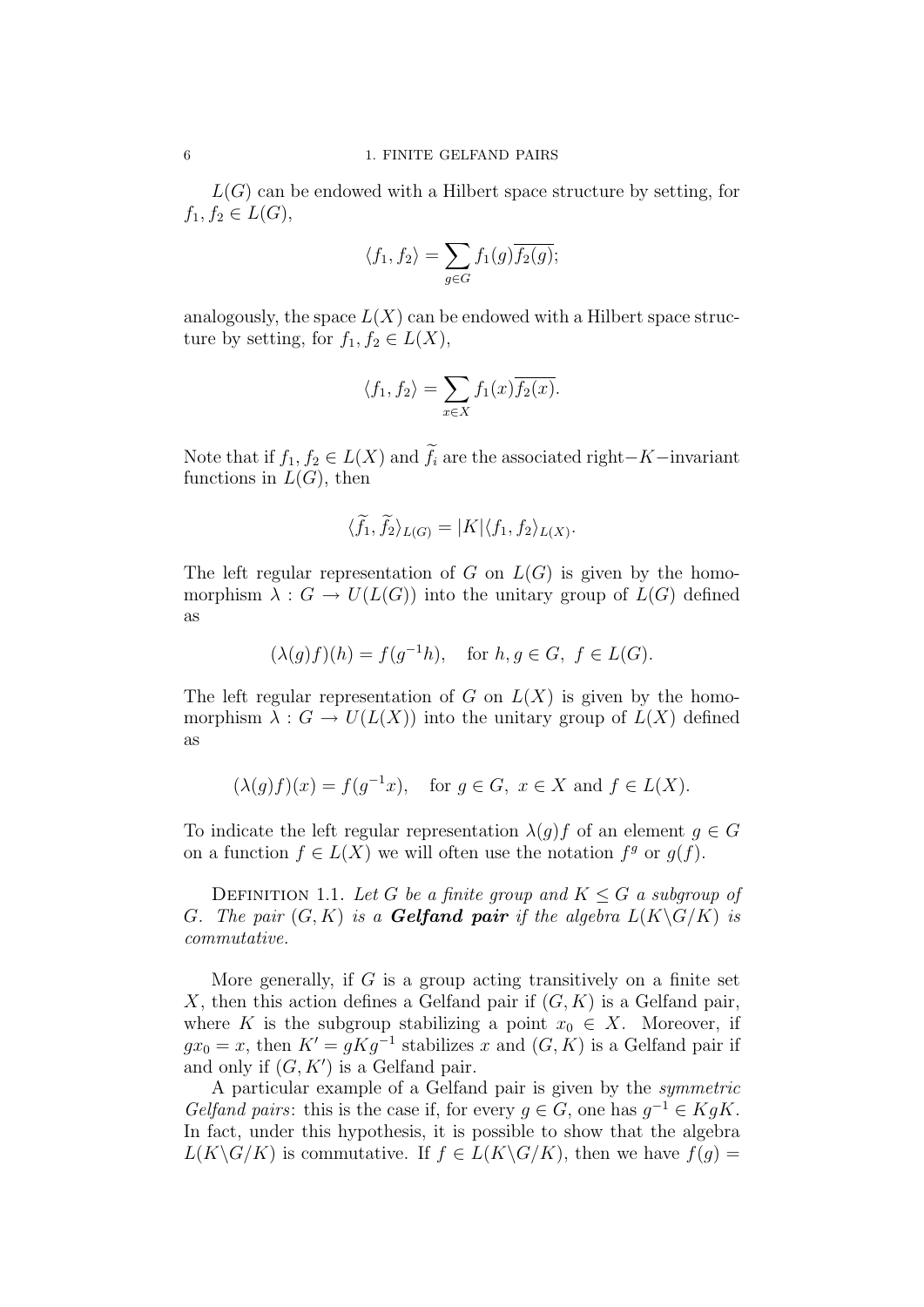$L(G)$  can be endowed with a Hilbert space structure by setting, for  $f_1, f_2 \in L(G)$ ,

$$
\langle f_1, f_2 \rangle = \sum_{g \in G} f_1(g) \overline{f_2(g)};
$$

analogously, the space  $L(X)$  can be endowed with a Hilbert space structure by setting, for  $f_1, f_2 \in L(X)$ ,

$$
\langle f_1, f_2 \rangle = \sum_{x \in X} f_1(x) \overline{f_2(x)}.
$$

Note that if  $f_1, f_2 \in L(X)$  and  $\widetilde{f}_i$  are the associated right–K−invariant functions in  $L(G)$ , then

$$
\langle \tilde{f}_1, \tilde{f}_2 \rangle_{L(G)} = |K| \langle f_1, f_2 \rangle_{L(X)}.
$$

The left regular representation of G on  $L(G)$  is given by the homomorphism  $\lambda : G \to U(L(G))$  into the unitary group of  $L(G)$  defined as

$$
(\lambda(g)f)(h) = f(g^{-1}h), \text{ for } h, g \in G, f \in L(G).
$$

The left regular representation of G on  $L(X)$  is given by the homomorphism  $\lambda : G \to U(L(X))$  into the unitary group of  $L(X)$  defined as

$$
(\lambda(g)f)(x) = f(g^{-1}x)
$$
, for  $g \in G$ ,  $x \in X$  and  $f \in L(X)$ .

To indicate the left regular representation  $\lambda(q)f$  of an element  $q \in G$ on a function  $f \in L(X)$  we will often use the notation  $f^g$  or  $g(f)$ .

DEFINITION 1.1. Let G be a finite group and  $K \leq G$  a subgroup of G. The pair  $(G, K)$  is a **Gelfand pair** if the algebra  $L(K\backslash G/K)$  is commutative.

More generally, if  $G$  is a group acting transitively on a finite set X, then this action defines a Gelfand pair if  $(G, K)$  is a Gelfand pair, where K is the subgroup stabilizing a point  $x_0 \in X$ . Moreover, if  $gx_0 = x$ , then  $K' = gKg^{-1}$  stabilizes x and  $(G, K)$  is a Gelfand pair if and only if  $(G, K')$  is a Gelfand pair.

A particular example of a Gelfand pair is given by the symmetric Gelfand pairs: this is the case if, for every  $g \in G$ , one has  $g^{-1} \in KgK$ . In fact, under this hypothesis, it is possible to show that the algebra  $L(K\backslash G/K)$  is commutative. If  $f\in L(K\backslash G/K)$ , then we have  $f(q)$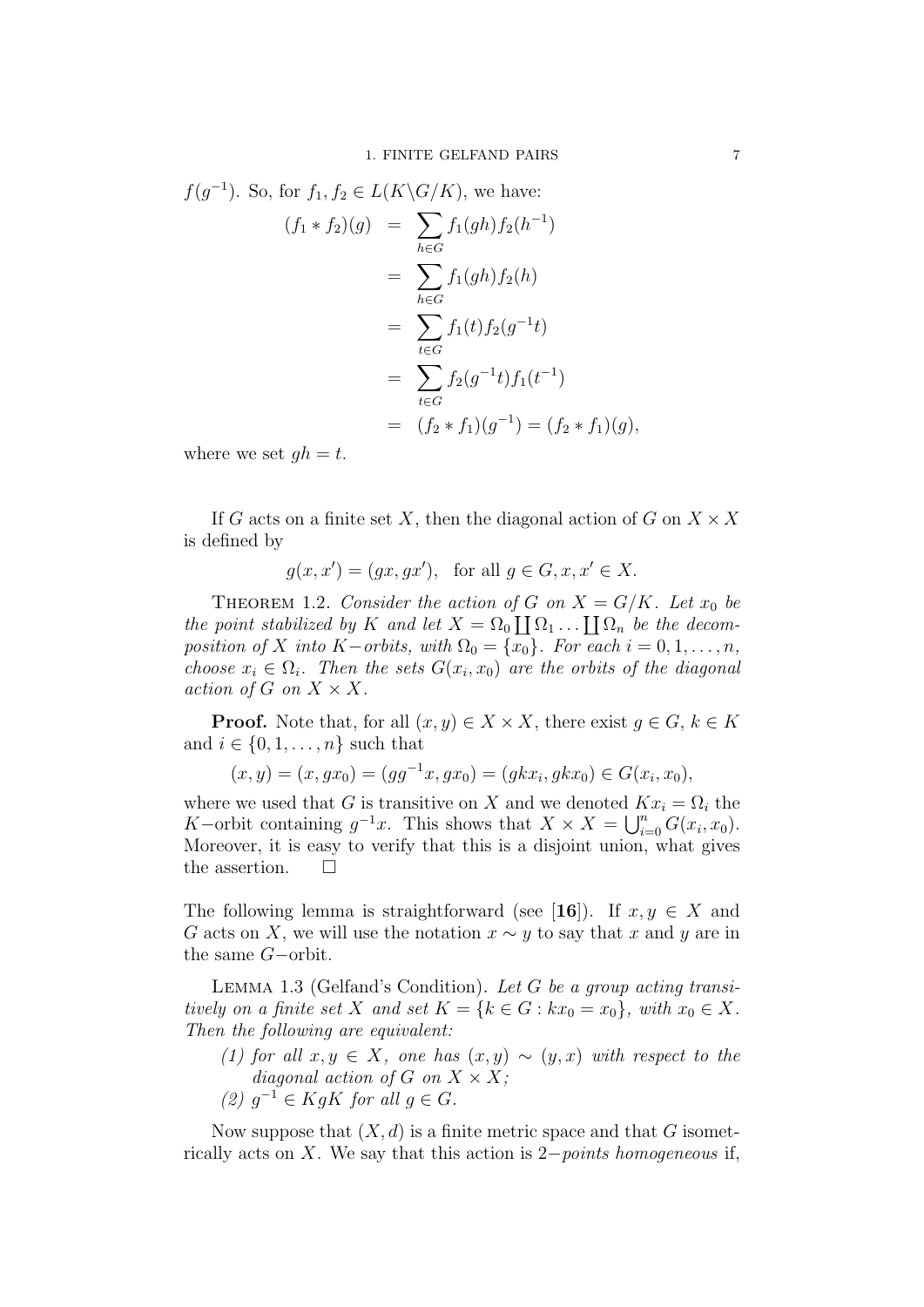$$
f(g^{-1}).
$$
 So, for  $f_1, f_2 \in L(K \backslash G/K)$ , we have:  
\n
$$
(f_1 * f_2)(g) = \sum_{h \in G} f_1(gh) f_2(h^{-1})
$$
\n
$$
= \sum_{h \in G} f_1(gh) f_2(h)
$$
\n
$$
= \sum_{t \in G} f_1(t) f_2(g^{-1}t)
$$
\n
$$
= \sum_{t \in G} f_2(g^{-1}t) f_1(t^{-1})
$$
\n
$$
= (f_2 * f_1)(g^{-1}) = (f_2 * f_1)(g),
$$

where we set  $qh = t$ .

If G acts on a finite set X, then the diagonal action of G on  $X \times X$ is defined by

$$
g(x, x') = (gx, gx'), \text{ for all } g \in G, x, x' \in X.
$$

THEOREM 1.2. Consider the action of G on  $X = G/K$ . Let  $x_0$  be the point stabilized by K and let  $X = \Omega_0 \coprod \Omega_1 \dots \coprod \Omega_n$  be the decomposition of X into K−orbits, with  $\Omega_0 = \{x_0\}$ . For each  $i = 0, 1, \ldots, n$ , choose  $x_i \in \Omega_i$ . Then the sets  $G(x_i, x_0)$  are the orbits of the diagonal action of G on  $X \times X$ .

**Proof.** Note that, for all  $(x, y) \in X \times X$ , there exist  $q \in G$ ,  $k \in K$ and  $i \in \{0, 1, \ldots, n\}$  such that

$$
(x,y) = (x,gx_0) = (gg^{-1}x,gx_0) = (gkx_i,gkx_0) \in G(x_i,x_0),
$$

where we used that G is transitive on X and we denoted  $Kx_i = \Omega_i$  the K–orbit containing  $g^{-1}x$ . This shows that  $X \times X = \bigcup_{i=0}^{n} G(x_i, x_0)$ . Moreover, it is easy to verify that this is a disjoint union, what gives the assertion.  $\square$ 

The following lemma is straightforward (see [16]). If  $x, y \in X$  and G acts on X, we will use the notation  $x \sim y$  to say that x and y are in the same G−orbit.

LEMMA 1.3 (Gelfand's Condition). Let  $G$  be a group acting transitively on a finite set X and set  $K = \{k \in G : kx_0 = x_0\}$ , with  $x_0 \in X$ . Then the following are equivalent:

- (1) for all  $x, y \in X$ , one has  $(x, y) \sim (y, x)$  with respect to the diagonal action of G on  $X \times X$ ;
- (2)  $g^{-1} \in KgK$  for all  $g \in G$ .

Now suppose that  $(X, d)$  is a finite metric space and that G isometrically acts on X. We say that this action is  $2-points$  homogeneous if,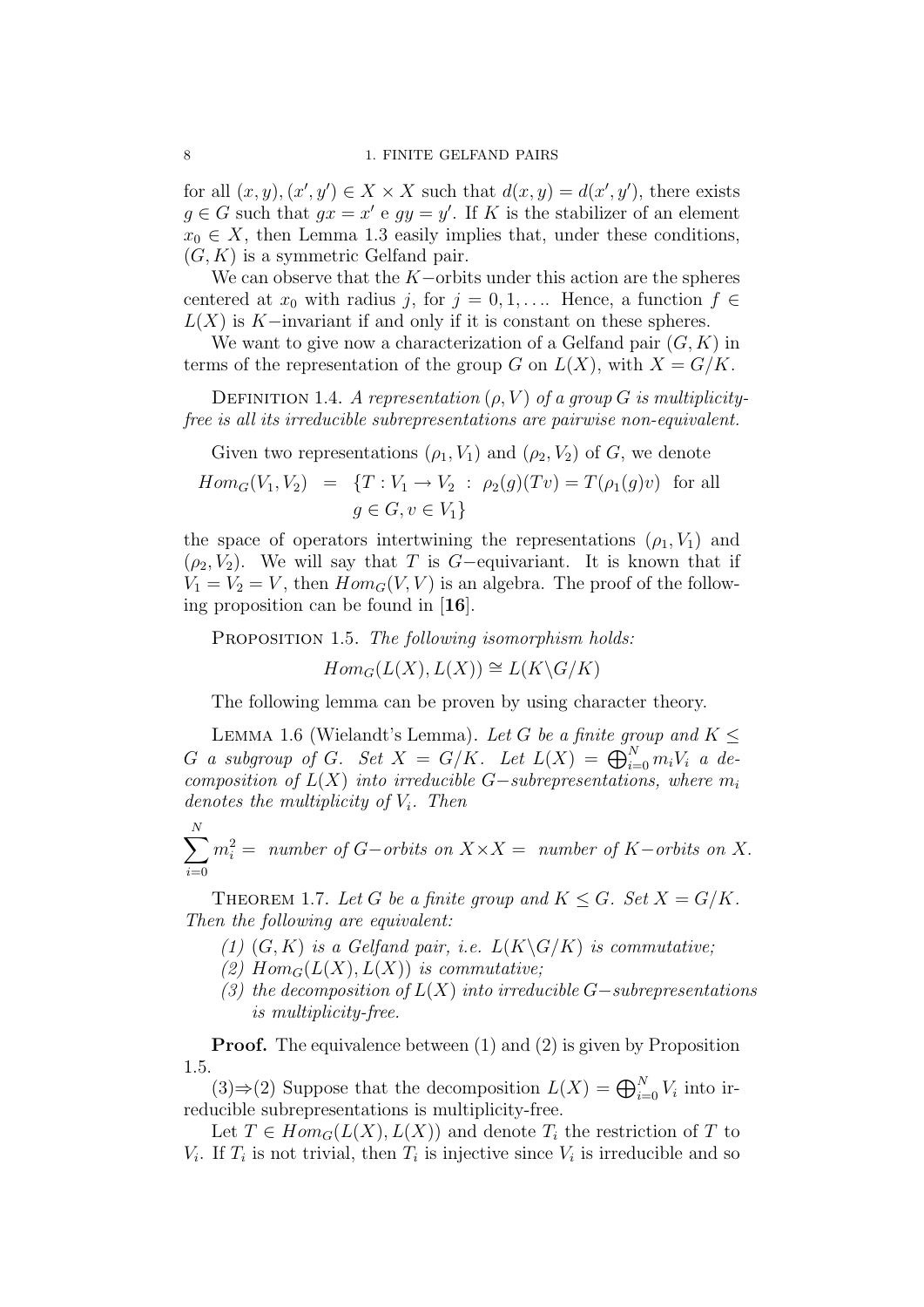for all  $(x, y), (x', y') \in X \times X$  such that  $d(x, y) = d(x', y')$ , there exists  $g \in G$  such that  $gx = x' e gy = y'$ . If K is the stabilizer of an element  $x_0 \in X$ , then Lemma 1.3 easily implies that, under these conditions,  $(G, K)$  is a symmetric Gelfand pair.

We can observe that the  $K$ -orbits under this action are the spheres centered at  $x_0$  with radius j, for  $j = 0, 1, \ldots$  Hence, a function  $f \in$  $L(X)$  is K–invariant if and only if it is constant on these spheres.

We want to give now a characterization of a Gelfand pair  $(G, K)$  in terms of the representation of the group G on  $L(X)$ , with  $X = G/K$ .

DEFINITION 1.4. A representation  $(\rho, V)$  of a group G is multiplicityfree is all its irreducible subrepresentations are pairwise non-equivalent.

Given two representations  $(\rho_1, V_1)$  and  $(\rho_2, V_2)$  of G, we denote

$$
Hom_G(V_1, V_2) = \{T : V_1 \to V_2 : \rho_2(g)(Tv) = T(\rho_1(g)v) \text{ for all } g \in G, v \in V_1\}
$$

the space of operators intertwining the representations  $(\rho_1, V_1)$  and  $(\rho_2, V_2)$ . We will say that T is G-equivariant. It is known that if  $V_1 = V_2 = V$ , then  $Hom_G(V, V)$  is an algebra. The proof of the following proposition can be found in [16].

PROPOSITION 1.5. The following isomorphism holds:

 $Hom_G(L(X), L(X)) \cong L(K\backslash G/K)$ 

The following lemma can be proven by using character theory.

LEMMA 1.6 (Wielandt's Lemma). Let G be a finite group and  $K \leq$ G a subgroup of G. Set  $X = G/K$ . Let  $L(X) = \bigoplus_{i=0}^{N} m_i V_i$  a decomposition of  $L(X)$  into irreducible G-subrepresentations, where  $m_i$ denotes the multiplicity of  $V_i$ . Then

 $\sum$ N  $i=0$  $m_i^2 =$  number of G−orbits on  $X \times X =$  number of K−orbits on X.

THEOREM 1.7. Let G be a finite group and  $K \leq G$ . Set  $X = G/K$ . Then the following are equivalent:

- (1)  $(G, K)$  is a Gelfand pair, i.e.  $L(K\backslash G/K)$  is commutative;
- (2)  $Hom_G(L(X), L(X))$  is commutative;
- (3) the decomposition of  $L(X)$  into irreducible G-subrepresentations is multiplicity-free.

**Proof.** The equivalence between (1) and (2) is given by Proposition 1.5.

(3)⇒(2) Suppose that the decomposition  $L(X) = \bigoplus_{i=0}^{N} V_i$  into irreducible subrepresentations is multiplicity-free.

Let  $T \in Hom_G(L(X), L(X))$  and denote  $T_i$  the restriction of T to  $V_i$ . If  $T_i$  is not trivial, then  $T_i$  is injective since  $V_i$  is irreducible and so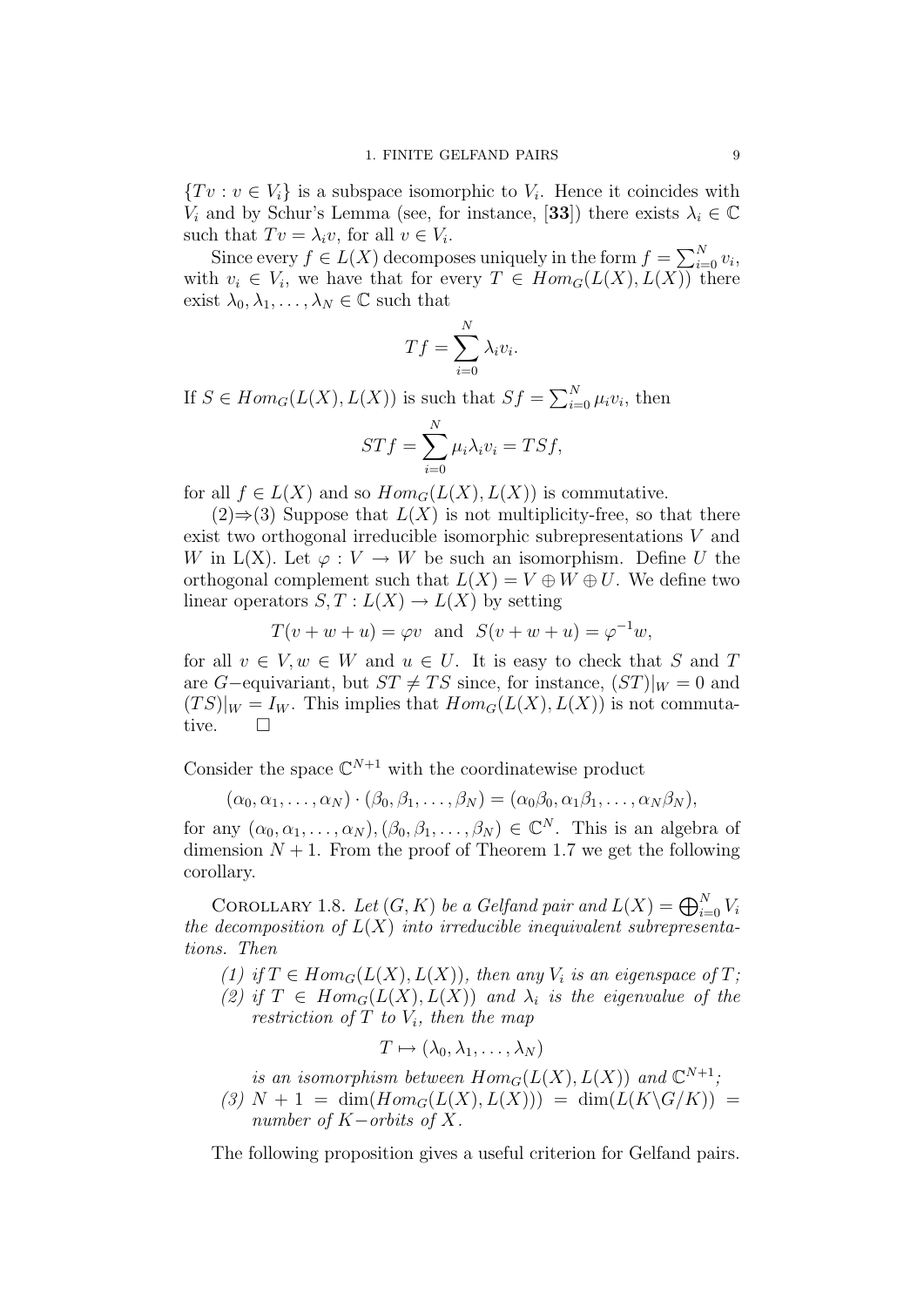$\{Tv : v \in V_i\}$  is a subspace isomorphic to  $V_i$ . Hence it coincides with  $V_i$  and by Schur's Lemma (see, for instance, [33]) there exists  $\lambda_i \in \mathbb{C}$ such that  $Tv = \lambda_i v$ , for all  $v \in V_i$ .

Since every  $f \in L(X)$  decomposes uniquely in the form  $f = \sum_{i=0}^{N} v_i$ , with  $v_i \in V_i$ , we have that for every  $T \in Hom_G(L(X), L(X))$  there exist  $\lambda_0, \lambda_1, \ldots, \lambda_N \in \mathbb{C}$  such that

$$
Tf = \sum_{i=0}^{N} \lambda_i v_i.
$$

If  $S \in Hom_G(L(X), L(X))$  is such that  $Sf = \sum_{i=0}^{N} \mu_i v_i$ , then

$$
STf = \sum_{i=0}^{N} \mu_i \lambda_i v_i = TSf,
$$

for all  $f \in L(X)$  and so  $Hom_G(L(X), L(X))$  is commutative.

 $(2) \Rightarrow (3)$  Suppose that  $L(X)$  is not multiplicity-free, so that there exist two orthogonal irreducible isomorphic subrepresentations V and W in L(X). Let  $\varphi: V \to W$  be such an isomorphism. Define U the orthogonal complement such that  $L(X) = V \oplus W \oplus U$ . We define two linear operators  $S, T : L(X) \to L(X)$  by setting

$$
T(v + w + u) = \varphi v \quad \text{and} \quad S(v + w + u) = \varphi^{-1} w,
$$

for all  $v \in V, w \in W$  and  $u \in U$ . It is easy to check that S and T are G–equivariant, but  $ST \neq TS$  since, for instance,  $(ST)|_W = 0$  and  $(TS)|_W = I_W$ . This implies that  $Hom_G(L(X), L(X))$  is not commutative.  $\square$ 

Consider the space  $\mathbb{C}^{N+1}$  with the coordinatewise product

$$
(\alpha_0, \alpha_1, \ldots, \alpha_N) \cdot (\beta_0, \beta_1, \ldots, \beta_N) = (\alpha_0, \beta_0, \alpha_1, \beta_1, \ldots, \alpha_N, \beta_N),
$$

for any  $(\alpha_0, \alpha_1, \ldots, \alpha_N)$ ,  $(\beta_0, \beta_1, \ldots, \beta_N) \in \mathbb{C}^N$ . This is an algebra of dimension  $N + 1$ . From the proof of Theorem 1.7 we get the following corollary.

COROLLARY 1.8. Let  $(G, K)$  be a Gelfand pair and  $L(X) = \bigoplus_{i=0}^{N} V_i$ the decomposition of  $L(X)$  into irreducible inequivalent subrepresentations. Then

(1) if  $T \in Hom_G(L(X), L(X))$ , then any  $V_i$  is an eigenspace of  $T$ ; (2) if  $T \in Hom_G(L(X), L(X))$  and  $\lambda_i$  is the eigenvalue of the restriction of  $T$  to  $V_i$ , then the map

$$
T \mapsto (\lambda_0, \lambda_1, \dots, \lambda_N)
$$

is an isomorphism between  $Hom_G(L(X), L(X))$  and  $\mathbb{C}^{N+1}$ ;

(3)  $N + 1 = \dim(Hom_G(L(X), L(X))) = \dim(L(K\backslash G/K)) =$ number of  $K$ –orbits of X.

The following proposition gives a useful criterion for Gelfand pairs.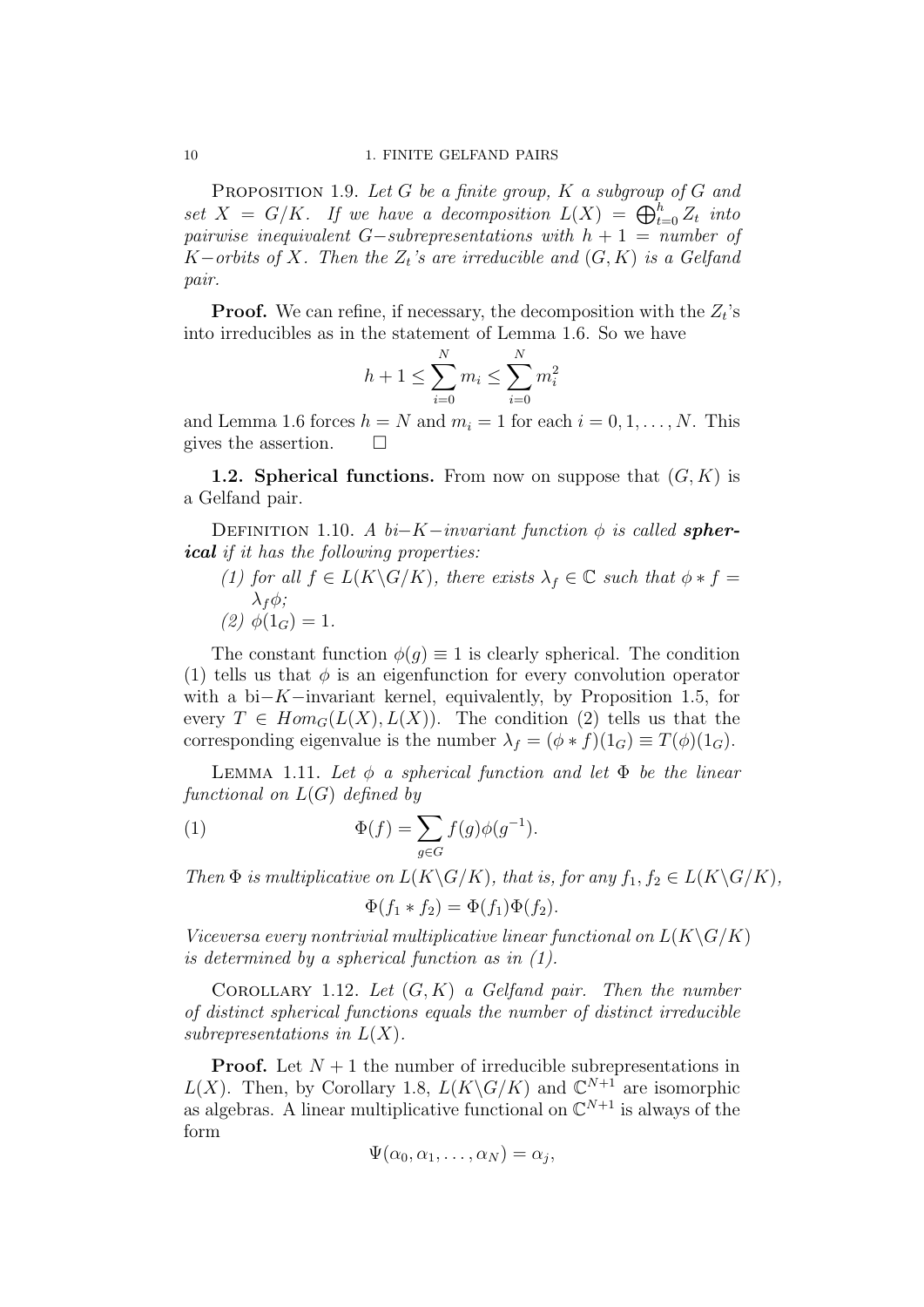PROPOSITION 1.9. Let G be a finite group,  $K$  a subgroup of G and set  $X = G/K$ . If we have a decomposition  $L(X) = \bigoplus_{t=0}^{h} Z_t$  into pairwise inequivalent  $G-subrepresentations$  with  $h + 1 = number of$ K–orbits of X. Then the  $Z_t$ 's are irreducible and  $(G, K)$  is a Gelfand pair.

**Proof.** We can refine, if necessary, the decomposition with the  $Z_t$ 's into irreducibles as in the statement of Lemma 1.6. So we have

$$
h + 1 \le \sum_{i=0}^{N} m_i \le \sum_{i=0}^{N} m_i^2
$$

and Lemma 1.6 forces  $h = N$  and  $m_i = 1$  for each  $i = 0, 1, ..., N$ . This gives the assertion.  $\square$ 

**1.2. Spherical functions.** From now on suppose that  $(G, K)$  is a Gelfand pair.

DEFINITION 1.10. A  $bi-K-invariant$  function  $\phi$  is called **spher**ical if it has the following properties:

(1) for all  $f \in L(K\backslash G/K)$ , there exists  $\lambda_f \in \mathbb{C}$  such that  $\phi * f =$  $\lambda_f \phi$ ; (2)  $\phi(1_G) = 1$ .

The constant function  $\phi(q) \equiv 1$  is clearly spherical. The condition (1) tells us that  $\phi$  is an eigenfunction for every convolution operator with a bi−K−invariant kernel, equivalently, by Proposition 1.5, for every  $T \in Hom_G(L(X), L(X))$ . The condition (2) tells us that the corresponding eigenvalue is the number  $\lambda_f = (\phi * f)(1_G) \equiv T(\phi)(1_G)$ .

LEMMA 1.11. Let  $\phi$  a spherical function and let  $\Phi$  be the linear functional on  $L(G)$  defined by

(1) 
$$
\Phi(f) = \sum_{g \in G} f(g)\phi(g^{-1}).
$$

Then  $\Phi$  is multiplicative on  $L(K\backslash G/K)$ , that is, for any  $f_1, f_2 \in L(K\backslash G/K)$ ,

$$
\Phi(f_1 * f_2) = \Phi(f_1)\Phi(f_2).
$$

Viceversa every nontrivial multiplicative linear functional on  $L(K\backslash G/K)$ is determined by a spherical function as in (1).

COROLLARY 1.12. Let  $(G, K)$  a Gelfand pair. Then the number of distinct spherical functions equals the number of distinct irreducible subrepresentations in  $L(X)$ .

**Proof.** Let  $N + 1$  the number of irreducible subrepresentations in  $L(X)$ . Then, by Corollary 1.8,  $L(K\backslash G/K)$  and  $\mathbb{C}^{N+1}$  are isomorphic as algebras. A linear multiplicative functional on  $\mathbb{C}^{N+1}$  is always of the form

$$
\Psi(\alpha_0,\alpha_1,\ldots,\alpha_N)=\alpha_j,
$$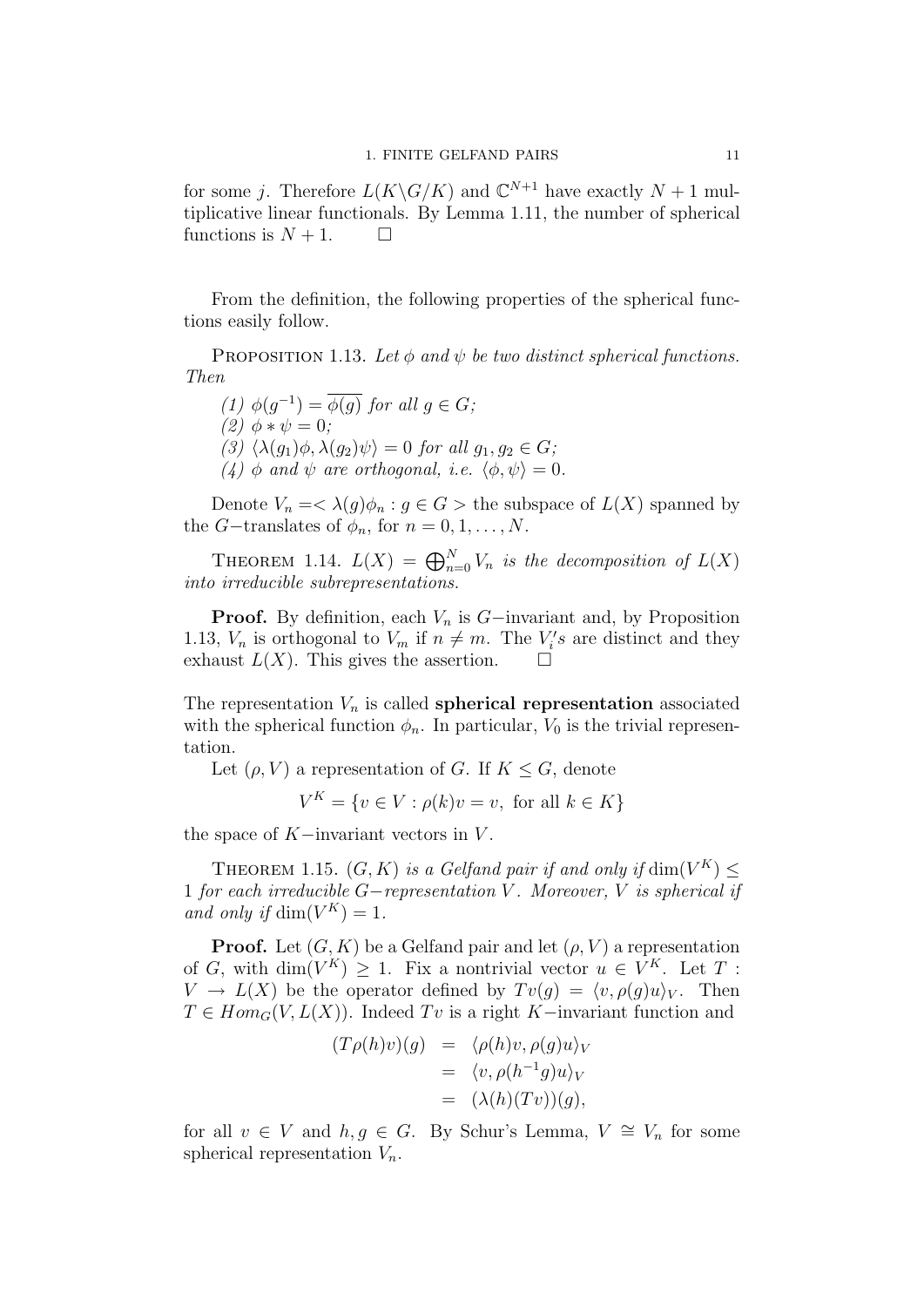for some j. Therefore  $L(K\backslash G/K)$  and  $\mathbb{C}^{N+1}$  have exactly  $N+1$  multiplicative linear functionals. By Lemma 1.11, the number of spherical functions is  $N + 1$ .  $\Box$ 

From the definition, the following properties of the spherical functions easily follow.

PROPOSITION 1.13. Let  $\phi$  and  $\psi$  be two distinct spherical functions. Then

(1)  $\phi(g^{-1}) = \overline{\phi(g)}$  for all  $g \in G$ ; (2)  $\phi * \psi = 0$ : (3)  $\langle \lambda(q_1)\phi, \lambda(q_2)\psi \rangle = 0$  for all  $q_1, q_2 \in G$ ; (4)  $\phi$  and  $\psi$  are orthogonal, i.e.  $\langle \phi, \psi \rangle = 0$ .

Denote  $V_n = \langle \lambda(g) \phi_n : g \in G \rangle$  the subspace of  $L(X)$  spanned by the *G*−translates of  $\phi_n$ , for  $n = 0, 1, \ldots, N$ .

THEOREM 1.14.  $L(X) = \bigoplus_{n=0}^{N} V_n$  is the decomposition of  $L(X)$ into irreducible subrepresentations.

**Proof.** By definition, each  $V_n$  is  $G$ −invariant and, by Proposition 1.13,  $V_n$  is orthogonal to  $V_m$  if  $n \neq m$ . The  $V_i$ 's are distinct and they exhaust  $L(X)$ . This gives the assertion.  $\square$ 

The representation  $V_n$  is called **spherical representation** associated with the spherical function  $\phi_n$ . In particular,  $V_0$  is the trivial representation.

Let  $(\rho, V)$  a representation of G. If  $K \leq G$ , denote

$$
V^K = \{ v \in V : \rho(k)v = v, \text{ for all } k \in K \}
$$

the space of  $K$ -invariant vectors in  $V$ .

THEOREM 1.15.  $(G, K)$  is a Gelfand pair if and only if  $\dim(V^K) \leq$ 1 for each irreducible G−representation V . Moreover, V is spherical if and only if  $\dim(V^K) = 1$ .

**Proof.** Let  $(G, K)$  be a Gelfand pair and let  $(\rho, V)$  a representation of G, with  $\dim(V^K) \geq 1$ . Fix a nontrivial vector  $u \in V^K$ . Let T:  $V \to L(X)$  be the operator defined by  $Tv(g) = \langle v, \rho(g)u \rangle_V$ . Then  $T \in Hom_G(V, L(X))$ . Indeed Tv is a right K-invariant function and

$$
(T\rho(h)v)(g) = \langle \rho(h)v, \rho(g)u \rangle_V
$$
  
=  $\langle v, \rho(h^{-1}g)u \rangle_V$   
=  $(\lambda(h)(Tv))(g),$ 

for all  $v \in V$  and  $h, g \in G$ . By Schur's Lemma,  $V \cong V_n$  for some spherical representation  $V_n$ .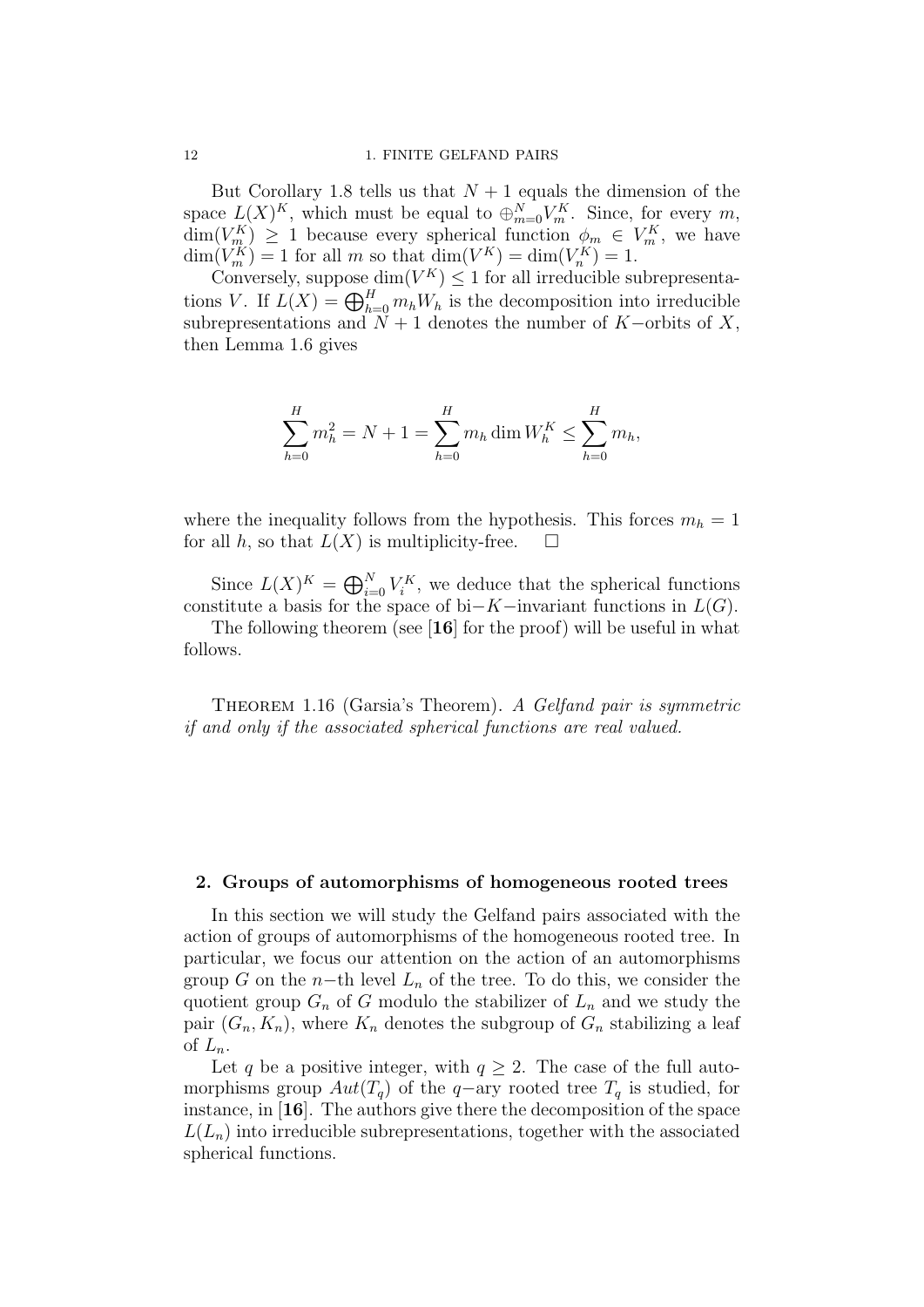But Corollary 1.8 tells us that  $N+1$  equals the dimension of the space  $L(X)^K$ , which must be equal to  $\bigoplus_{m=0}^N V_m^K$ . Since, for every m,  $\dim(V_{m}^K) \geq 1$  because every spherical function  $\phi_m \in V_m^K$ , we have  $\dim(V_m^K) = 1$  for all m so that  $\dim(V^K) = \dim(V_n^K) = 1$ .

Conversely, suppose  $\dim(V^K) \leq 1$  for all irreducible subrepresentations V. If  $L(X) = \bigoplus_{h=0}^{H} m_h W_h$  is the decomposition into irreducible subrepresentations and  $\tilde{N} + 1$  denotes the number of K–orbits of X, then Lemma 1.6 gives

$$
\sum_{h=0}^{H} m_h^2 = N + 1 = \sum_{h=0}^{H} m_h \dim W_h^K \le \sum_{h=0}^{H} m_h,
$$

where the inequality follows from the hypothesis. This forces  $m_h = 1$ for all h, so that  $L(X)$  is multiplicity-free.  $\square$ 

Since  $L(X)^K = \bigoplus_{i=0}^N V_i^K$ , we deduce that the spherical functions constitute a basis for the space of bi−K−invariant functions in  $L(G)$ .

The following theorem (see [16] for the proof) will be useful in what follows.

THEOREM 1.16 (Garsia's Theorem). A Gelfand pair is symmetric if and only if the associated spherical functions are real valued.

# 2. Groups of automorphisms of homogeneous rooted trees

In this section we will study the Gelfand pairs associated with the action of groups of automorphisms of the homogeneous rooted tree. In particular, we focus our attention on the action of an automorphisms group G on the n−th level  $L_n$  of the tree. To do this, we consider the quotient group  $G_n$  of G modulo the stabilizer of  $L_n$  and we study the pair  $(G_n, K_n)$ , where  $K_n$  denotes the subgroup of  $G_n$  stabilizing a leaf of  $L_n$ .

Let q be a positive integer, with  $q \geq 2$ . The case of the full automorphisms group  $Aut(T_q)$  of the q-ary rooted tree  $T_q$  is studied, for instance, in [16]. The authors give there the decomposition of the space  $L(L_n)$  into irreducible subrepresentations, together with the associated spherical functions.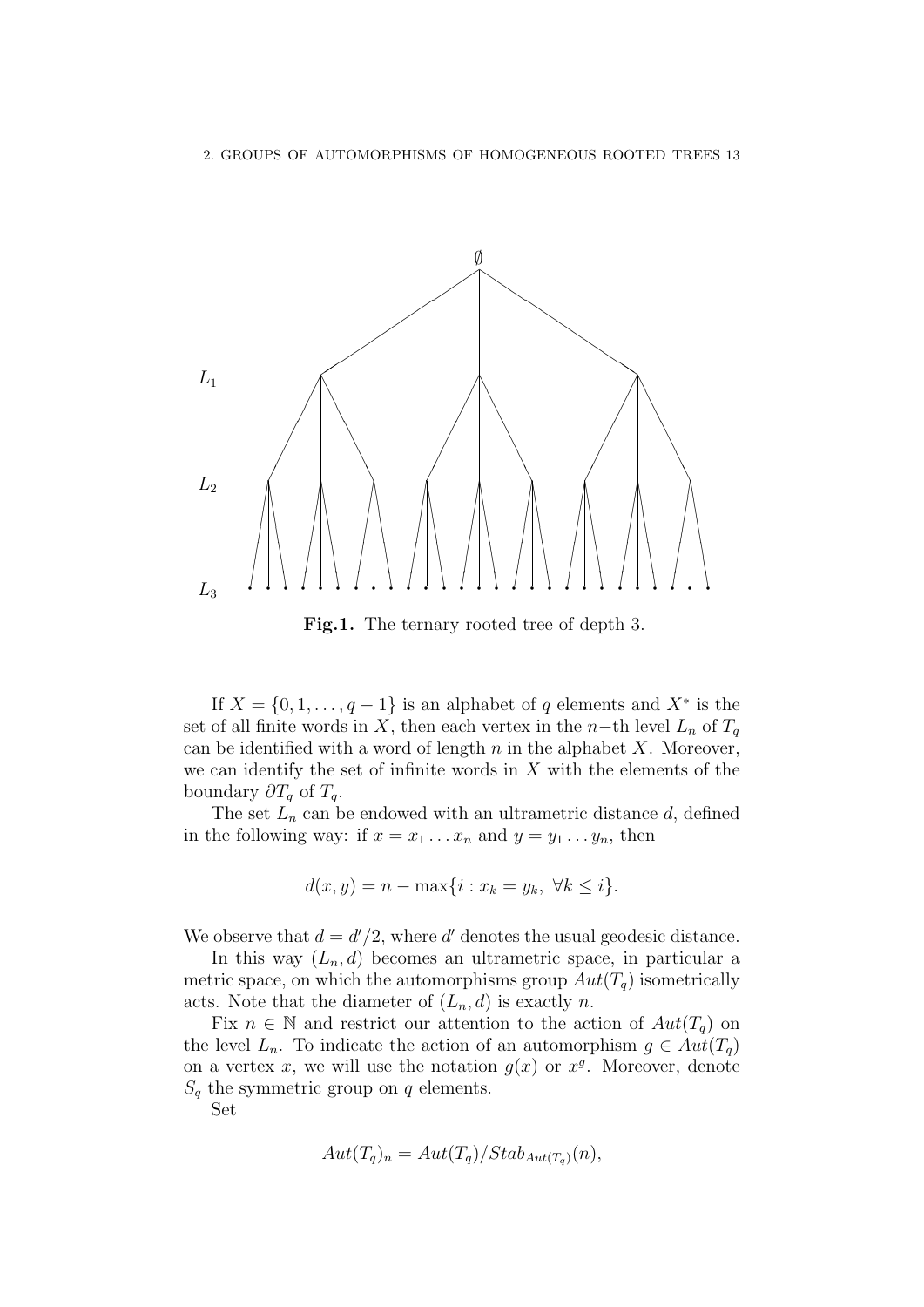

Fig.1. The ternary rooted tree of depth 3.

If  $X = \{0, 1, \ldots, q-1\}$  is an alphabet of q elements and  $X^*$  is the set of all finite words in X, then each vertex in the n–th level  $L_n$  of  $T_q$ can be identified with a word of length  $n$  in the alphabet  $X$ . Moreover, we can identify the set of infinite words in  $X$  with the elements of the boundary  $\partial T_q$  of  $T_q$ .

The set  $L_n$  can be endowed with an ultrametric distance  $d$ , defined in the following way: if  $x = x_1 \ldots x_n$  and  $y = y_1 \ldots y_n$ , then

$$
d(x, y) = n - \max\{i : x_k = y_k, \ \forall k \le i\}.
$$

We observe that  $d = d'/2$ , where d' denotes the usual geodesic distance.

In this way  $(L_n, d)$  becomes an ultrametric space, in particular a metric space, on which the automorphisms group  $Aut(T_q)$  isometrically acts. Note that the diameter of  $(L_n, d)$  is exactly n.

Fix  $n \in \mathbb{N}$  and restrict our attention to the action of  $Aut(T_q)$  on the level  $L_n$ . To indicate the action of an automorphism  $g \in Aut(T_q)$ on a vertex x, we will use the notation  $g(x)$  or  $x<sup>g</sup>$ . Moreover, denote  $S_q$  the symmetric group on q elements.

Set

$$
Aut(T_q)_n = Aut(T_q)/Stab_{Aut(T_q)}(n),
$$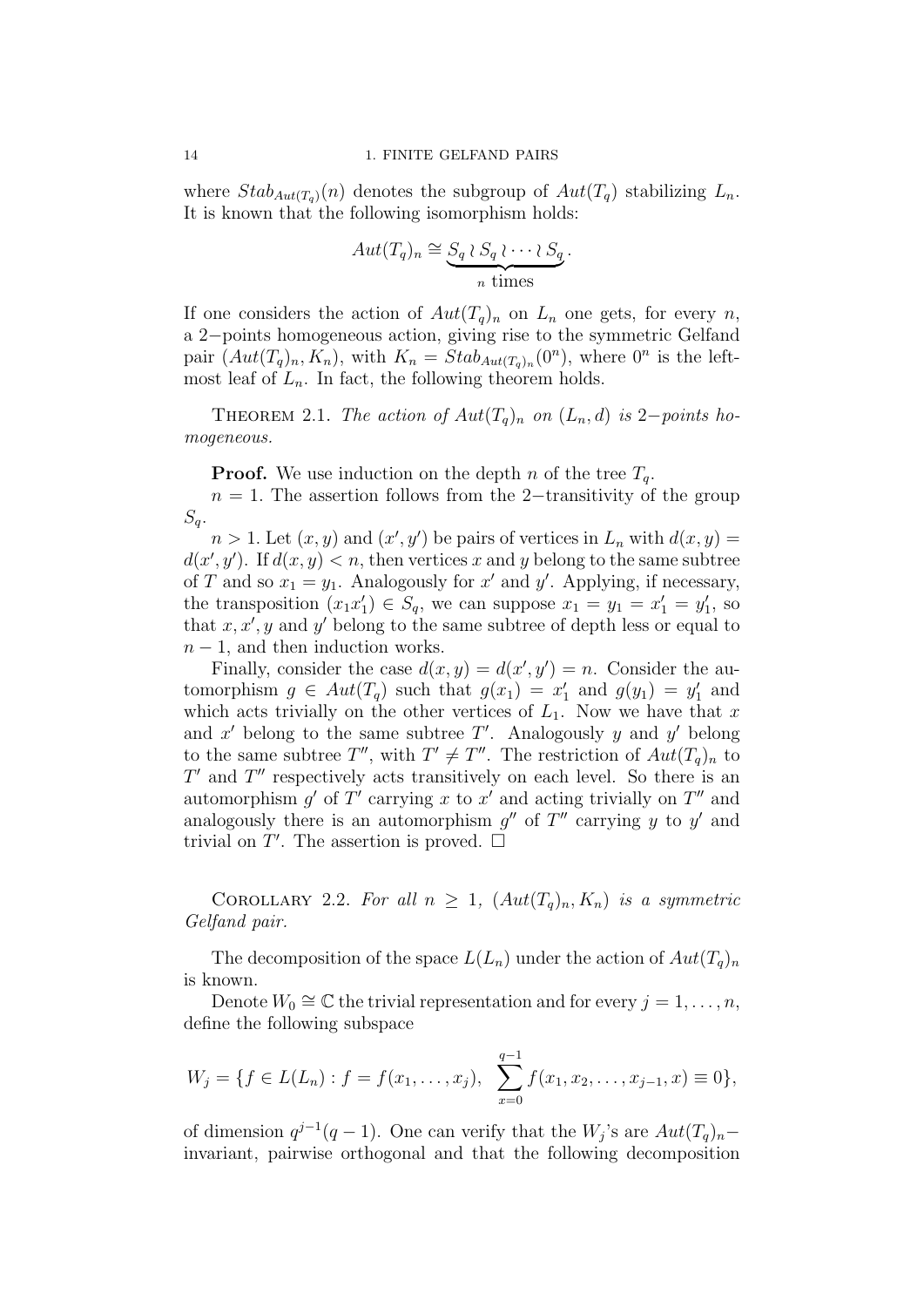where  $Stab_{Aut(T_q)}(n)$  denotes the subgroup of  $Aut(T_q)$  stabilizing  $L_n$ . It is known that the following isomorphism holds:

$$
Aut(T_q)_n \cong \underbrace{S_q \wr S_q \wr \cdots \wr S_q}_{n \text{ times}}.
$$

If one considers the action of  $Aut(T_q)_n$  on  $L_n$  one gets, for every n, a 2−points homogeneous action, giving rise to the symmetric Gelfand pair  $(Aut(T_q)_n, K_n)$ , with  $K_n = Stab_{Aut(T_q)_n}(0^n)$ , where  $0^n$  is the leftmost leaf of  $L_n$ . In fact, the following theorem holds.

THEOREM 2.1. The action of  $Aut(T_q)_n$  on  $(L_n, d)$  is 2−points homogeneous.

**Proof.** We use induction on the depth n of the tree  $T_q$ .

 $n = 1$ . The assertion follows from the 2−transitivity of the group  $S_q$ .

 $n > 1$ . Let  $(x, y)$  and  $(x', y')$  be pairs of vertices in  $L_n$  with  $d(x, y) =$  $d(x', y')$ . If  $d(x, y) < n$ , then vertices x and y belong to the same subtree of T and so  $x_1 = y_1$ . Analogously for x' and y'. Applying, if necessary, the transposition  $(x_1x_1') \in S_q$ , we can suppose  $x_1 = y_1 = x_1' = y_1'$ , so that  $x, x', y$  and y' belong to the same subtree of depth less or equal to  $n-1$ , and then induction works.

Finally, consider the case  $d(x, y) = d(x', y') = n$ . Consider the automorphism  $g \in Aut(T_q)$  such that  $g(x_1) = x'_1$  and  $g(y_1) = y'_1$  and which acts trivially on the other vertices of  $L_1$ . Now we have that x and  $x'$  belong to the same subtree  $T'$ . Analogously y and y' belong to the same subtree  $T''$ , with  $T' \neq T''$ . The restriction of  $Aut(T_q)_n$  to  $T'$  and  $T''$  respectively acts transitively on each level. So there is an automorphism  $g'$  of  $T'$  carrying x to  $x'$  and acting trivially on  $T''$  and analogously there is an automorphism  $g''$  of  $T''$  carrying y to y' and trivial on  $T'$ . The assertion is proved.  $\Box$ 

COROLLARY 2.2. For all  $n \geq 1$ ,  $(Aut(T_q)_n, K_n)$  is a symmetric Gelfand pair.

The decomposition of the space  $L(L_n)$  under the action of  $Aut(T_q)_n$ is known.

Denote  $W_0 \cong \mathbb{C}$  the trivial representation and for every  $j = 1, \ldots, n$ , define the following subspace

$$
W_j = \{ f \in L(L_n) : f = f(x_1, \dots, x_j), \sum_{x=0}^{q-1} f(x_1, x_2, \dots, x_{j-1}, x) \equiv 0 \},
$$

of dimension  $q^{j-1}(q-1)$ . One can verify that the  $W_j$ 's are  $Aut(T_q)_n$ invariant, pairwise orthogonal and that the following decomposition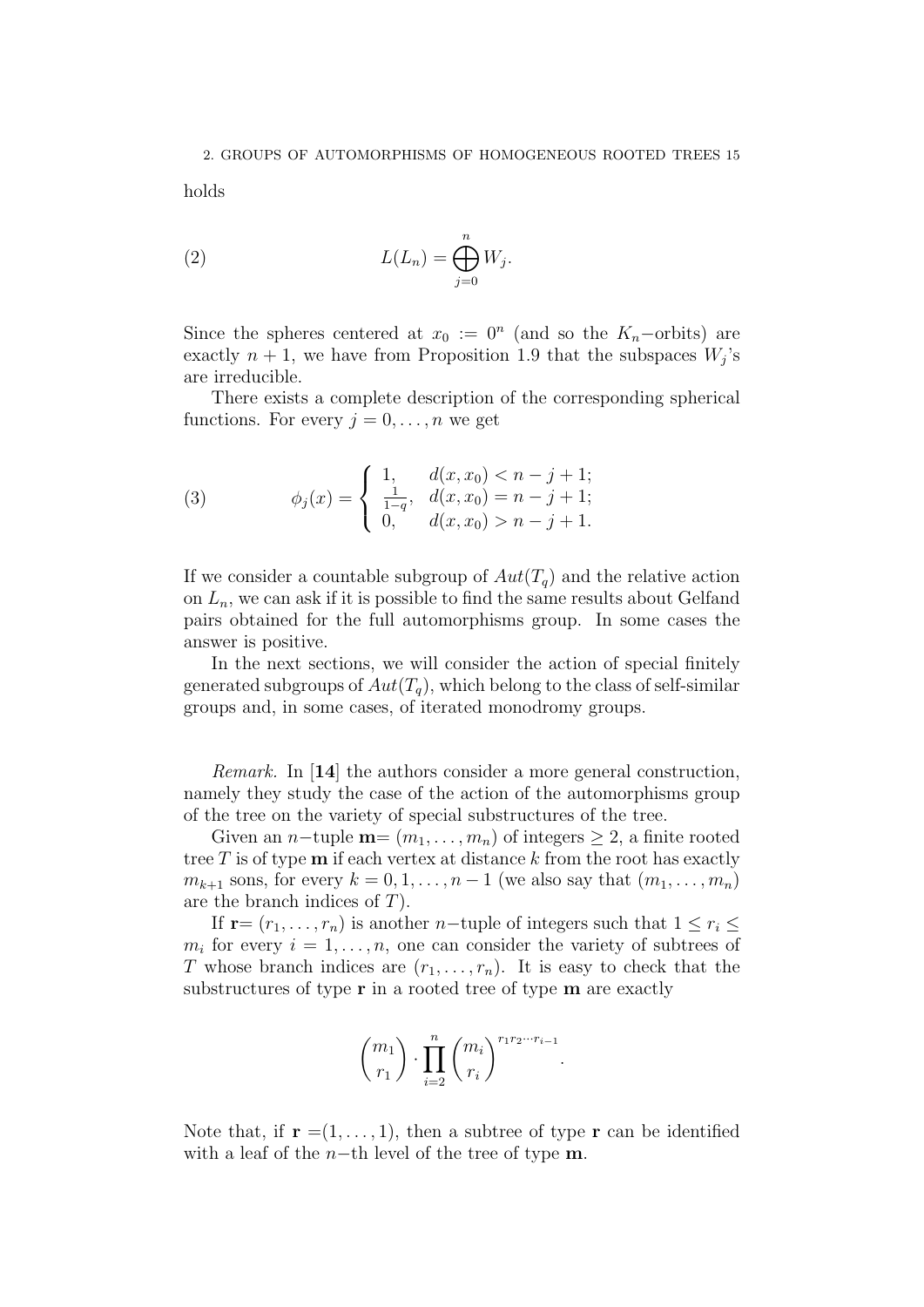holds

(2) 
$$
L(L_n) = \bigoplus_{j=0}^n W_j.
$$

Since the spheres centered at  $x_0 := 0^n$  (and so the  $K_n$ -orbits) are exactly  $n + 1$ , we have from Proposition 1.9 that the subspaces  $W_j$ 's are irreducible.

There exists a complete description of the corresponding spherical functions. For every  $j = 0, \ldots, n$  we get

(3) 
$$
\phi_j(x) = \begin{cases} 1, & d(x, x_0) < n - j + 1; \\ \frac{1}{1-q}, & d(x, x_0) = n - j + 1; \\ 0, & d(x, x_0) > n - j + 1. \end{cases}
$$

If we consider a countable subgroup of  $Aut(T_q)$  and the relative action on  $L_n$ , we can ask if it is possible to find the same results about Gelfand pairs obtained for the full automorphisms group. In some cases the answer is positive.

In the next sections, we will consider the action of special finitely generated subgroups of  $Aut(T_q)$ , which belong to the class of self-similar groups and, in some cases, of iterated monodromy groups.

Remark. In [14] the authors consider a more general construction, namely they study the case of the action of the automorphisms group of the tree on the variety of special substructures of the tree.

Given an n-tuple  $\mathbf{m} = (m_1, \ldots, m_n)$  of integers  $\geq 2$ , a finite rooted tree  $T$  is of type  $m$  if each vertex at distance  $k$  from the root has exactly  $m_{k+1}$  sons, for every  $k = 0, 1, \ldots, n-1$  (we also say that  $(m_1, \ldots, m_n)$ ) are the branch indices of T).

If  $\mathbf{r}=(r_1,\ldots,r_n)$  is another n−tuple of integers such that  $1\leq r_i\leq$  $m_i$  for every  $i = 1, \ldots, n$ , one can consider the variety of subtrees of T whose branch indices are  $(r_1, \ldots, r_n)$ . It is easy to check that the substructures of type  $\bf{r}$  in a rooted tree of type  $\bf{m}$  are exactly

$$
\binom{m_1}{r_1} \cdot \prod_{i=2}^n \binom{m_i}{r_i}^{r_1 r_2 \cdots r_{i-1}}.
$$

Note that, if  $\mathbf{r} = (1, \ldots, 1)$ , then a subtree of type  $\mathbf{r}$  can be identified with a leaf of the n−th level of the tree of type **.**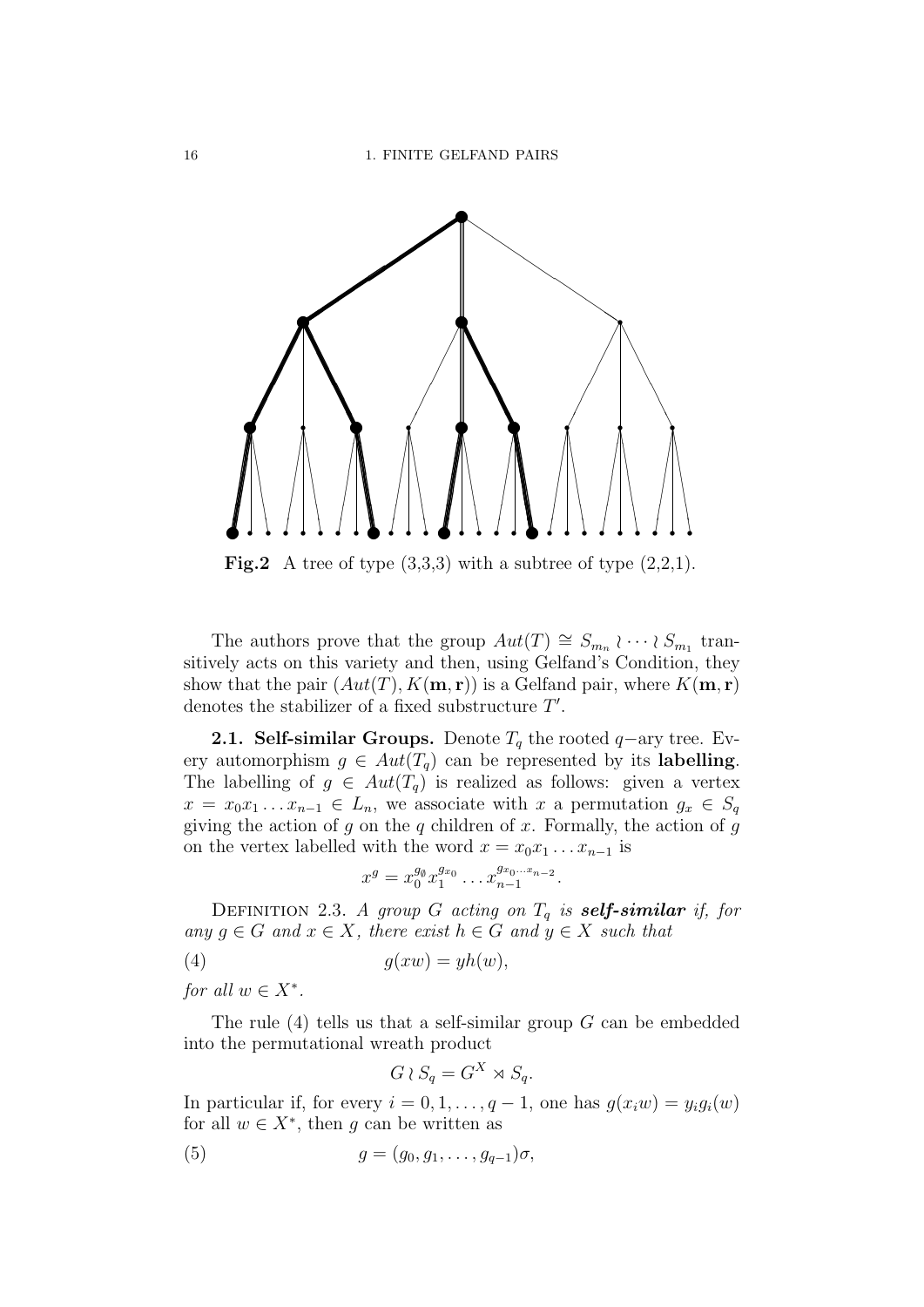

**Fig.2** A tree of type  $(3,3,3)$  with a subtree of type  $(2,2,1)$ .

The authors prove that the group  $Aut(T) \cong S_{m_n} \wr \cdots \wr S_{m_1}$  transitively acts on this variety and then, using Gelfand's Condition, they show that the pair  $(Aut(T), K(m, r))$  is a Gelfand pair, where  $K(m, r)$ denotes the stabilizer of a fixed substructure  $T'$ .

**2.1. Self-similar Groups.** Denote  $T_q$  the rooted  $q$ -ary tree. Every automorphism  $g \in Aut(T_q)$  can be represented by its **labelling**. The labelling of  $g \in Aut(T_q)$  is realized as follows: given a vertex  $x = x_0x_1 \ldots x_{n-1} \in L_n$ , we associate with x a permutation  $g_x \in S_q$ giving the action of q on the q children of x. Formally, the action of q on the vertex labelled with the word  $x = x_0x_1 \ldots x_{n-1}$  is

$$
x^g = x_0^{g_\emptyset} x_1^{g_{x_0}} \dots x_{n-1}^{g_{x_0 \dots x_{n-2}}}.
$$

DEFINITION 2.3. A group G acting on  $T_q$  is **self-similar** if, for any  $g \in G$  and  $x \in X$ , there exist  $h \in G$  and  $y \in X$  such that

$$
(4) \t\t g(xw) = yh(w),
$$

for all  $w \in X^*$ .

The rule  $(4)$  tells us that a self-similar group G can be embedded into the permutational wreath product

$$
G \wr S_q = G^X \rtimes S_q.
$$

In particular if, for every  $i = 0, 1, \ldots, q - 1$ , one has  $g(x_iw) = y_i g_i(w)$ for all  $w \in X^*$ , then g can be written as

$$
(5) \qquad \qquad g = (g_0, g_1, \dots, g_{q-1})\sigma,
$$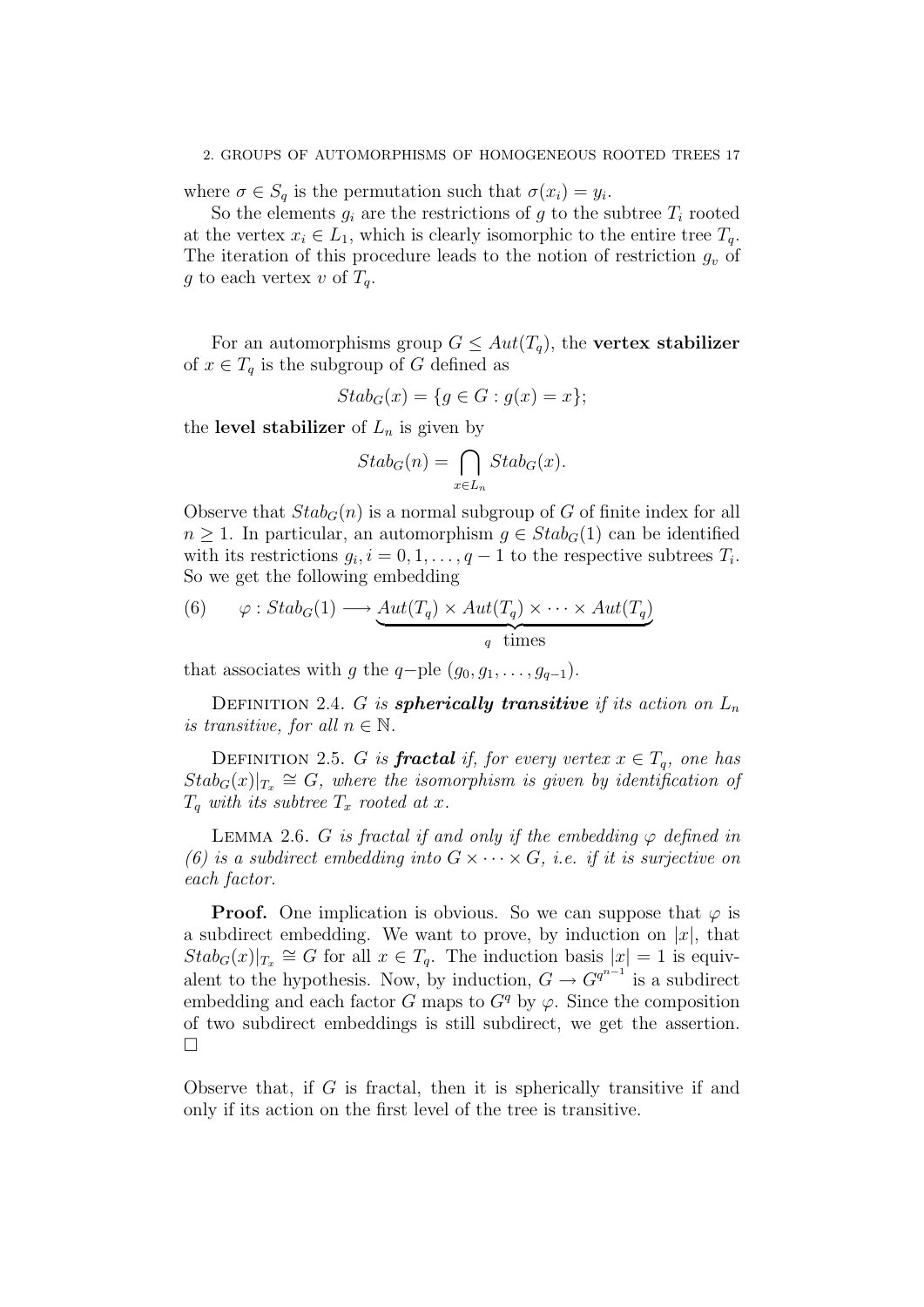where  $\sigma \in S_q$  is the permutation such that  $\sigma(x_i) = y_i$ .

So the elements  $q_i$  are the restrictions of q to the subtree  $T_i$  rooted at the vertex  $x_i \in L_1$ , which is clearly isomorphic to the entire tree  $T_q$ . The iteration of this procedure leads to the notion of restriction  $g_v$  of g to each vertex v of  $T_q$ .

For an automorphisms group  $G \leq Aut(T_q)$ , the vertex stabilizer of  $x \in T_q$  is the subgroup of G defined as

$$
Stab_G(x) = \{ g \in G : g(x) = x \};
$$

the level stabilizer of  $L_n$  is given by

$$
Stab_G(n) = \bigcap_{x \in L_n} Stab_G(x).
$$

Observe that  $Stab_G(n)$  is a normal subgroup of G of finite index for all  $n \geq 1$ . In particular, an automorphism  $g \in Stab_G(1)$  can be identified with its restrictions  $g_i, i = 0, 1, \ldots, q-1$  to the respective subtrees  $T_i$ . So we get the following embedding

(6) 
$$
\varphi: \text{Stab}_G(1) \longrightarrow \underbrace{\text{Aut}(T_q) \times \text{Aut}(T_q) \times \cdots \times \text{Aut}(T_q)}_{q \text{ times}}
$$

that associates with g the q-ple  $(g_0, g_1, \ldots, g_{q-1})$ .

DEFINITION 2.4. G is **spherically transitive** if its action on  $L_n$ is transitive, for all  $n \in \mathbb{N}$ .

DEFINITION 2.5. G is **fractal** if, for every vertex  $x \in T_q$ , one has  $Stab_G(x)|_{T_x} \cong G$ , where the isomorphism is given by identification of  $T_q$  with its subtree  $T_x$  rooted at x.

LEMMA 2.6. G is fractal if and only if the embedding  $\varphi$  defined in (6) is a subdirect embedding into  $G \times \cdots \times G$ , i.e. if it is surjective on each factor.

**Proof.** One implication is obvious. So we can suppose that  $\varphi$  is a subdirect embedding. We want to prove, by induction on  $|x|$ , that  $Stab_G(x)|_{T_x} \cong G$  for all  $x \in T_q$ . The induction basis  $|x| = 1$  is equivalent to the hypothesis. Now, by induction,  $G \to G^{q^{n-1}}$  is a subdirect embedding and each factor G maps to  $G<sup>q</sup>$  by  $\varphi$ . Since the composition of two subdirect embeddings is still subdirect, we get the assertion.  $\Box$ 

Observe that, if  $G$  is fractal, then it is spherically transitive if and only if its action on the first level of the tree is transitive.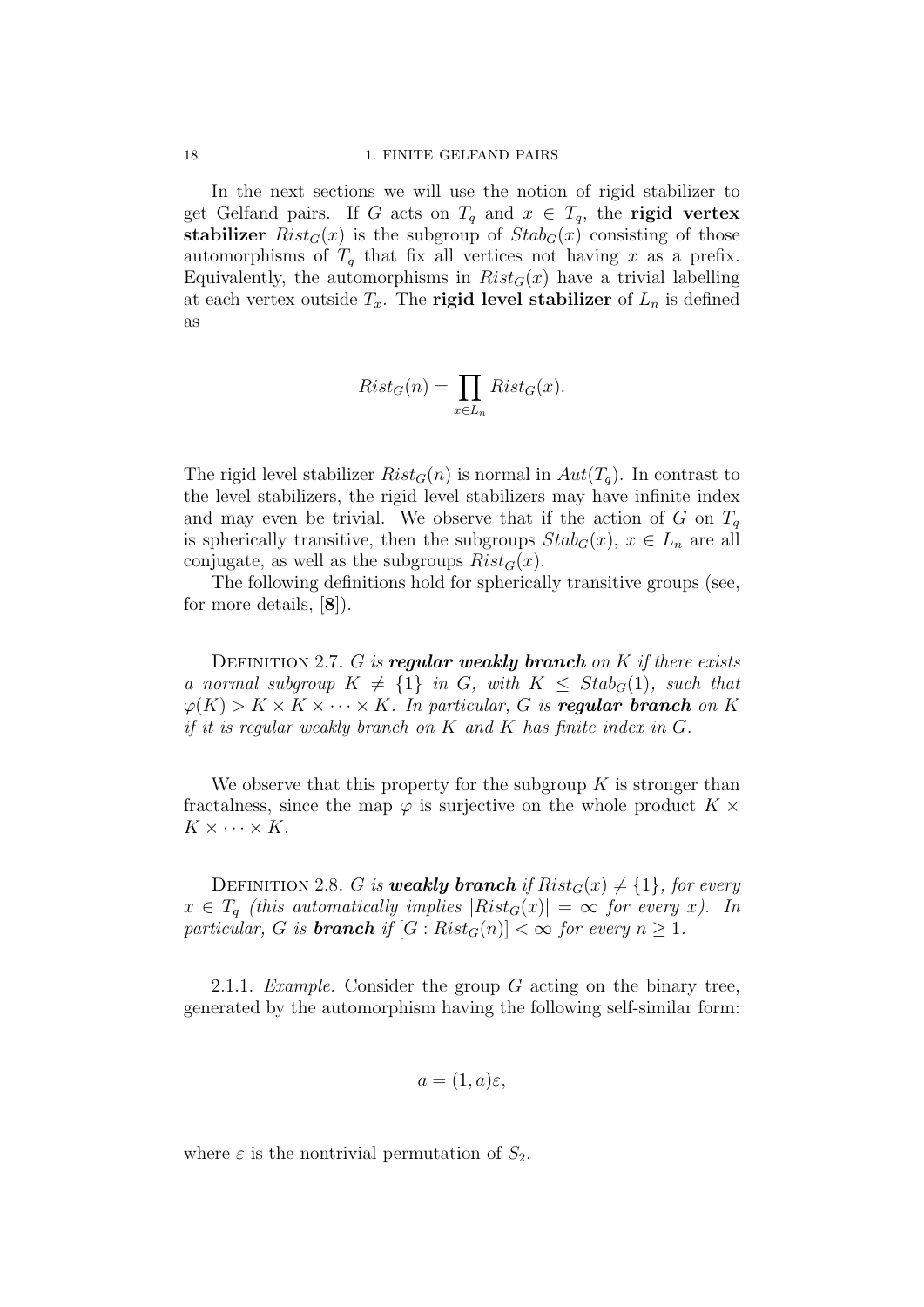In the next sections we will use the notion of rigid stabilizer to get Gelfand pairs. If G acts on  $T_q$  and  $x \in T_q$ , the **rigid vertex** stabilizer  $Rist_G(x)$  is the subgroup of  $Stab_G(x)$  consisting of those automorphisms of  $T_q$  that fix all vertices not having x as a prefix. Equivalently, the automorphisms in  $Rist_G(x)$  have a trivial labelling at each vertex outside  $T_x$ . The **rigid level stabilizer** of  $L_n$  is defined as

$$
Rist_G(n) = \prod_{x \in L_n} Rist_G(x).
$$

The rigid level stabilizer  $Rist_G(n)$  is normal in  $Aut(T_q)$ . In contrast to the level stabilizers, the rigid level stabilizers may have infinite index and may even be trivial. We observe that if the action of G on  $T_q$ is spherically transitive, then the subgroups  $Stab_G(x)$ ,  $x \in L_n$  are all conjugate, as well as the subgroups  $Rist_G(x)$ .

The following definitions hold for spherically transitive groups (see, for more details, [8]).

DEFINITION 2.7. G is regular weakly branch on K if there exists a normal subgroup  $K \neq \{1\}$  in G, with  $K \leq Stab_G(1)$ , such that  $\varphi(K) > K \times K \times \cdots \times K$ . In particular, G is **regular branch** on K if it is regular weakly branch on K and K has finite index in G.

We observe that this property for the subgroup  $K$  is stronger than fractalness, since the map  $\varphi$  is surjective on the whole product  $K \times$  $K \times \cdots \times K$ .

DEFINITION 2.8. G is **weakly branch** if  $Rist_G(x) \neq \{1\}$ , for every  $x \in T_q$  (this automatically implies  $|Rist_G(x)| = \infty$  for every x). In particular, G is **branch** if  $[G : Rist_G(n)] < \infty$  for every  $n \geq 1$ .

2.1.1. Example. Consider the group  $G$  acting on the binary tree, generated by the automorphism having the following self-similar form:

$$
a = (1, a)\varepsilon,
$$

where  $\varepsilon$  is the nontrivial permutation of  $S_2$ .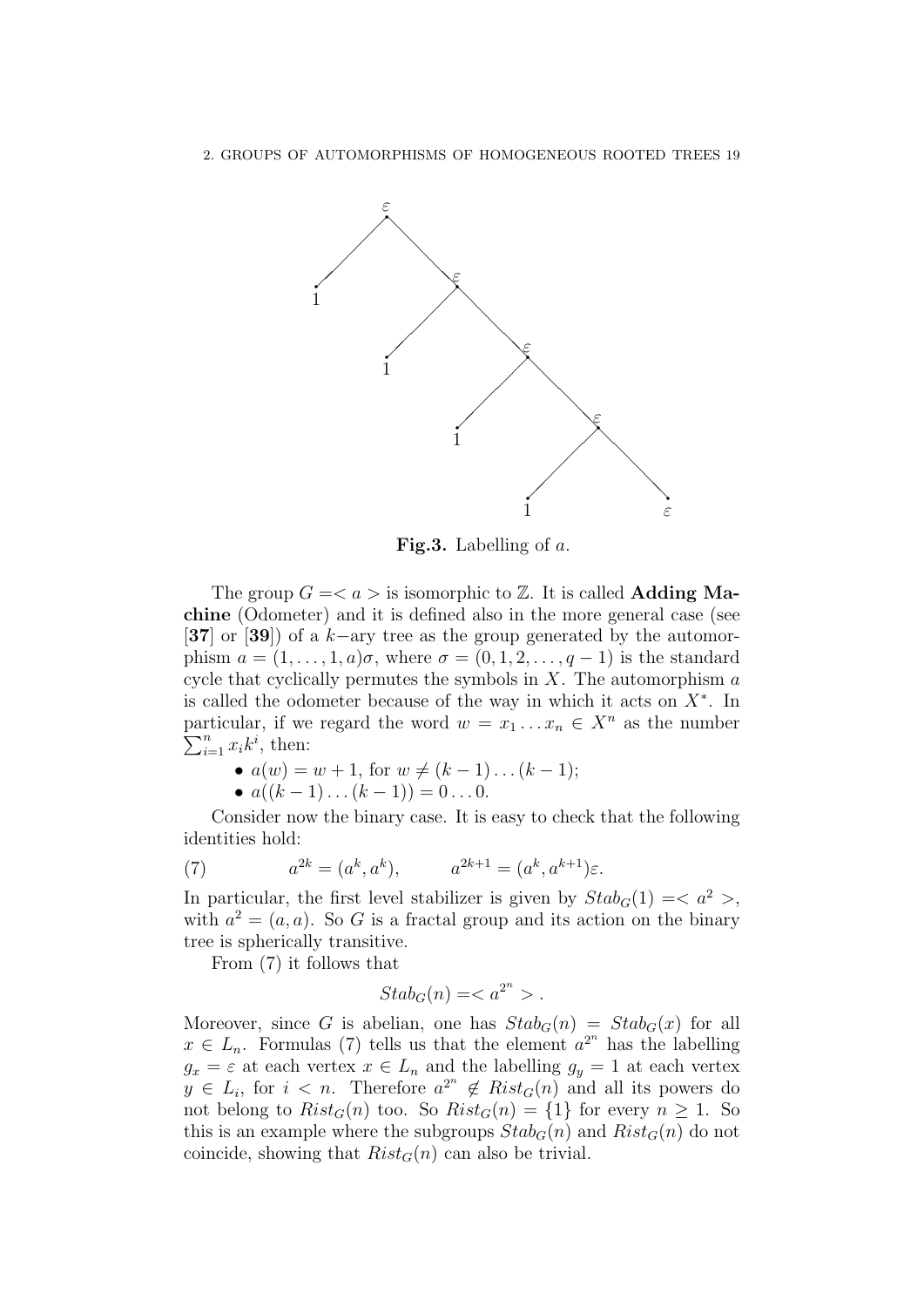

**Fig.3.** Labelling of  $a$ .

The group  $G = \langle a \rangle$  is isomorphic to  $\mathbb{Z}$ . It is called **Adding Ma**chine (Odometer) and it is defined also in the more general case (see [37] or [39]) of a k–ary tree as the group generated by the automorphism  $a = (1, \ldots, 1, a)\sigma$ , where  $\sigma = (0, 1, 2, \ldots, a-1)$  is the standard cycle that cyclically permutes the symbols in  $X$ . The automorphism  $\alpha$ is called the odometer because of the way in which it acts on  $X^*$ . In particular, if we regard the word  $w = x_1 \dots x_n \in X^n$  as the number  $\sum_{i=1}^n x_i k^i$ , then:

•  $a(w) = w + 1$ , for  $w \neq (k - 1) \dots (k - 1)$ ;

•  $a((k-1)...(k-1)) = 0...0$ .

Consider now the binary case. It is easy to check that the following identities hold:

(7) 
$$
a^{2k} = (a^k, a^k), \qquad a^{2k+1} = (a^k, a^{k+1})\varepsilon.
$$

In particular, the first level stabilizer is given by  $Stab_G(1) = \langle a^2 \rangle$ , with  $a^2 = (a, a)$ . So G is a fractal group and its action on the binary tree is spherically transitive.

From (7) it follows that

$$
Stab_G(n)=.
$$

Moreover, since G is abelian, one has  $Stab_G(n) = Stab_G(x)$  for all  $x \in L_n$ . Formulas (7) tells us that the element  $a^{2^n}$  has the labelling  $g_x = \varepsilon$  at each vertex  $x \in L_n$  and the labelling  $g_y = 1$  at each vertex  $y \in L_i$ , for  $i < n$ . Therefore  $a^{2^n} \notin Rist_G(n)$  and all its powers do not belong to  $Rist_G(n)$  too. So  $Rist_G(n) = \{1\}$  for every  $n \geq 1$ . So this is an example where the subgroups  $Stab_G(n)$  and  $Rist_G(n)$  do not coincide, showing that  $Rist_G(n)$  can also be trivial.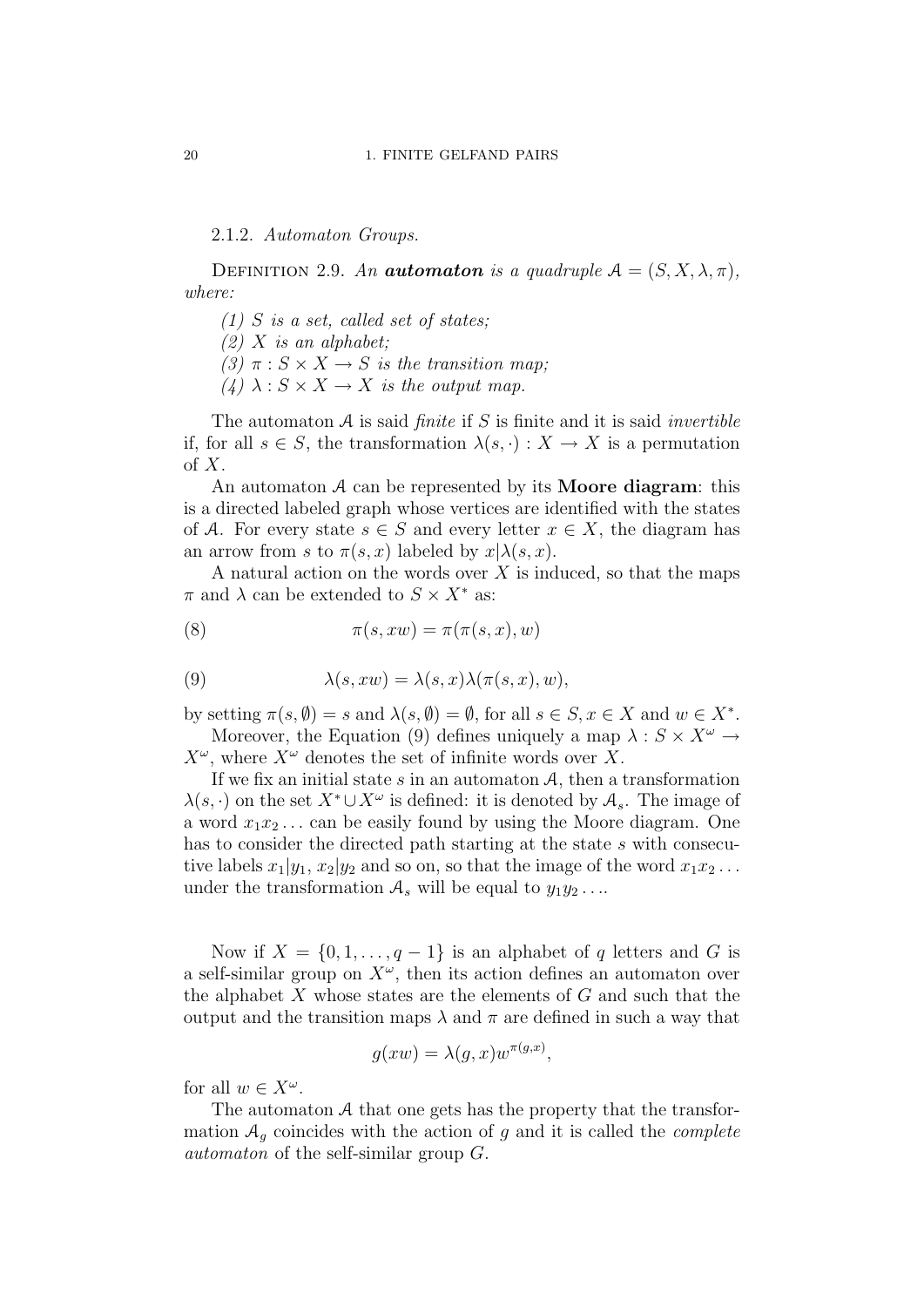2.1.2. Automaton Groups.

DEFINITION 2.9. An **automaton** is a quadruple  $A = (S, X, \lambda, \pi)$ , where:

- $(1)$  S is a set, called set of states;
- $(2)$  X is an alphabet;
- (3)  $\pi : S \times X \rightarrow S$  is the transition map;
- (4)  $\lambda: S \times X \rightarrow X$  is the output map.

The automaton  $A$  is said *finite* if  $S$  is finite and it is said *invertible* if, for all  $s \in S$ , the transformation  $\lambda(s, \cdot) : X \to X$  is a permutation of  $X$ .

An automaton  $A$  can be represented by its **Moore diagram**: this is a directed labeled graph whose vertices are identified with the states of A. For every state  $s \in S$  and every letter  $x \in X$ , the diagram has an arrow from s to  $\pi(s, x)$  labeled by  $x | \lambda(s, x)$ .

A natural action on the words over  $X$  is induced, so that the maps  $\pi$  and  $\lambda$  can be extended to  $S \times X^*$  as:

(8) 
$$
\pi(s, xw) = \pi(\pi(s, x), w)
$$

(9) 
$$
\lambda(s, xw) = \lambda(s, x)\lambda(\pi(s, x), w),
$$

by setting  $\pi(s, \emptyset) = s$  and  $\lambda(s, \emptyset) = \emptyset$ , for all  $s \in S, x \in X$  and  $w \in X^*$ . Moreover, the Equation (9) defines uniquely a map  $\lambda : S \times X^{\omega} \rightarrow$ 

 $X^{\omega}$ , where  $X^{\omega}$  denotes the set of infinite words over X.

If we fix an initial state  $s$  in an automaton  $A$ , then a transformation  $\lambda(s, \cdot)$  on the set  $X^* \cup X^\omega$  is defined: it is denoted by  $\mathcal{A}_s$ . The image of a word  $x_1x_2...$  can be easily found by using the Moore diagram. One has to consider the directed path starting at the state s with consecutive labels  $x_1|y_1, x_2|y_2$  and so on, so that the image of the word  $x_1x_2...$ under the transformation  $A_s$  will be equal to  $y_1y_2 \ldots$ 

Now if  $X = \{0, 1, \ldots, q-1\}$  is an alphabet of q letters and G is a self-similar group on  $X^{\omega}$ , then its action defines an automaton over the alphabet  $X$  whose states are the elements of  $G$  and such that the output and the transition maps  $\lambda$  and  $\pi$  are defined in such a way that

$$
g(xw) = \lambda(g, x)w^{\pi(g, x)},
$$

for all  $w \in X^{\omega}$ .

The automaton A that one gets has the property that the transformation  $A_q$  coincides with the action of g and it is called the *complete* automaton of the self-similar group G.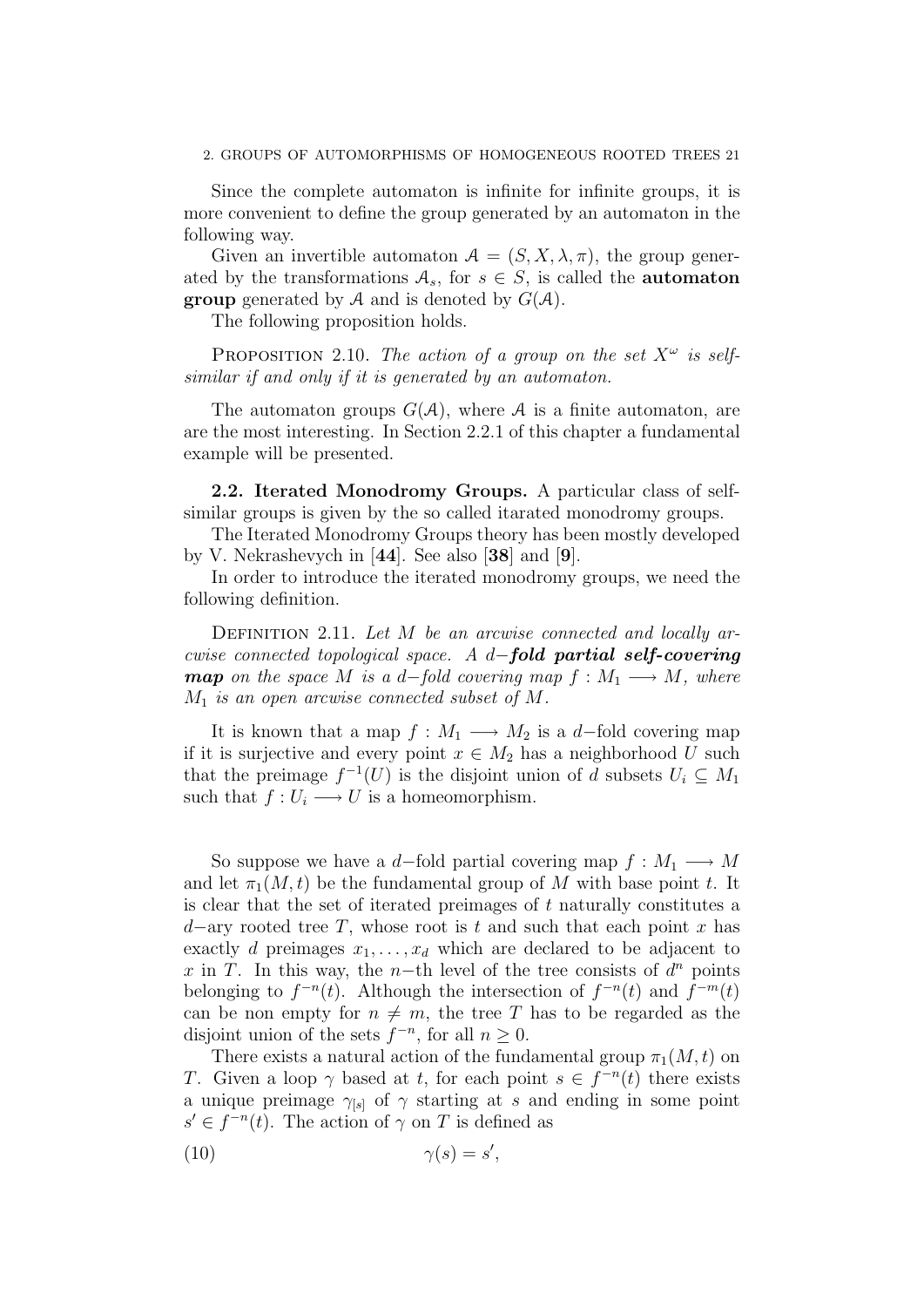Since the complete automaton is infinite for infinite groups, it is more convenient to define the group generated by an automaton in the following way.

Given an invertible automaton  $A = (S, X, \lambda, \pi)$ , the group generated by the transformations  $A_s$ , for  $s \in S$ , is called the **automaton group** generated by A and is denoted by  $G(A)$ .

The following proposition holds.

PROPOSITION 2.10. The action of a group on the set  $X^{\omega}$  is selfsimilar if and only if it is generated by an automaton.

The automaton groups  $G(A)$ , where A is a finite automaton, are are the most interesting. In Section 2.2.1 of this chapter a fundamental example will be presented.

2.2. Iterated Monodromy Groups. A particular class of selfsimilar groups is given by the so called itarated monodromy groups.

The Iterated Monodromy Groups theory has been mostly developed by V. Nekrashevych in [44]. See also [38] and [9].

In order to introduce the iterated monodromy groups, we need the following definition.

DEFINITION 2.11. Let  $M$  be an arcwise connected and locally arcwise connected topological space. A d−fold partial self-covering **map** on the space M is a d–fold covering map  $f : M_1 \longrightarrow M$ , where  $M_1$  is an open arcwise connected subset of M.

It is known that a map  $f : M_1 \longrightarrow M_2$  is a d–fold covering map if it is surjective and every point  $x \in M_2$  has a neighborhood U such that the preimage  $f^{-1}(U)$  is the disjoint union of d subsets  $U_i \subseteq M_1$ such that  $f: U_i \longrightarrow U$  is a homeomorphism.

So suppose we have a d–fold partial covering map  $f : M_1 \longrightarrow M$ and let  $\pi_1(M, t)$  be the fundamental group of M with base point t. It is clear that the set of iterated preimages of  $t$  naturally constitutes a d–ary rooted tree T, whose root is t and such that each point x has exactly d preimages  $x_1, \ldots, x_d$  which are declared to be adjacent to x in T. In this way, the n-th level of the tree consists of  $d^n$  points belonging to  $f^{-n}(t)$ . Although the intersection of  $f^{-n}(t)$  and  $f^{-m}(t)$ can be non empty for  $n \neq m$ , the tree T has to be regarded as the disjoint union of the sets  $f^{-n}$ , for all  $n \geq 0$ .

There exists a natural action of the fundamental group  $\pi_1(M, t)$  on T. Given a loop  $\gamma$  based at t, for each point  $s \in f^{-n}(t)$  there exists a unique preimage  $\gamma_{[s]}$  of  $\gamma$  starting at s and ending in some point  $s' \in f^{-n}(t)$ . The action of  $\gamma$  on T is defined as

$$
\gamma(s) = s',
$$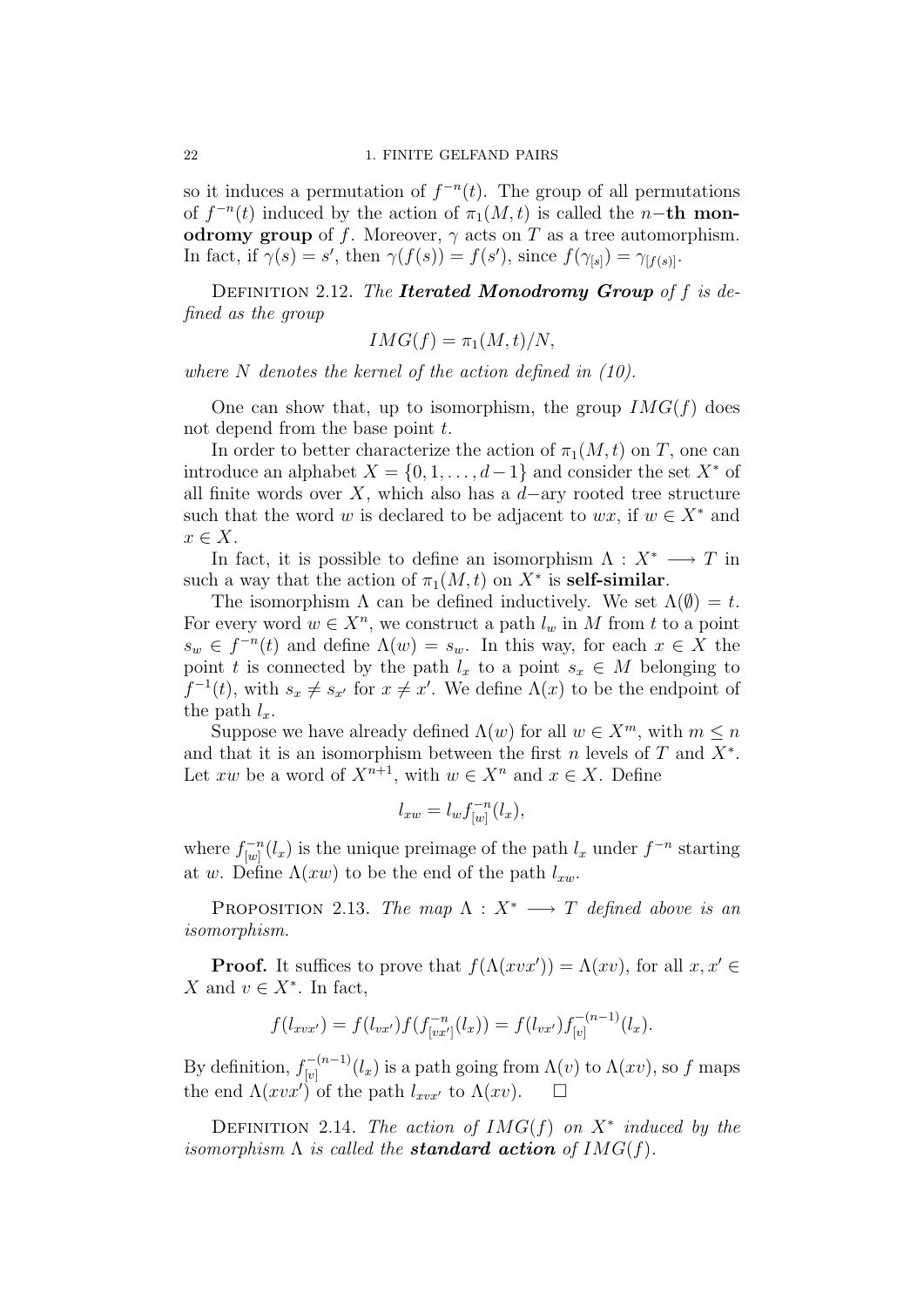so it induces a permutation of  $f^{-n}(t)$ . The group of all permutations of  $f^{-n}(t)$  induced by the action of  $\pi_1(M, t)$  is called the n-th monodromy group of f. Moreover,  $\gamma$  acts on T as a tree automorphism. In fact, if  $\gamma(s) = s'$ , then  $\gamma(f(s)) = f(s')$ , since  $f(\gamma_{[s]}) = \gamma_{[f(s)]}$ .

DEFINITION 2.12. The **Iterated Monodromy Group** of f is defined as the group

$$
IMG(f) = \pi_1(M, t)/N,
$$

where N denotes the kernel of the action defined in  $(10)$ .

One can show that, up to isomorphism, the group  $IMG(f)$  does not depend from the base point  $t$ .

In order to better characterize the action of  $\pi_1(M, t)$  on T, one can introduce an alphabet  $X = \{0, 1, \ldots, d-1\}$  and consider the set  $X^*$  of all finite words over X, which also has a  $d$ -ary rooted tree structure such that the word w is declared to be adjacent to  $wx$ , if  $w \in X^*$  and  $x \in X$ .

In fact, it is possible to define an isomorphism  $\Lambda : X^* \longrightarrow T$  in such a way that the action of  $\pi_1(M, t)$  on  $X^*$  is **self-similar**.

The isomorphism  $\Lambda$  can be defined inductively. We set  $\Lambda(\emptyset) = t$ . For every word  $w \in X^n$ , we construct a path  $l_w$  in M from t to a point  $s_w \in f^{-n}(t)$  and define  $\Lambda(w) = s_w$ . In this way, for each  $x \in X$  the point t is connected by the path  $l_x$  to a point  $s_x \in M$  belonging to  $f^{-1}(t)$ , with  $s_x \neq s_{x'}$  for  $x \neq x'$ . We define  $\Lambda(x)$  to be the endpoint of the path  $l_x$ .

Suppose we have already defined  $\Lambda(w)$  for all  $w \in X^m$ , with  $m \leq n$ and that it is an isomorphism between the first  $n$  levels of  $T$  and  $X^*$ . Let xw be a word of  $X^{n+1}$ , with  $w \in X^n$  and  $x \in X$ . Define

$$
l_{xw} = l_w f_{[w]}^{-n}(l_x),
$$

where  $f_{[w]}^{-n}$  $\int_{[w]}^{L-n}(l_x)$  is the unique preimage of the path  $l_x$  under  $f^{-n}$  starting at w. Define  $\Lambda(xw)$  to be the end of the path  $l_{xw}$ .

PROPOSITION 2.13. The map  $\Lambda : X^* \longrightarrow T$  defined above is an isomorphism.

**Proof.** It suffices to prove that  $f(\Lambda(xvx')) = \Lambda(xv)$ , for all  $x, x' \in$ X and  $v \in X^*$ . In fact,

$$
f(l_{xvx'}) = f(l_{vx'})f(f_{[vx']}^{-n}(l_x)) = f(l_{vx'})f_{[v]}^{-(n-1)}(l_x).
$$

By definition,  $f_{[n]}^{-(n-1)}$  $\int_{[v]}^{(n-1)} (l_x)$  is a path going from  $\Lambda(v)$  to  $\Lambda(xv)$ , so f maps the end  $\Lambda(xvx')$  of the path  $l_{xvx'}$  to  $\Lambda(xv)$ .  $\Box$ 

DEFINITION 2.14. The action of  $IMG(f)$  on  $X^*$  induced by the isomorphism  $\Lambda$  is called the **standard action** of  $IMG(f)$ .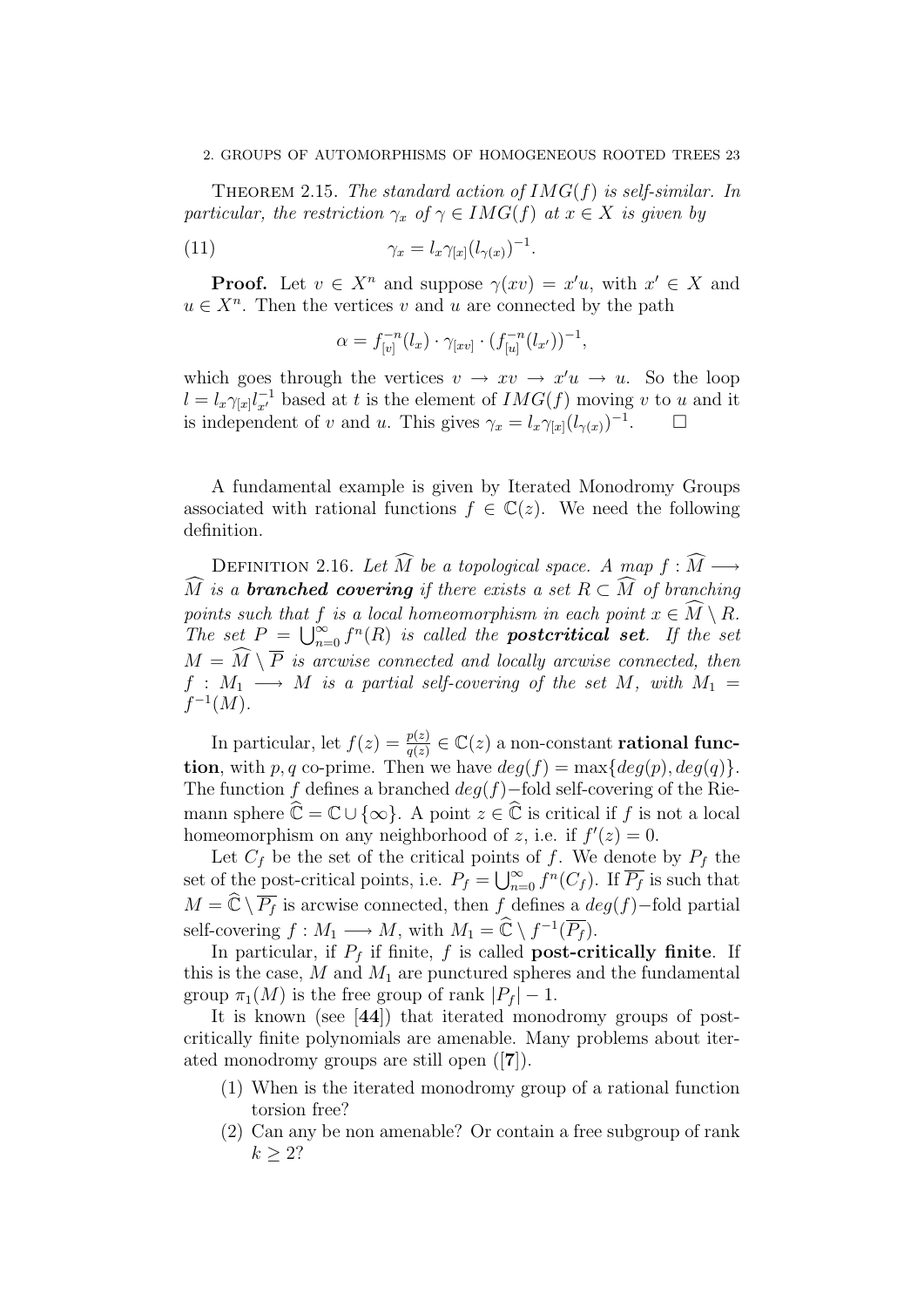#### 2. GROUPS OF AUTOMORPHISMS OF HOMOGENEOUS ROOTED TREES 23

THEOREM 2.15. The standard action of  $IMG(f)$  is self-similar. In particular, the restriction  $\gamma_x$  of  $\gamma \in \text{IMG}(f)$  at  $x \in X$  is given by

$$
\gamma_x = l_x \gamma_{[x]} (l_{\gamma(x)})^{-1}.
$$

**Proof.** Let  $v \in X^n$  and suppose  $\gamma(xv) = x'u$ , with  $x' \in X$  and  $u \in X^n$ . Then the vertices v and u are connected by the path

$$
\alpha = f_{[v]}^{-n}(l_x) \cdot \gamma_{[xv]} \cdot (f_{[u]}^{-n}(l_{x'}))^{-1},
$$

which goes through the vertices  $v \to xv \to x'u \to u$ . So the loop  $l = l_x \gamma_{[x]} l_{x'}^{-1}$  based at t is the element of  $IMG(f)$  moving v to u and it is independent of v and u. This gives  $\gamma_x = l_x \gamma_{[x]} (l_{\gamma(x)})^{-1}$ . □

A fundamental example is given by Iterated Monodromy Groups associated with rational functions  $f \in \mathbb{C}(z)$ . We need the following definition.

DEFINITION 2.16. Let  $\widehat{M}$  be a topological space. A map  $f : \widehat{M} \longrightarrow$  $\widehat{M}$  is a **branched covering** if there exists a set  $R \subset \widehat{M}$  of branching points such that f is a local homeomorphism in each point  $x \in \widehat{M} \setminus R$ . The set  $P = \bigcup_{n=0}^{\infty} f^n(R)$  is called the **postcritical set**. If the set  $M = \widehat{M} \setminus \overline{P}$  is arcwise connected and locally arcwise connected, then  $f: M_1 \longrightarrow M$  is a partial self-covering of the set M, with  $M_1 =$  $f^{-1}(M)$ .

In particular, let  $f(z) = \frac{p(z)}{q(z)} \in \mathbb{C}(z)$  a non-constant **rational func**tion, with p, q co-prime. Then we have  $deg(f) = \max\{deg(p), deg(q)\}.$ The function f defines a branched  $deg(f)$ −fold self-covering of the Riemann sphere  $\widehat{\mathbb{C}} = \mathbb{C} \cup \{\infty\}$ . A point  $z \in \widehat{\mathbb{C}}$  is critical if f is not a local homeomorphism on any neighborhood of z, i.e. if  $f'(z) = 0$ .

Let  $C_f$  be the set of the critical points of f. We denote by  $P_f$  the set of the post-critical points, i.e.  $P_f = \bigcup_{n=0}^{\infty} f^n(C_f)$ . If  $\overline{P_f}$  is such that  $M = \widehat{\mathbb{C}} \setminus \overline{P_f}$  is arcwise connected, then f defines a  $deg(f)$ −fold partial self-covering  $f : M_1 \longrightarrow M$ , with  $M_1 = \widehat{\mathbb{C}} \setminus f^{-1}(\overline{P_f}).$ 

In particular, if  $P_f$  if finite, f is called **post-critically finite**. If this is the case,  $M$  and  $M_1$  are punctured spheres and the fundamental group  $\pi_1(M)$  is the free group of rank  $|P_f| - 1$ .

It is known (see [44]) that iterated monodromy groups of postcritically finite polynomials are amenable. Many problems about iterated monodromy groups are still open ([7]).

- (1) When is the iterated monodromy group of a rational function torsion free?
- (2) Can any be non amenable? Or contain a free subgroup of rank  $k > 2?$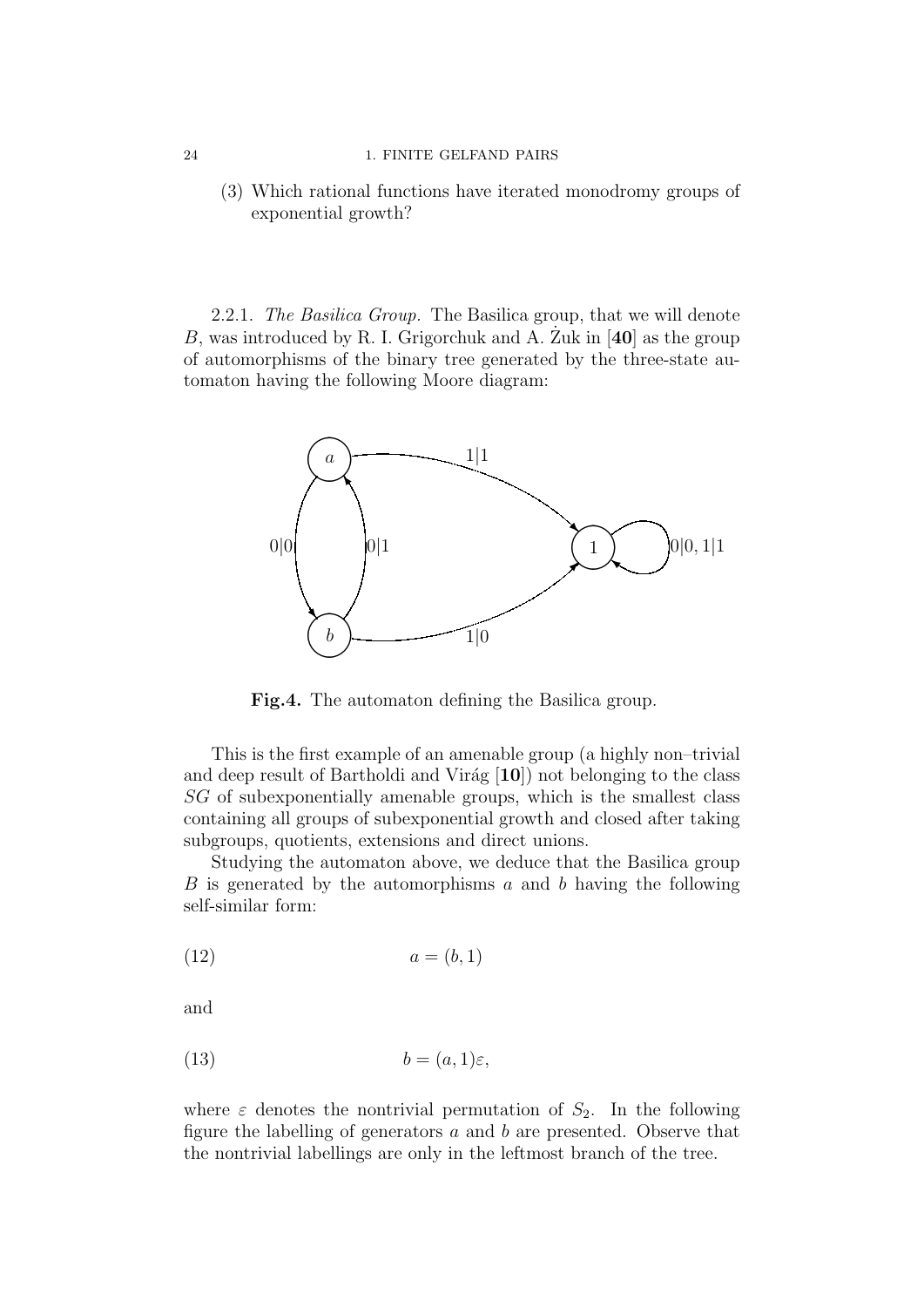#### 24 1. FINITE GELFAND PAIRS

(3) Which rational functions have iterated monodromy groups of exponential growth?

2.2.1. The Basilica Group. The Basilica group, that we will denote B, was introduced by R. I. Grigorchuk and A. Zuk in  $[40]$  as the group of automorphisms of the binary tree generated by the three-state automaton having the following Moore diagram:



Fig.4. The automaton defining the Basilica group.

This is the first example of an amenable group (a highly non–trivial and deep result of Bartholdi and Virág  $[10]$ ) not belonging to the class SG of subexponentially amenable groups, which is the smallest class containing all groups of subexponential growth and closed after taking subgroups, quotients, extensions and direct unions.

Studying the automaton above, we deduce that the Basilica group  $B$  is generated by the automorphisms  $a$  and  $b$  having the following self-similar form:

$$
(12) \qquad \qquad a = (b, 1)
$$

and

$$
(13) \t b = (a, 1)\varepsilon,
$$

where  $\varepsilon$  denotes the nontrivial permutation of  $S_2$ . In the following figure the labelling of generators  $a$  and  $b$  are presented. Observe that the nontrivial labellings are only in the leftmost branch of the tree.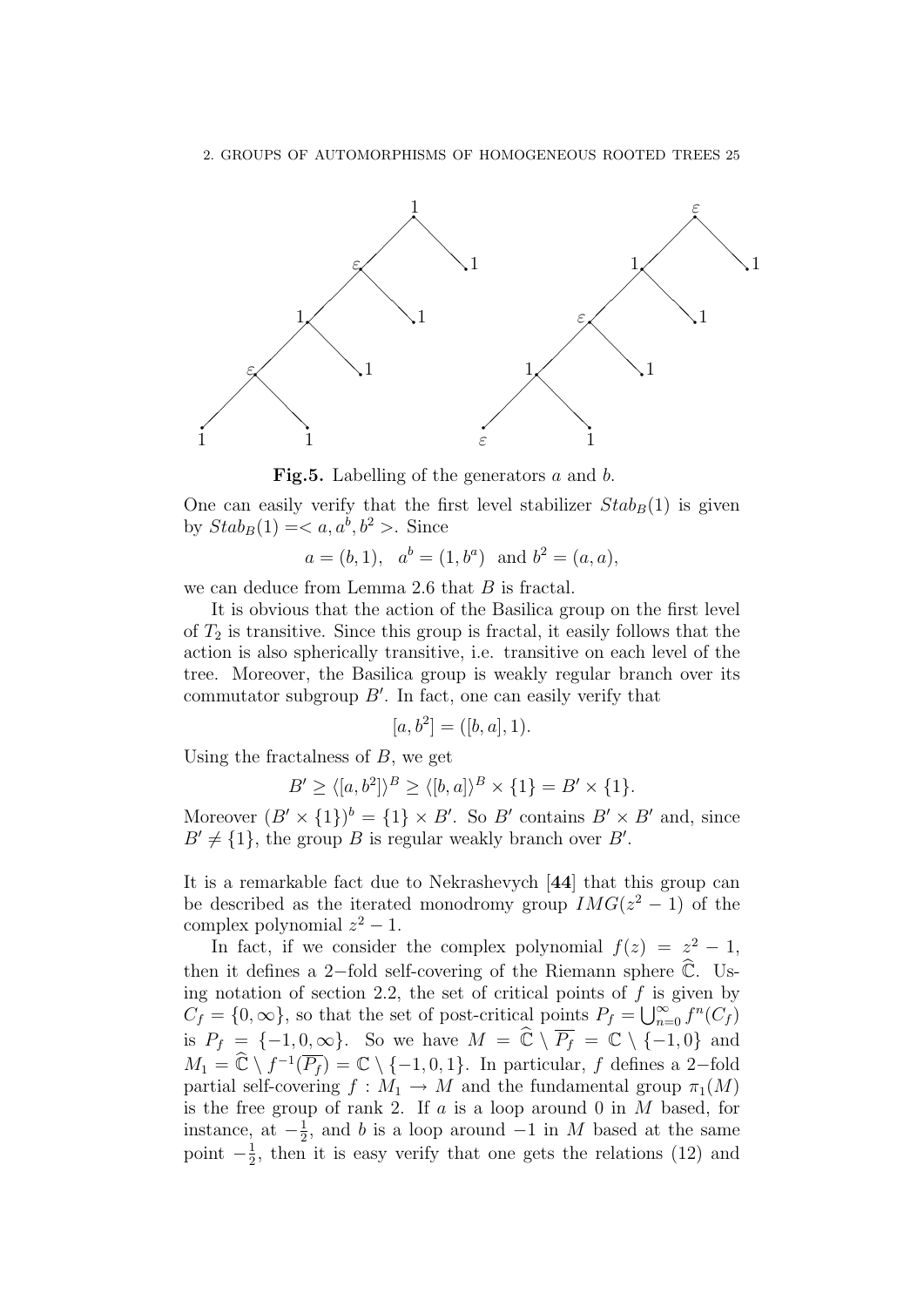

**Fig.5.** Labelling of the generators  $a$  and  $b$ .

One can easily verify that the first level stabilizer  $Stab_B(1)$  is given by  $Stab_B(1) =$ . Since

$$
a = (b, 1), ab = (1, ba)
$$
 and  $b2 = (a, a),$ 

we can deduce from Lemma 2.6 that B is fractal.

It is obvious that the action of the Basilica group on the first level of  $T_2$  is transitive. Since this group is fractal, it easily follows that the action is also spherically transitive, i.e. transitive on each level of the tree. Moreover, the Basilica group is weakly regular branch over its commutator subgroup  $B'$ . In fact, one can easily verify that

$$
[a, b^2] = ([b, a], 1).
$$

Using the fractalness of  $B$ , we get

$$
B' \ge \langle [a, b^2] \rangle^B \ge \langle [b, a] \rangle^B \times \{1\} = B' \times \{1\}.
$$

Moreover  $(B' \times \{1\})^b = \{1\} \times B'$ . So B' contains  $B' \times B'$  and, since  $B' \neq \{1\}$ , the group B is regular weakly branch over B'.

It is a remarkable fact due to Nekrashevych [44] that this group can be described as the iterated monodromy group  $IMG(z^2 - 1)$  of the complex polynomial  $z^2 - 1$ .

In fact, if we consider the complex polynomial  $f(z) = z^2 - 1$ , then it defines a 2-fold self-covering of the Riemann sphere  $\overline{\mathbb{C}}$ . Using notation of section 2.2, the set of critical points of  $f$  is given by  $C_f = \{0, \infty\}$ , so that the set of post-critical points  $P_f = \bigcup_{n=0}^{\infty} f^n(C_f)$ is  $P_f = \{-1, 0, \infty\}$ . So we have  $M = \widehat{\mathbb{C}} \setminus \overline{P_f} = \mathbb{C} \setminus \{-1, 0\}$  and  $M_1 = \widehat{\mathbb{C}} \setminus f^{-1}(\overline{P_f}) = \mathbb{C} \setminus \{-1, 0, 1\}.$  In particular, f defines a 2-fold partial self-covering  $f : M_1 \to M$  and the fundamental group  $\pi_1(M)$ is the free group of rank 2. If  $a$  is a loop around 0 in  $M$  based, for instance, at  $-\frac{1}{2}$  $\frac{1}{2}$ , and b is a loop around  $-1$  in M based at the same point  $-\frac{1}{2}$  $\frac{1}{2}$ , then it is easy verify that one gets the relations (12) and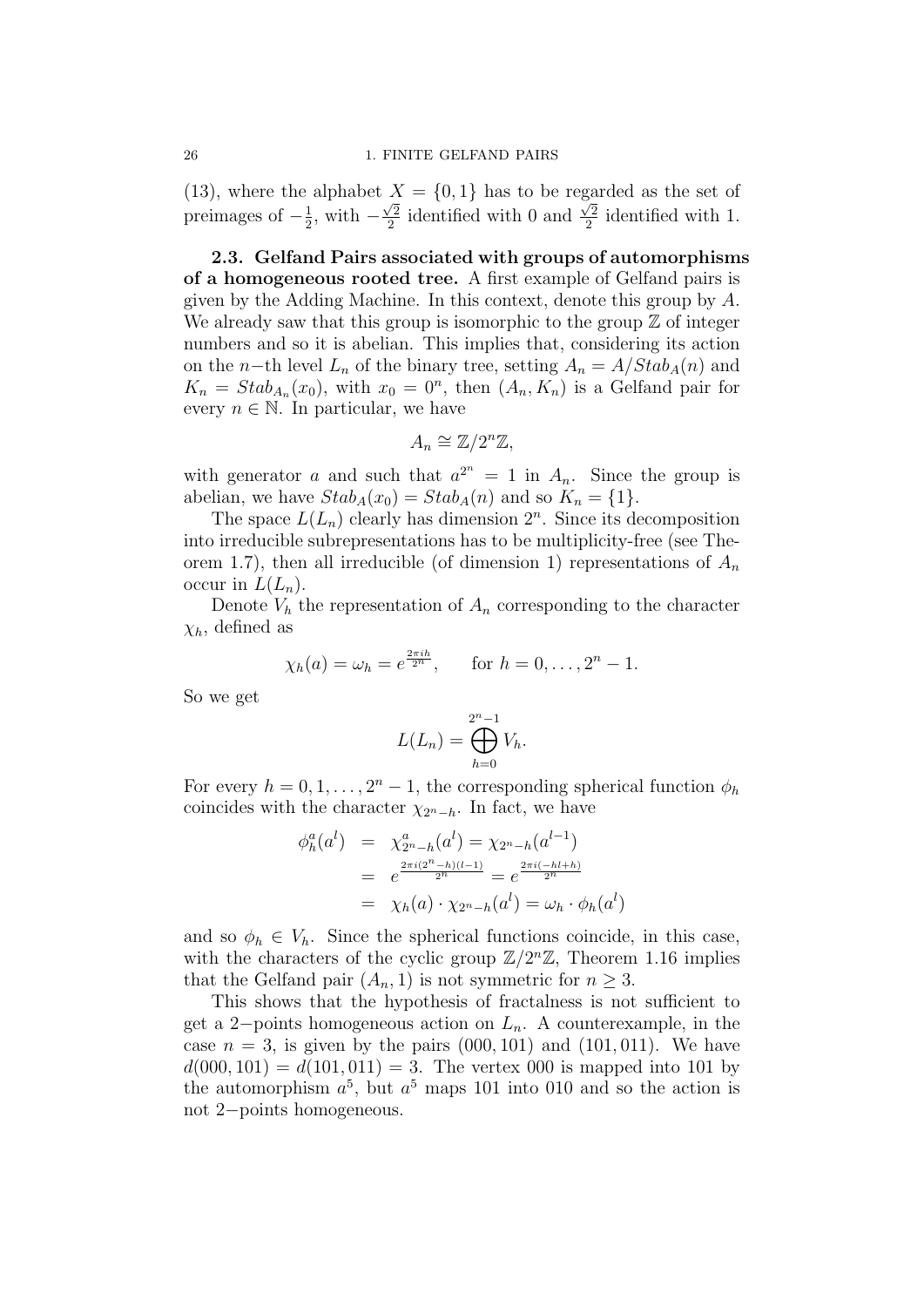(13), where the alphabet  $X = \{0, 1\}$  has to be regarded as the set of preimages of  $-\frac{1}{2}$  $\frac{1}{2}$ , with  $-\frac{\sqrt{2}}{2}$  $\frac{\sqrt{2}}{2}$  identified with 0 and  $\frac{\sqrt{2}}{2}$  $\frac{\sqrt{2}}{2}$  identified with 1.

2.3. Gelfand Pairs associated with groups of automorphisms of a homogeneous rooted tree. A first example of Gelfand pairs is given by the Adding Machine. In this context, denote this group by A. We already saw that this group is isomorphic to the group  $\mathbb Z$  of integer numbers and so it is abelian. This implies that, considering its action on the n−th level  $L_n$  of the binary tree, setting  $A_n = A/Stab_A(n)$  and  $K_n = Stab_{A_n}(x_0)$ , with  $x_0 = 0^n$ , then  $(A_n, K_n)$  is a Gelfand pair for every  $n \in \mathbb{N}$ . In particular, we have

$$
A_n \cong \mathbb{Z}/2^n\mathbb{Z},
$$

with generator a and such that  $a^{2^n} = 1$  in  $A_n$ . Since the group is abelian, we have  $Stab_A(x_0) = Stab_A(n)$  and so  $K_n = \{1\}.$ 

The space  $L(L_n)$  clearly has dimension  $2^n$ . Since its decomposition into irreducible subrepresentations has to be multiplicity-free (see Theorem 1.7), then all irreducible (of dimension 1) representations of  $A_n$ occur in  $L(L_n)$ .

Denote  $V_h$  the representation of  $A_n$  corresponding to the character  $\chi_h$ , defined as

$$
\chi_h(a) = \omega_h = e^{\frac{2\pi i h}{2^n}},
$$
 for  $h = 0, ..., 2^n - 1$ .

So we get

$$
L(L_n) = \bigoplus_{h=0}^{2^n - 1} V_h.
$$

For every  $h = 0, 1, ..., 2<sup>n</sup> - 1$ , the corresponding spherical function  $\phi_h$ coincides with the character  $\chi_{2n-h}$ . In fact, we have

$$
\begin{array}{rcl}\n\phi_h^a(a^l) & = & \chi_{2^n - h}^a(a^l) = \chi_{2^n - h}(a^{l-1}) \\
& = & e^{\frac{2\pi i(2^n - h)(l-1)}{2^n}} = e^{\frac{2\pi i(-hl+h)}{2^n}} \\
& = & \chi_h(a) \cdot \chi_{2^n - h}(a^l) = \omega_h \cdot \phi_h(a^l)\n\end{array}
$$

)

and so  $\phi_h \in V_h$ . Since the spherical functions coincide, in this case, with the characters of the cyclic group  $\mathbb{Z}/2^{n}\mathbb{Z}$ , Theorem 1.16 implies that the Gelfand pair  $(A_n, 1)$  is not symmetric for  $n \geq 3$ .

This shows that the hypothesis of fractalness is not sufficient to get a 2−points homogeneous action on  $L_n$ . A counterexample, in the case  $n = 3$ , is given by the pairs  $(000, 101)$  and  $(101, 011)$ . We have  $d(000, 101) = d(101, 011) = 3$ . The vertex 000 is mapped into 101 by the automorphism  $a^5$ , but  $a^5$  maps 101 into 010 and so the action is not 2−points homogeneous.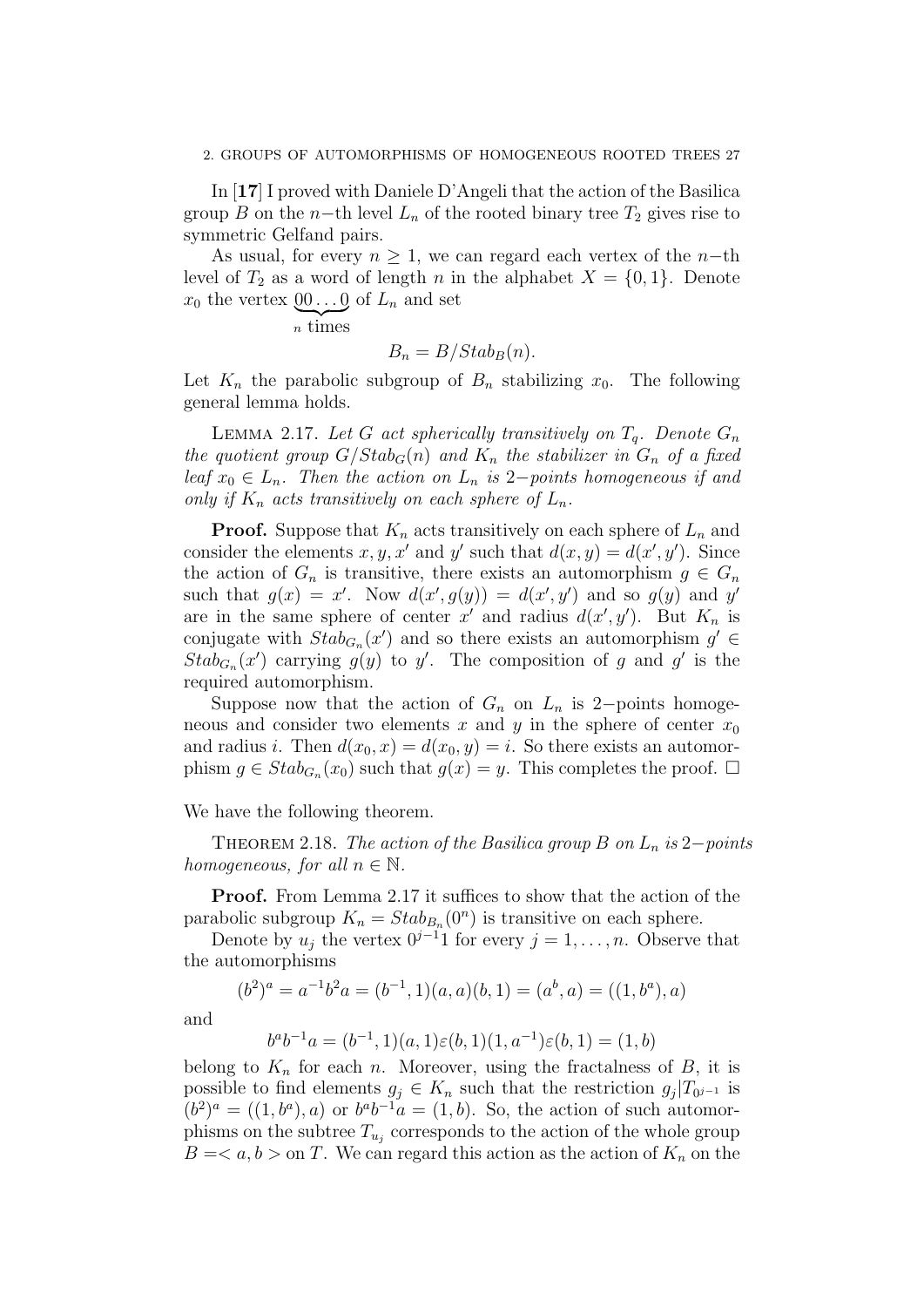In [17] I proved with Daniele D'Angeli that the action of the Basilica group B on the n−th level  $L_n$  of the rooted binary tree  $T_2$  gives rise to symmetric Gelfand pairs.

As usual, for every  $n \geq 1$ , we can regard each vertex of the n-th level of  $T_2$  as a word of length n in the alphabet  $X = \{0, 1\}$ . Denote  $x_0$  the vertex  $\underline{00} \dots \underline{0}$  of  $L_n$  and set

 $\sum_{n \text{ times}}$ 

 $B_n = B/Stab_B(n).$ 

Let  $K_n$  the parabolic subgroup of  $B_n$  stabilizing  $x_0$ . The following general lemma holds.

LEMMA 2.17. Let G act spherically transitively on  $T_q$ . Denote  $G_n$ the quotient group  $G/Stab_G(n)$  and  $K_n$  the stabilizer in  $G_n$  of a fixed leaf  $x_0 \in L_n$ . Then the action on  $L_n$  is 2-points homogeneous if and only if  $K_n$  acts transitively on each sphere of  $L_n$ .

**Proof.** Suppose that  $K_n$  acts transitively on each sphere of  $L_n$  and consider the elements  $x, y, x'$  and  $y'$  such that  $d(x, y) = d(x', y')$ . Since the action of  $G_n$  is transitive, there exists an automorphism  $q \in G_n$ such that  $g(x) = x'$ . Now  $d(x', g(y)) = d(x', y')$  and so  $g(y)$  and y' are in the same sphere of center x' and radius  $d(x', y')$ . But  $K_n$  is conjugate with  $Stab_{G_n}(x')$  and so there exists an automorphism  $g' \in$  $Stab_{G_n}(x')$  carrying  $g(y)$  to y'. The composition of g and g' is the required automorphism.

Suppose now that the action of  $G_n$  on  $L_n$  is 2−points homogeneous and consider two elements x and y in the sphere of center  $x_0$ and radius i. Then  $d(x_0, x) = d(x_0, y) = i$ . So there exists an automorphism  $g \in Stab_{G_n}(x_0)$  such that  $g(x) = y$ . This completes the proof.  $\square$ 

We have the following theorem.

THEOREM 2.18. The action of the Basilica group B on  $L_n$  is 2−points homogeneous, for all  $n \in \mathbb{N}$ .

Proof. From Lemma 2.17 it suffices to show that the action of the parabolic subgroup  $K_n = Stab_{B_n}(0^n)$  is transitive on each sphere.

Denote by  $u_j$  the vertex  $0^{j-1}1$  for every  $j = 1, \ldots, n$ . Observe that the automorphisms

$$
(b2)a = a-1b2a = (b-1, 1)(a, a)(b, 1) = (ab, a) = ((1, ba), a)
$$

and

$$
b^{a}b^{-1}a = (b^{-1}, 1)(a, 1)\varepsilon(b, 1)(1, a^{-1})\varepsilon(b, 1) = (1, b)
$$

belong to  $K_n$  for each n. Moreover, using the fractalness of B, it is possible to find elements  $g_j \in K_n$  such that the restriction  $g_j|T_{0^{j-1}}$  is  $(b^2)^a = ((1, b^a), a)$  or  $b^a b^{-1} a = (1, b)$ . So, the action of such automorphisms on the subtree  $T_{u_j}$  corresponds to the action of the whole group  $B = \langle a, b \rangle$  on T. We can regard this action as the action of  $K_n$  on the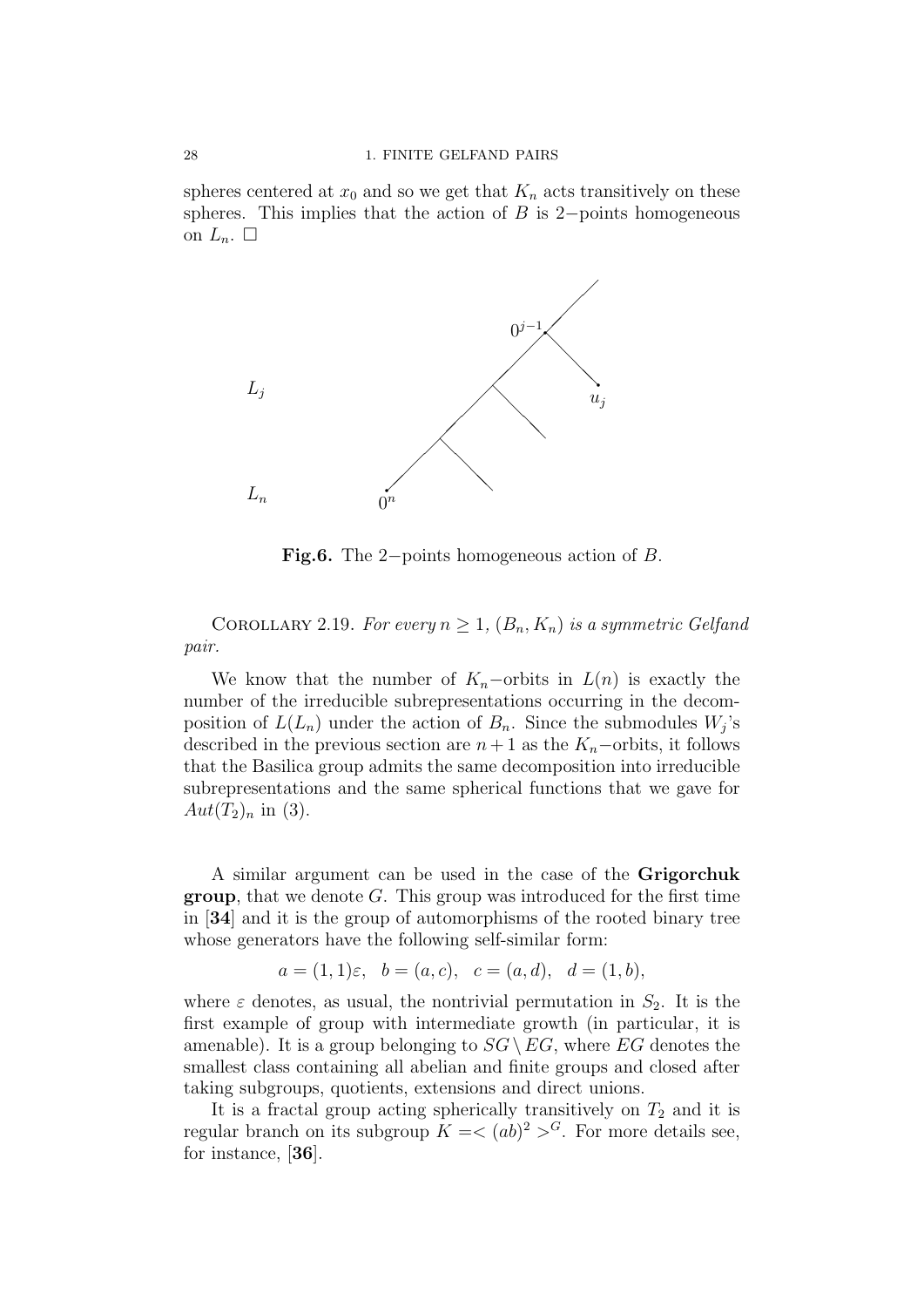spheres centered at  $x_0$  and so we get that  $K_n$  acts transitively on these spheres. This implies that the action of  $B$  is 2−points homogeneous on  $L_n$ .  $\square$ 



Fig.6. The 2−points homogeneous action of B.

COROLLARY 2.19. For every  $n \geq 1$ ,  $(B_n, K_n)$  is a symmetric Gelfand pair.

We know that the number of  $K_n$ –orbits in  $L(n)$  is exactly the number of the irreducible subrepresentations occurring in the decomposition of  $L(L_n)$  under the action of  $B_n$ . Since the submodules  $W_j$ 's described in the previous section are  $n + 1$  as the  $K_n$ –orbits, it follows that the Basilica group admits the same decomposition into irreducible subrepresentations and the same spherical functions that we gave for  $Aut(T_2)_n$  in (3).

A similar argument can be used in the case of the Grigorchuk **group**, that we denote  $G$ . This group was introduced for the first time in [34] and it is the group of automorphisms of the rooted binary tree whose generators have the following self-similar form:

$$
a = (1, 1)\varepsilon
$$
,  $b = (a, c)$ ,  $c = (a, d)$ ,  $d = (1, b)$ ,

where  $\varepsilon$  denotes, as usual, the nontrivial permutation in  $S_2$ . It is the first example of group with intermediate growth (in particular, it is amenable). It is a group belonging to  $SG \setminus EG$ , where  $EG$  denotes the smallest class containing all abelian and finite groups and closed after taking subgroups, quotients, extensions and direct unions.

It is a fractal group acting spherically transitively on  $T_2$  and it is regular branch on its subgroup  $K = \langle (ab)^2 \rangle^G$ . For more details see, for instance, [36].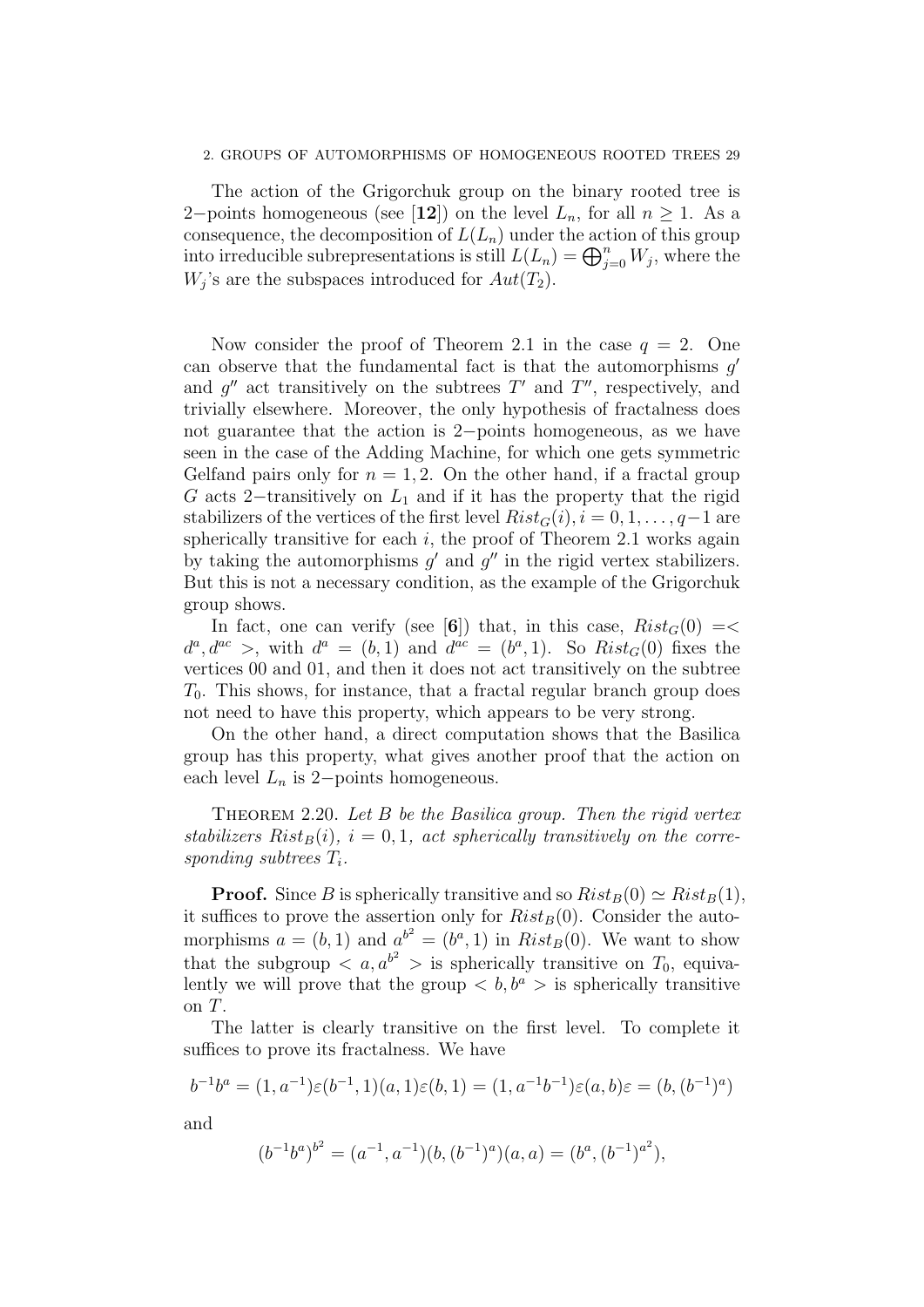#### 2. GROUPS OF AUTOMORPHISMS OF HOMOGENEOUS ROOTED TREES 29

The action of the Grigorchuk group on the binary rooted tree is 2−points homogeneous (see [12]) on the level  $L_n$ , for all  $n \geq 1$ . As a consequence, the decomposition of  $L(L_n)$  under the action of this group into irreducible subrepresentations is still  $L(L_n) = \bigoplus_{j=0}^n W_j$ , where the  $W_j$ 's are the subspaces introduced for  $Aut(T_2)$ .

Now consider the proof of Theorem 2.1 in the case  $q = 2$ . One can observe that the fundamental fact is that the automorphisms  $g'$ and  $g''$  act transitively on the subtrees  $T'$  and  $T''$ , respectively, and trivially elsewhere. Moreover, the only hypothesis of fractalness does not guarantee that the action is 2−points homogeneous, as we have seen in the case of the Adding Machine, for which one gets symmetric Gelfand pairs only for  $n = 1, 2$ . On the other hand, if a fractal group G acts 2−transitively on  $L_1$  and if it has the property that the rigid stabilizers of the vertices of the first level  $Rist_G(i), i = 0, 1, \ldots, q-1$  are spherically transitive for each  $i$ , the proof of Theorem 2.1 works again by taking the automorphisms  $g'$  and  $g''$  in the rigid vertex stabilizers. But this is not a necessary condition, as the example of the Grigorchuk group shows.

In fact, one can verify (see [6]) that, in this case,  $Rist_G(0) = \langle$  $d^a, d^{ac} >$ , with  $d^a = (b, 1)$  and  $d^{ac} = (b^a, 1)$ . So  $Rist_G(0)$  fixes the vertices 00 and 01, and then it does not act transitively on the subtree  $T_0$ . This shows, for instance, that a fractal regular branch group does not need to have this property, which appears to be very strong.

On the other hand, a direct computation shows that the Basilica group has this property, what gives another proof that the action on each level  $L_n$  is 2−points homogeneous.

THEOREM 2.20. Let  $B$  be the Basilica group. Then the rigid vertex stabilizers  $Risk_B(i)$ ,  $i = 0, 1$ , act spherically transitively on the corresponding subtrees  $T_i$ .

**Proof.** Since B is spherically transitive and so  $Risk_B(0) \simeq Risk_B(1)$ , it suffices to prove the assertion only for  $Rist_B(0)$ . Consider the automorphisms  $a = (b, 1)$  and  $a^{b^2} = (b^a, 1)$  in  $Risk_B(0)$ . We want to show that the subgroup  $\langle a, a^{b^2} \rangle$  is spherically transitive on  $T_0$ , equivalently we will prove that the group  $\langle b, b^a \rangle$  is spherically transitive on T.

The latter is clearly transitive on the first level. To complete it suffices to prove its fractalness. We have

$$
b^{-1}b^a = (1, a^{-1})\varepsilon(b^{-1}, 1)(a, 1)\varepsilon(b, 1) = (1, a^{-1}b^{-1})\varepsilon(a, b)\varepsilon = (b, (b^{-1})^a)
$$

and

$$
(b^{-1}b^{a})^{b^{2}} = (a^{-1}, a^{-1})(b, (b^{-1})^{a})(a, a) = (b^{a}, (b^{-1})^{a^{2}}),
$$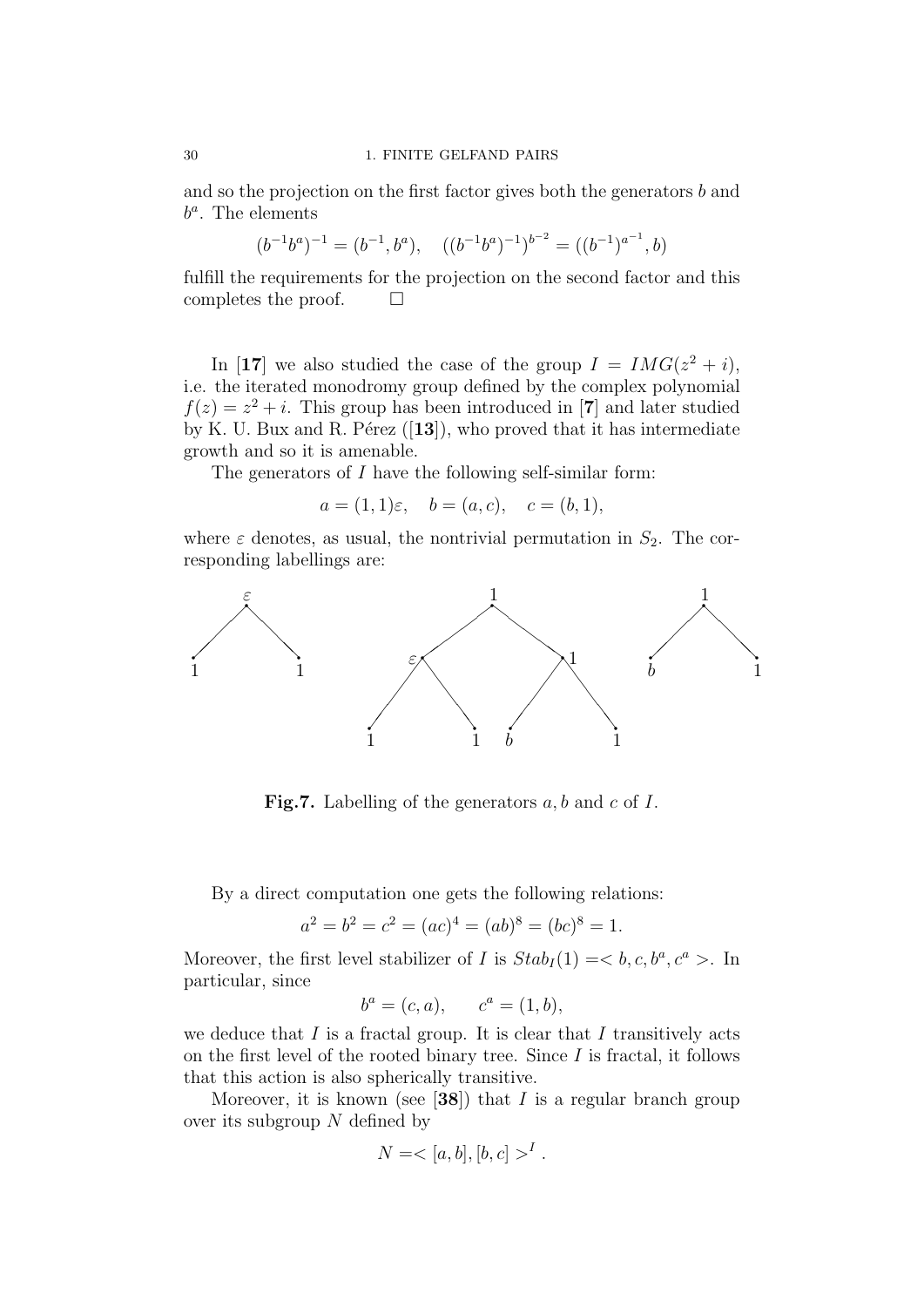and so the projection on the first factor gives both the generators b and  $b^a$ . The elements

$$
(b^{-1}b^{a})^{-1} = (b^{-1}, b^{a}), \quad ((b^{-1}b^{a})^{-1})^{b^{-2}} = ((b^{-1})^{a^{-1}}, b)
$$

fulfill the requirements for the projection on the second factor and this completes the proof.  $\Box$ 

In [17] we also studied the case of the group  $I = IMG(z^2 + i),$ i.e. the iterated monodromy group defined by the complex polynomial  $f(z) = z<sup>2</sup> + i$ . This group has been introduced in [7] and later studied by K. U. Bux and R. Pérez  $([13])$ , who proved that it has intermediate growth and so it is amenable.

The generators of  $I$  have the following self-similar form:

 $a = (1, 1)\varepsilon$ ,  $b = (a, c)$ ,  $c = (b, 1)$ ,

where  $\varepsilon$  denotes, as usual, the nontrivial permutation in  $S_2$ . The corresponding labellings are:



**Fig.7.** Labelling of the generators  $a, b$  and  $c$  of  $I$ .

By a direct computation one gets the following relations:

$$
a2 = b2 = c2 = (ac)4 = (ab)8 = (bc)8 = 1.
$$

Moreover, the first level stabilizer of I is  $Stab<sub>I</sub>(1) = < b, c, b^a, c^a >$ . In particular, since

$$
b^a = (c, a), \qquad c^a = (1, b),
$$

we deduce that  $I$  is a fractal group. It is clear that  $I$  transitively acts on the first level of the rooted binary tree. Since  $I$  is fractal, it follows that this action is also spherically transitive.

Moreover, it is known (see [38]) that  $I$  is a regular branch group over its subgroup  $N$  defined by

$$
N = <[a, b], [b, c] >^I.
$$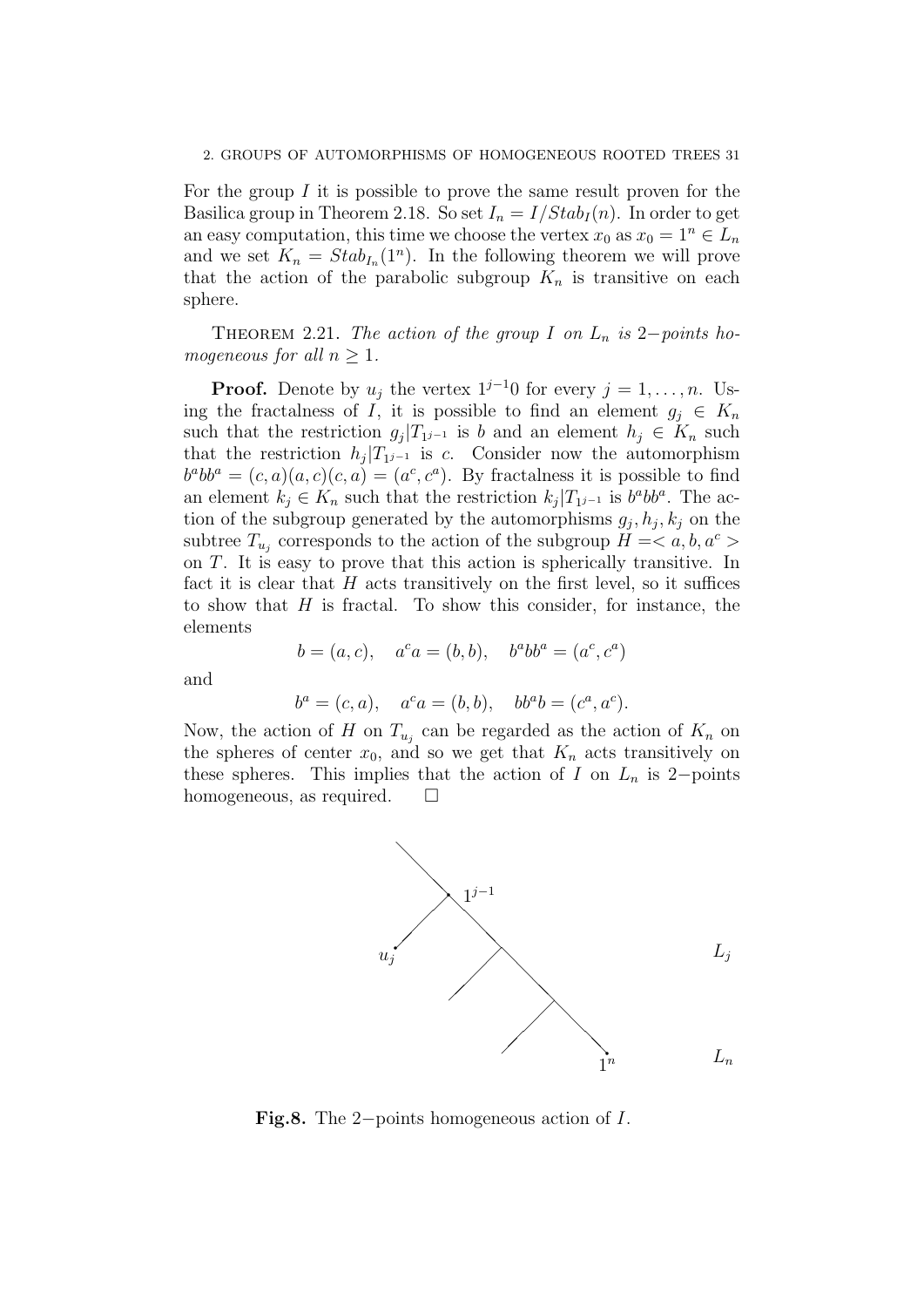#### 2. GROUPS OF AUTOMORPHISMS OF HOMOGENEOUS ROOTED TREES 31

For the group  $I$  it is possible to prove the same result proven for the Basilica group in Theorem 2.18. So set  $I_n = I/Stab_I(n)$ . In order to get an easy computation, this time we choose the vertex  $x_0$  as  $x_0 = 1^n \in L_n$ and we set  $K_n = Stab_{I_n}(1^n)$ . In the following theorem we will prove that the action of the parabolic subgroup  $K_n$  is transitive on each sphere.

THEOREM 2.21. The action of the group I on  $L_n$  is 2−points homogeneous for all  $n \geq 1$ .

**Proof.** Denote by  $u_j$  the vertex  $1^{j-1}0$  for every  $j = 1, \ldots, n$ . Using the fractalness of I, it is possible to find an element  $g_i \in K_n$ such that the restriction  $g_j|T_{1^{j-1}}$  is b and an element  $h_j \in K_n$  such that the restriction  $h_j|T_{1j-1}$  is c. Consider now the automorphism  $b^a b b^a = (c, a)(a, c)(c, a) = (a^c, c^a)$ . By fractalness it is possible to find an element  $k_j \in K_n$  such that the restriction  $k_j | T_{1^{j-1}}$  is  $b^a b b^a$ . The action of the subgroup generated by the automorphisms  $g_j, h_j, k_j$  on the subtree  $T_{u_j}$  corresponds to the action of the subgroup  $H =$ on T. It is easy to prove that this action is spherically transitive. In fact it is clear that  $H$  acts transitively on the first level, so it suffices to show that  $H$  is fractal. To show this consider, for instance, the elements

$$
b = (a, c), \quad a^c a = (b, b), \quad b^a b b^a = (a^c, c^a)
$$

and

$$
b^a = (c, a), \quad a^c a = (b, b), \quad bb^a b = (c^a, a^c).
$$

Now, the action of H on  $T_{u_j}$  can be regarded as the action of  $K_n$  on the spheres of center  $x_0$ , and so we get that  $K_n$  acts transitively on these spheres. This implies that the action of I on  $L_n$  is 2−points homogeneous, as required.  $\square$ 



Fig.8. The 2−points homogeneous action of I.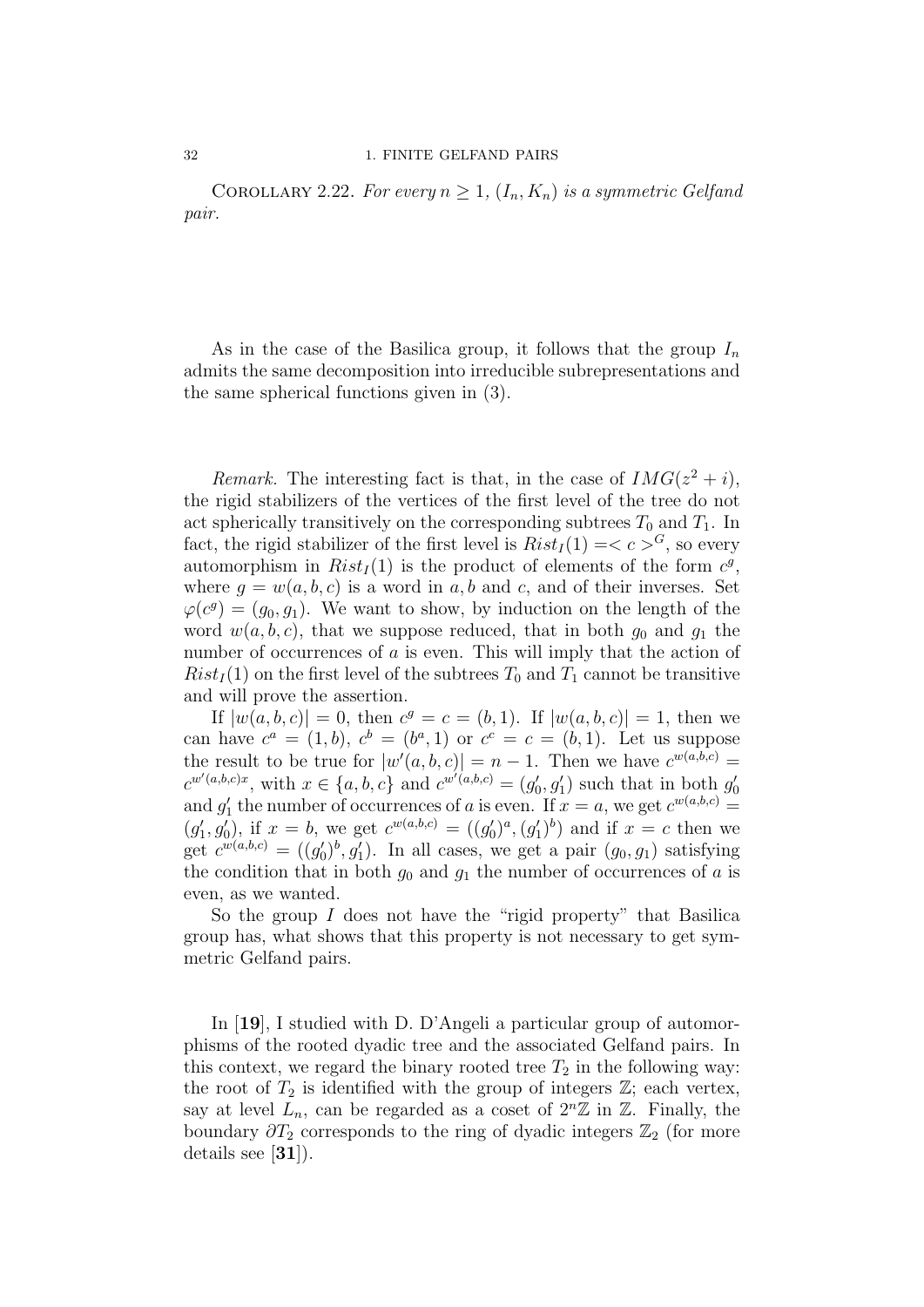COROLLARY 2.22. For every  $n \geq 1$ ,  $(I_n, K_n)$  is a symmetric Gelfand pair.

As in the case of the Basilica group, it follows that the group  $I_n$ admits the same decomposition into irreducible subrepresentations and the same spherical functions given in (3).

Remark. The interesting fact is that, in the case of  $IMG(z^2 + i)$ , the rigid stabilizers of the vertices of the first level of the tree do not act spherically transitively on the corresponding subtrees  $T_0$  and  $T_1$ . In fact, the rigid stabilizer of the first level is  $Rist_I(1) = < c > G$ , so every automorphism in  $Risk_I(1)$  is the product of elements of the form  $c^g$ , where  $q = w(a, b, c)$  is a word in a, b and c, and of their inverses. Set  $\varphi(c^g) = (g_0, g_1)$ . We want to show, by induction on the length of the word  $w(a, b, c)$ , that we suppose reduced, that in both  $g_0$  and  $g_1$  the number of occurrences of a is even. This will imply that the action of  $Rist_I(1)$  on the first level of the subtrees  $T_0$  and  $T_1$  cannot be transitive and will prove the assertion.

If  $|w(a, b, c)| = 0$ , then  $c^g = c = (b, 1)$ . If  $|w(a, b, c)| = 1$ , then we can have  $c^a = (1, b)$ ,  $c^b = (b^a, 1)$  or  $c^c = c = (b, 1)$ . Let us suppose the result to be true for  $|w'(a, b, c)| = n - 1$ . Then we have  $c^{w(a,b,c)} =$  $c^{w'(a,b,c)x}$ , with  $x \in \{a,b,c\}$  and  $c^{w'(a,b,c)} = (g'_0, g'_1)$  such that in both  $g'_0$ and  $g'_1$  the number of occurrences of a is even. If  $x = a$ , we get  $c^{w(a,b,c)} = a$  $(g'_1, g'_0)$ , if  $x = b$ , we get  $c^{w(a,b,c)} = ((g'_0)^a, (g'_1)^b)$  and if  $x = c$  then we get  $c^{w(a,b,c)} = ((g'_0)^b, g'_1)$ . In all cases, we get a pair  $(g_0, g_1)$  satisfying the condition that in both  $g_0$  and  $g_1$  the number of occurrences of a is even, as we wanted.

So the group  $I$  does not have the "rigid property" that Basilica group has, what shows that this property is not necessary to get symmetric Gelfand pairs.

In [19], I studied with D. D'Angeli a particular group of automorphisms of the rooted dyadic tree and the associated Gelfand pairs. In this context, we regard the binary rooted tree  $T_2$  in the following way: the root of  $T_2$  is identified with the group of integers  $\mathbb{Z}$ ; each vertex, say at level  $L_n$ , can be regarded as a coset of  $2^n\mathbb{Z}$  in  $\mathbb{Z}$ . Finally, the boundary  $\partial T_2$  corresponds to the ring of dyadic integers  $\mathbb{Z}_2$  (for more details see [31]).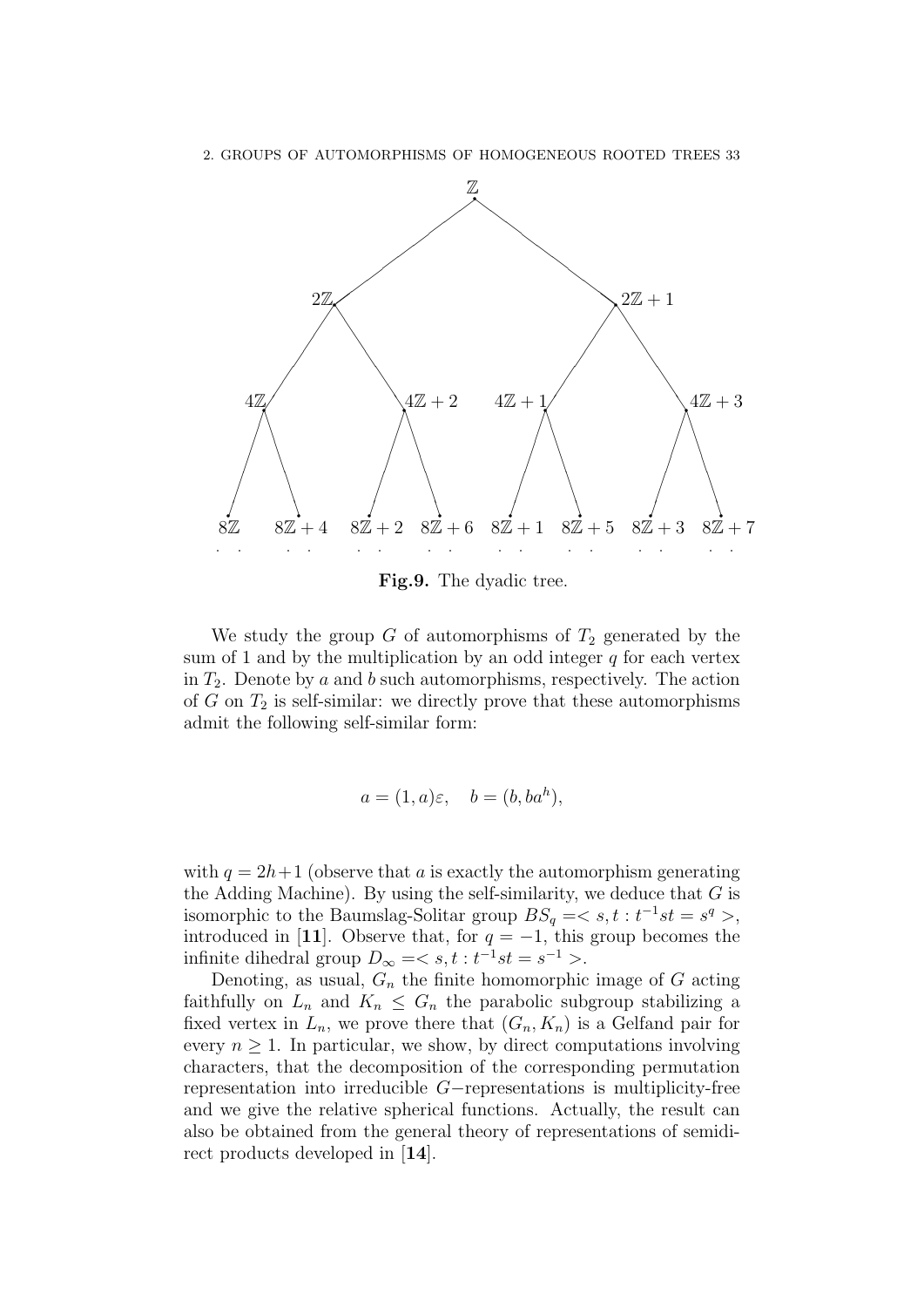

Fig.9. The dyadic tree.

We study the group  $G$  of automorphisms of  $T_2$  generated by the sum of 1 and by the multiplication by an odd integer  $q$  for each vertex in  $T_2$ . Denote by a and b such automorphisms, respectively. The action of  $G$  on  $T_2$  is self-similar: we directly prove that these automorphisms admit the following self-similar form:

$$
a = (1, a)\varepsilon, \quad b = (b, ba^h),
$$

with  $q = 2h+1$  (observe that a is exactly the automorphism generating the Adding Machine). By using the self-similarity, we deduce that  $G$  is isomorphic to the Baumslag-Solitar group  $BS_q = \langle s, t : t^{-1}st = s^q \rangle$ , introduced in [11]. Observe that, for  $q = -1$ , this group becomes the infinite dihedral group  $D_{\infty} = \langle s, t : t^{-1}st = s^{-1} \rangle$ .

Denoting, as usual,  $G_n$  the finite homomorphic image of  $G$  acting faithfully on  $L_n$  and  $K_n \leq G_n$  the parabolic subgroup stabilizing a fixed vertex in  $L_n$ , we prove there that  $(G_n, K_n)$  is a Gelfand pair for every  $n \geq 1$ . In particular, we show, by direct computations involving characters, that the decomposition of the corresponding permutation representation into irreducible G−representations is multiplicity-free and we give the relative spherical functions. Actually, the result can also be obtained from the general theory of representations of semidirect products developed in [14].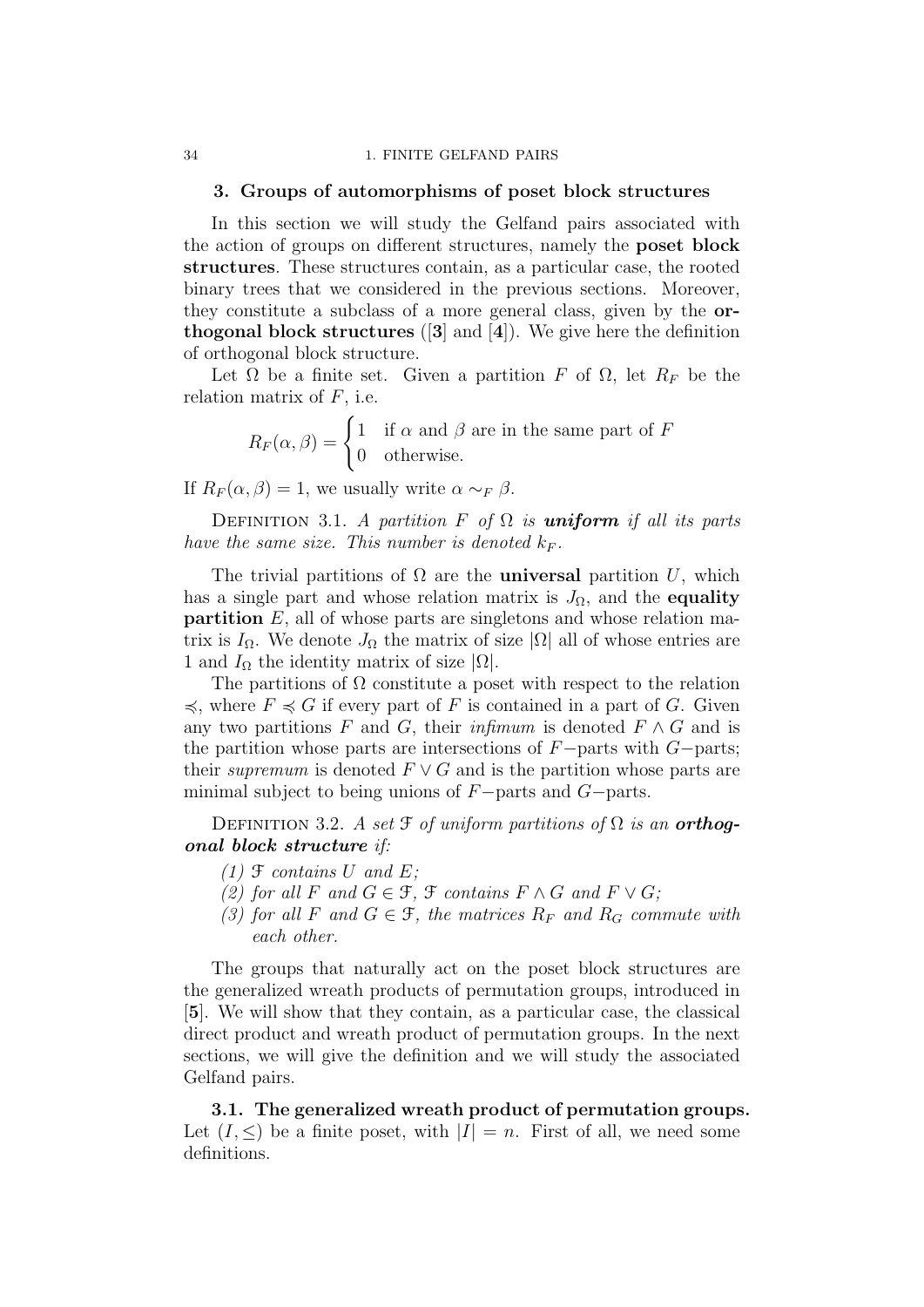#### 34 1. FINITE GELFAND PAIRS

# 3. Groups of automorphisms of poset block structures

In this section we will study the Gelfand pairs associated with the action of groups on different structures, namely the poset block structures. These structures contain, as a particular case, the rooted binary trees that we considered in the previous sections. Moreover, they constitute a subclass of a more general class, given by the orthogonal block structures  $(3]$  and  $(4)$ ). We give here the definition of orthogonal block structure.

Let  $\Omega$  be a finite set. Given a partition F of  $\Omega$ , let  $R_F$  be the relation matrix of  $F$ , i.e.

> $R_F(\alpha, \beta) = \begin{cases} 1 & \text{if } \alpha \text{ and } \beta \text{ are in the same part of } F \\ 0 & \text{otherwise.} \end{cases}$ 0 otherwise.

If  $R_F(\alpha, \beta) = 1$ , we usually write  $\alpha \sim_F \beta$ .

DEFINITION 3.1. A partition F of  $\Omega$  is **uniform** if all its parts have the same size. This number is denoted  $k_F$ .

The trivial partitions of  $\Omega$  are the **universal** partition U, which has a single part and whose relation matrix is  $J_{\Omega}$ , and the equality **partition**  $E$ , all of whose parts are singletons and whose relation matrix is  $I_{\Omega}$ . We denote  $J_{\Omega}$  the matrix of size  $|\Omega|$  all of whose entries are 1 and  $I_{\Omega}$  the identity matrix of size  $|\Omega|$ .

The partitions of  $\Omega$  constitute a poset with respect to the relation  $\preccurlyeq$ , where  $F \preccurlyeq G$  if every part of F is contained in a part of G. Given any two partitions F and G, their infimum is denoted  $F \wedge G$  and is the partition whose parts are intersections of  $F$ −parts with  $G$ −parts; their supremum is denoted  $F \vee G$  and is the partition whose parts are minimal subject to being unions of F−parts and G−parts.

DEFINITION 3.2. A set  $\mathfrak F$  of uniform partitions of  $\Omega$  is an **orthoq**onal block structure if:

- $(1)$   $\mathcal F$  contains  $U$  and  $E$ ;
- (2) for all F and  $G \in \mathcal{F}$ ,  $\mathcal{F}$  contains  $F \wedge G$  and  $F \vee G$ ;
- (3) for all F and  $G \in \mathcal{F}$ , the matrices  $R_F$  and  $R_G$  commute with each other.

The groups that naturally act on the poset block structures are the generalized wreath products of permutation groups, introduced in [5]. We will show that they contain, as a particular case, the classical direct product and wreath product of permutation groups. In the next sections, we will give the definition and we will study the associated Gelfand pairs.

3.1. The generalized wreath product of permutation groups. Let  $(I, \leq)$  be a finite poset, with  $|I| = n$ . First of all, we need some definitions.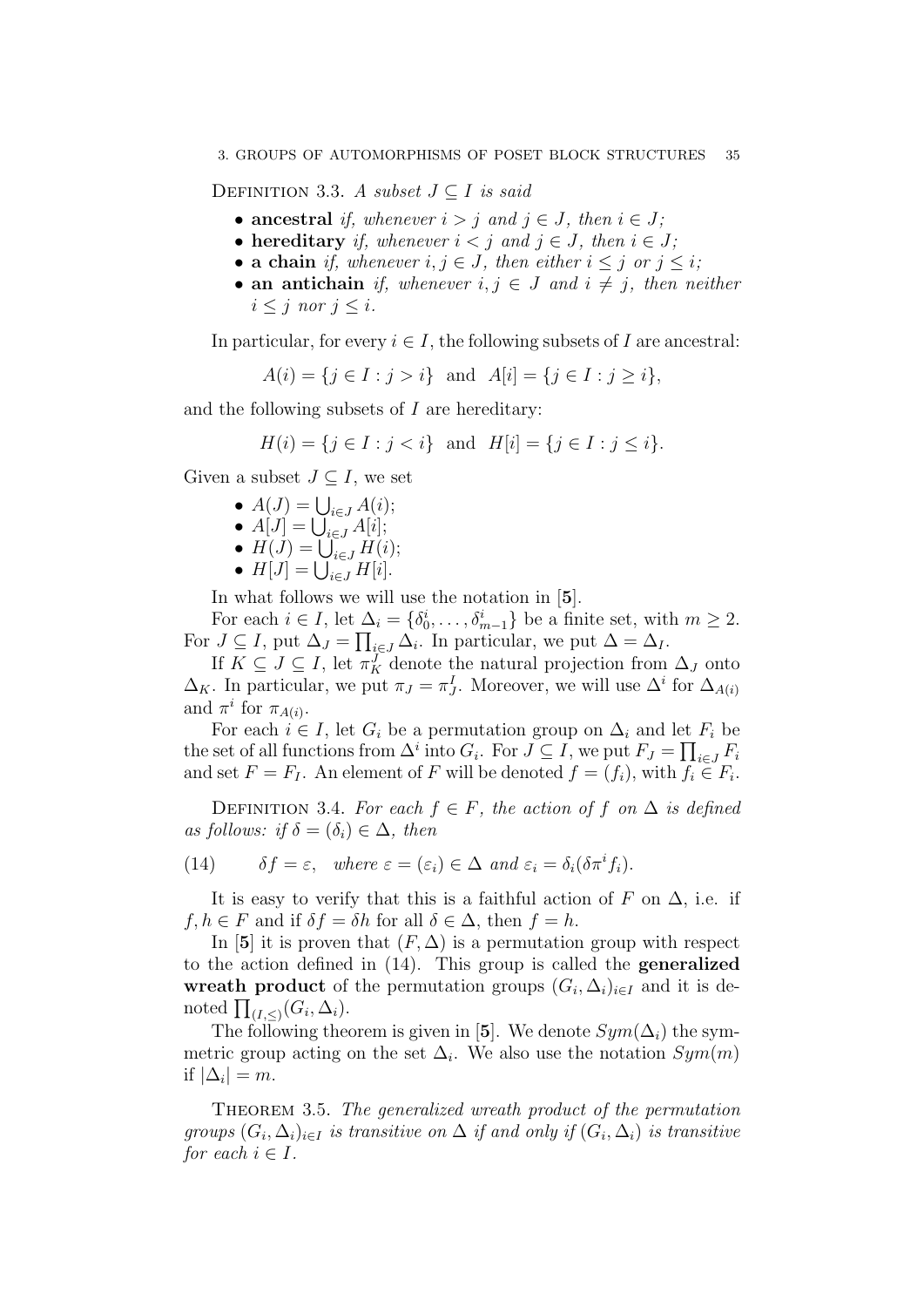DEFINITION 3.3. A subset  $J \subset I$  is said

- ancestral if, whenever  $i > j$  and  $j \in J$ , then  $i \in J$ ;
- hereditary if, whenever  $i < j$  and  $j \in J$ , then  $i \in J$ ;
- a chain if, whenever  $i, j \in J$ , then either  $i \leq j$  or  $j \leq i$ ;
- an antichain if, whenever  $i, j \in J$  and  $i \neq j$ , then neither  $i \leq j$  nor  $j \leq i$ .

In particular, for every  $i \in I$ , the following subsets of I are ancestral:

 $A(i) = \{j \in I : j > i\}$  and  $A[i] = \{j \in I : j > i\},\$ 

and the following subsets of  $I$  are hereditary:

$$
H(i) = \{ j \in I : j < i \} \text{ and } H[i] = \{ j \in I : j \le i \}.
$$

Given a subset  $J \subseteq I$ , we set

- $A(J) = \bigcup_{i \in J} A(i);$
- $A[J] = \bigcup_{i \in J} A[i];$
- $H(J) = \bigcup_{i \in J} H(i);$
- $H[J] = \bigcup_{i \in J} H[i].$

In what follows we will use the notation in [5].

For each  $i \in I$ , let  $\Delta_i = \{\delta_0^i, \ldots, \delta_{m-1}^i\}$  be a finite set, with  $m \geq 2$ . For  $J \subseteq I$ , put  $\Delta_J = \prod_{i \in J} \Delta_i$ . In particular, we put  $\Delta = \Delta_I$ .

If  $K \subseteq J \subseteq I$ , let  $\pi_K^J$  denote the natural projection from  $\Delta_J$  onto  $\Delta_K$ . In particular, we put  $\pi_J = \pi_J^I$ . Moreover, we will use  $\Delta^i$  for  $\Delta_{A(i)}$ and  $\pi^i$  for  $\pi_{A(i)}$ .

For each  $i \in I$ , let  $G_i$  be a permutation group on  $\Delta_i$  and let  $F_i$  be the set of all functions from  $\Delta^i$  into  $G_i$ . For  $J \subseteq I$ , we put  $F_J = \prod_{i \in J} F_i$ and set  $F = F_I$ . An element of F will be denoted  $f = (f_i)$ , with  $f_i \in F_i$ .

DEFINITION 3.4. For each  $f \in F$ , the action of f on  $\Delta$  is defined as follows: if  $\delta = (\delta_i) \in \Delta$ , then

(14) 
$$
\delta f = \varepsilon
$$
, where  $\varepsilon = (\varepsilon_i) \in \Delta$  and  $\varepsilon_i = \delta_i(\delta \pi^i f_i)$ .

It is easy to verify that this is a faithful action of F on  $\Delta$ , i.e. if  $f, h \in F$  and if  $\delta f = \delta h$  for all  $\delta \in \Delta$ , then  $f = h$ .

In [5] it is proven that  $(F, \Delta)$  is a permutation group with respect to the action defined in (14). This group is called the generalized wreath product of the permutation groups  $(G_i, \Delta_i)_{i \in I}$  and it is denoted  $\prod_{(I,\leq)}(G_i,\Delta_i)$ .

The following theorem is given in [5]. We denote  $Sym(\Delta_i)$  the symmetric group acting on the set  $\Delta_i$ . We also use the notation  $Sym(m)$ if  $|\Delta_i|=m$ .

THEOREM 3.5. The generalized wreath product of the permutation groups  $(G_i, \Delta_i)_{i \in I}$  is transitive on  $\Delta$  if and only if  $(G_i, \Delta_i)$  is transitive for each  $i \in I$ .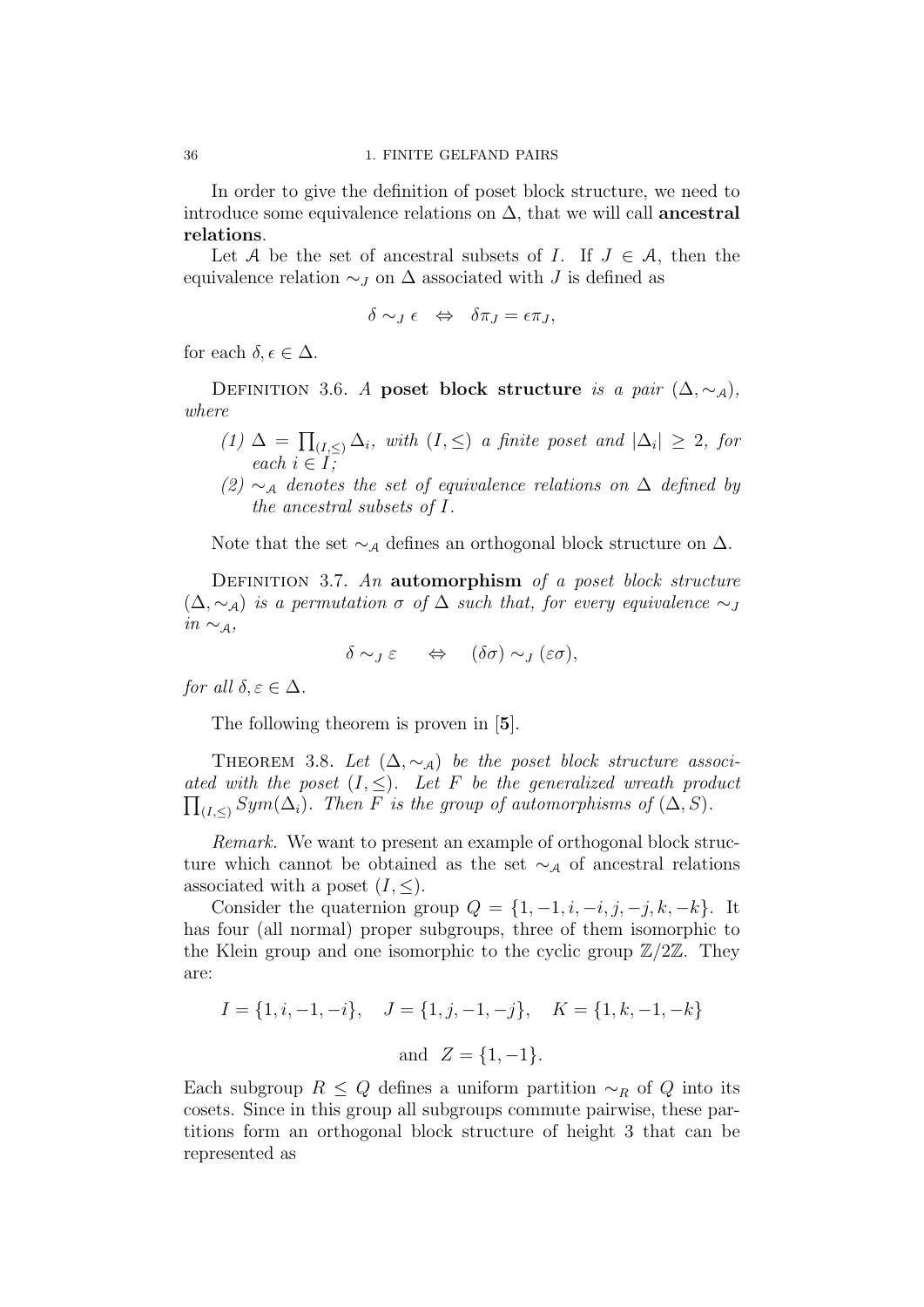In order to give the definition of poset block structure, we need to introduce some equivalence relations on  $\Delta$ , that we will call **ancestral** relations.

Let A be the set of ancestral subsets of I. If  $J \in \mathcal{A}$ , then the equivalence relation  $\sim_J$  on  $\Delta$  associated with J is defined as

$$
\delta \sim_J \epsilon \quad \Leftrightarrow \quad \delta \pi_J = \epsilon \pi_J,
$$

for each  $\delta, \epsilon \in \Delta$ .

DEFINITION 3.6. A poset block structure is a pair  $(\Delta, \sim_{\mathcal{A}})$ , where

- $(1) \Delta = \prod_{(I,\leq)} \Delta_i$ , with  $(I,\leq)$  a finite poset and  $|\Delta_i| \geq 2$ , for each  $i \in I$ ;
- (2)  $\sim_A$  denotes the set of equivalence relations on  $\Delta$  defined by the ancestral subsets of I.

Note that the set  $\sim_A$  defines an orthogonal block structure on  $\Delta$ .

DEFINITION 3.7. An automorphism of a poset block structure  $(\Delta, \sim_A)$  is a permutation  $\sigma$  of  $\Delta$  such that, for every equivalence  $\sim_A$  $in \sim_{\mathcal{A}},$ 

$$
\delta \sim_J \varepsilon \quad \Leftrightarrow \quad (\delta \sigma) \sim_J (\varepsilon \sigma),
$$

for all  $\delta, \varepsilon \in \Delta$ .

The following theorem is proven in [5].

THEOREM 3.8. Let  $(\Delta, \sim_A)$  be the poset block structure associated with the poset  $(I, \leq)$ . Let F be the generalized wreath product  $\prod_{(I,\leq)} Sym(\Delta_i)$ . Then F is the group of automorphisms of  $(\Delta, S)$ .

Remark. We want to present an example of orthogonal block structure which cannot be obtained as the set  $\sim_A$  of ancestral relations associated with a poset  $(I, \leq)$ .

Consider the quaternion group  $Q = \{1, -1, i, -i, j, -j, k, -k\}$ . It has four (all normal) proper subgroups, three of them isomorphic to the Klein group and one isomorphic to the cyclic group  $\mathbb{Z}/2\mathbb{Z}$ . They are:

$$
I = \{1, i, -1, -i\}, \quad J = \{1, j, -1, -j\}, \quad K = \{1, k, -1, -k\}
$$
  
and  $Z = \{1, -1\}.$ 

Each subgroup  $R \leq Q$  defines a uniform partition  $\sim_R$  of Q into its cosets. Since in this group all subgroups commute pairwise, these partitions form an orthogonal block structure of height 3 that can be represented as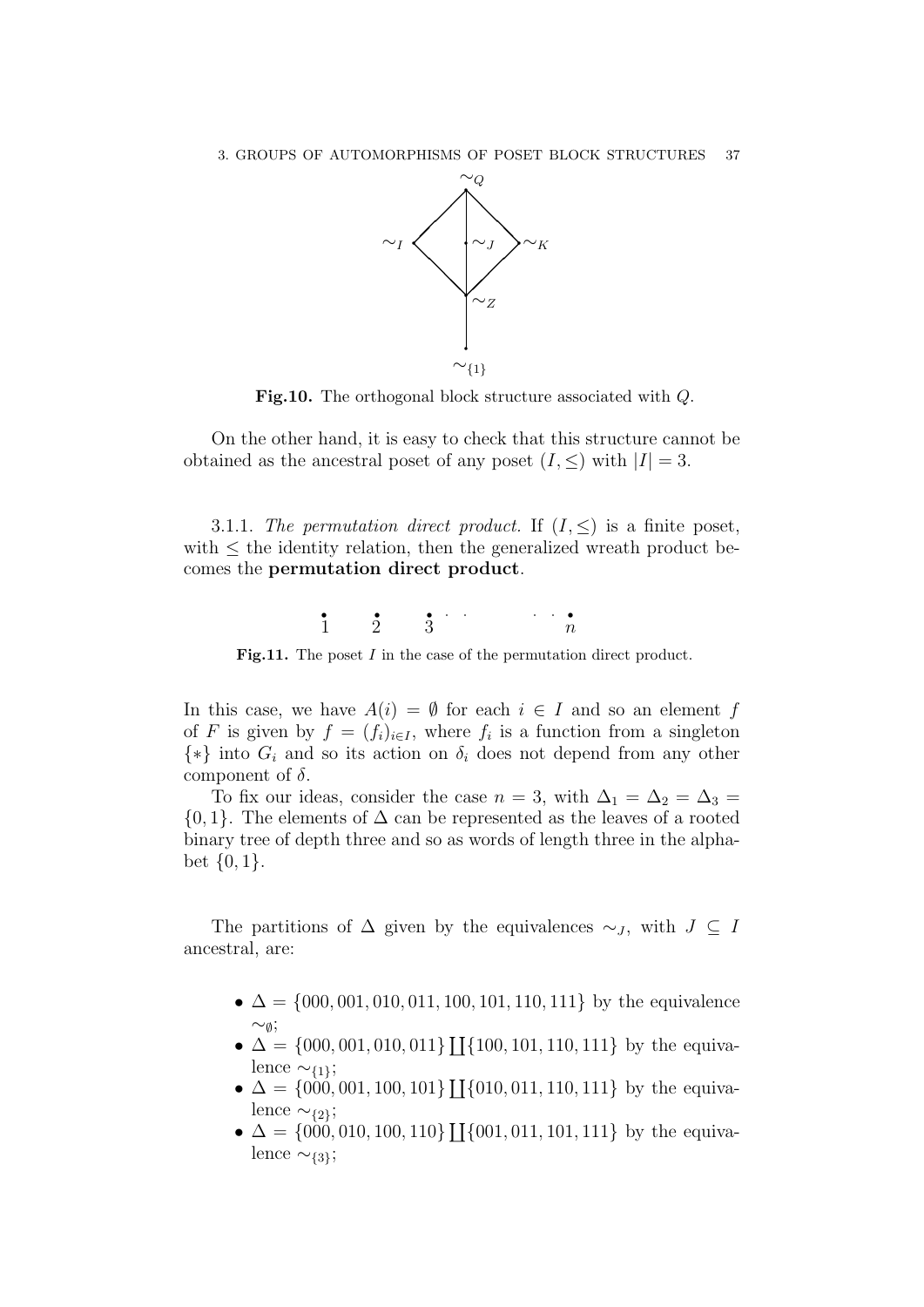

Fig.10. The orthogonal block structure associated with Q.

On the other hand, it is easy to check that this structure cannot be obtained as the ancestral poset of any poset  $(I, \leq)$  with  $|I| = 3$ .

3.1.1. The permutation direct product. If  $(I, \leq)$  is a finite poset, with  $\leq$  the identity relation, then the generalized wreath product becomes the permutation direct product.



Fig.11. The poset I in the case of the permutation direct product.

In this case, we have  $A(i) = \emptyset$  for each  $i \in I$  and so an element f of F is given by  $f = (f_i)_{i \in I}$ , where  $f_i$  is a function from a singleton  $\{*\}\$ into  $G_i$  and so its action on  $\delta_i$  does not depend from any other component of  $\delta$ .

To fix our ideas, consider the case  $n = 3$ , with  $\Delta_1 = \Delta_2 = \Delta_3 =$  $\{0,1\}$ . The elements of  $\Delta$  can be represented as the leaves of a rooted binary tree of depth three and so as words of length three in the alphabet {0, 1}.

The partitions of  $\Delta$  given by the equivalences  $\sim_J$ , with  $J \subseteq I$ ancestral, are:

- $\blacklozenge$   $\Delta$  = {000, 001, 010, 011, 100, 101, 110, 111} by the equivalence  $\sim_{\emptyset}$ ;
- $\blacklozenge$   $\Delta = \{000, 001, 010, 011\}$  [[ $\{100, 101, 110, 111\}$  by the equivalence  $\sim_{\{1\}};$
- $\Delta = \{000, 001, 100, 101\}$  [[ $\{010, 011, 110, 111\}$  by the equivalence  $\sim$ <sub>{2}</sub>;
- $\triangle$   $\triangle$  = {000, 010, 100, 110} [[{001, 011, 101, 111} by the equivalence  $\sim$ {3};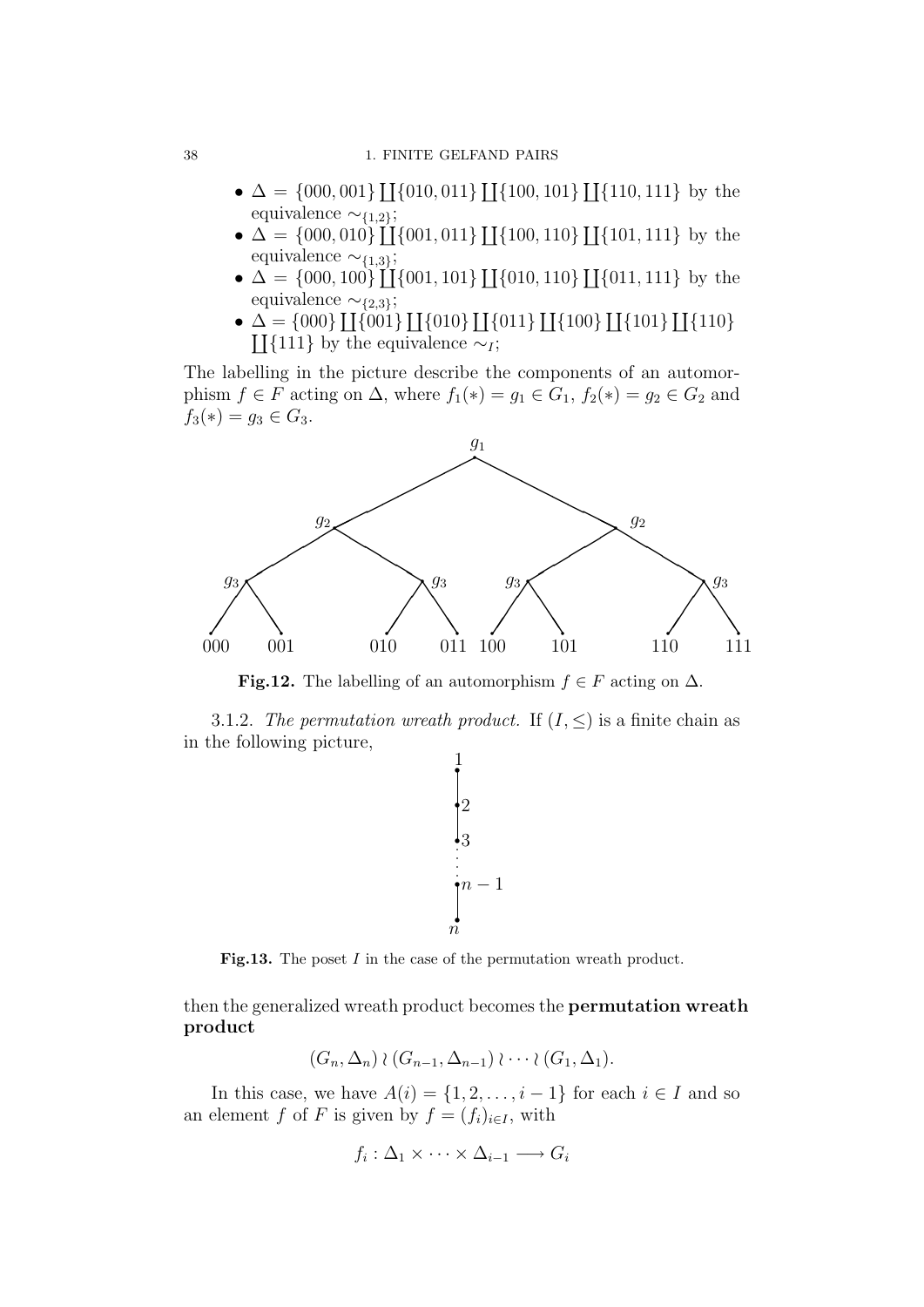- $\Delta = \{000, 001\} \coprod \{010, 011\} \coprod \{100, 101\} \coprod \{110, 111\}$  by the equivalence  $\sim_{\{1,2\}}$ ;
- $\Delta = \{000, 010\} \coprod \{001, 011\} \coprod \{100, 110\} \coprod \{101, 111\}$  by the equivalence  $\sim$ {1,3};
- $\Delta = \{000, 100\}$  [[ $\{001, 101\}$ ][ $\{010, 110\}$ ][ $\{011, 111\}$  by the equivalence  $\sim_{\{2,3\}}$ ;
- $\Delta = \{000\} \coprod \{001\} \coprod \{010\} \coprod \{011\} \coprod \{100\} \coprod \{101\} \coprod \{101\}$  $\coprod$ {111} by the equivalence ∼<sub>I</sub>;

The labelling in the picture describe the components of an automorphism  $f \in F$  acting on  $\Delta$ , where  $f_1(*) = g_1 \in G_1$ ,  $f_2(*) = g_2 \in G_2$  and  $f_3(*) = g_3 \in G_3$ .



Fig.12. The labelling of an automorphism  $f \in F$  acting on  $\Delta$ .

3.1.2. The permutation wreath product. If  $(I, \leq)$  is a finite chain as in the following picture,



Fig.13. The poset I in the case of the permutation wreath product.

then the generalized wreath product becomes the permutation wreath product

$$
(G_n, \Delta_n) \wr (G_{n-1}, \Delta_{n-1}) \wr \cdots \wr (G_1, \Delta_1).
$$

In this case, we have  $A(i) = \{1, 2, \ldots, i - 1\}$  for each  $i \in I$  and so an element f of F is given by  $f = (f_i)_{i \in I}$ , with

$$
f_i: \Delta_1 \times \cdots \times \Delta_{i-1} \longrightarrow G_i
$$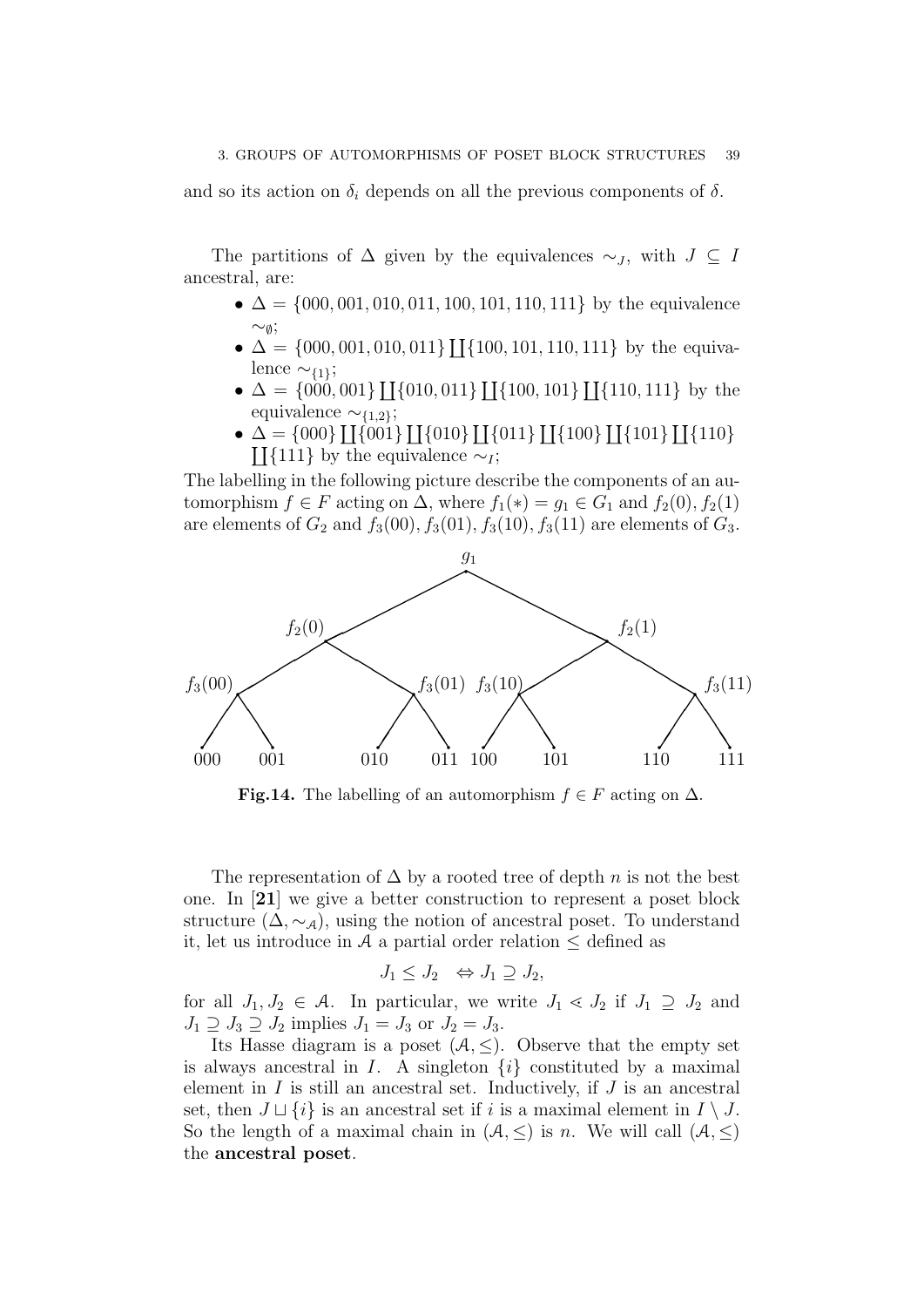and so its action on  $\delta_i$  depends on all the previous components of  $\delta$ .

The partitions of  $\Delta$  given by the equivalences  $\sim_J$ , with  $J \subseteq I$ ancestral, are:

- $\Delta = \{000, 001, 010, 011, 100, 101, 110, 111\}$  by the equivalence ∼∅;
- $\Delta = \{000, 001, 010, 011\}$  [[ $\{100, 101, 110, 111\}$  by the equivalence  $\sim_{\{1\}};$
- $\Delta = \{000, 001\} \coprod \{010, 011\} \coprod \{100, 101\} \coprod \{110, 111\}$  by the equivalence  $\sim_{\{1,2\}}$ ;
- $\Delta = \{000\} \coprod \{001\} \coprod \{010\} \coprod \{011\} \coprod \{100\} \coprod \{101\} \coprod \{101\}$  $\coprod$ {111} by the equivalence ∼*I*;

The labelling in the following picture describe the components of an automorphism  $f \in F$  acting on  $\Delta$ , where  $f_1(*) = g_1 \in G_1$  and  $f_2(0), f_2(1)$ are elements of  $G_2$  and  $f_3(00)$ ,  $f_3(01)$ ,  $f_3(10)$ ,  $f_3(11)$  are elements of  $G_3$ .



**Fig.14.** The labelling of an automorphism  $f \in F$  acting on  $\Delta$ .

The representation of  $\Delta$  by a rooted tree of depth n is not the best one. In [21] we give a better construction to represent a poset block structure  $(\Delta, \sim_A)$ , using the notion of ancestral poset. To understand it, let us introduce in A a partial order relation  $\leq$  defined as

$$
J_1 \leq J_2 \iff J_1 \supseteq J_2,
$$

for all  $J_1, J_2 \in \mathcal{A}$ . In particular, we write  $J_1 \lessdot J_2$  if  $J_1 \supseteq J_2$  and  $J_1 \supseteq J_3 \supseteq J_2$  implies  $J_1 = J_3$  or  $J_2 = J_3$ .

Its Hasse diagram is a poset  $(A, \leq)$ . Observe that the empty set is always ancestral in I. A singleton  $\{i\}$  constituted by a maximal element in  $I$  is still an ancestral set. Inductively, if  $J$  is an ancestral set, then  $J \sqcup \{i\}$  is an ancestral set if i is a maximal element in  $I \setminus J$ . So the length of a maximal chain in  $(A, \leq)$  is n. We will call  $(A, \leq)$ the ancestral poset.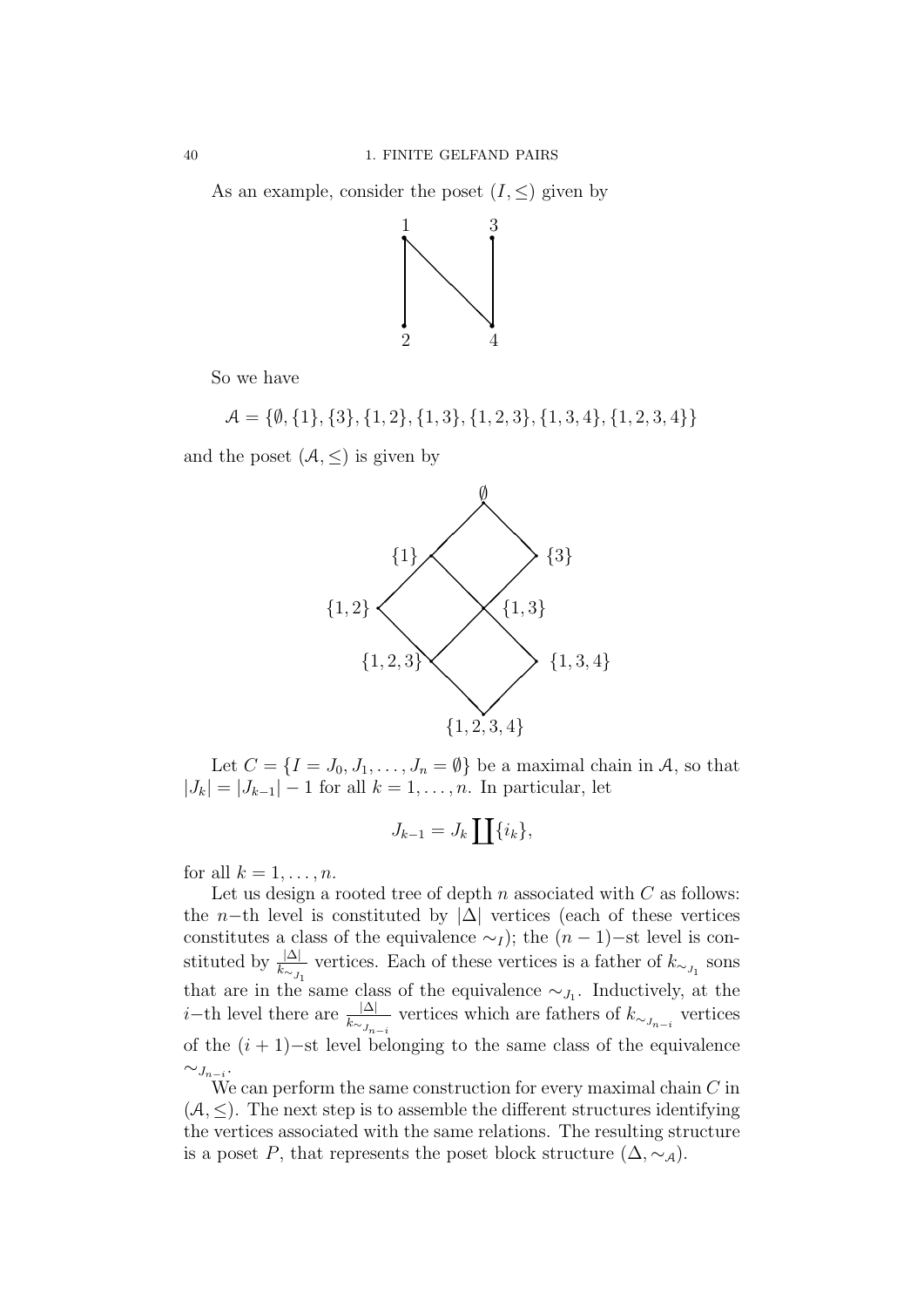As an example, consider the poset  $(I, \leq)$  given by



So we have

 $\mathcal{A} = \{\emptyset, \{1\}, \{3\}, \{1, 2\}, \{1, 3\}, \{1, 2, 3\}, \{1, 3, 4\}, \{1, 2, 3, 4\}\}\$ 

and the poset  $(A, \leq)$  is given by



Let  $C = \{I = J_0, J_1, \ldots, J_n = \emptyset\}$  be a maximal chain in A, so that  $|J_k| = |J_{k-1}| - 1$  for all  $k = 1, \ldots, n$ . In particular, let

$$
J_{k-1} = J_k \coprod \{i_k\},\
$$

for all  $k = 1, \ldots, n$ .

Let us design a rooted tree of depth  $n$  associated with  $C$  as follows: the n−th level is constituted by  $|\Delta|$  vertices (each of these vertices constitutes a class of the equivalence  $\sim_I$ ); the  $(n-1)$ −st level is constituted by  $\frac{|\Delta|}{k_{\sim J_1}}$  vertices. Each of these vertices is a father of  $k_{\sim J_1}$  sons that are in the same class of the equivalence  $\sim_{J_1}$ . Inductively, at the *i*−th level there are  $\frac{|\Delta|}{k_{\sim J_{n-i}}}$  vertices which are fathers of  $k_{\sim J_{n-i}}$  vertices of the  $(i + 1)$ –st level belonging to the same class of the equivalence  $\sim_{J_{n-i}}$ .

We can perform the same construction for every maximal chain  $C$  in  $(A, \leq)$ . The next step is to assemble the different structures identifying the vertices associated with the same relations. The resulting structure is a poset P, that represents the poset block structure  $(\Delta, \sim_{\mathcal{A}})$ .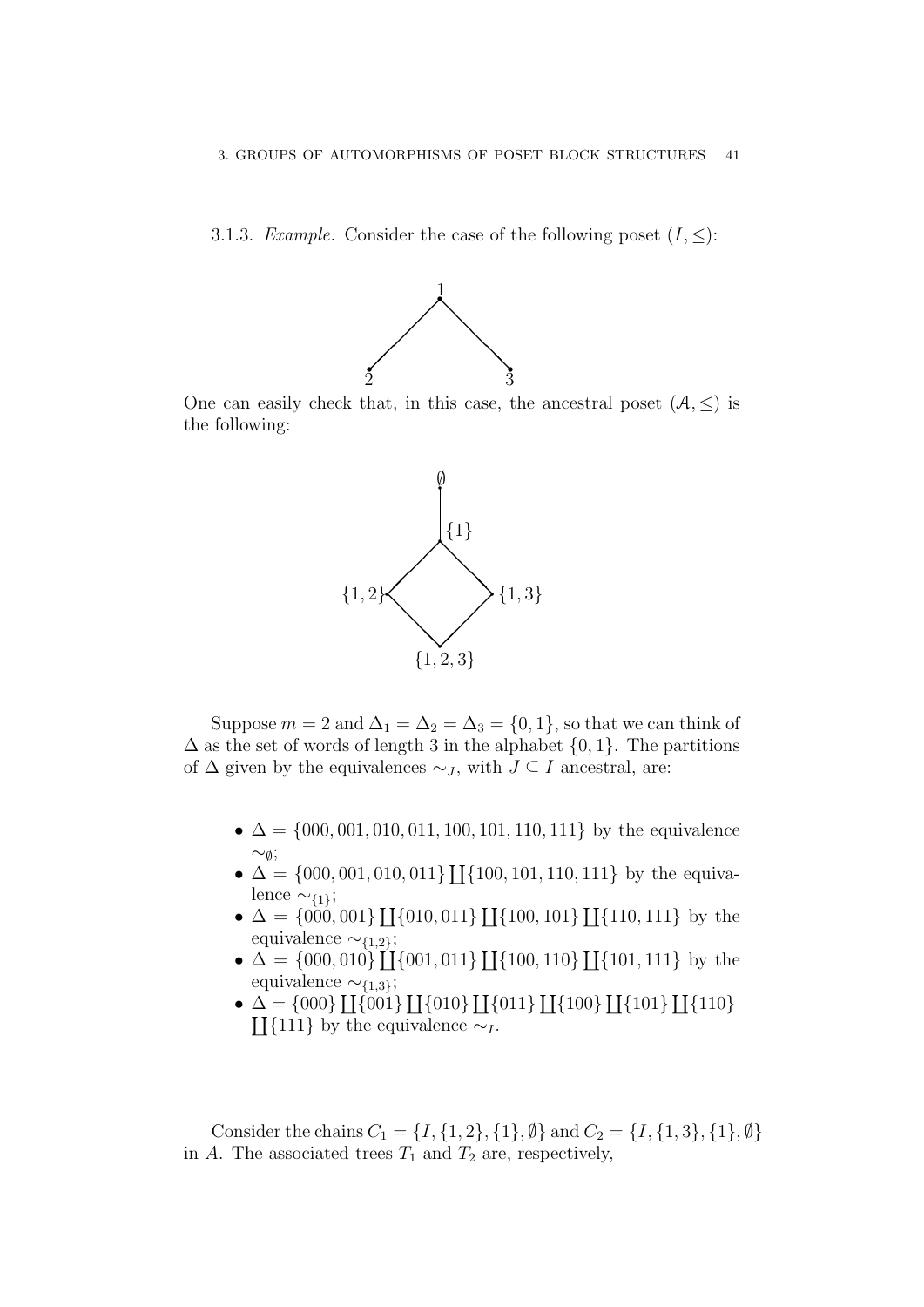3.1.3. Example. Consider the case of the following poset  $(I, \leq)$ :



One can easily check that, in this case, the ancestral poset  $(A, \leq)$  is the following:



Suppose  $m = 2$  and  $\Delta_1 = \Delta_2 = \Delta_3 = \{0, 1\}$ , so that we can think of  $\Delta$  as the set of words of length 3 in the alphabet  $\{0, 1\}$ . The partitions of  $\Delta$  given by the equivalences  $\sim_J$ , with  $J \subseteq I$  ancestral, are:

- $\Delta = \{000, 001, 010, 011, 100, 101, 110, 111\}$  by the equivalence  $\sim_{\emptyset}$ ;
- $\triangle$   $\triangle$  = {000, 001, 010, 011} [[{100, 101, 110, 111} by the equivalence  $\sim$ {1};
- $\Delta = \{000, 001\} \coprod \{010, 011\} \coprod \{100, 101\} \coprod \{110, 111\}$  by the equivalence  $\sim$ {1,2};
- $\Delta = \{000, 010\}$  [[ $\{001, 011\}$ ][ $\{100, 110\}$ ][ $\{101, 111\}$  by the equivalence  $\sim$ {1,3};
- $\Delta = \{000\} \coprod \{001\} \coprod \{010\} \coprod \{011\} \coprod \{100\} \coprod \{101\} \coprod \{101\}$  $\coprod$ {111} by the equivalence ∼<sub>I</sub>.

Consider the chains  $C_1 = \{I, \{1, 2\}, \{1\}, \emptyset\}$  and  $C_2 = \{I, \{1, 3\}, \{1\}, \emptyset\}$ in A. The associated trees  $T_1$  and  $T_2$  are, respectively,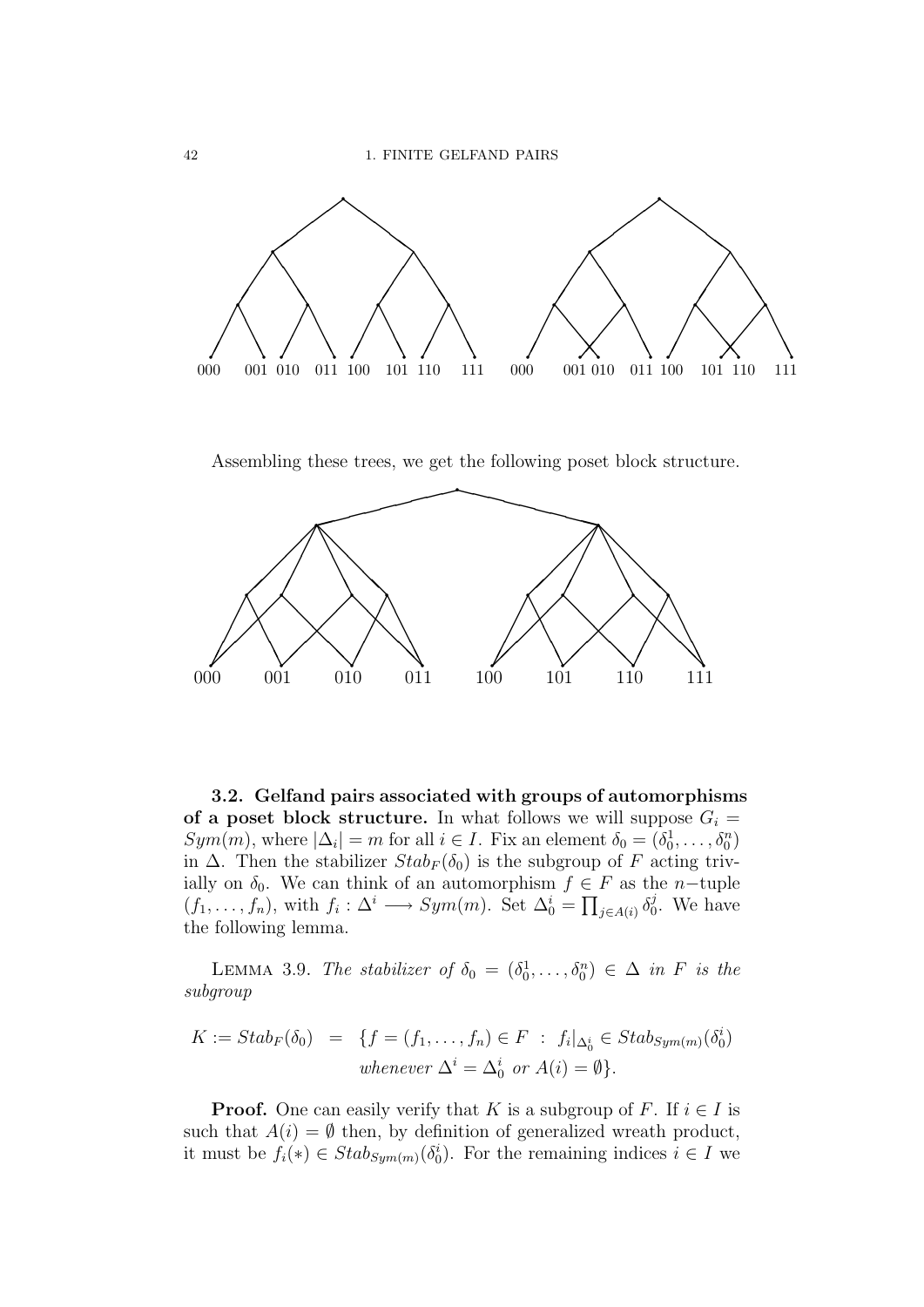

Assembling these trees, we get the following poset block structure.



3.2. Gelfand pairs associated with groups of automorphisms of a poset block structure. In what follows we will suppose  $G_i =$  $Sym(m)$ , where  $|\Delta_i| = m$  for all  $i \in I$ . Fix an element  $\delta_0 = (\delta_0^1, \ldots, \delta_0^n)$ in  $\Delta$ . Then the stabilizer  $Stab_F(\delta_0)$  is the subgroup of F acting trivially on  $\delta_0$ . We can think of an automorphism  $f \in F$  as the *n*-tuple  $(f_1,\ldots,f_n)$ , with  $f_i:\Delta^i\longrightarrow Sym(m)$ . Set  $\Delta_0^i=\prod_{j\in A(i)}\delta_0^j$  $\mathfrak{c}_0^j$ . We have the following lemma.

LEMMA 3.9. The stabilizer of  $\delta_0 = (\delta_0^1, \ldots, \delta_0^n) \in \Delta$  in F is the subgroup

$$
K := Stab_F(\delta_0) = \{ f = (f_1, \dots, f_n) \in F : f_i|_{\Delta_0^i} \in Stab_{Sym(m)}(\delta_0^i)
$$
  
whenever  $\Delta^i = \Delta_0^i$  or  $A(i) = \emptyset \}.$ 

**Proof.** One can easily verify that K is a subgroup of F. If  $i \in I$  is such that  $A(i) = \emptyset$  then, by definition of generalized wreath product, it must be  $f_i(*) \in Stab_{Sym(m)}(\delta_0^i)$ . For the remaining indices  $i \in I$  we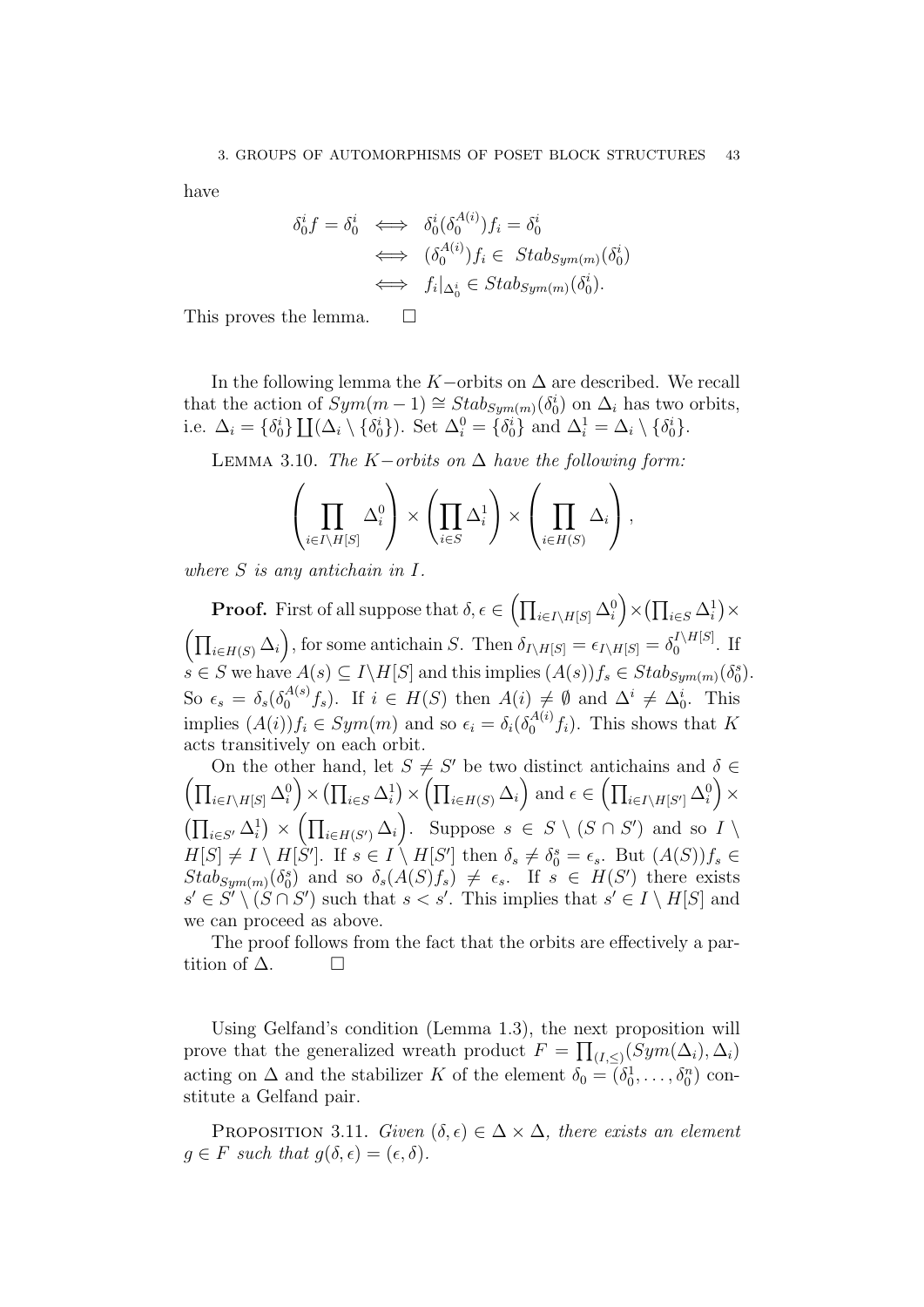have

$$
\delta_0^i f = \delta_0^i \iff \delta_0^i(\delta_0^{A(i)}) f_i = \delta_0^i
$$
  

$$
\iff (\delta_0^{A(i)}) f_i \in Stab_{Sym(m)}(\delta_0^i)
$$
  

$$
\iff f_i|_{\Delta_0^i} \in Stab_{Sym(m)}(\delta_0^i).
$$

This proves the lemma.  $\square$ 

In the following lemma the K−orbits on  $\Delta$  are described. We recall that the action of  $Sym(m-1) \cong Stab_{Sym(m)}(\delta_0^i)$  on  $\Delta_i$  has two orbits, i.e.  $\Delta_i = \{\delta_0^i\} \coprod (\Delta_i \setminus \{\delta_0^i\})$ . Set  $\Delta_i^0 = \{\delta_0^i\}$  and  $\Delta_i^1 = \Delta_i \setminus \{\delta_0^i\}$ .

LEMMA 3.10. The  $K-orbits$  on  $\Delta$  have the following form:

$$
\left(\prod_{i\in I\setminus H[S]} \Delta_i^0\right) \times \left(\prod_{i\in S} \Delta_i^1\right) \times \left(\prod_{i\in H(S)} \Delta_i\right),
$$

where S is any antichain in I.

**Proof.** First of all suppose that  $\delta, \epsilon \in \left(\prod_{i \in I\setminus H[S]}\Delta_i^0\right) \times \left(\prod_{i \in S}\Delta_i^1\right) \times$  $\left(\prod_{i\in H(S)}\Delta_i\right)$ , for some antichain S. Then  $\delta_{I\setminus H[S]} = \epsilon_{I\setminus H[S]} = \delta_0^{I\setminus H[S]}$  $\int_0^{I \setminus H[\mathcal{S}]}$ . If  $s \in S$  we have  $A(s) \subseteq I \backslash H[S]$  and this implies  $(A(s))f_s \in Stab_{Sym(m)}(\delta_0^s)$ . So  $\epsilon_s = \delta_s(\delta_0^{A(s)})$  $\mathcal{A}^{(s)}(f_s)$ . If  $i \in H(S)$  then  $A(i) \neq \emptyset$  and  $\Delta^i \neq \Delta_0^i$ . This implies  $(A(i))f_i \in Sym(m)$  and so  $\epsilon_i = \delta_i(\delta_0^{A(i)})$  $\binom{A(i)}{0}$ , This shows that K acts transitively on each orbit.

On the other hand, let  $S \neq S'$  be two distinct antichains and  $\delta \in$  $\left(\prod_{i\in I\setminus H[S]}\Delta_i^0\right)\times\left(\prod_{i\in S}\Delta_i^1\right)\times\left(\prod_{i\in H(S)}\Delta_i\right)$  and  $\epsilon\in\left(\prod_{i\in I\setminus H[S']}\Delta_i^0\right)\times$  $\left(\prod_{i\in S'}\Delta_i^1\right)\times\left(\prod_{i\in H(S')}\Delta_i\right)$ . Suppose  $s\in S\setminus(S\cap S')$  and so  $I\setminus$  $H[S] \neq I \setminus H[\dot{S}']$ . If  $s \in I \setminus H[S']$  then  $\delta_s \neq \delta_0^s = \epsilon_s$ . But  $(A(S))f_s \in$  $Stab_{Sym(m)}(\delta_0^s)$  and so  $\delta_s(A(S)f_s) \neq \epsilon_s$ . If  $s \in H(S')$  there exists  $s' \in S' \setminus (S \cap S')$  such that  $s < s'$ . This implies that  $s' \in I \setminus H[S]$  and we can proceed as above.

The proof follows from the fact that the orbits are effectively a partition of  $\Delta$ .  $\Box$ 

Using Gelfand's condition (Lemma 1.3), the next proposition will prove that the generalized wreath product  $F = \prod_{(I,\leq)} (Sym(\Delta_i), \Delta_i)$ acting on  $\Delta$  and the stabilizer K of the element  $\delta_0 = (\delta_0^1, \ldots, \delta_0^n)$  constitute a Gelfand pair.

PROPOSITION 3.11. Given  $(\delta, \epsilon) \in \Delta \times \Delta$ , there exists an element  $q \in F$  such that  $q(\delta, \epsilon) = (\epsilon, \delta)$ .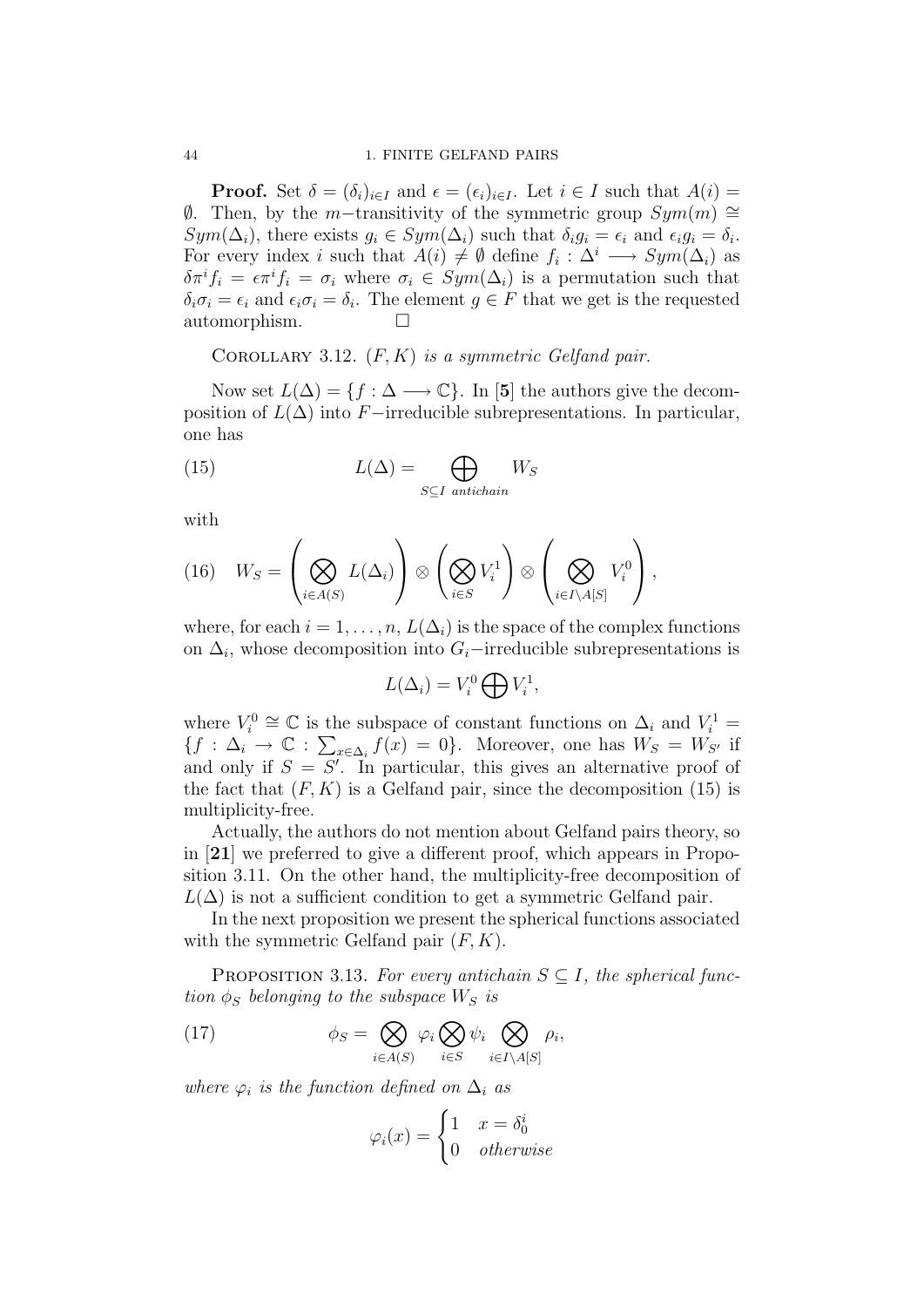**Proof.** Set  $\delta = (\delta_i)_{i \in I}$  and  $\epsilon = (\epsilon_i)_{i \in I}$ . Let  $i \in I$  such that  $A(i)$  $\emptyset$ . Then, by the m−transitivity of the symmetric group  $Sym(m) \cong$  $Sym(\Delta_i)$ , there exists  $g_i \in Sym(\Delta_i)$  such that  $\delta_i g_i = \epsilon_i$  and  $\epsilon_i g_i = \delta_i$ . For every index *i* such that  $A(i) \neq \emptyset$  define  $f_i : \Delta^i \longrightarrow Sym(\Delta_i)$  as  $\delta \pi^i f_i = \epsilon \pi^i f_i = \sigma_i$  where  $\sigma_i \in Sym(\Delta_i)$  is a permutation such that  $\delta_i \sigma_i = \epsilon_i$  and  $\epsilon_i \sigma_i = \delta_i$ . The element  $g \in F$  that we get is the requested automorphism.

COROLLARY 3.12.  $(F, K)$  is a symmetric Gelfand pair.

Now set  $L(\Delta) = \{f : \Delta \longrightarrow \mathbb{C}\}\$ . In [5] the authors give the decomposition of  $L(\Delta)$  into F−irreducible subrepresentations. In particular, one has

(15) 
$$
L(\Delta) = \bigoplus_{S \subseteq I \text{ antichain}} W_S
$$

with

(16) 
$$
W_S = \left(\bigotimes_{i \in A(S)} L(\Delta_i)\right) \otimes \left(\bigotimes_{i \in S} V_i^1\right) \otimes \left(\bigotimes_{i \in I \setminus A[S]} V_i^0\right),
$$

where, for each  $i = 1, \ldots, n$ ,  $L(\Delta_i)$  is the space of the complex functions on  $\Delta_i$ , whose decomposition into  $G_i$ –irreducible subrepresentations is

$$
L(\Delta_i) = V_i^0 \bigoplus V_i^1,
$$

where  $V_i^0 \cong \mathbb{C}$  is the subspace of constant functions on  $\Delta_i$  and  $V_i^1 =$  ${f : \Delta_i \to \mathbb{C} : \sum_{x \in \Delta_i} f(x) = 0}.$  Moreover, one has  $W_S = W_{S'}$  if and only if  $S = S'$ . In particular, this gives an alternative proof of the fact that  $(F, K)$  is a Gelfand pair, since the decomposition (15) is multiplicity-free.

Actually, the authors do not mention about Gelfand pairs theory, so in [21] we preferred to give a different proof, which appears in Proposition 3.11. On the other hand, the multiplicity-free decomposition of  $L(\Delta)$  is not a sufficient condition to get a symmetric Gelfand pair.

In the next proposition we present the spherical functions associated with the symmetric Gelfand pair  $(F, K)$ .

PROPOSITION 3.13. For every antichain  $S \subseteq I$ , the spherical function  $\phi_S$  belonging to the subspace  $W_S$  is

(17) 
$$
\phi_S = \bigotimes_{i \in A(S)} \varphi_i \bigotimes_{i \in S} \psi_i \bigotimes_{i \in I \setminus A[S]} \rho_i,
$$

where  $\varphi_i$  is the function defined on  $\Delta_i$  as

$$
\varphi_i(x) = \begin{cases} 1 & x = \delta_0^i \\ 0 & otherwise \end{cases}
$$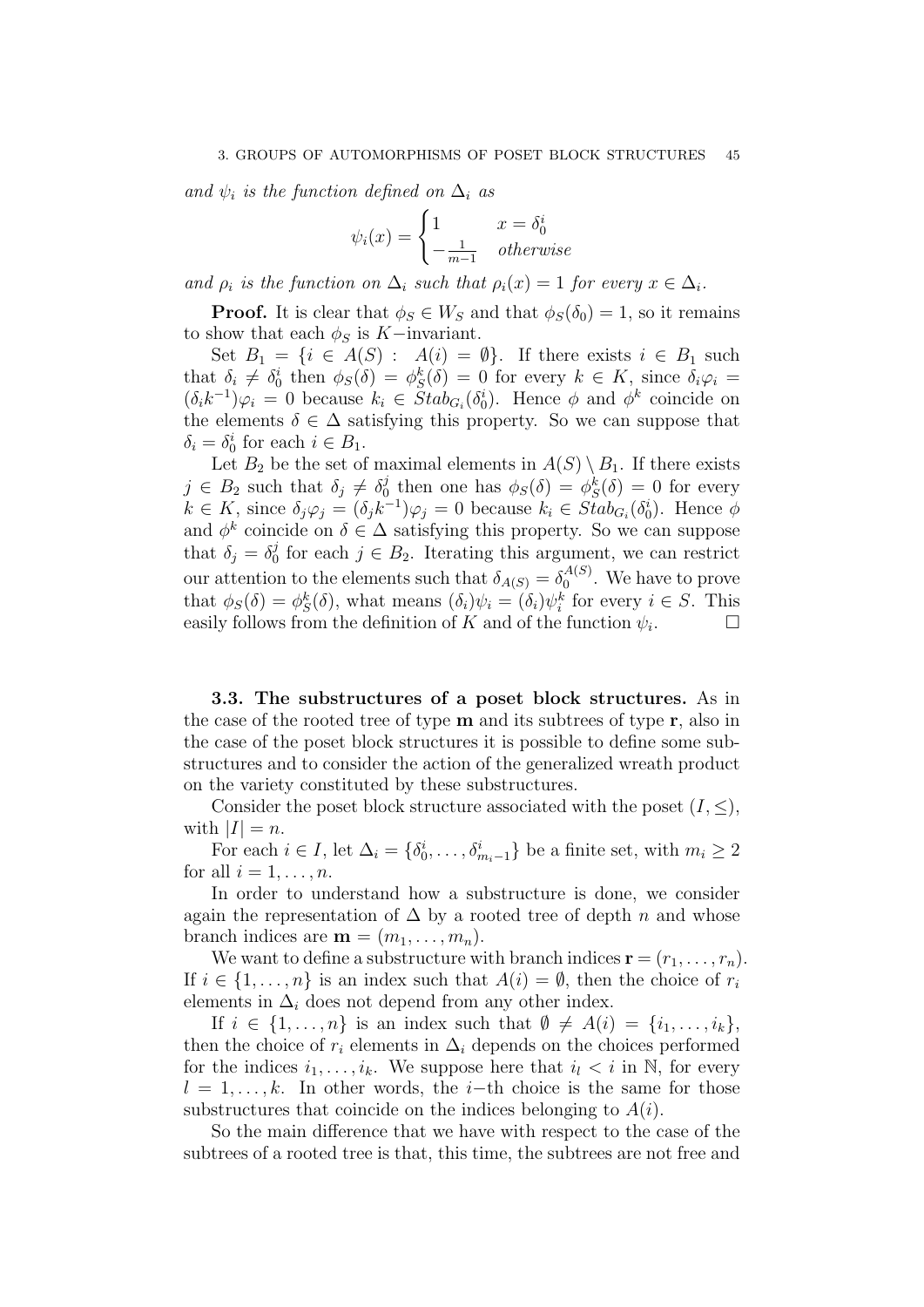and  $\psi_i$  is the function defined on  $\Delta_i$  as

$$
\psi_i(x) = \begin{cases} 1 & x = \delta_0^i \\ -\frac{1}{m-1} & otherwise \end{cases}
$$

and  $\rho_i$  is the function on  $\Delta_i$  such that  $\rho_i(x) = 1$  for every  $x \in \Delta_i$ .

**Proof.** It is clear that  $\phi_S \in W_S$  and that  $\phi_S(\delta_0) = 1$ , so it remains to show that each  $\phi_S$  is K−invariant.

Set  $B_1 = \{i \in A(S) : A(i) = \emptyset\}$ . If there exists  $i \in B_1$  such that  $\delta_i \neq \delta_0^i$  then  $\phi_S(\delta) = \phi_S^k(\delta) = 0$  for every  $k \in K$ , since  $\delta_i \varphi_i =$  $(\delta_i k^{-1}) \varphi_i = 0$  because  $k_i \in Stab_{G_i}(\delta_0^i)$ . Hence  $\phi$  and  $\phi^k$  coincide on the elements  $\delta \in \Delta$  satisfying this property. So we can suppose that  $\delta_i = \delta_0^i$  for each  $i \in B_1$ .

Let  $B_2$  be the set of maximal elements in  $A(S) \setminus B_1$ . If there exists  $j \in B_2$  such that  $\delta_j \neq \delta_0^j$  $\phi_0^j$  then one has  $\phi_S(\delta) = \phi_S^k(\delta) = 0$  for every  $k \in K$ , since  $\delta_j \varphi_j = (\delta_j k^{-1}) \varphi_j = 0$  because  $k_i \in Stab_{G_i}(\delta_0^i)$ . Hence  $\phi$ and  $\phi^k$  coincide on  $\delta \in \Delta$  satisfying this property. So we can suppose that  $\delta_j = \delta_0^j$  $j_0^j$  for each  $j \in B_2$ . Iterating this argument, we can restrict our attention to the elements such that  $\delta_{A(S)} = \delta_0^{A(S)}$  $\binom{A(S)}{0}$ . We have to prove that  $\phi_S(\delta) = \phi_S^k(\delta)$ , what means  $(\delta_i)\psi_i = (\delta_i)\psi_i^k$  for every  $i \in S$ . This easily follows from the definition of K and of the function  $\psi_i$ . .

3.3. The substructures of a poset block structures. As in the case of the rooted tree of type  **and its subtrees of type**  $**r**$ **, also in** the case of the poset block structures it is possible to define some substructures and to consider the action of the generalized wreath product on the variety constituted by these substructures.

Consider the poset block structure associated with the poset  $(I, \leq),$ with  $|I| = n$ .

For each  $i \in I$ , let  $\Delta_i = \{\delta_0^i, \ldots, \delta_{m_i-1}^i\}$  be a finite set, with  $m_i \geq 2$ for all  $i = 1, \ldots, n$ .

In order to understand how a substructure is done, we consider again the representation of  $\Delta$  by a rooted tree of depth n and whose branch indices are  $\mathbf{m} = (m_1, \ldots, m_n)$ .

We want to define a substructure with branch indices  $\mathbf{r} = (r_1, \ldots, r_n)$ . If  $i \in \{1, \ldots, n\}$  is an index such that  $A(i) = \emptyset$ , then the choice of  $r_i$ elements in  $\Delta_i$  does not depend from any other index.

If  $i \in \{1, \ldots, n\}$  is an index such that  $\emptyset \neq A(i) = \{i_1, \ldots, i_k\}$ , then the choice of  $r_i$  elements in  $\Delta_i$  depends on the choices performed for the indices  $i_1, \ldots, i_k$ . We suppose here that  $i_l < i$  in N, for every  $l = 1, \ldots, k$ . In other words, the i–th choice is the same for those substructures that coincide on the indices belonging to  $A(i)$ .

So the main difference that we have with respect to the case of the subtrees of a rooted tree is that, this time, the subtrees are not free and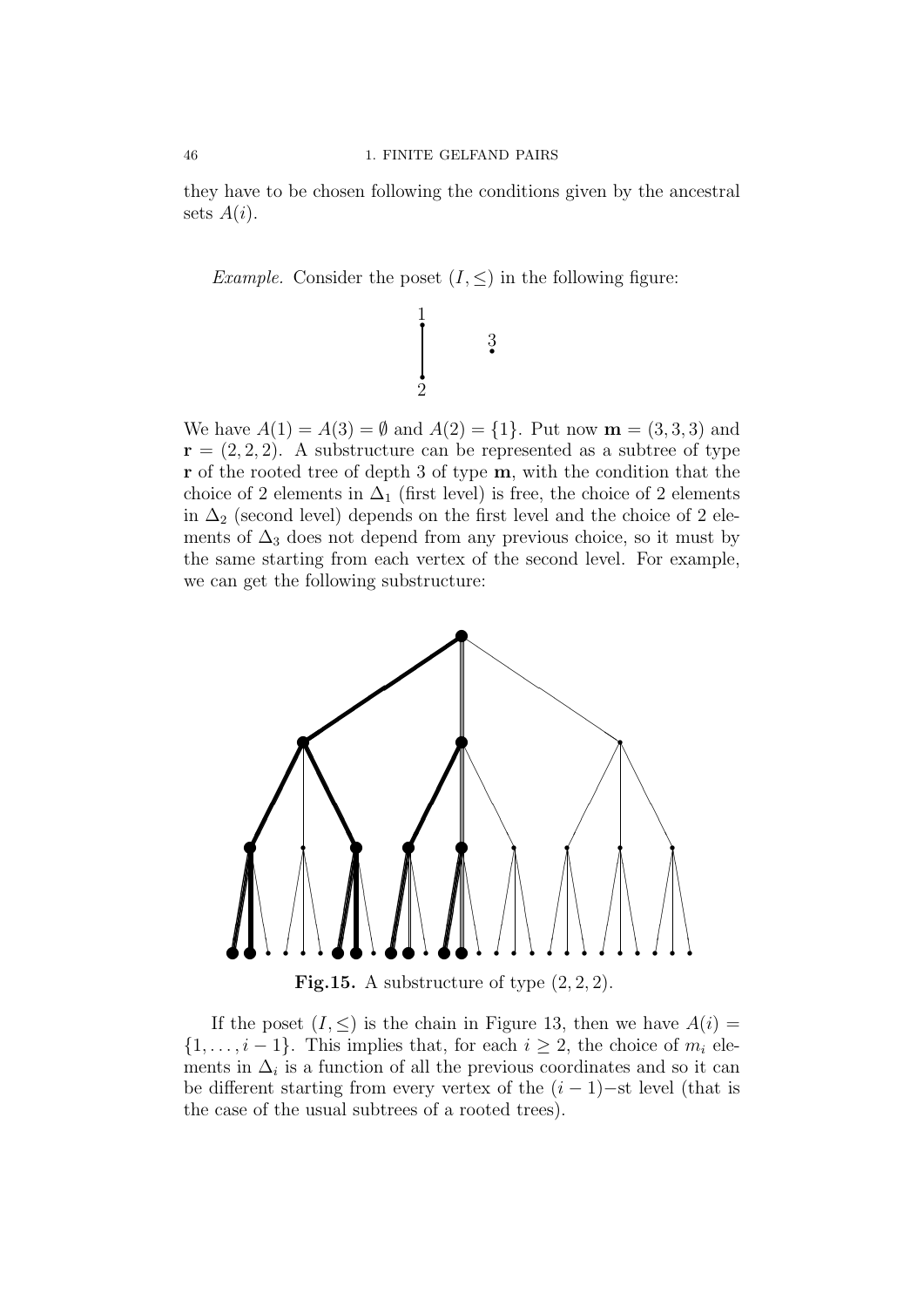they have to be chosen following the conditions given by the ancestral sets  $A(i)$ .

*Example.* Consider the poset  $(I, \leq)$  in the following figure:

i<br>İ

1

r

2

r 3

We have  $A(1) = A(3) = \emptyset$  and  $A(2) = \{1\}$ . Put now  $\mathbf{m} = (3, 3, 3)$  and  $\mathbf{r} = (2, 2, 2)$ . A substructure can be represented as a subtree of type r of the rooted tree of depth 3 of type m, with the condition that the choice of 2 elements in  $\Delta_1$  (first level) is free, the choice of 2 elements in  $\Delta_2$  (second level) depends on the first level and the choice of 2 elements of  $\Delta_3$  does not depend from any previous choice, so it must by the same starting from each vertex of the second level. For example, we can get the following substructure:



**Fig.15.** A substructure of type  $(2, 2, 2)$ .

If the poset  $(I, \leq)$  is the chain in Figure 13, then we have  $A(i)$  $\{1, \ldots, i-1\}$ . This implies that, for each  $i \geq 2$ , the choice of  $m_i$  elements in  $\Delta_i$  is a function of all the previous coordinates and so it can be different starting from every vertex of the  $(i - 1)$ -st level (that is the case of the usual subtrees of a rooted trees).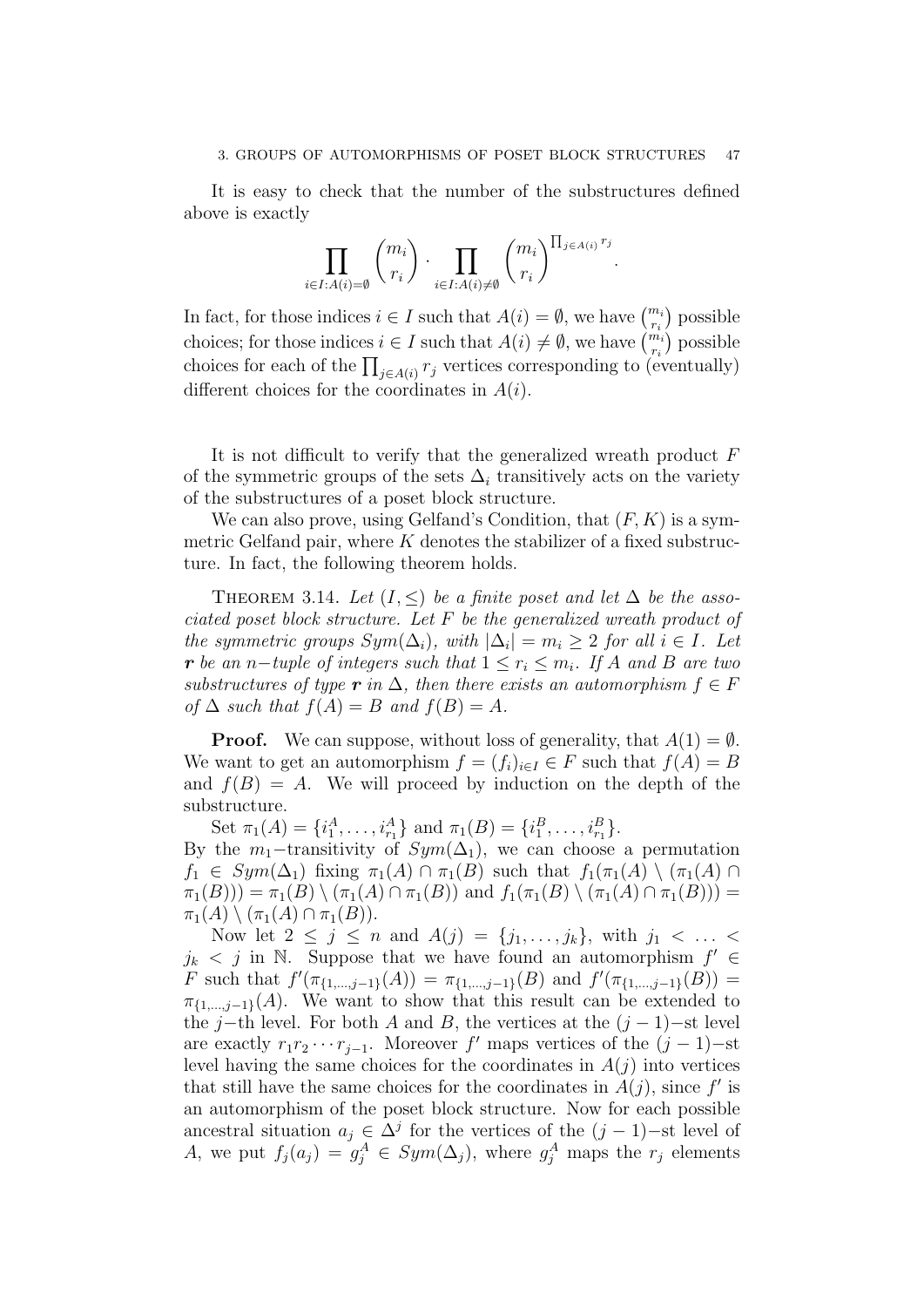It is easy to check that the number of the substructures defined above is exactly

$$
\prod_{i\in I:A(i)=\emptyset} \binom{m_i}{r_i}\cdot \prod_{i\in I:A(i)\neq\emptyset} \binom{m_i}{r_i}^{\prod_{j\in A(i)}r_j}.
$$

In fact, for those indices  $i \in I$  such that  $A(i) = \emptyset$ , we have  $\binom{m_i}{r_i}$  possible choices; for those indices  $i \in I$  such that  $A(i) \neq \emptyset$ , we have  $\binom{m_i}{r_i}$  possible choices for each of the  $\prod_{j\in A(i)} r_j$  vertices corresponding to (eventually) different choices for the coordinates in  $A(i)$ .

It is not difficult to verify that the generalized wreath product  $F$ of the symmetric groups of the sets  $\Delta_i$  transitively acts on the variety of the substructures of a poset block structure.

We can also prove, using Gelfand's Condition, that  $(F, K)$  is a symmetric Gelfand pair, where  $K$  denotes the stabilizer of a fixed substructure. In fact, the following theorem holds.

THEOREM 3.14. Let  $(I, \leq)$  be a finite poset and let  $\Delta$  be the associated poset block structure. Let F be the generalized wreath product of the symmetric groups  $Sym(\Delta_i)$ , with  $|\Delta_i| = m_i \geq 2$  for all  $i \in I$ . Let r be an n−tuple of integers such that  $1 \leq r_i \leq m_i$ . If A and B are two substructures of type  $\mathbf{r}$  in  $\Delta$ , then there exists an automorphism  $f \in F$ of  $\Delta$  such that  $f(A) = B$  and  $f(B) = A$ .

**Proof.** We can suppose, without loss of generality, that  $A(1) = \emptyset$ . We want to get an automorphism  $f = (f_i)_{i \in I} \in F$  such that  $f(A) = B$ and  $f(B) = A$ . We will proceed by induction on the depth of the substructure.

Set  $\pi_1(A) = \{i_1^A, \ldots, i_{r_1}^A\}$  and  $\pi_1(B) = \{i_1^B, \ldots, i_{r_1}^B\}.$ By the  $m_1$ -transitivity of  $Sym(\Delta_1)$ , we can choose a permutation  $f_1 \in Sym(\Delta_1)$  fixing  $\pi_1(A) \cap \pi_1(B)$  such that  $f_1(\pi_1(A) \setminus (\pi_1(A) \cap$  $\pi_1(B)) = \pi_1(B) \setminus (\pi_1(A) \cap \pi_1(B))$  and  $f_1(\pi_1(B) \setminus (\pi_1(A) \cap \pi_1(B)))$  $\pi_1(A) \setminus (\pi_1(A) \cap \pi_1(B)).$ 

Now let  $2 \leq j \leq n$  and  $A(j) = \{j_1, \ldots, j_k\}$ , with  $j_1 < \ldots <$  $j_k$  < j in N. Suppose that we have found an automorphism  $f' \in$ F such that  $f'(\pi_{\{1,\dots,j-1\}}(A)) = \pi_{\{1,\dots,j-1\}}(B)$  and  $f'(\pi_{\{1,\dots,j-1\}}(B)) =$  $\pi_{\{1,\dots,j-1\}}(A)$ . We want to show that this result can be extended to the j−th level. For both A and B, the vertices at the  $(j-1)$ −st level are exactly  $r_1r_2\cdots r_{j-1}$ . Moreover f' maps vertices of the  $(j-1)$ -st level having the same choices for the coordinates in  $A(j)$  into vertices that still have the same choices for the coordinates in  $A(j)$ , since  $f'$  is an automorphism of the poset block structure. Now for each possible ancestral situation  $a_j \in \Delta^j$  for the vertices of the  $(j-1)$ -st level of A, we put  $f_j(a_j) = g_j^A \in Sym(\Delta_j)$ , where  $g_j^A$  maps the  $r_j$  elements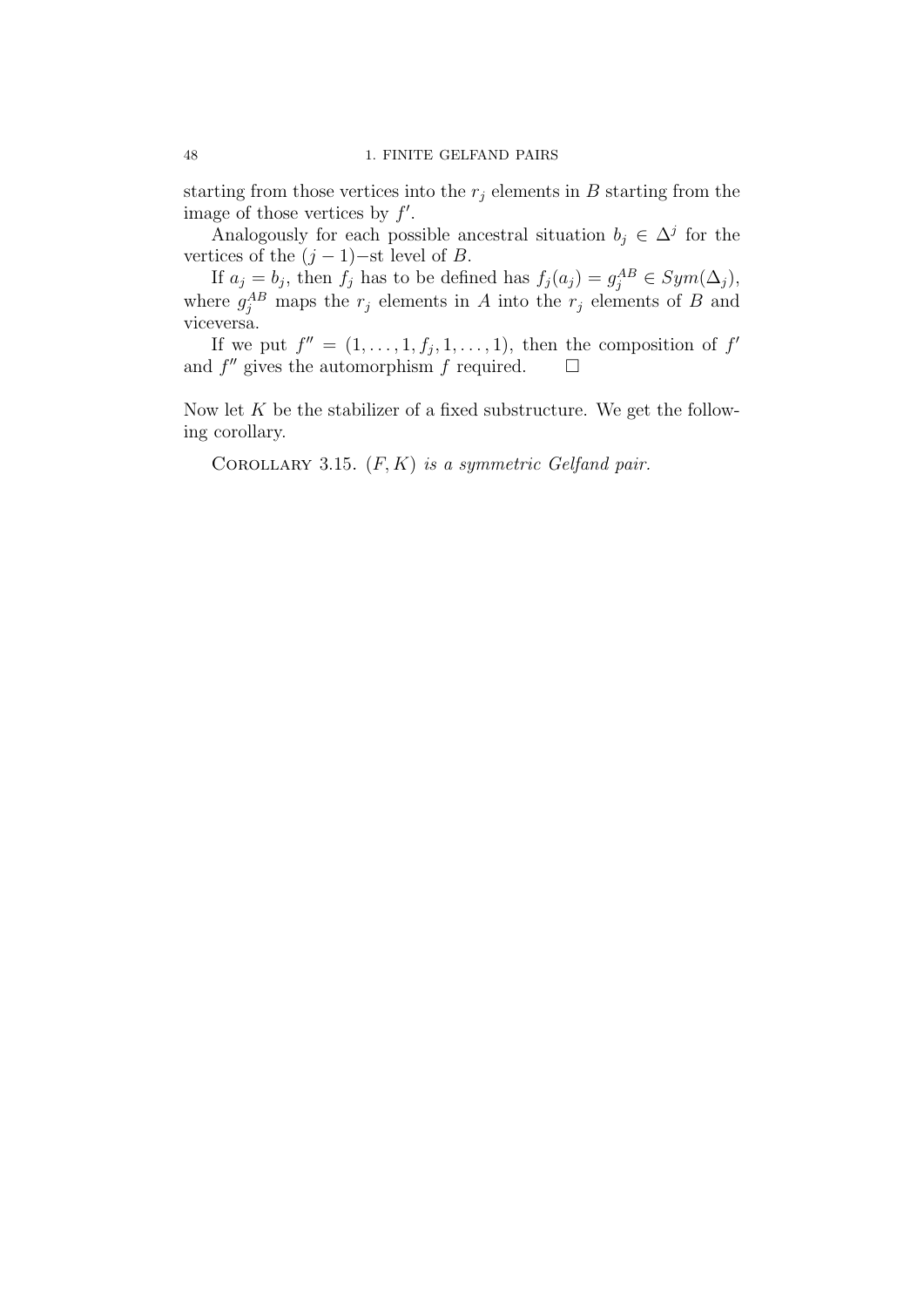starting from those vertices into the  $r_j$  elements in B starting from the image of those vertices by  $f'$ .

Analogously for each possible ancestral situation  $b_j \in \Delta^j$  for the vertices of the  $(j-1)$ -st level of B.

If  $a_j = b_j$ , then  $f_j$  has to be defined has  $f_j(a_j) = g_j^{AB} \in Sym(\Delta_j)$ , where  $g_j^{AB}$  maps the  $r_j$  elements in A into the  $r_j$  elements of B and viceversa.

If we put  $f'' = (1, \ldots, 1, f_j, 1, \ldots, 1)$ , then the composition of  $f'$ and  $f''$  gives the automorphism  $f$  required.  $\Box$ 

Now let  $K$  be the stabilizer of a fixed substructure. We get the following corollary.

COROLLARY 3.15.  $(F, K)$  is a symmetric Gelfand pair.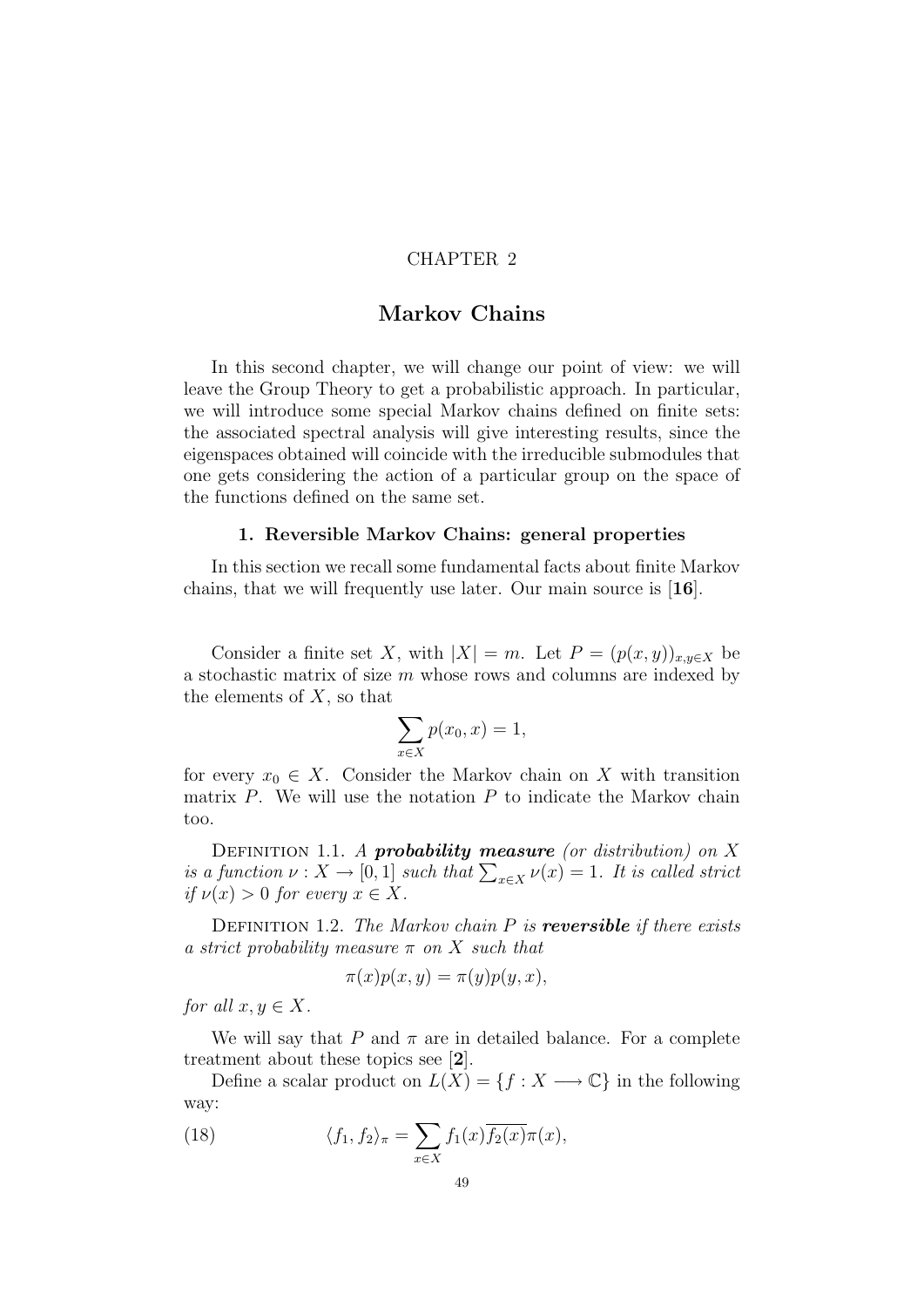## CHAPTER 2

# Markov Chains

In this second chapter, we will change our point of view: we will leave the Group Theory to get a probabilistic approach. In particular, we will introduce some special Markov chains defined on finite sets: the associated spectral analysis will give interesting results, since the eigenspaces obtained will coincide with the irreducible submodules that one gets considering the action of a particular group on the space of the functions defined on the same set.

## 1. Reversible Markov Chains: general properties

In this section we recall some fundamental facts about finite Markov chains, that we will frequently use later. Our main source is [16].

Consider a finite set X, with  $|X| = m$ . Let  $P = (p(x, y))_{x,y \in X}$  be a stochastic matrix of size  $m$  whose rows and columns are indexed by the elements of  $X$ , so that

$$
\sum_{x \in X} p(x_0, x) = 1,
$$

for every  $x_0 \in X$ . Consider the Markov chain on X with transition matrix  $P$ . We will use the notation  $P$  to indicate the Markov chain too.

DEFINITION 1.1. A **probability measure** (or distribution) on  $X$ is a function  $\nu: X \to [0,1]$  such that  $\sum_{x \in X} \nu(x) = 1$ . It is called strict if  $\nu(x) > 0$  for every  $x \in X$ .

DEFINITION 1.2. The Markov chain  $P$  is **reversible** if there exists a strict probability measure  $\pi$  on X such that

$$
\pi(x)p(x,y) = \pi(y)p(y,x),
$$

for all  $x, y \in X$ .

We will say that P and  $\pi$  are in detailed balance. For a complete treatment about these topics see [2].

Define a scalar product on  $L(X) = \{f : X \longrightarrow \mathbb{C}\}\)$  in the following way:

(18) 
$$
\langle f_1, f_2 \rangle_{\pi} = \sum_{x \in X} f_1(x) \overline{f_2(x)} \pi(x),
$$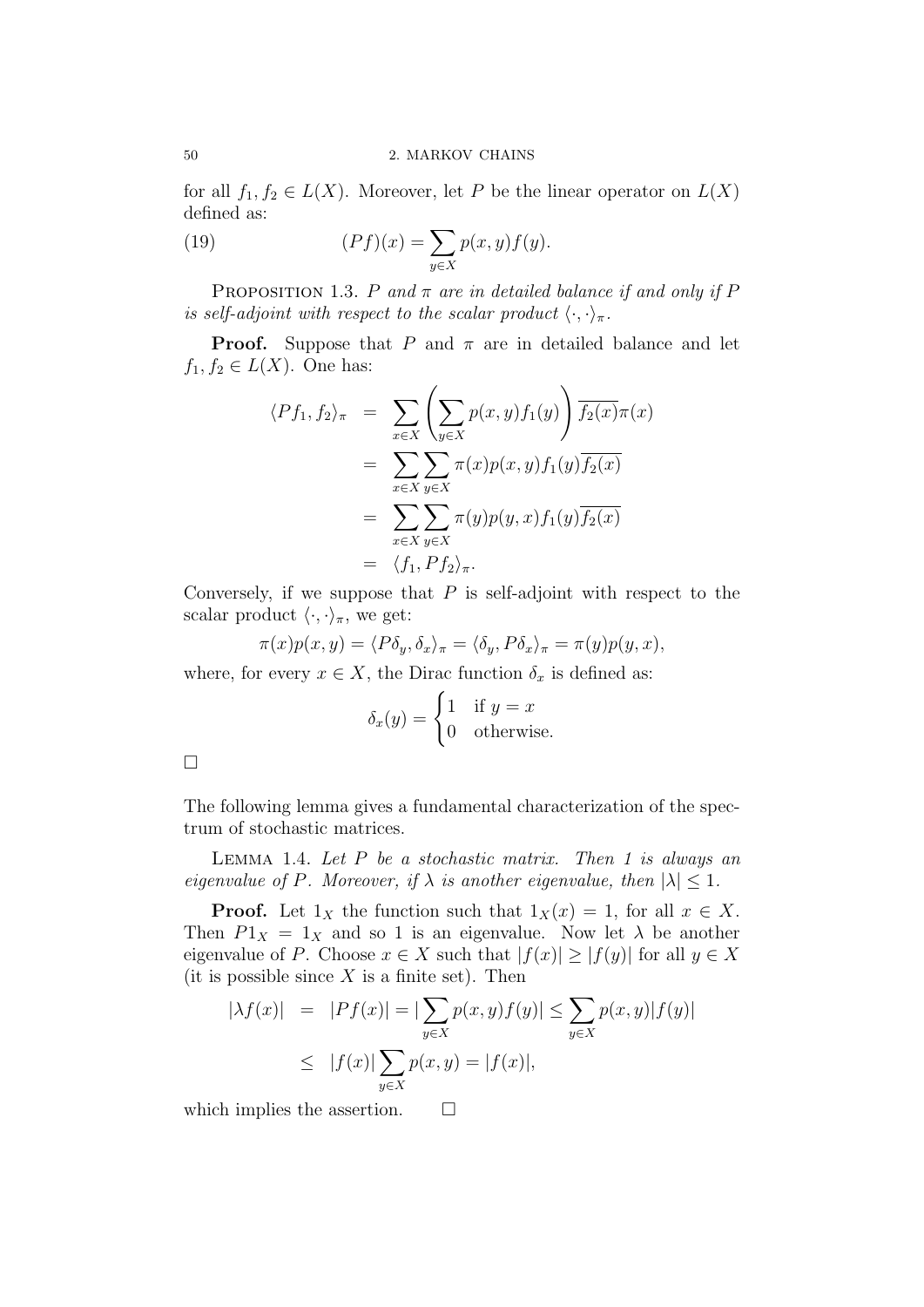for all  $f_1, f_2 \in L(X)$ . Moreover, let P be the linear operator on  $L(X)$ defined as:

(19) 
$$
(Pf)(x) = \sum_{y \in X} p(x, y) f(y).
$$

PROPOSITION 1.3. P and  $\pi$  are in detailed balance if and only if P is self-adjoint with respect to the scalar product  $\langle \cdot, \cdot \rangle_{\pi}$ .

**Proof.** Suppose that P and  $\pi$  are in detailed balance and let  $f_1, f_2 \in L(X)$ . One has:

$$
\langle Pf_1, f_2 \rangle_{\pi} = \sum_{x \in X} \left( \sum_{y \in X} p(x, y) f_1(y) \right) \overline{f_2(x)} \pi(x)
$$
  

$$
= \sum_{x \in X} \sum_{y \in X} \pi(x) p(x, y) f_1(y) \overline{f_2(x)}
$$
  

$$
= \sum_{x \in X} \sum_{y \in X} \pi(y) p(y, x) f_1(y) \overline{f_2(x)}
$$
  

$$
= \langle f_1, P f_2 \rangle_{\pi}.
$$

Conversely, if we suppose that  $P$  is self-adjoint with respect to the scalar product  $\langle \cdot, \cdot \rangle_{\pi}$ , we get:

$$
\pi(x)p(x,y) = \langle P\delta_y, \delta_x \rangle_{\pi} = \langle \delta_y, P\delta_x \rangle_{\pi} = \pi(y)p(y,x),
$$

where, for every  $x \in X$ , the Dirac function  $\delta_x$  is defined as:

$$
\delta_x(y) = \begin{cases} 1 & \text{if } y = x \\ 0 & \text{otherwise.} \end{cases}
$$

The following lemma gives a fundamental characterization of the spectrum of stochastic matrices.

LEMMA 1.4. Let  $P$  be a stochastic matrix. Then 1 is always an eigenvalue of P. Moreover, if  $\lambda$  is another eigenvalue, then  $|\lambda| \leq 1$ .

**Proof.** Let  $1_X$  the function such that  $1_X(x) = 1$ , for all  $x \in X$ . Then  $P1_X = 1_X$  and so 1 is an eigenvalue. Now let  $\lambda$  be another eigenvalue of P. Choose  $x \in X$  such that  $|f(x)| \geq |f(y)|$  for all  $y \in X$ (it is possible since  $X$  is a finite set). Then

$$
|\lambda f(x)| = |Pf(x)| = |\sum_{y \in X} p(x, y)f(y)| \le \sum_{y \in X} p(x, y)|f(y)|
$$
  

$$
\le |f(x)| \sum_{y \in X} p(x, y) = |f(x)|,
$$

which implies the assertion.  $\square$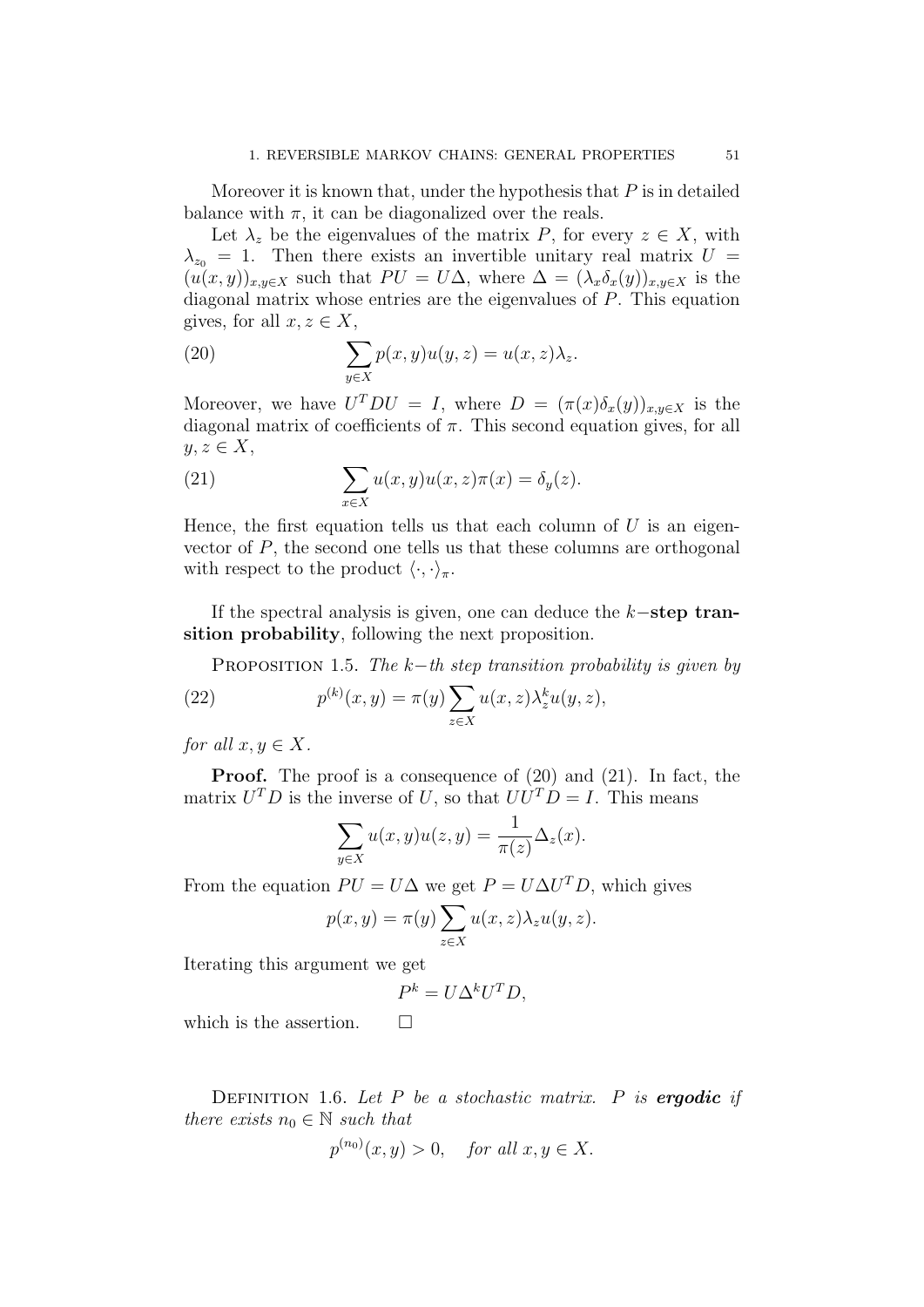Moreover it is known that, under the hypothesis that  $P$  is in detailed balance with  $\pi$ , it can be diagonalized over the reals.

Let  $\lambda_z$  be the eigenvalues of the matrix P, for every  $z \in X$ , with  $\lambda_{z_0} = 1$ . Then there exists an invertible unitary real matrix  $U =$  $(u(x,y))_{x,y\in X}$  such that  $PU = U\Delta$ , where  $\Delta = (\lambda_x \delta_x(y))_{x,y\in X}$  is the diagonal matrix whose entries are the eigenvalues of P. This equation gives, for all  $x, z \in X$ ,

(20) 
$$
\sum_{y \in X} p(x, y)u(y, z) = u(x, z)\lambda_z.
$$

Moreover, we have  $U^T D U = I$ , where  $D = (\pi(x)\delta_x(y))_{x,y \in X}$  is the diagonal matrix of coefficients of  $\pi$ . This second equation gives, for all  $y, z \in X$ ,

(21) 
$$
\sum_{x \in X} u(x, y)u(x, z)\pi(x) = \delta_y(z).
$$

Hence, the first equation tells us that each column of  $U$  is an eigenvector of P, the second one tells us that these columns are orthogonal with respect to the product  $\langle \cdot, \cdot \rangle_{\pi}$ .

If the spectral analysis is given, one can deduce the k−step transition probability, following the next proposition.

PROPOSITION 1.5. The k−th step transition probability is given by

(22) 
$$
p^{(k)}(x,y) = \pi(y) \sum_{z \in X} u(x,z) \lambda_z^k u(y,z),
$$

for all  $x, y \in X$ .

Proof. The proof is a consequence of (20) and (21). In fact, the matrix  $U^T D$  is the inverse of U, so that  $UU^T D = I$ . This means

$$
\sum_{y \in X} u(x, y)u(z, y) = \frac{1}{\pi(z)} \Delta_z(x).
$$

From the equation  $PU = U\Delta$  we get  $P = U\Delta U^T D$ , which gives

$$
p(x, y) = \pi(y) \sum_{z \in X} u(x, z) \lambda_z u(y, z).
$$

Iterating this argument we get

$$
P^k = U \Delta^k U^T D,
$$

which is the assertion.  $\Box$ 

DEFINITION 1.6. Let  $P$  be a stochastic matrix.  $P$  is **ergodic** if there exists  $n_0 \in \mathbb{N}$  such that

$$
p^{(n_0)}(x,y) > 0, \quad \text{for all } x, y \in X.
$$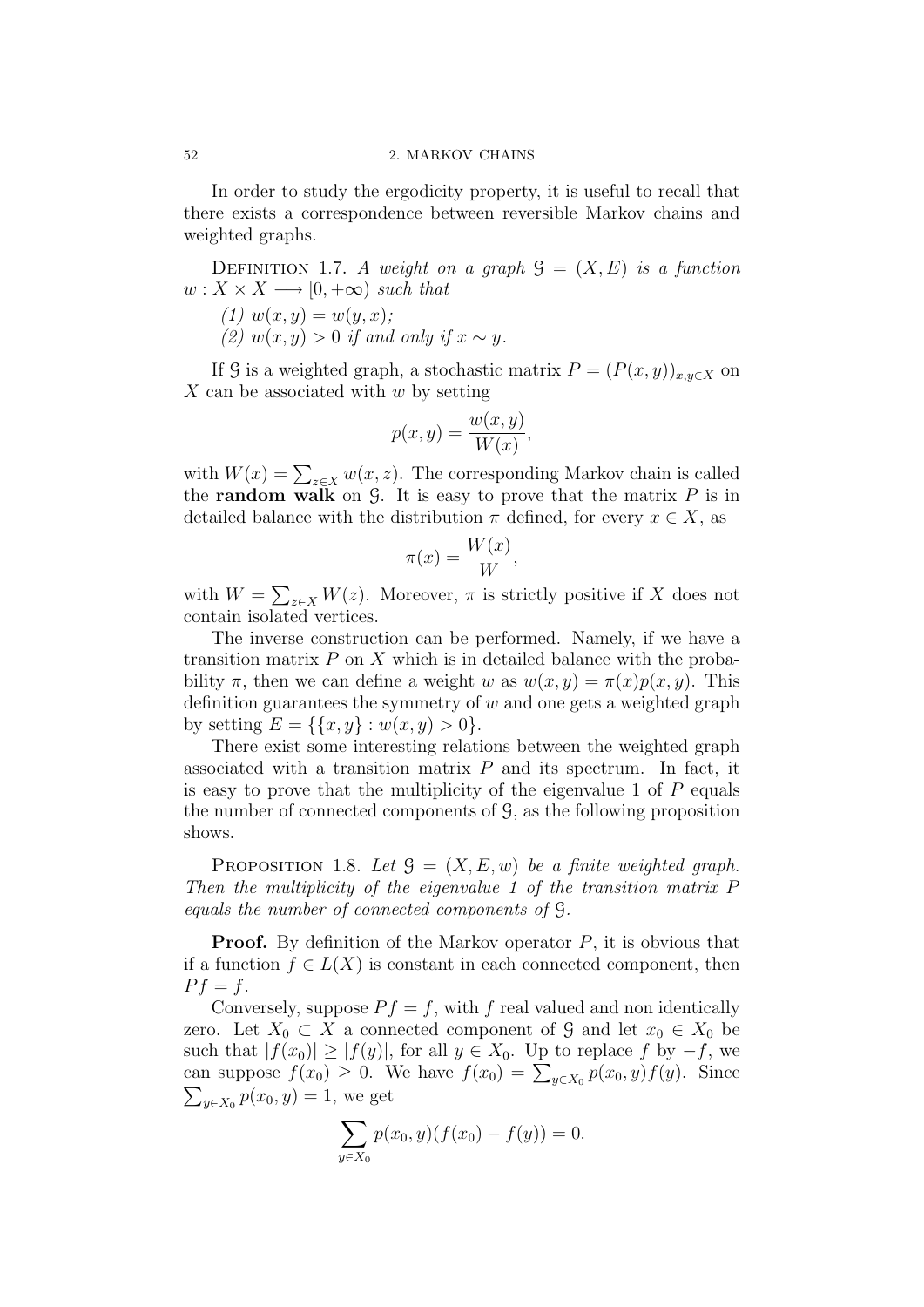#### 52 2. MARKOV CHAINS

In order to study the ergodicity property, it is useful to recall that there exists a correspondence between reversible Markov chains and weighted graphs.

DEFINITION 1.7. A weight on a graph  $\mathcal{G} = (X, E)$  is a function  $w: X \times X \longrightarrow [0, +\infty)$  such that

(1)  $w(x, y) = w(y, x)$ ; (2)  $w(x, y) > 0$  if and only if  $x \sim y$ .

If G is a weighted graph, a stochastic matrix  $P = (P(x, y))_{x,y \in X}$  on  $X$  can be associated with  $w$  by setting

$$
p(x, y) = \frac{w(x, y)}{W(x)},
$$

with  $W(x) = \sum_{z \in X} w(x, z)$ . The corresponding Markov chain is called the **random walk** on  $\mathcal{G}$ . It is easy to prove that the matrix  $P$  is in detailed balance with the distribution  $\pi$  defined, for every  $x \in X$ , as

$$
\pi(x) = \frac{W(x)}{W},
$$

with  $W = \sum_{z \in X} W(z)$ . Moreover,  $\pi$  is strictly positive if X does not contain isolated vertices.

The inverse construction can be performed. Namely, if we have a transition matrix  $P$  on  $X$  which is in detailed balance with the probability  $\pi$ , then we can define a weight w as  $w(x, y) = \pi(x)p(x, y)$ . This definition guarantees the symmetry of  $w$  and one gets a weighted graph by setting  $E = \{ \{x, y\} : w(x, y) > 0 \}.$ 

There exist some interesting relations between the weighted graph associated with a transition matrix  $P$  and its spectrum. In fact, it is easy to prove that the multiplicity of the eigenvalue 1 of  $P$  equals the number of connected components of G, as the following proposition shows.

PROPOSITION 1.8. Let  $\mathcal{G} = (X, E, w)$  be a finite weighted graph. Then the multiplicity of the eigenvalue 1 of the transition matrix P equals the number of connected components of G.

**Proof.** By definition of the Markov operator  $P$ , it is obvious that if a function  $f \in L(X)$  is constant in each connected component, then  $P f = f$ .

Conversely, suppose  $P f = f$ , with f real valued and non identically zero. Let  $X_0 \subset X$  a connected component of G and let  $x_0 \in X_0$  be such that  $|f(x_0)| \geq |f(y)|$ , for all  $y \in X_0$ . Up to replace f by  $-f$ , we can suppose  $f(x_0) \ge 0$ . We have  $f(x_0) = \sum_{y \in X_0} p(x_0, y) f(y)$ . Since  $\sum_{y \in X_0} p(x_0, y) = 1$ , we get  $y_{y \in X_0} p(x_0, y) = 1$ , we get

$$
\sum_{y \in X_0} p(x_0, y)(f(x_0) - f(y)) = 0.
$$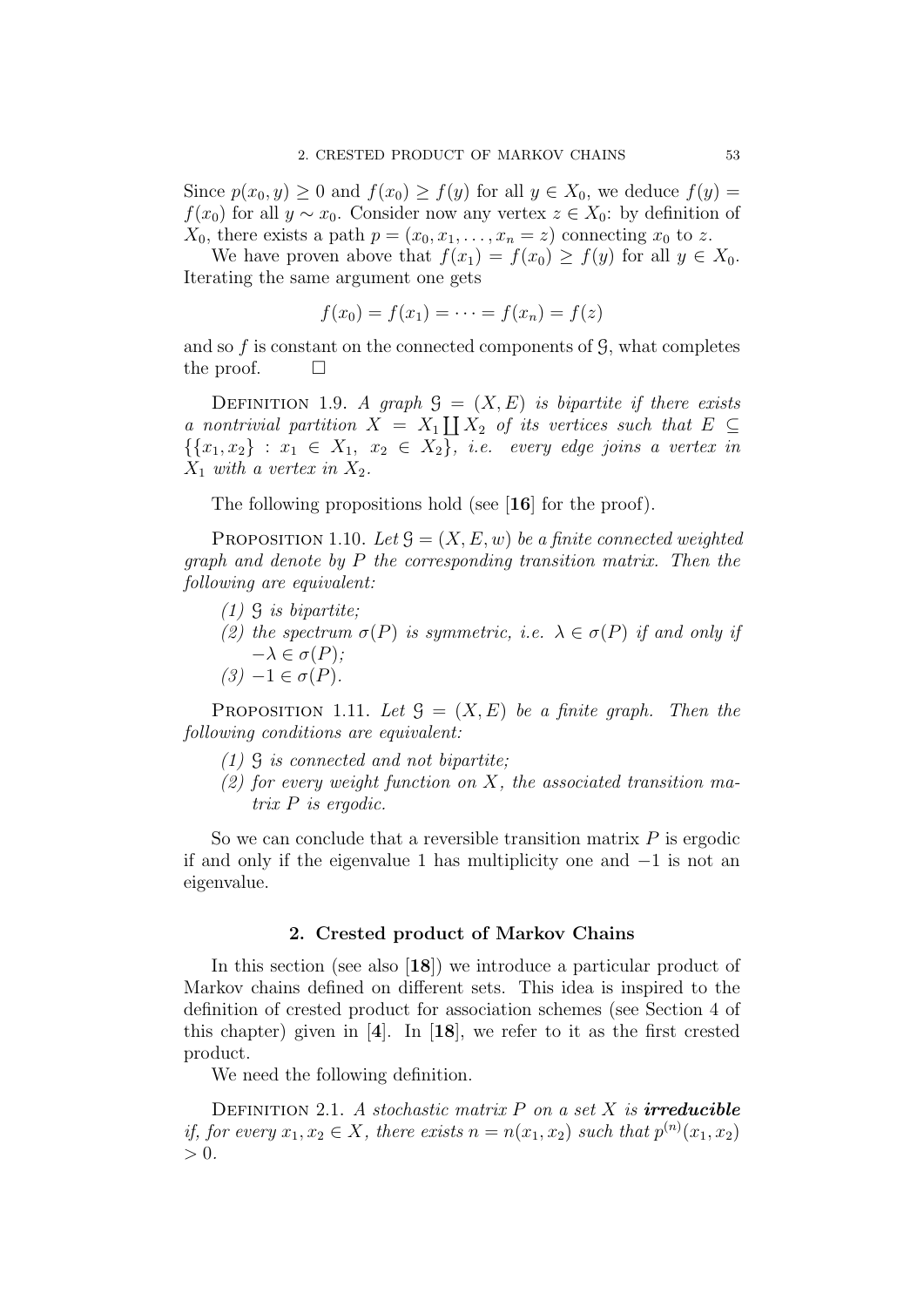Since  $p(x_0, y) \ge 0$  and  $f(x_0) \ge f(y)$  for all  $y \in X_0$ , we deduce  $f(y) =$  $f(x_0)$  for all  $y \sim x_0$ . Consider now any vertex  $z \in X_0$ : by definition of  $X_0$ , there exists a path  $p = (x_0, x_1, \ldots, x_n = z)$  connecting  $x_0$  to z.

We have proven above that  $f(x_1) = f(x_0) \ge f(y)$  for all  $y \in X_0$ . Iterating the same argument one gets

$$
f(x_0) = f(x_1) = \dots = f(x_n) = f(z)
$$

and so  $f$  is constant on the connected components of  $\mathcal{G}$ , what completes the proof.  $\Box$ 

DEFINITION 1.9. A graph  $\mathcal{G} = (X, E)$  is bipartite if there exists a nontrivial partition  $X = X_1 \coprod X_2$  of its vertices such that  $E \subseteq$  $\{\{x_1, x_2\} : x_1 \in X_1, x_2 \in X_2\}, \text{ i.e. } every \text{ edge joins a vertex in }$  $X_1$  with a vertex in  $X_2$ .

The following propositions hold (see [16] for the proof).

PROPOSITION 1.10. Let  $\mathcal{G} = (X, E, w)$  be a finite connected weighted graph and denote by P the corresponding transition matrix. Then the following are equivalent:

- $(1)$   $\mathcal{G}$  is bipartite;
- (2) the spectrum  $\sigma(P)$  is symmetric, i.e.  $\lambda \in \sigma(P)$  if and only if  $-\lambda \in \sigma(P)$ ;
- $(3)$   $-1 \in \sigma(P)$ .

PROPOSITION 1.11. Let  $\mathcal{G} = (X, E)$  be a finite graph. Then the following conditions are equivalent:

- (1) G is connected and not bipartite;
- $(2)$  for every weight function on X, the associated transition matrix P is ergodic.

So we can conclude that a reversible transition matrix  $P$  is ergodic if and only if the eigenvalue 1 has multiplicity one and −1 is not an eigenvalue.

### 2. Crested product of Markov Chains

In this section (see also [18]) we introduce a particular product of Markov chains defined on different sets. This idea is inspired to the definition of crested product for association schemes (see Section 4 of this chapter) given in [4]. In [18], we refer to it as the first crested product.

We need the following definition.

DEFINITION 2.1. A stochastic matrix  $P$  on a set  $X$  is **irreducible** if, for every  $x_1, x_2 \in X$ , there exists  $n = n(x_1, x_2)$  such that  $p^{(n)}(x_1, x_2)$  $> 0.$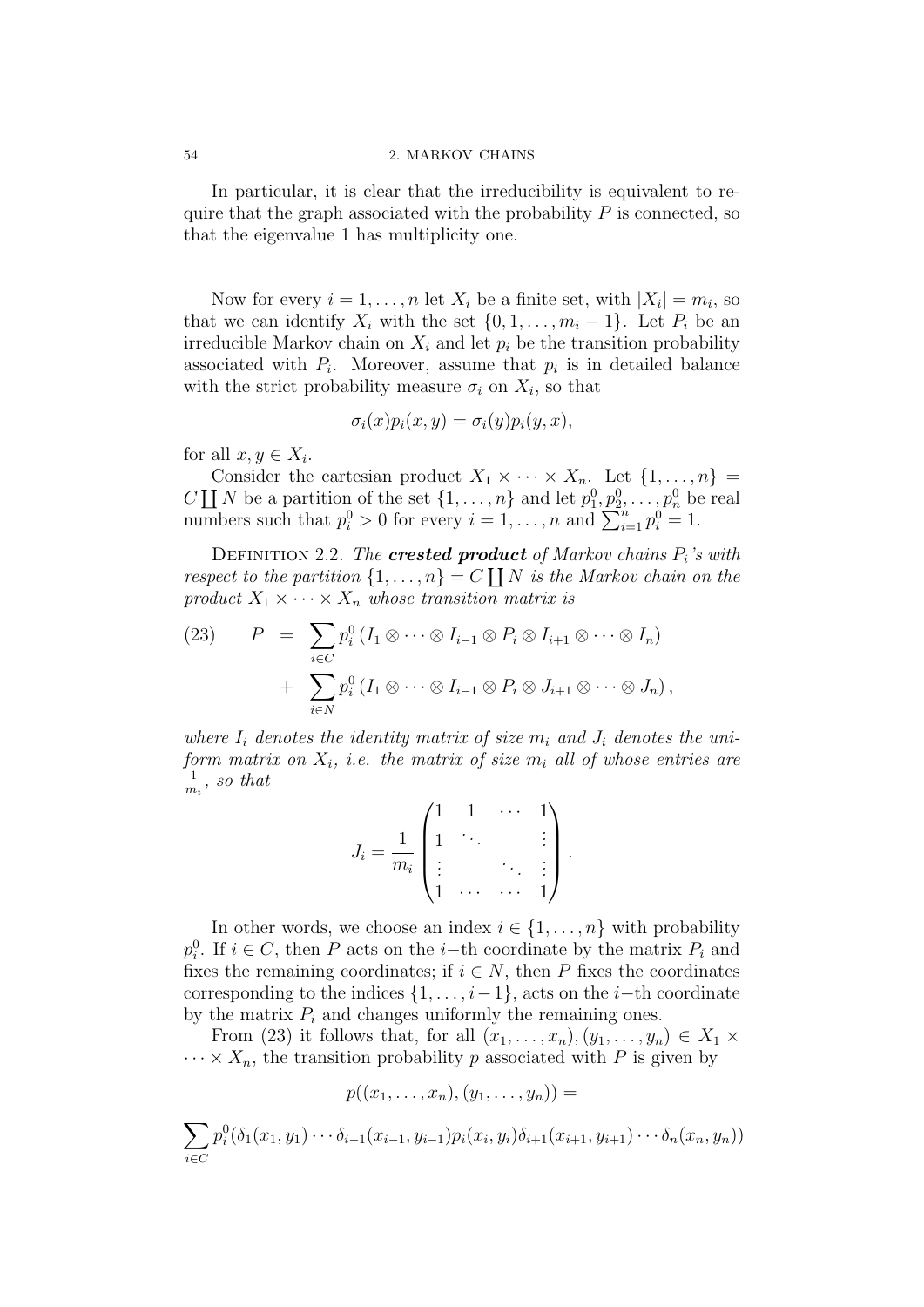#### 54 2. MARKOV CHAINS

In particular, it is clear that the irreducibility is equivalent to require that the graph associated with the probability  $P$  is connected, so that the eigenvalue 1 has multiplicity one.

Now for every  $i = 1, ..., n$  let  $X_i$  be a finite set, with  $|X_i| = m_i$ , so that we can identify  $X_i$  with the set  $\{0, 1, \ldots, m_i - 1\}$ . Let  $P_i$  be an irreducible Markov chain on  $X_i$  and let  $p_i$  be the transition probability associated with  $P_i$ . Moreover, assume that  $p_i$  is in detailed balance with the strict probability measure  $\sigma_i$  on  $X_i$ , so that

$$
\sigma_i(x)p_i(x,y)=\sigma_i(y)p_i(y,x),
$$

for all  $x, y \in X_i$ .

Consider the cartesian product  $X_1 \times \cdots \times X_n$ . Let  $\{1, \ldots, n\}$ C  $\coprod N$  be a partition of the set  $\{1, \ldots, n\}$  and let  $p_1^0, p_2^0, \ldots, p_n^0$  be real numbers such that  $p_i^0 > 0$  for every  $i = 1, \ldots, n$  and  $\sum_{i=1}^{n} p_i^0 = 1$ .

DEFINITION 2.2. The **crested product** of Markov chains  $P_i$ 's with respect to the partition  $\{1, \ldots, n\} = C \coprod N$  is the Markov chain on the product  $X_1 \times \cdots \times X_n$  whose transition matrix is

(23) 
$$
P = \sum_{i \in C} p_i^0 (I_1 \otimes \cdots \otimes I_{i-1} \otimes P_i \otimes I_{i+1} \otimes \cdots \otimes I_n)
$$

$$
+ \sum_{i \in N} p_i^0 (I_1 \otimes \cdots \otimes I_{i-1} \otimes P_i \otimes J_{i+1} \otimes \cdots \otimes J_n),
$$

where  $I_i$  denotes the identity matrix of size  $m_i$  and  $J_i$  denotes the uniform matrix on  $X_i$ , i.e. the matrix of size  $m_i$  all of whose entries are 1  $\frac{1}{m_i}$ , so that

$$
J_i = \frac{1}{m_i} \begin{pmatrix} 1 & 1 & \cdots & 1 \\ 1 & \ddots & & \vdots \\ \vdots & & \ddots & \vdots \\ 1 & \cdots & \cdots & 1 \end{pmatrix}.
$$

In other words, we choose an index  $i \in \{1, \ldots, n\}$  with probability  $p_i^0$ . If  $i \in C$ , then P acts on the i–th coordinate by the matrix  $P_i$  and fixes the remaining coordinates; if  $i \in N$ , then P fixes the coordinates corresponding to the indices  $\{1, \ldots, i-1\}$ , acts on the *i*−th coordinate by the matrix  $P_i$  and changes uniformly the remaining ones.

From (23) it follows that, for all  $(x_1, \ldots, x_n), (y_1, \ldots, y_n) \in X_1 \times$  $\cdots \times X_n$ , the transition probability p associated with P is given by

$$
p((x_1,\ldots,x_n),(y_1,\ldots,y_n))=
$$

$$
\sum_{i \in C} p_i^0(\delta_1(x_1, y_1) \cdots \delta_{i-1}(x_{i-1}, y_{i-1}) p_i(x_i, y_i) \delta_{i+1}(x_{i+1}, y_{i+1}) \cdots \delta_n(x_n, y_n))
$$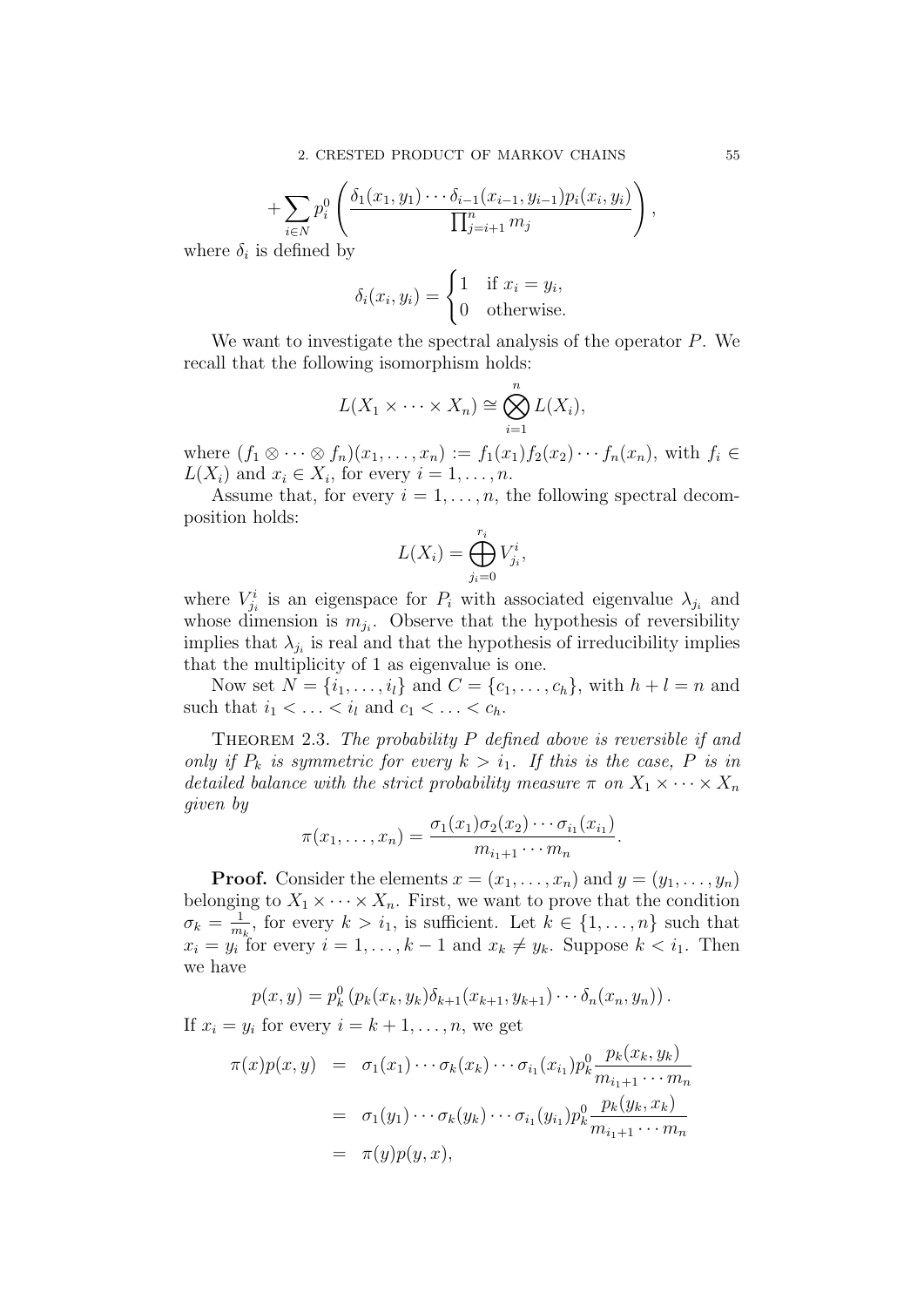$$
+\sum_{i\in N} p_i^0\left(\frac{\delta_1(x_1,y_1)\cdots\delta_{i-1}(x_{i-1},y_{i-1})p_i(x_i,y_i)}{\prod_{j=i+1}^n m_j}\right),
$$

where  $\delta_i$  is defined by

$$
\delta_i(x_i, y_i) = \begin{cases} 1 & \text{if } x_i = y_i, \\ 0 & \text{otherwise.} \end{cases}
$$

We want to investigate the spectral analysis of the operator P. We recall that the following isomorphism holds:

$$
L(X_1 \times \cdots \times X_n) \cong \bigotimes_{i=1}^n L(X_i),
$$

where  $(f_1 \otimes \cdots \otimes f_n)(x_1, \ldots, x_n) := f_1(x_1)f_2(x_2)\cdots f_n(x_n)$ , with  $f_i \in$  $L(X_i)$  and  $x_i \in X_i$ , for every  $i = 1, \ldots, n$ .

Assume that, for every  $i = 1, \ldots, n$ , the following spectral decomposition holds:

$$
L(X_i) = \bigoplus_{j_i=0}^{r_i} V_{j_i}^i,
$$

where  $V_{j_i}^i$  is an eigenspace for  $P_i$  with associated eigenvalue  $\lambda_{j_i}$  and whose dimension is  $m_{j_i}$ . Observe that the hypothesis of reversibility implies that  $\lambda_{j_i}$  is real and that the hypothesis of irreducibility implies that the multiplicity of 1 as eigenvalue is one.

Now set  $N = \{i_1, ..., i_l\}$  and  $C = \{c_1, ..., c_h\}$ , with  $h + l = n$  and such that  $i_1 < \ldots < i_l$  and  $c_1 < \ldots < c_h$ .

THEOREM 2.3. The probability  $P$  defined above is reversible if and only if  $P_k$  is symmetric for every  $k > i_1$ . If this is the case, P is in detailed balance with the strict probability measure  $\pi$  on  $X_1 \times \cdots \times X_n$ given by

$$
\pi(x_1,\ldots,x_n)=\frac{\sigma_1(x_1)\sigma_2(x_2)\cdots\sigma_{i_1}(x_{i_1})}{m_{i_1+1}\cdots m_n}.
$$

**Proof.** Consider the elements  $x = (x_1, \ldots, x_n)$  and  $y = (y_1, \ldots, y_n)$ belonging to  $X_1 \times \cdots \times X_n$ . First, we want to prove that the condition  $\sigma_k = \frac{1}{m}$  $\frac{1}{m_k}$ , for every  $k > i_1$ , is sufficient. Let  $k \in \{1, \ldots, n\}$  such that  $x_i = y_i$  for every  $i = 1, ..., k - 1$  and  $x_k \neq y_k$ . Suppose  $k < i_1$ . Then we have

$$
p(x,y) = p_k^0 (p_k(x_k, y_k) \delta_{k+1}(x_{k+1}, y_{k+1}) \cdots \delta_n(x_n, y_n)).
$$

If  $x_i = y_i$  for every  $i = k + 1, \ldots, n$ , we get

$$
\pi(x)p(x,y) = \sigma_1(x_1)\cdots\sigma_k(x_k)\cdots\sigma_{i_1}(x_{i_1})p_k^0 \frac{p_k(x_k, y_k)}{m_{i_1+1}\cdots m_n}
$$
  

$$
= \sigma_1(y_1)\cdots\sigma_k(y_k)\cdots\sigma_{i_1}(y_{i_1})p_k^0 \frac{p_k(y_k, x_k)}{m_{i_1+1}\cdots m_n}
$$
  

$$
= \pi(y)p(y, x),
$$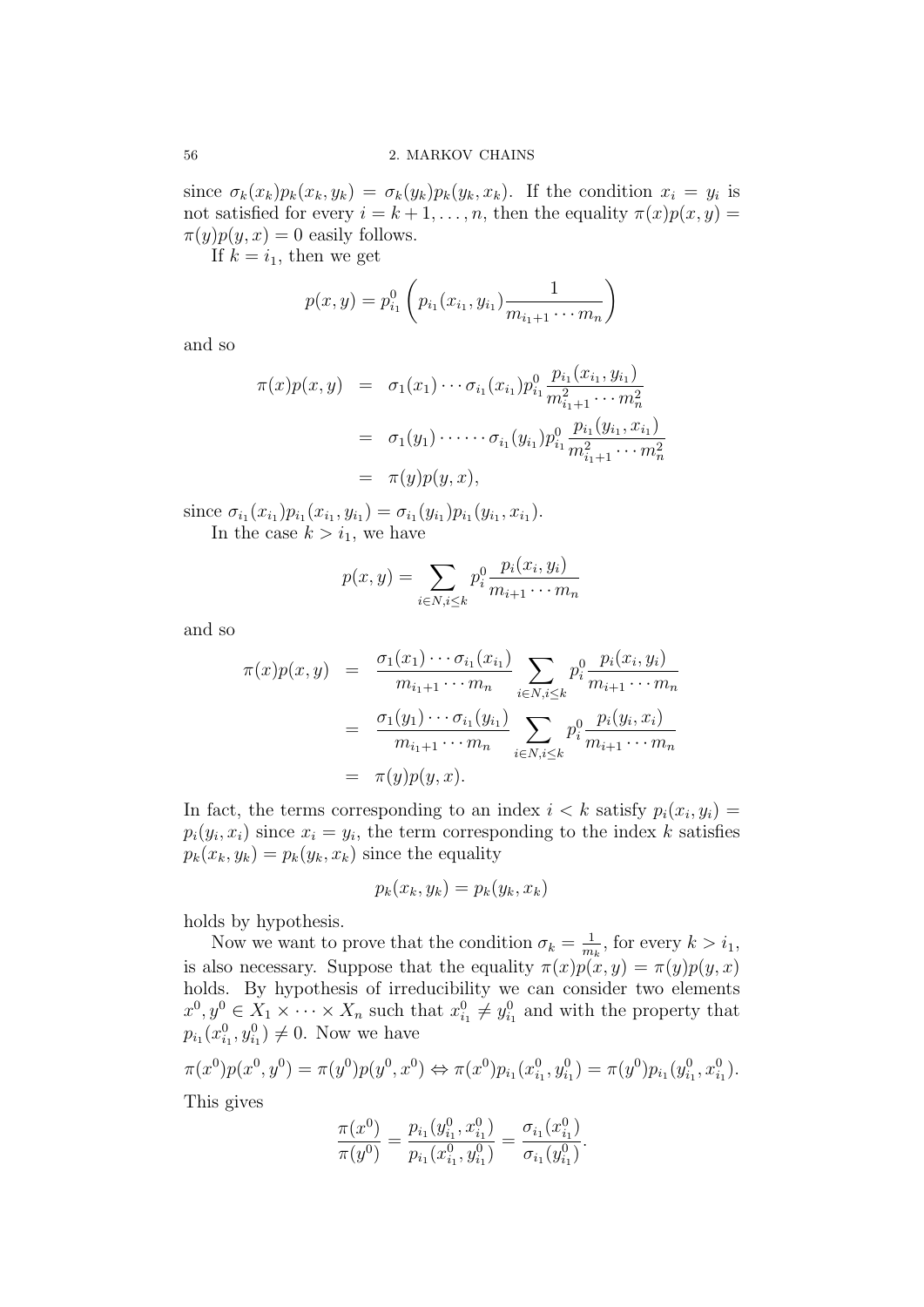since  $\sigma_k(x_k)p_k(x_k,y_k) = \sigma_k(y_k)p_k(y_k,x_k)$ . If the condition  $x_i = y_i$  is not satisfied for every  $i = k + 1, \ldots, n$ , then the equality  $\pi(x)p(x, y) =$  $\pi(y)p(y, x) = 0$  easily follows.

If  $k = i_1$ , then we get

$$
p(x,y) = p_{i_1}^0 \left( p_{i_1}(x_{i_1}, y_{i_1}) \frac{1}{m_{i_1+1} \cdots m_n} \right)
$$

and so

$$
\pi(x)p(x,y) = \sigma_1(x_1) \cdots \sigma_{i_1}(x_{i_1}) p_{i_1}^0 \frac{p_{i_1}(x_{i_1}, y_{i_1})}{m_{i_1+1}^2 \cdots m_n^2}
$$
  
=  $\sigma_1(y_1) \cdots \cdots \sigma_{i_1}(y_{i_1}) p_{i_1}^0 \frac{p_{i_1}(y_{i_1}, x_{i_1})}{m_{i_1+1}^2 \cdots m_n^2}$   
=  $\pi(y)p(y, x),$ 

since  $\sigma_{i_1}(x_{i_1})p_{i_1}(x_{i_1}, y_{i_1}) = \sigma_{i_1}(y_{i_1})p_{i_1}(y_{i_1}, x_{i_1}).$ In the case  $k > i_1$ , we have

$$
p(x, y) = \sum_{i \in N, i \le k} p_i^0 \frac{p_i(x_i, y_i)}{m_{i+1} \cdots m_n}
$$

and so

$$
\pi(x)p(x,y) = \frac{\sigma_1(x_1)\cdots\sigma_{i_1}(x_{i_1})}{m_{i_1+1}\cdots m_n} \sum_{i \in N, i \leq k} p_i^0 \frac{p_i(x_i, y_i)}{m_{i+1}\cdots m_n}
$$

$$
= \frac{\sigma_1(y_1)\cdots\sigma_{i_1}(y_{i_1})}{m_{i_1+1}\cdots m_n} \sum_{i \in N, i \leq k} p_i^0 \frac{p_i(y_i, x_i)}{m_{i+1}\cdots m_n}
$$

$$
= \pi(y)p(y, x).
$$

In fact, the terms corresponding to an index  $i < k$  satisfy  $p_i(x_i, y_i) =$  $p_i(y_i, x_i)$  since  $x_i = y_i$ , the term corresponding to the index k satisfies  $p_k(x_k, y_k) = p_k(y_k, x_k)$  since the equality

$$
p_k(x_k, y_k) = p_k(y_k, x_k)
$$

holds by hypothesis.

Now we want to prove that the condition  $\sigma_k = \frac{1}{m}$  $\frac{1}{m_k}$ , for every  $k > i_1$ , is also necessary. Suppose that the equality  $\pi(x)p(x, y) = \pi(y)p(y, x)$ holds. By hypothesis of irreducibility we can consider two elements  $x^0, y^0 \in X_1 \times \cdots \times X_n$  such that  $x_{i_1}^0 \neq y_{i_1}^0$  and with the property that  $p_{i_1}(x_{i_1}^0, y_{i_1}^0) \neq 0$ . Now we have

$$
\pi(x^0)p(x^0, y^0) = \pi(y^0)p(y^0, x^0) \Leftrightarrow \pi(x^0)p_{i_1}(x^0_{i_1}, y^0_{i_1}) = \pi(y^0)p_{i_1}(y^0_{i_1}, x^0_{i_1}).
$$

This gives

$$
\frac{\pi(x^0)}{\pi(y^0)} = \frac{p_{i_1}(y^0_{i_1}, x^0_{i_1})}{p_{i_1}(x^0_{i_1}, y^0_{i_1})} = \frac{\sigma_{i_1}(x^0_{i_1})}{\sigma_{i_1}(y^0_{i_1})}.
$$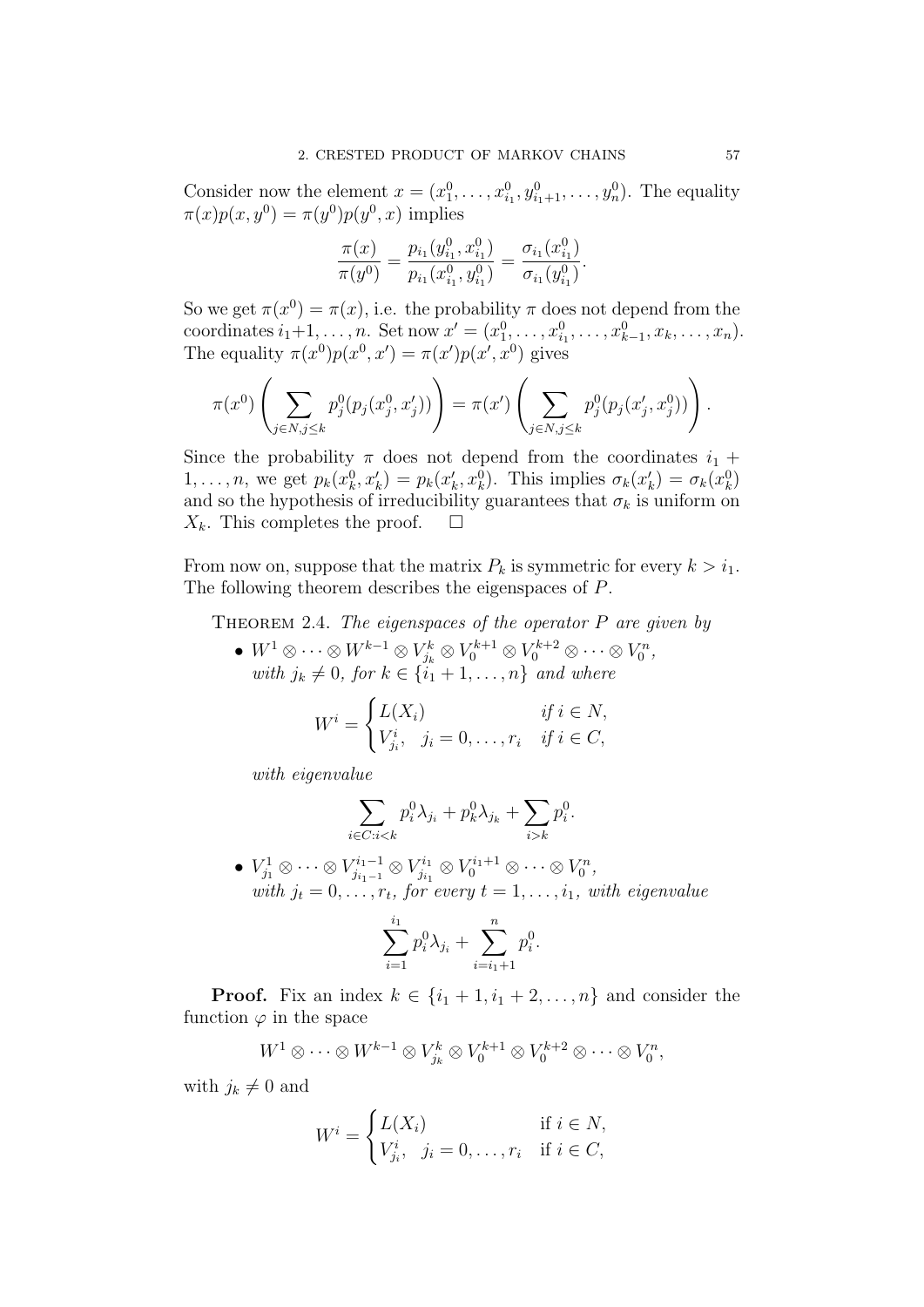Consider now the element  $x = (x_1^0, ..., x_{i_1}^0, y_{i_1+1}^0, ..., y_n^0)$ . The equality  $\pi(x)p(x, y^0) = \pi(y^0)p(y^0, x)$  implies

$$
\frac{\pi(x)}{\pi(y^0)} = \frac{p_{i_1}(y^0_{i_1}, x^0_{i_1})}{p_{i_1}(x^0_{i_1}, y^0_{i_1})} = \frac{\sigma_{i_1}(x^0_{i_1})}{\sigma_{i_1}(y^0_{i_1})}.
$$

So we get  $\pi(x^0) = \pi(x)$ , i.e. the probability  $\pi$  does not depend from the coordinates  $i_1+1, \ldots, n$ . Set now  $x' = (x_1^0, \ldots, x_{i_1}^0, \ldots, x_{k-1}^0, x_k, \ldots, x_n)$ . The equality  $\pi(x^0)p(x^0, x') = \pi(x')p(x', x^0)$  gives

$$
\pi(x^0) \left( \sum_{j \in N, j \leq k} p_j^0(p_j(x_j^0, x_j')) \right) = \pi(x') \left( \sum_{j \in N, j \leq k} p_j^0(p_j(x_j', x_j^0)) \right).
$$

Since the probability  $\pi$  does not depend from the coordinates  $i_1$  + 1,..., *n*, we get  $p_k(x_k^0, x_k') = p_k(x_k', x_k^0)$ . This implies  $\sigma_k(x_k') = \sigma_k(x_k^0)$ and so the hypothesis of irreducibility guarantees that  $\sigma_k$  is uniform on  $X_k$ . This completes the proof.  $\square$ 

From now on, suppose that the matrix  $P_k$  is symmetric for every  $k > i_1$ . The following theorem describes the eigenspaces of P.

THEOREM 2.4. The eigenspaces of the operator  $P$  are given by

•  $W^1 \otimes \cdots \otimes W^{k-1} \otimes V_{j_k}^k \otimes V_0^{k+1} \otimes V_0^{k+2} \otimes \cdots \otimes V_0^n$ with  $j_k \neq 0$ , for  $k \in \{i_1 + 1, \ldots, n\}$  and where

$$
W^i = \begin{cases} L(X_i) & \text{if } i \in N, \\ V^i_{j_i}, \quad j_i = 0, \dots, r_i & \text{if } i \in C, \end{cases}
$$

with eigenvalue

$$
\sum_{i \in C: i < k} p_i^0 \lambda_{j_i} + p_k^0 \lambda_{j_k} + \sum_{i > k} p_i^0.
$$

 $\bullet\ V^1_{j_1}\otimes\cdots\otimes V^{i_1-1}_{j_{i_1-1}}\otimes V^{i_1}_{j_{i_1}}$  $V^{i_1}_{j_{i_1}} \otimes V^{i_1+1}_0 \otimes \cdots \otimes V^n_0,$ with  $j_t = 0, \ldots, r_t$ , for every  $t = 1, \ldots, i_1$ , with eigenvalue

$$
\sum_{i=1}^{i_1} p_i^0 \lambda_{j_i} + \sum_{i=i_1+1}^{n} p_i^0.
$$

**Proof.** Fix an index  $k \in \{i_1 + 1, i_1 + 2, \ldots, n\}$  and consider the function  $\varphi$  in the space

$$
W^1 \otimes \cdots \otimes W^{k-1} \otimes V_{j_k}^k \otimes V_0^{k+1} \otimes V_0^{k+2} \otimes \cdots \otimes V_0^n,
$$

with  $j_k \neq 0$  and

$$
W^i = \begin{cases} L(X_i) & \text{if } i \in N, \\ V_{j_i}^i, \quad j_i = 0, \dots, r_i & \text{if } i \in C, \end{cases}
$$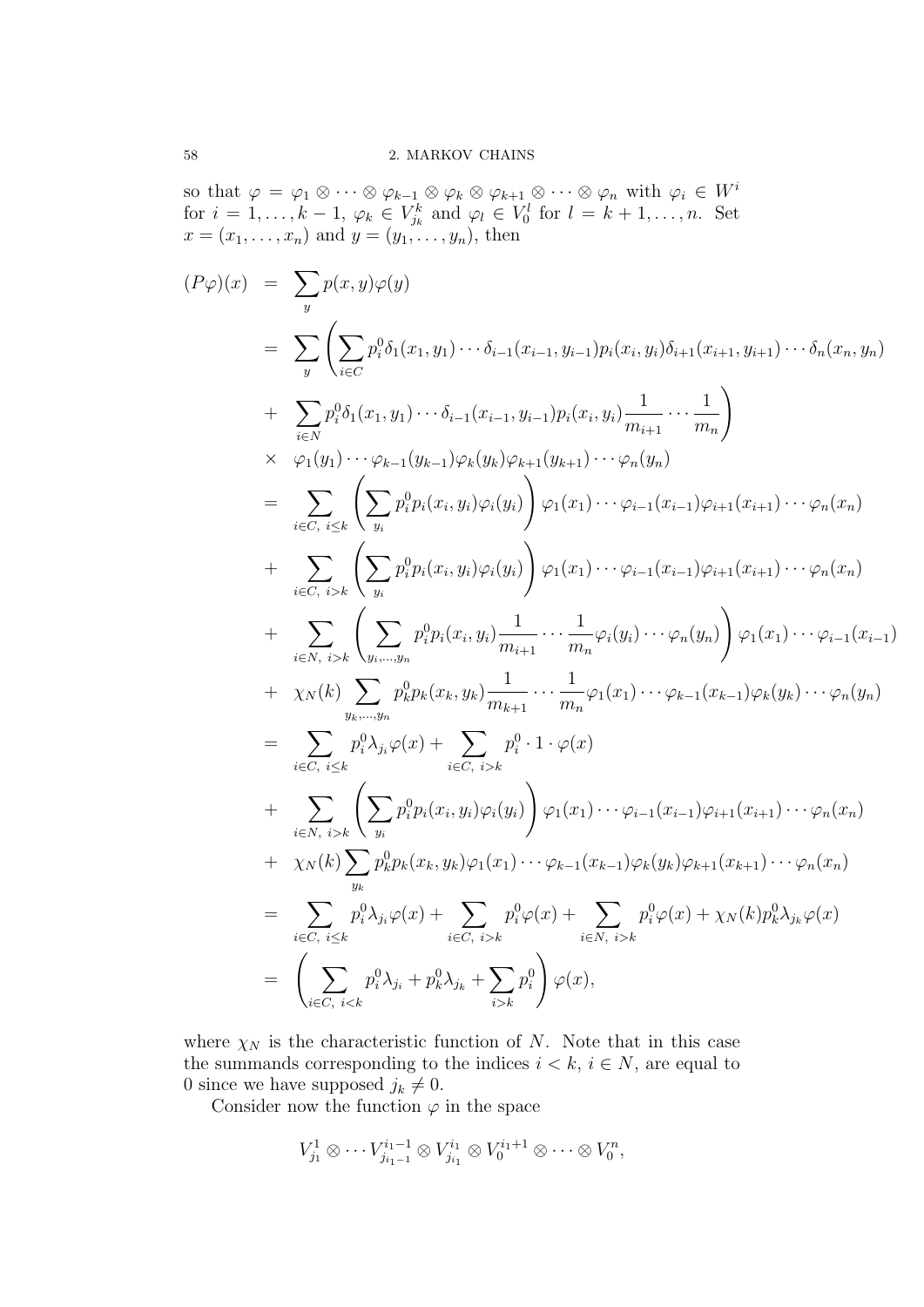so that  $\varphi = \varphi_1 \otimes \cdots \otimes \varphi_{k-1} \otimes \varphi_k \otimes \varphi_{k+1} \otimes \cdots \otimes \varphi_n$  with  $\varphi_i \in W^i$ for  $i = 1, \ldots, k - 1$ ,  $\varphi_k \in V_{j_k}^k$  and  $\varphi_l \in V_0^l$  for  $l = k + 1, \ldots, n$ . Set  $x = (x_1, ..., x_n)$  and  $y = (y_1, ..., y_n)$ , then

$$
(P\varphi)(x) = \sum_{y} p(x, y)\varphi(y)
$$
  
\n
$$
= \sum_{y} \left( \sum_{i \in C} p_{i}^{0}\delta_{1}(x_{1}, y_{1}) \cdots \delta_{i-1}(x_{i-1}, y_{i-1})p_{i}(x_{i}, y_{i})\delta_{i+1}(x_{i+1}, y_{i+1}) \cdots \delta_{n}(x_{n}, y_{n}) \right) + \sum_{i \in N} p_{i}^{0}\delta_{1}(x_{1}, y_{1}) \cdots \delta_{i-1}(x_{i-1}, y_{i-1})p_{i}(x_{i}, y_{i}) \frac{1}{m_{i+1}} \cdots \frac{1}{m_{n}} \right) \times \varphi_{1}(y_{1}) \cdots \varphi_{k-1}(y_{k-1})\varphi_{k}(y_{k})\varphi_{k+1}(y_{k+1}) \cdots \varphi_{n}(y_{n})
$$
  
\n
$$
= \sum_{i \in C, i \leq k} \left( \sum_{y_{i}} p_{i}^{0}p_{i}(x_{i}, y_{i})\varphi_{i}(y_{i}) \right) \varphi_{1}(x_{1}) \cdots \varphi_{i-1}(x_{i-1})\varphi_{i+1}(x_{i+1}) \cdots \varphi_{n}(x_{n})
$$
  
\n
$$
+ \sum_{i \in C, i \leq k} \left( \sum_{y_{i}} p_{i}^{0}p_{i}(x_{i}, y_{i})\varphi_{i}(y_{i}) \right) \varphi_{1}(x_{1}) \cdots \varphi_{i-1}(x_{i-1})\varphi_{i+1}(x_{i+1}) \cdots \varphi_{n}(x_{n})
$$
  
\n
$$
+ \sum_{i \in N, i \geq k} \left( \sum_{y_{i}, \ldots, y_{m}} p_{i}^{0}p_{i}(x_{i}, y_{i}) \frac{1}{m_{i+1}} \cdots \frac{1}{m_{n}} \varphi_{i}(y_{i}) \cdots \varphi_{n}(y_{n}) \right) \varphi_{1}(x_{1}) \cdots \varphi_{i-1}(x_{i-1})
$$
  
\n
$$
+ \chi_{N}(k) \sum_{y_{k}, \ldots, y_{n}} p_{k}^{0}p_{i}(x_{i}, y_{k}) \frac{1}{m_{k+1}} \cdots \frac{1}{m_{n}} \
$$

where  $\chi_N$  is the characteristic function of N. Note that in this case the summands corresponding to the indices  $i < k$ ,  $i \in N$ , are equal to 0 since we have supposed  $j_k \neq 0$ .

Consider now the function  $\varphi$  in the space

$$
V_{j_1}^1 \otimes \cdots V_{j_{i_1-1}}^{i_1-1} \otimes V_{j_{i_1}}^{i_1} \otimes V_0^{i_1+1} \otimes \cdots \otimes V_0^n,
$$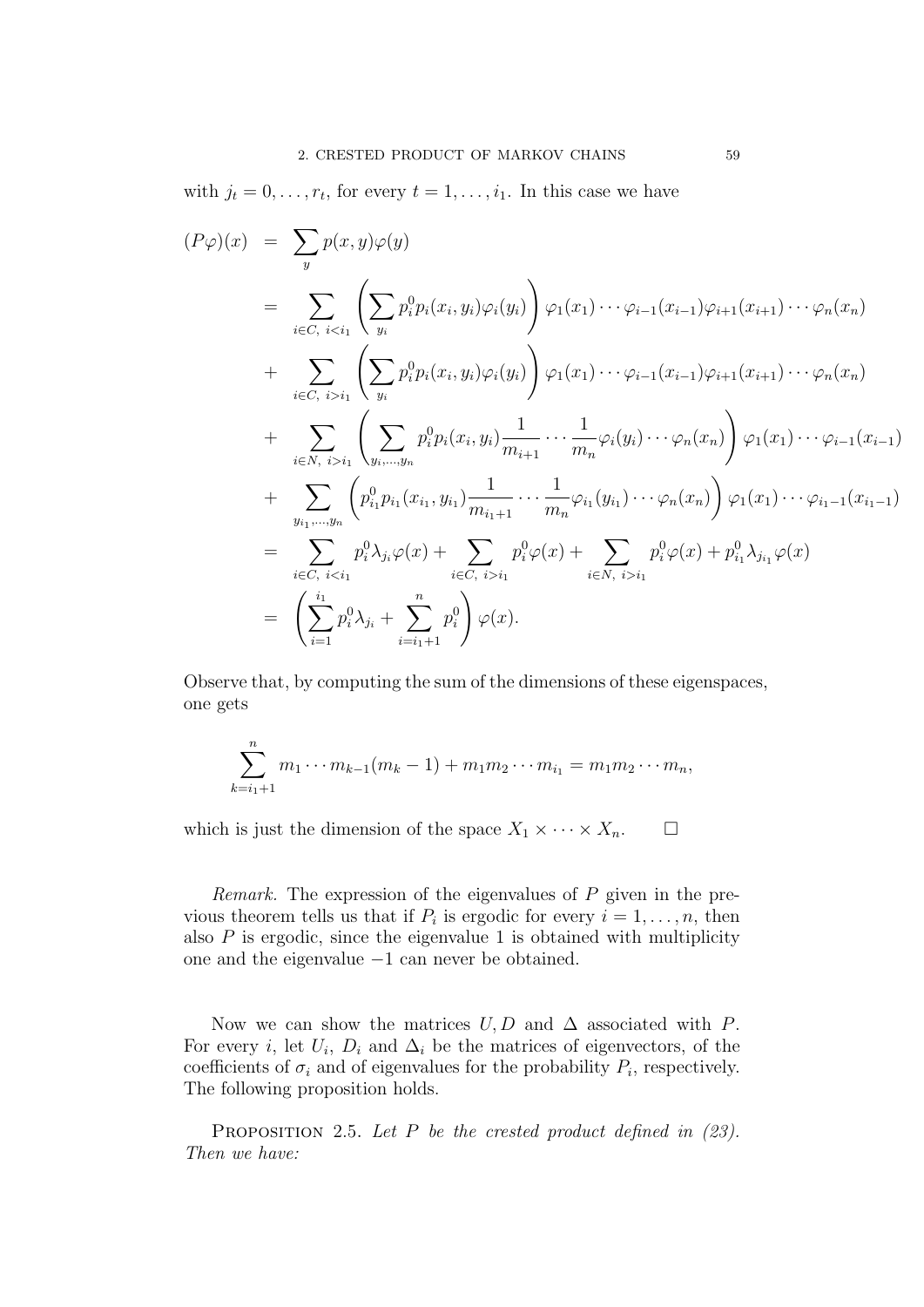with  $j_t = 0, \ldots, r_t$ , for every  $t = 1, \ldots, i_1$ . In this case we have

$$
(P\varphi)(x) = \sum_{y} p(x, y)\varphi(y)
$$
  
\n
$$
= \sum_{i \in C, i < i_1} \left( \sum_{y_i} p_i^0 p_i(x_i, y_i) \varphi_i(y_i) \right) \varphi_1(x_1) \cdots \varphi_{i-1}(x_{i-1}) \varphi_{i+1}(x_{i+1}) \cdots \varphi_n(x_n)
$$
  
\n
$$
+ \sum_{i \in C, i > i_1} \left( \sum_{y_i} p_i^0 p_i(x_i, y_i) \varphi_i(y_i) \right) \varphi_1(x_1) \cdots \varphi_{i-1}(x_{i-1}) \varphi_{i+1}(x_{i+1}) \cdots \varphi_n(x_n)
$$
  
\n
$$
+ \sum_{i \in N, i > i_1} \left( \sum_{y_i, \dots, y_n} p_i^0 p_i(x_i, y_i) \frac{1}{m_{i+1}} \cdots \frac{1}{m_n} \varphi_i(y_i) \cdots \varphi_n(x_n) \right) \varphi_1(x_1) \cdots \varphi_{i-1}(x_{i-1})
$$
  
\n
$$
+ \sum_{y_{i_1}, \dots, y_n} \left( p_{i_1}^0 p_{i_1}(x_{i_1}, y_{i_1}) \frac{1}{m_{i_1+1}} \cdots \frac{1}{m_n} \varphi_{i_1}(y_{i_1}) \cdots \varphi_n(x_n) \right) \varphi_1(x_1) \cdots \varphi_{i-1}(x_{i-1})
$$
  
\n
$$
= \sum_{i \in C, i < i_1} p_i^0 \lambda_{j_i} \varphi(x) + \sum_{i \in C, i > i_1} p_i^0 \varphi(x) + \sum_{i \in N, i > i_1} p_i^0 \varphi(x) + p_{i_1}^0 \lambda_{j_{i_1}} \varphi(x)
$$
  
\n
$$
= \left( \sum_{i=1}^{i_1} p_i^0 \lambda_{j_i} + \sum_{i=i_1+1}^{n} p_i^0 \right) \varphi(x).
$$

Observe that, by computing the sum of the dimensions of these eigenspaces, one gets

$$
\sum_{k=i_1+1}^n m_1 \cdots m_{k-1}(m_k-1) + m_1 m_2 \cdots m_{i_1} = m_1 m_2 \cdots m_n,
$$

which is just the dimension of the space  $X_1 \times \cdots \times X_n$ .  $\Box$ 

Remark. The expression of the eigenvalues of  $P$  given in the previous theorem tells us that if  $P_i$  is ergodic for every  $i = 1, \ldots, n$ , then also  $P$  is ergodic, since the eigenvalue 1 is obtained with multiplicity one and the eigenvalue −1 can never be obtained.

Now we can show the matrices  $U, D$  and  $\Delta$  associated with P. For every *i*, let  $U_i$ ,  $D_i$  and  $\Delta_i$  be the matrices of eigenvectors, of the coefficients of  $\sigma_i$  and of eigenvalues for the probability  $P_i$ , respectively. The following proposition holds.

PROPOSITION 2.5. Let P be the crested product defined in  $(23)$ . Then we have: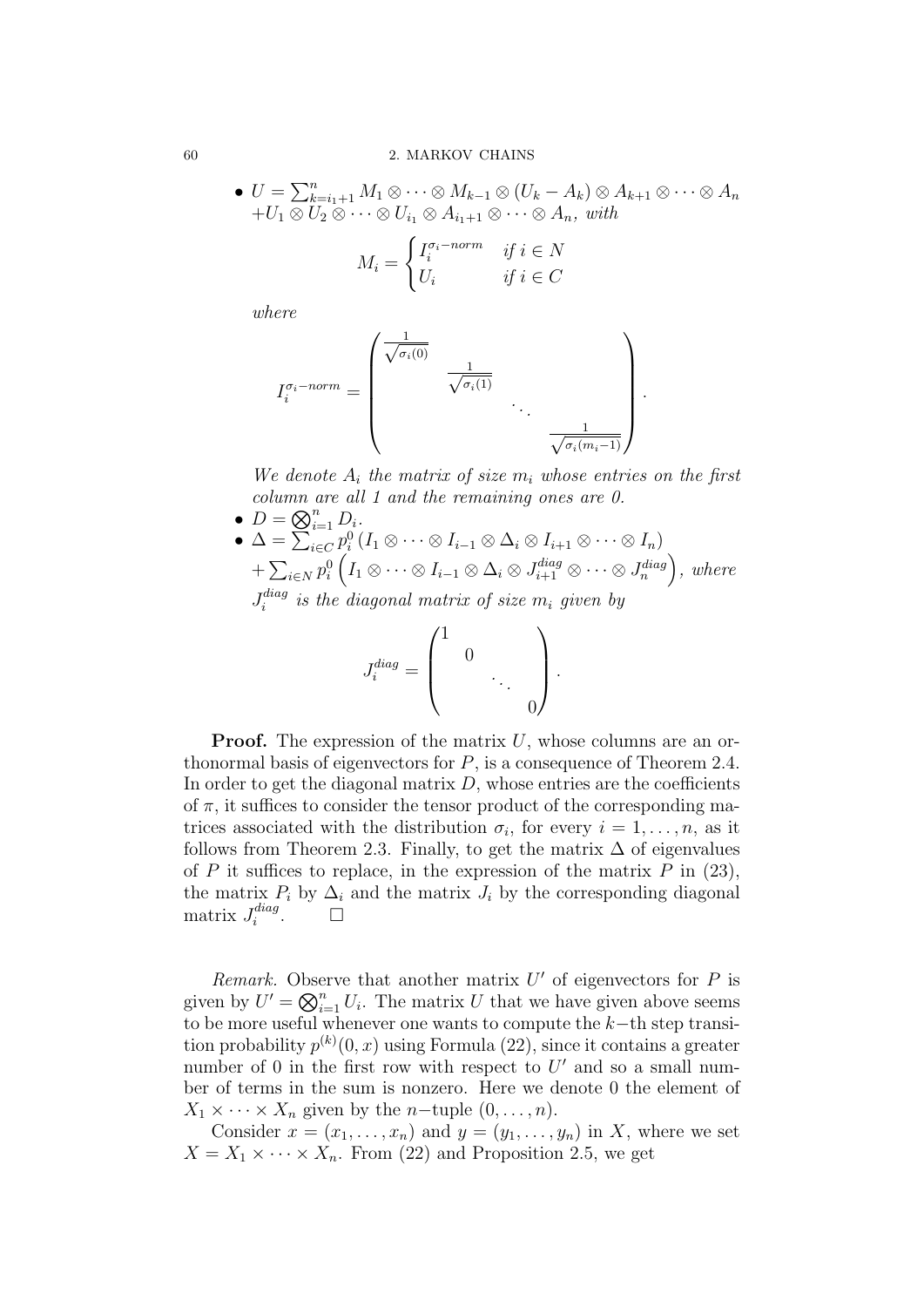• 
$$
U = \sum_{k=i_1+1}^{n} M_1 \otimes \cdots \otimes M_{k-1} \otimes (U_k - A_k) \otimes A_{k+1} \otimes \cdots \otimes A_n
$$
  
+ $U_1 \otimes U_2 \otimes \cdots \otimes U_{i_1} \otimes A_{i_1+1} \otimes \cdots \otimes A_n$ , with

$$
M_i = \begin{cases} I_i^{\sigma_i-norm} & \text{if } i \in N \\ U_i & \text{if } i \in C \end{cases}
$$

where

$$
I_i^{\sigma_i-norm} = \begin{pmatrix} \frac{1}{\sqrt{\sigma_i(0)}} & & & \\ & \frac{1}{\sqrt{\sigma_i(1)}} & & \\ & & \ddots & \\ & & & \frac{1}{\sqrt{\sigma_i(m_i-1)}} \end{pmatrix}
$$

We denote  $A_i$  the matrix of size  $m_i$  whose entries on the first column are all 1 and the remaining ones are 0.

.

- $D = \bigotimes_{i=1}^n D_i$ .
- $\Delta = \sum_{i \in C} p_i^0 (I_1 \otimes \cdots \otimes I_{i-1} \otimes \Delta_i \otimes I_{i+1} \otimes \cdots \otimes I_n)$  $+\sum_{i\in N}p_i^0\left(I_1\otimes\cdots\otimes I_{i-1}\otimes\Delta_i\otimes J_{i+1}^{diag}\otimes\cdots\otimes J_n^{diag}\right),\ where$  $J^{diag}_i$  $\hat{u}^{aug}_i$  is the diagonal matrix of size  $m_i$  given by

$$
J_i^{diag} = \begin{pmatrix} 1 & & & \\ & 0 & & \\ & & \ddots & \\ & & & 0 \end{pmatrix}.
$$

**Proof.** The expression of the matrix  $U$ , whose columns are an orthonormal basis of eigenvectors for  $P$ , is a consequence of Theorem 2.4. In order to get the diagonal matrix  $D$ , whose entries are the coefficients of  $\pi$ , it suffices to consider the tensor product of the corresponding matrices associated with the distribution  $\sigma_i$ , for every  $i = 1, \ldots, n$ , as it follows from Theorem 2.3. Finally, to get the matrix  $\Delta$  of eigenvalues of P it suffices to replace, in the expression of the matrix P in  $(23)$ , the matrix  $P_i$  by  $\Delta_i$  and the matrix  $J_i$  by the corresponding diagonal matrix  $J_i^{diag}$ i  $\Box$ 

Remark. Observe that another matrix  $U'$  of eigenvectors for  $P$  is given by  $U' = \bigotimes_{i=1}^n U_i$ . The matrix U that we have given above seems to be more useful whenever one wants to compute the  $k$ −th step transition probability  $p^{(k)}(0, x)$  using Formula (22), since it contains a greater number of 0 in the first row with respect to  $U'$  and so a small number of terms in the sum is nonzero. Here we denote 0 the element of  $X_1 \times \cdots \times X_n$  given by the *n*-tuple  $(0, \ldots, n)$ .

Consider  $x = (x_1, \ldots, x_n)$  and  $y = (y_1, \ldots, y_n)$  in X, where we set  $X = X_1 \times \cdots \times X_n$ . From (22) and Proposition 2.5, we get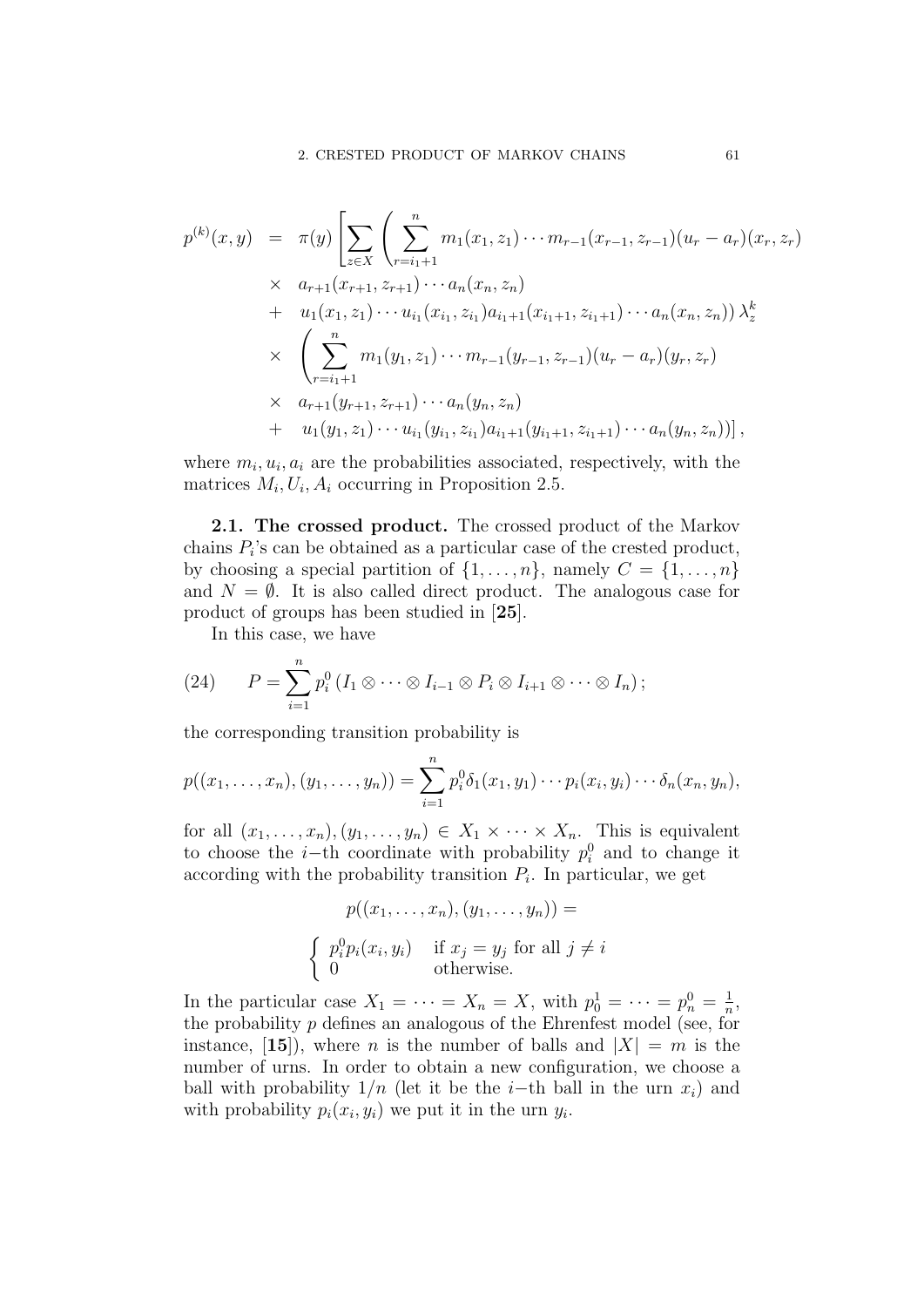$$
p^{(k)}(x,y) = \pi(y) \left[ \sum_{z \in X} \left( \sum_{r=i_1+1}^n m_1(x_1, z_1) \cdots m_{r-1}(x_{r-1}, z_{r-1})(u_r - a_r)(x_r, z_r) \right) \right]
$$
  

$$
\times a_{r+1}(x_{r+1}, z_{r+1}) \cdots a_n(x_n, z_n)
$$
  

$$
+ u_1(x_1, z_1) \cdots u_{i_1}(x_{i_1}, z_{i_1}) a_{i_1+1}(x_{i_1+1}, z_{i_1+1}) \cdots a_n(x_n, z_n)) \lambda_z^k
$$
  

$$
\times \left( \sum_{r=i_1+1}^n m_1(y_1, z_1) \cdots m_{r-1}(y_{r-1}, z_{r-1})(u_r - a_r)(y_r, z_r) \right)
$$
  

$$
\times a_{r+1}(y_{r+1}, z_{r+1}) \cdots a_n(y_n, z_n)
$$
  

$$
+ u_1(y_1, z_1) \cdots u_{i_1}(y_{i_1}, z_{i_1}) a_{i_1+1}(y_{i_1+1}, z_{i_1+1}) \cdots a_n(y_n, z_n)) \right],
$$

where  $m_i, u_i, a_i$  are the probabilities associated, respectively, with the matrices  $M_i, U_i, A_i$  occurring in Proposition 2.5.

2.1. The crossed product. The crossed product of the Markov chains  $P_i$ 's can be obtained as a particular case of the crested product, by choosing a special partition of  $\{1, \ldots, n\}$ , namely  $C = \{1, \ldots, n\}$ and  $N = \emptyset$ . It is also called direct product. The analogous case for product of groups has been studied in [25].

In this case, we have

(24) 
$$
P = \sum_{i=1}^{n} p_i^0 (I_1 \otimes \cdots \otimes I_{i-1} \otimes P_i \otimes I_{i+1} \otimes \cdots \otimes I_n);
$$

the corresponding transition probability is

$$
p((x_1,...,x_n),(y_1,...,y_n)) = \sum_{i=1}^n p_i^0 \delta_1(x_1,y_1) \cdots p_i(x_i,y_i) \cdots \delta_n(x_n,y_n),
$$

for all  $(x_1, \ldots, x_n), (y_1, \ldots, y_n) \in X_1 \times \cdots \times X_n$ . This is equivalent to choose the *i*-th coordinate with probability  $p_i^0$  and to change it according with the probability transition  $P_i$ . In particular, we get

$$
p((x_1, \ldots, x_n), (y_1, \ldots, y_n)) =
$$
\n
$$
\begin{cases}\n p_i^0 p_i(x_i, y_i) & \text{if } x_j = y_j \text{ for all } j \neq i \\
0 & \text{otherwise.} \n\end{cases}
$$

In the particular case  $X_1 = \cdots = X_n = X$ , with  $p_0^1 = \cdots = p_n^0 = \frac{1}{n}$  $\frac{1}{n}$ the probability  $p$  defines an analogous of the Ehrenfest model (see, for instance, [15]), where *n* is the number of balls and  $|X| = m$  is the number of urns. In order to obtain a new configuration, we choose a ball with probability  $1/n$  (let it be the i–th ball in the urn  $x_i$ ) and with probability  $p_i(x_i, y_i)$  we put it in the urn  $y_i$ .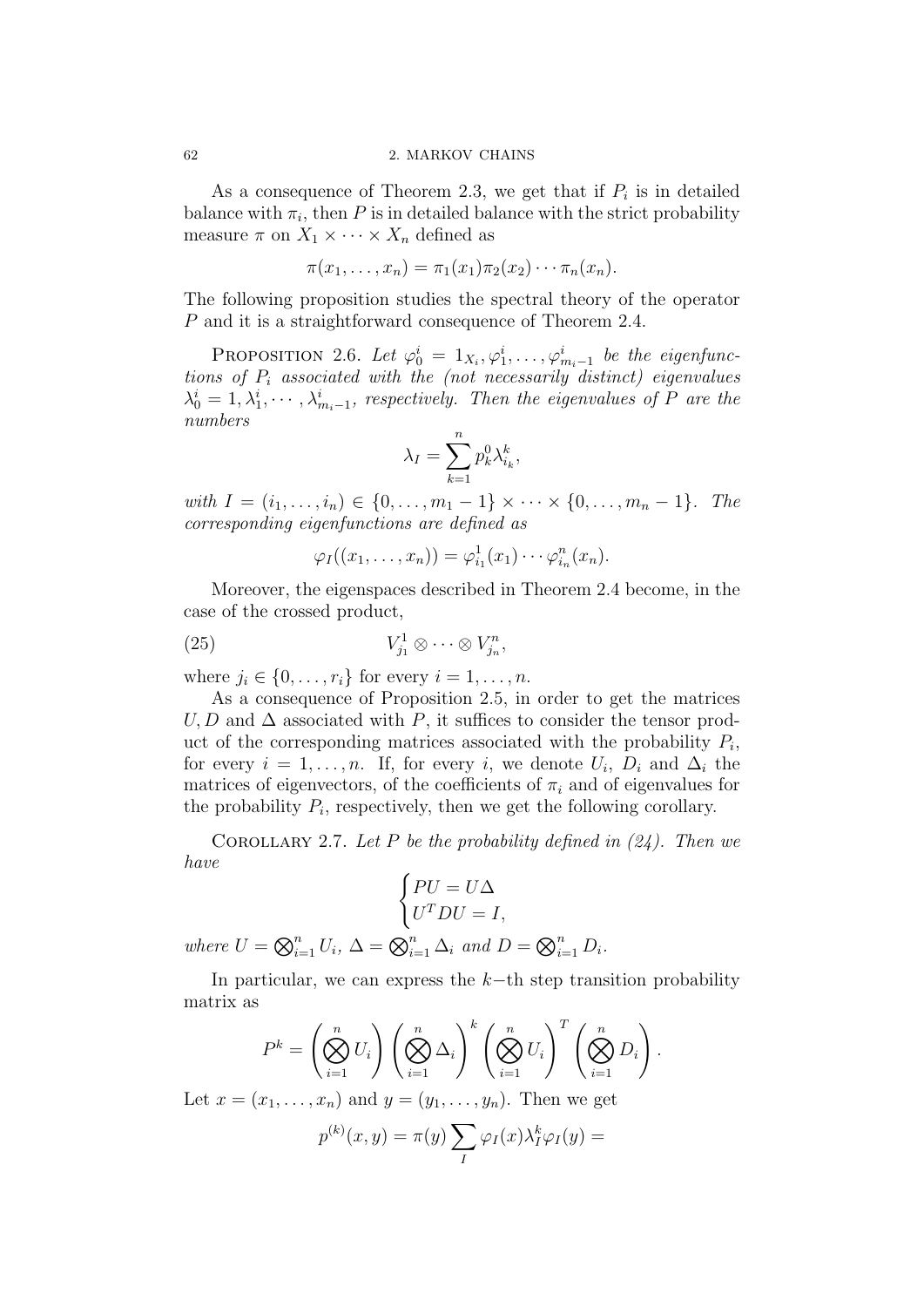As a consequence of Theorem 2.3, we get that if  $P_i$  is in detailed balance with  $\pi_i$ , then P is in detailed balance with the strict probability measure  $\pi$  on  $X_1 \times \cdots \times X_n$  defined as

$$
\pi(x_1,\ldots,x_n)=\pi_1(x_1)\pi_2(x_2)\cdots\pi_n(x_n).
$$

The following proposition studies the spectral theory of the operator P and it is a straightforward consequence of Theorem 2.4.

PROPOSITION 2.6. Let  $\varphi_0^i = 1_{X_i}, \varphi_1^i, \ldots, \varphi_{m_i-1}^i$  be the eigenfunctions of  $P_i$  associated with the (not necessarily distinct) eigenvalues  $\lambda_0^i = 1, \lambda_1^i, \cdots, \lambda_{m_i-1}^i$ , respectively. Then the eigenvalues of P are the numbers

$$
\lambda_I = \sum_{k=1}^n p_k^0 \lambda_{i_k}^k,
$$

with  $I = (i_1, \ldots, i_n) \in \{0, \ldots, m_1 - 1\} \times \cdots \times \{0, \ldots, m_n - 1\}$ . The corresponding eigenfunctions are defined as

$$
\varphi_I((x_1,\ldots,x_n))=\varphi_{i_1}^1(x_1)\cdots\varphi_{i_n}^n(x_n).
$$

Moreover, the eigenspaces described in Theorem 2.4 become, in the case of the crossed product,

$$
(25) \t\t V_{j_1}^1 \otimes \cdots \otimes V_{j_n}^n,
$$

where  $j_i \in \{0, \ldots, r_i\}$  for every  $i = 1, \ldots, n$ .

As a consequence of Proposition 2.5, in order to get the matrices  $U, D$  and  $\Delta$  associated with P, it suffices to consider the tensor product of the corresponding matrices associated with the probability  $P_i$ , for every  $i = 1, \ldots, n$ . If, for every i, we denote  $U_i$ ,  $D_i$  and  $\Delta_i$  the matrices of eigenvectors, of the coefficients of  $\pi_i$  and of eigenvalues for the probability  $P_i$ , respectively, then we get the following corollary.

COROLLARY 2.7. Let P be the probability defined in  $(24)$ . Then we have

$$
\begin{cases} PU = U\Delta \\ U^TDU = I, \end{cases}
$$

where  $U = \bigotimes_{i=1}^n U_i$ ,  $\Delta = \bigotimes_{i=1}^n \Delta_i$  and  $D = \bigotimes_{i=1}^n D_i$ .

In particular, we can express the  $k$ −th step transition probability matrix as

$$
P^{k} = \left(\bigotimes_{i=1}^{n} U_{i}\right) \left(\bigotimes_{i=1}^{n} \Delta_{i}\right)^{k} \left(\bigotimes_{i=1}^{n} U_{i}\right)^{T} \left(\bigotimes_{i=1}^{n} D_{i}\right).
$$

Let  $x = (x_1, \ldots, x_n)$  and  $y = (y_1, \ldots, y_n)$ . Then we get

$$
p^{(k)}(x,y) = \pi(y) \sum_{I} \varphi_I(x) \lambda_I^k \varphi_I(y) =
$$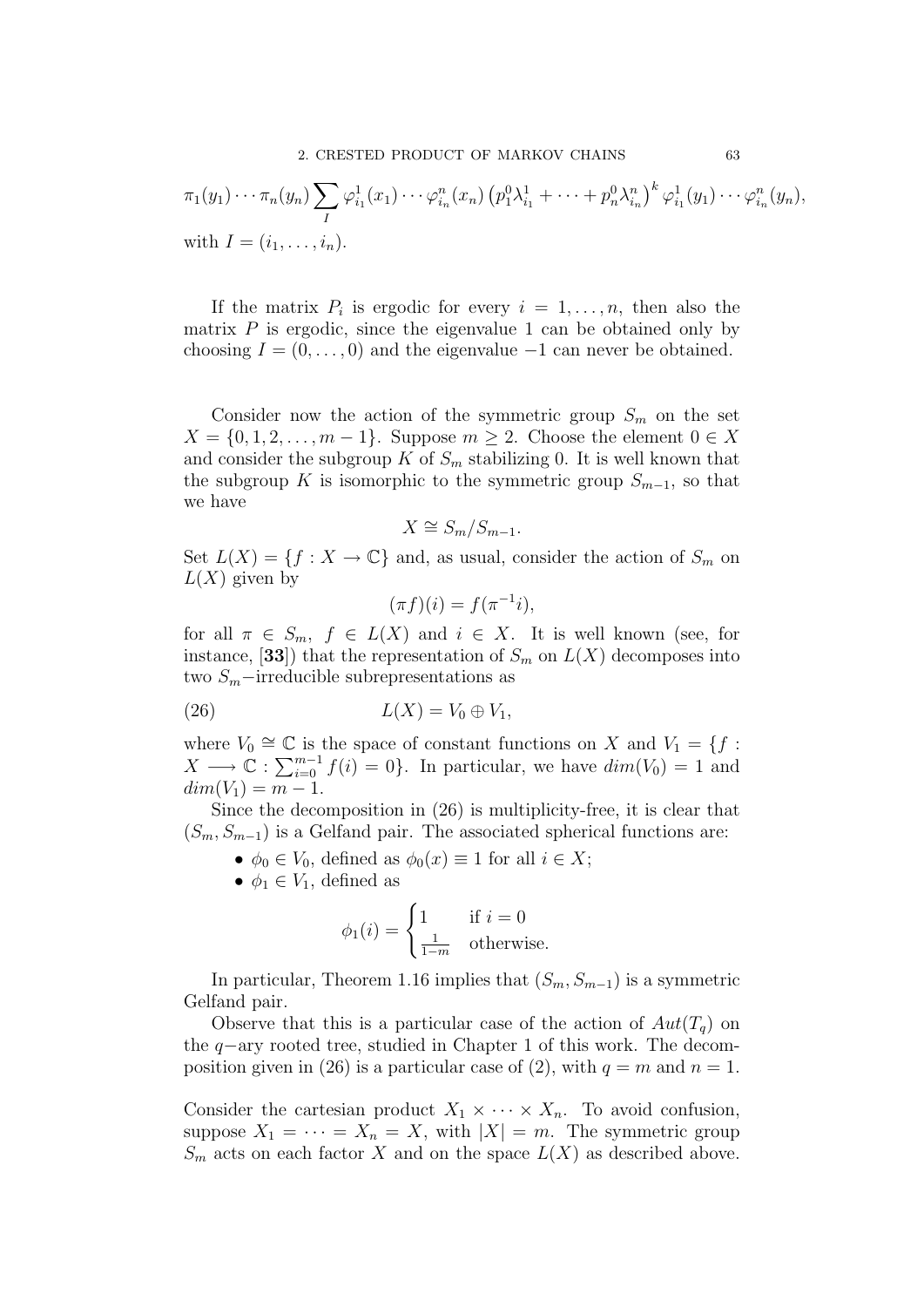$$
\pi_1(y_1) \cdots \pi_n(y_n) \sum_I \varphi_{i_1}^1(x_1) \cdots \varphi_{i_n}^n(x_n) (p_1^0 \lambda_{i_1}^1 + \cdots + p_n^0 \lambda_{i_n}^n)^k \varphi_{i_1}^1(y_1) \cdots \varphi_{i_n}^n(y_n),
$$
  
with  $I = (i_1, \ldots, i_n)$ .

If the matrix  $P_i$  is ergodic for every  $i = 1, \ldots, n$ , then also the matrix  $P$  is ergodic, since the eigenvalue 1 can be obtained only by choosing  $I = (0, \ldots, 0)$  and the eigenvalue  $-1$  can never be obtained.

Consider now the action of the symmetric group  $S_m$  on the set  $X = \{0, 1, 2, \ldots, m - 1\}$ . Suppose  $m \geq 2$ . Choose the element  $0 \in X$ and consider the subgroup K of  $S_m$  stabilizing 0. It is well known that the subgroup K is isomorphic to the symmetric group  $S_{m-1}$ , so that we have

$$
X \cong S_m/S_{m-1}.
$$

Set  $L(X) = \{f : X \to \mathbb{C}\}\$ and, as usual, consider the action of  $S_m$  on  $L(X)$  given by

$$
(\pi f)(i) = f(\pi^{-1}i),
$$

for all  $\pi \in S_m$ ,  $f \in L(X)$  and  $i \in X$ . It is well known (see, for instance, [33]) that the representation of  $S_m$  on  $L(X)$  decomposes into two  $S_m$ –irreducible subrepresentations as

$$
(26) \t\t\t L(X) = V_0 \oplus V_1,
$$

where  $V_0 \cong \mathbb{C}$  is the space of constant functions on X and  $V_1 = \{f :$  $X \longrightarrow \mathbb{C} : \sum_{i=0}^{m-1} f(i) = 0$ . In particular, we have  $dim(V_0) = 1$  and  $dim(V_1) = m - 1.$ 

Since the decomposition in (26) is multiplicity-free, it is clear that  $(S_m, S_{m-1})$  is a Gelfand pair. The associated spherical functions are:

- $\phi_0 \in V_0$ , defined as  $\phi_0(x) \equiv 1$  for all  $i \in X$ ;
- $\phi_1 \in V_1$ , defined as

$$
\phi_1(i) = \begin{cases} 1 & \text{if } i = 0\\ \frac{1}{1-m} & \text{otherwise.} \end{cases}
$$

In particular, Theorem 1.16 implies that  $(S_m, S_{m-1})$  is a symmetric Gelfand pair.

Observe that this is a particular case of the action of  $Aut(T_q)$  on the q−ary rooted tree, studied in Chapter 1 of this work. The decomposition given in (26) is a particular case of (2), with  $q = m$  and  $n = 1$ .

Consider the cartesian product  $X_1 \times \cdots \times X_n$ . To avoid confusion, suppose  $X_1 = \cdots = X_n = X$ , with  $|X| = m$ . The symmetric group  $S_m$  acts on each factor X and on the space  $L(X)$  as described above.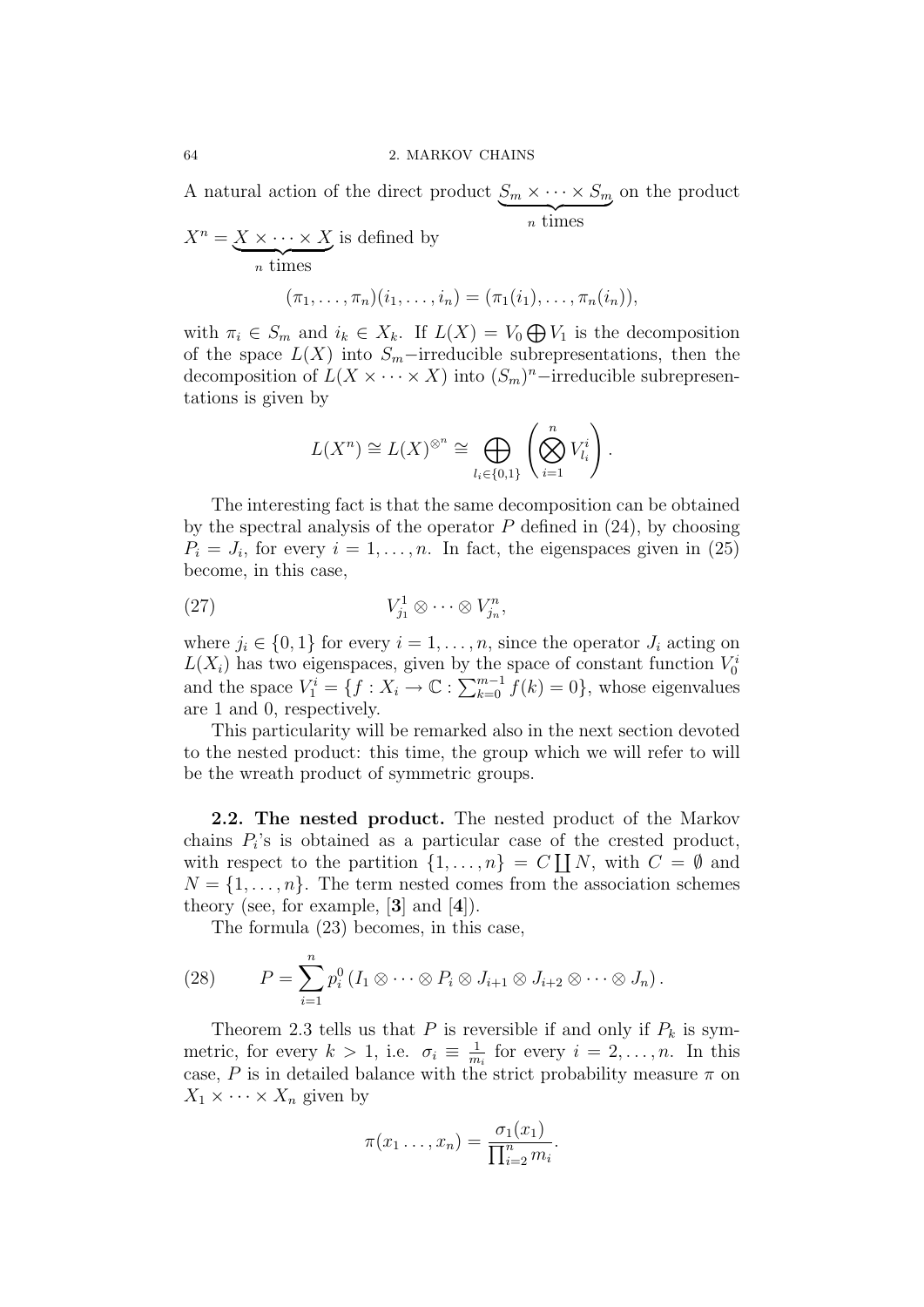A natural action of the direct product  $S_m \times \cdots \times S_m$  $\overline{\overline{\phantom{a}}\phantom{a}}$   $\overline{\phantom{a}}\phantom{a}$   $\overline{\phantom{a}}\phantom{a}$   $\overline{\phantom{a}}\phantom{a}$   $\overline{\phantom{a}}\phantom{a}$   $\overline{\phantom{a}}\phantom{a}$   $\overline{\phantom{a}}\phantom{a}$   $\overline{\phantom{a}}\phantom{a}$   $\overline{\phantom{a}}\phantom{a}$   $\overline{\phantom{a}}\phantom{a}$   $\overline{\phantom{a}}\phantom{a}$   $\overline{\phantom{a}}\phantom{a}$   $\$ on the product

$$
X^n = \underbrace{X \times \cdots \times X}_{n \text{ times}} \text{ is defined by}
$$

$$
(\pi_1, \ldots, \pi_n)(i_1, \ldots, i_n) = (\pi_1(i_1), \ldots, \pi_n(i_n)),
$$

with  $\pi_i \in S_m$  and  $i_k \in X_k$ . If  $L(X) = V_0 \bigoplus V_1$  is the decomposition of the space  $L(X)$  into  $S_m$ –irreducible subrepresentations, then the decomposition of  $L(X \times \cdots \times X)$  into  $(S_m)^n$ -irreducible subrepresentations is given by

$$
L(X^n) \cong L(X)^{\otimes^n} \cong \bigoplus_{l_i \in \{0,1\}} \left( \bigotimes_{i=1}^n V_{l_i}^i \right).
$$

The interesting fact is that the same decomposition can be obtained by the spectral analysis of the operator  $P$  defined in  $(24)$ , by choosing  $P_i = J_i$ , for every  $i = 1, \ldots, n$ . In fact, the eigenspaces given in (25) become, in this case,

$$
(27) \t\t V_{j_1}^1 \otimes \cdots \otimes V_{j_n}^n,
$$

where  $j_i \in \{0, 1\}$  for every  $i = 1, ..., n$ , since the operator  $J_i$  acting on  $L(X_i)$  has two eigenspaces, given by the space of constant function  $V_0^i$ and the space  $V_1^i = \{f : X_i \to \mathbb{C} : \sum_{k=0}^{m-1} f(k) = 0\}$ , whose eigenvalues are 1 and 0, respectively.

This particularity will be remarked also in the next section devoted to the nested product: this time, the group which we will refer to will be the wreath product of symmetric groups.

2.2. The nested product. The nested product of the Markov chains  $P_i$ 's is obtained as a particular case of the crested product, with respect to the partition  $\{1, \ldots, n\} = C \coprod N$ , with  $C = \emptyset$  and  $N = \{1, \ldots, n\}$ . The term nested comes from the association schemes theory (see, for example, [3] and [4]).

The formula (23) becomes, in this case,

(28) 
$$
P = \sum_{i=1}^{n} p_i^0 (I_1 \otimes \cdots \otimes P_i \otimes J_{i+1} \otimes J_{i+2} \otimes \cdots \otimes J_n).
$$

Theorem 2.3 tells us that P is reversible if and only if  $P_k$  is symmetric, for every  $k > 1$ , i.e.  $\sigma_i \equiv \frac{1}{m}$  $\frac{1}{m_i}$  for every  $i = 2, \ldots, n$ . In this case, P is in detailed balance with the strict probability measure  $\pi$  on  $X_1 \times \cdots \times X_n$  given by

$$
\pi(x_1 \ldots, x_n) = \frac{\sigma_1(x_1)}{\prod_{i=2}^n m_i}.
$$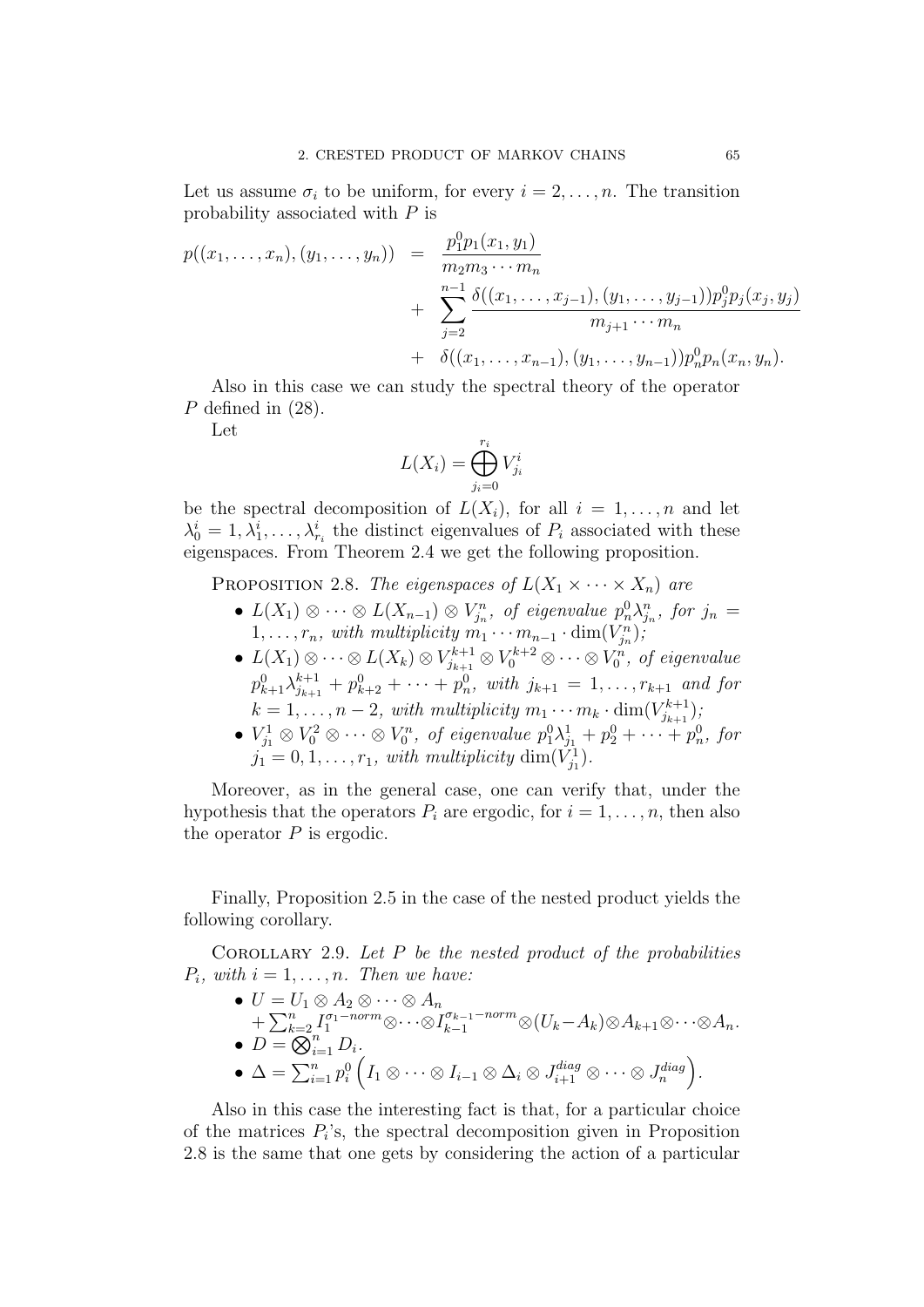Let us assume  $\sigma_i$  to be uniform, for every  $i = 2, \ldots, n$ . The transition probability associated with P is

$$
p((x_1,...,x_n),(y_1,...,y_n)) = \frac{p_1^0 p_1(x_1,y_1)}{m_2 m_3 \cdots m_n} + \sum_{j=2}^{n-1} \frac{\delta((x_1,...,x_{j-1}),(y_1,...,y_{j-1})) p_j^0 p_j(x_j,y_j)}{m_{j+1} \cdots m_n} + \delta((x_1,...,x_{n-1}),(y_1,...,y_{n-1})) p_n^0 p_n(x_n,y_n).
$$

Also in this case we can study the spectral theory of the operator P defined in  $(28)$ .

Let

$$
L(X_i) = \bigoplus_{j_i=0}^{r_i} V_{j_i}^i
$$

be the spectral decomposition of  $L(X_i)$ , for all  $i = 1, \ldots, n$  and let  $\lambda_0^i = 1, \lambda_1^i, \ldots, \lambda_{r_i}^i$  the distinct eigenvalues of  $P_i$  associated with these eigenspaces. From Theorem 2.4 we get the following proposition.

PROPOSITION 2.8. The eigenspaces of  $L(X_1 \times \cdots \times X_n)$  are

- $L(X_1) \otimes \cdots \otimes L(X_{n-1}) \otimes V_{j_n}^n$ , of eigenvalue  $p_n^0 \lambda_{j_n}^n$ , for  $j_n =$  $1, \ldots, r_n$ , with multiplicity  $m_1 \cdots m_{n-1} \cdot \dim(V_{j_n})$ ;
- $L(X_1) \otimes \cdots \otimes L(X_k) \otimes V_{j_{k+1}}^{k+1} \otimes V_0^{k+2} \otimes \cdots \otimes V_0^n$ , of eigenvalue  $p_{k+1}^{0} \lambda_{j_{k+1}}^{k+1} + p_{k+2}^{0} + \cdots + p_n^{0}$ , with  $j_{k+1} = 1, \ldots, r_{k+1}$  and for  $k = 1, \ldots, n-2$ , with multiplicity  $m_1 \cdots m_k \cdot \dim(V_{j_{k+1}}^{k+1})$  $_{j_{k+1}}^{r_{k+1}});$
- $V_{j_1}^1 \otimes V_0^2 \otimes \cdots \otimes V_0^n$ , of eigenvalue  $p_1^0 \lambda_{j_1}^1 + p_2^0 + \cdots + p_n^0$ , for  $j_1 = 0, 1, \ldots, r_1$ , with multiplicity  $\dim(\tilde{V}_{j_1})$ .

Moreover, as in the general case, one can verify that, under the hypothesis that the operators  $P_i$  are ergodic, for  $i = 1, \ldots, n$ , then also the operator  $P$  is ergodic.

Finally, Proposition 2.5 in the case of the nested product yields the following corollary.

COROLLARY 2.9. Let  $P$  be the nested product of the probabilities  $P_i$ , with  $i = 1, \ldots, n$ . Then we have:

 $\bullet\,\, U=U_1\otimes A_2\otimes\cdots\otimes A_n$  $+\sum_{k=2}^n I_1^{\sigma_1-norm}\otimes\cdots\otimes I_{k-1}^{\sigma_{k-1}-norm}\otimes (U_k-A_k)\otimes A_{k+1}\otimes\cdots\otimes A_n.$  $\bullet$   $D = \overline{\bigotimes}_{i=1}^{n} D_i$ .  $\bullet\ \Delta=\sum_{i=1}^np_i^0\left(I_1\otimes\cdots\otimes I_{i-1}\otimes \Delta_i\otimes J_{i+1}^{diag}\otimes\cdots\otimes J_{n}^{diag}\right).$ 

Also in this case the interesting fact is that, for a particular choice of the matrices  $P_i$ 's, the spectral decomposition given in Proposition 2.8 is the same that one gets by considering the action of a particular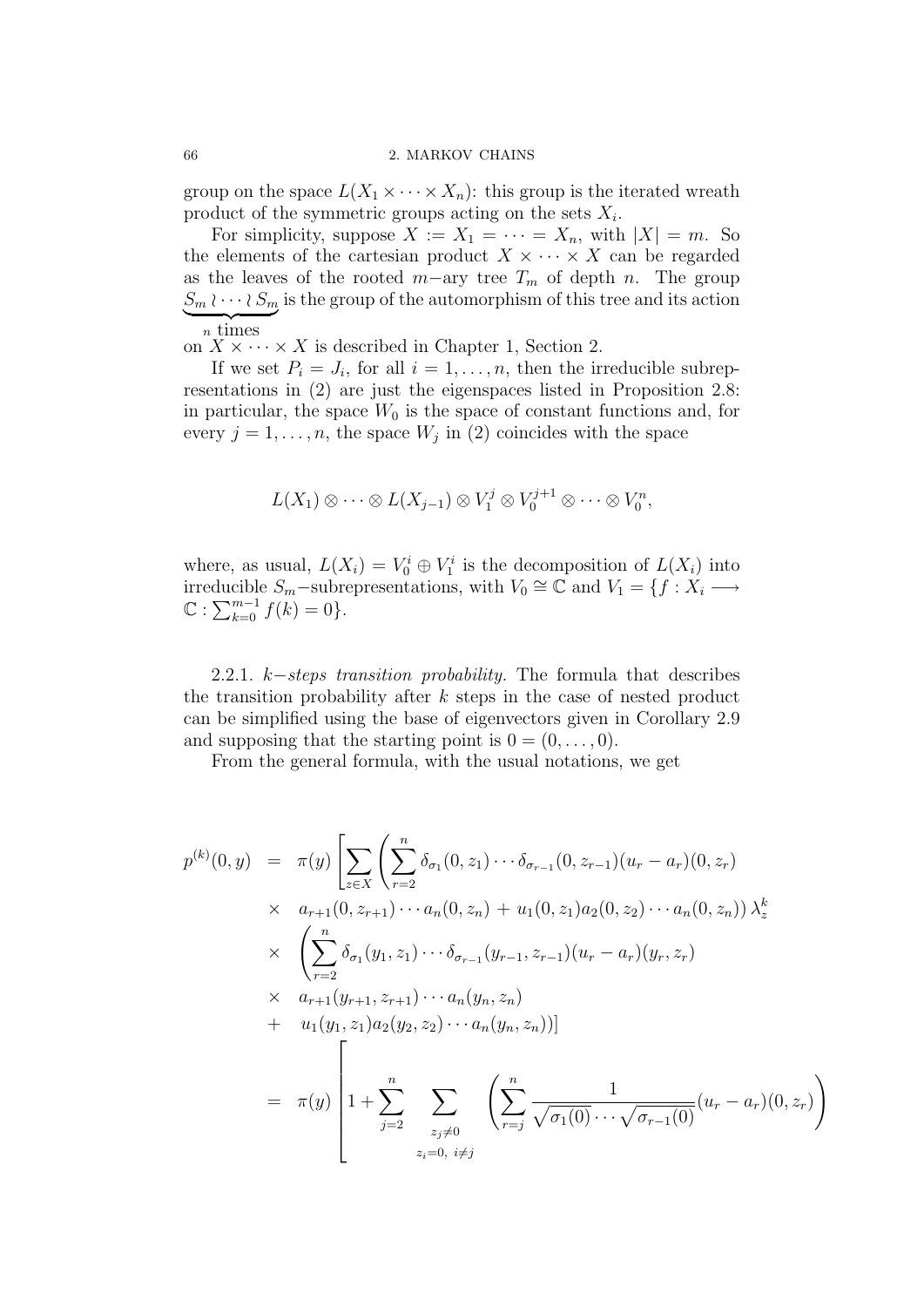#### 66 2. MARKOV CHAINS

group on the space  $L(X_1 \times \cdots \times X_n)$ : this group is the iterated wreath product of the symmetric groups acting on the sets  $X_i$ .

For simplicity, suppose  $X := X_1 = \cdots = X_n$ , with  $|X| = m$ . So the elements of the cartesian product  $X \times \cdots \times X$  can be regarded as the leaves of the rooted  $m$ -ary tree  $T_m$  of depth n. The group  $S_m \wr \cdots \wr S_m$  is the group of the automorphism of this tree and its action  $\overline{n}$  times

on  $X \times \cdots \times X$  is described in Chapter 1, Section 2.

If we set  $P_i = J_i$ , for all  $i = 1, \ldots, n$ , then the irreducible subrepresentations in (2) are just the eigenspaces listed in Proposition 2.8: in particular, the space  $W_0$  is the space of constant functions and, for every  $j = 1, \ldots, n$ , the space  $W_j$  in (2) coincides with the space

$$
L(X_1) \otimes \cdots \otimes L(X_{j-1}) \otimes V_1^j \otimes V_0^{j+1} \otimes \cdots \otimes V_0^n,
$$

where, as usual,  $L(X_i) = V_0^i \oplus V_1^i$  is the decomposition of  $L(X_i)$  into irreducible  $S_m$ –subrepresentations, with  $V_0 \cong \mathbb{C}$  and  $V_1 = \{f : X_i \longrightarrow \mathbb{C}$  $\mathbb{C} : \sum_{k=0}^{m-1} f(k) = 0$ .

2.2.1. k–steps transition probability. The formula that describes the transition probability after  $k$  steps in the case of nested product can be simplified using the base of eigenvectors given in Corollary 2.9 and supposing that the starting point is  $0 = (0, \ldots, 0)$ .

From the general formula, with the usual notations, we get

$$
p^{(k)}(0, y) = \pi(y) \left[ \sum_{z \in X} \left( \sum_{r=2}^{n} \delta_{\sigma_1}(0, z_1) \cdots \delta_{\sigma_{r-1}}(0, z_{r-1})(u_r - a_r)(0, z_r) \right) \right] \times a_{r+1}(0, z_{r+1}) \cdots a_n(0, z_n) + u_1(0, z_1) a_2(0, z_2) \cdots a_n(0, z_n) \right) \lambda_z^k
$$
  
 
$$
\times \left( \sum_{r=2}^{n} \delta_{\sigma_1}(y_1, z_1) \cdots \delta_{\sigma_{r-1}}(y_{r-1}, z_{r-1})(u_r - a_r)(y_r, z_r) \right) \times a_{r+1}(y_{r+1}, z_{r+1}) \cdots a_n(y_n, z_n)
$$
  
+ 
$$
u_1(y_1, z_1) a_2(y_2, z_2) \cdots a_n(y_n, z_n))]
$$
  
= 
$$
\pi(y) \left[ 1 + \sum_{j=2}^{n} \sum_{z_j \neq 0} \left( \sum_{r=j}^{n} \frac{1}{\sqrt{\sigma_1(0)} \cdots \sqrt{\sigma_{r-1}(0)}} (u_r - a_r)(0, z_r) \right) \right]
$$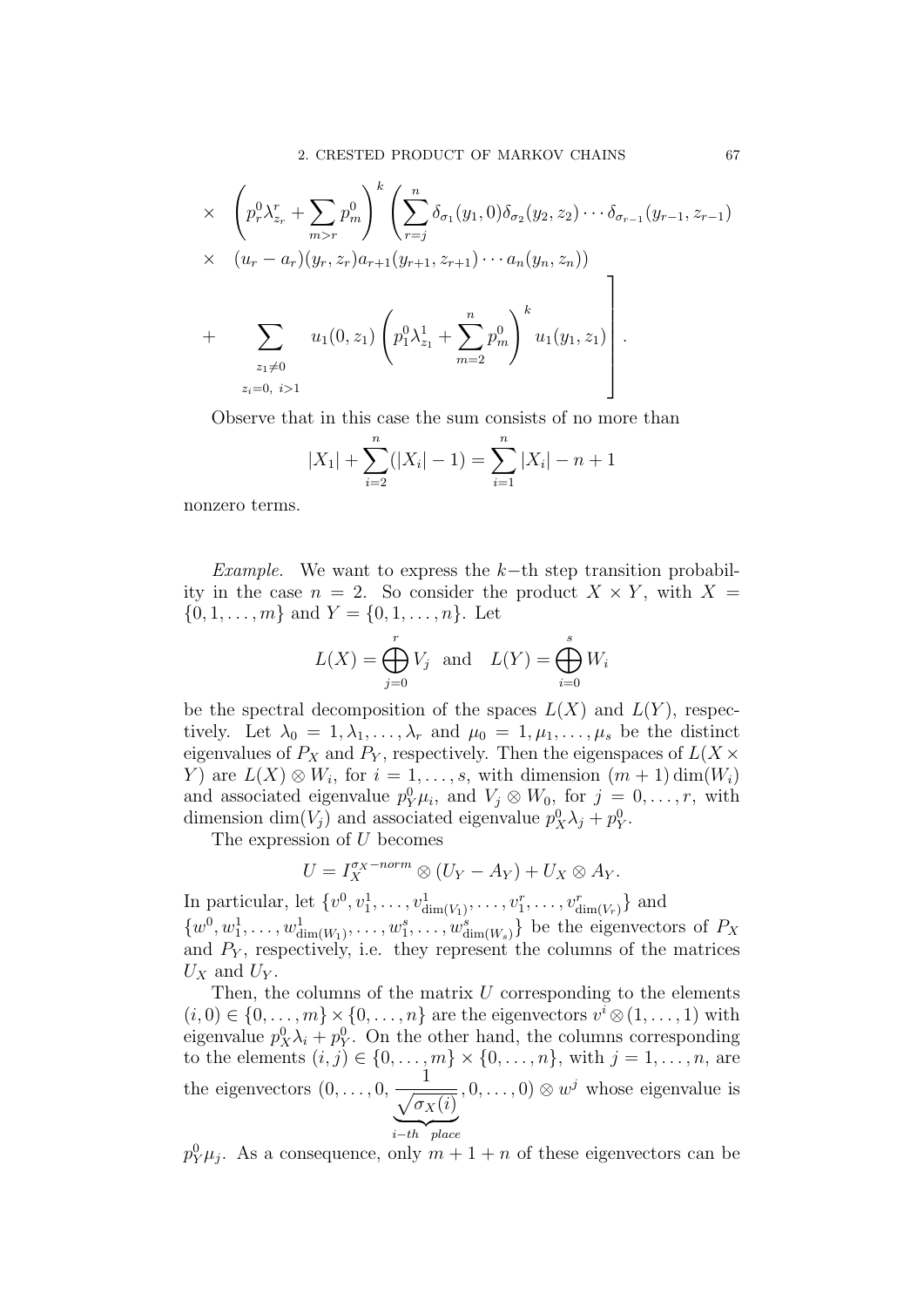$$
\times \left( p_r^0 \lambda_{z_r}^r + \sum_{m>r} p_m^0 \right)^k \left( \sum_{r=j}^n \delta_{\sigma_1}(y_1, 0) \delta_{\sigma_2}(y_2, z_2) \cdots \delta_{\sigma_{r-1}}(y_{r-1}, z_{r-1}) \times (u_r - a_r)(y_r, z_r) a_{r+1}(y_{r+1}, z_{r+1}) \cdots a_n(y_n, z_n)) + \sum_{\substack{z_1 \neq 0 \\ z_i = 0, i > 1}} u_1(0, z_1) \left( p_1^0 \lambda_{z_1}^1 + \sum_{m=2}^n p_m^0 \right)^k u_1(y_1, z_1) \right).
$$

Observe that in this case the sum consists of no more than

$$
|X_1| + \sum_{i=2}^{n} (|X_i| - 1) = \sum_{i=1}^{n} |X_i| - n + 1
$$

nonzero terms.

Example. We want to express the k–th step transition probability in the case  $n = 2$ . So consider the product  $X \times Y$ , with  $X =$  $\{0, 1, \ldots, m\}$  and  $Y = \{0, 1, \ldots, n\}$ . Let

$$
L(X) = \bigoplus_{j=0}^{r} V_j \quad \text{and} \quad L(Y) = \bigoplus_{i=0}^{s} W_i
$$

be the spectral decomposition of the spaces  $L(X)$  and  $L(Y)$ , respectively. Let  $\lambda_0 = 1, \lambda_1, \ldots, \lambda_r$  and  $\mu_0 = 1, \mu_1, \ldots, \mu_s$  be the distinct eigenvalues of  $P_X$  and  $P_Y$ , respectively. Then the eigenspaces of  $L(X \times$ Y) are  $L(X) \otimes W_i$ , for  $i = 1, \ldots, s$ , with dimension  $(m + 1)$  dim $(W_i)$ and associated eigenvalue  $p_Y^0 \mu_i$ , and  $V_j \otimes W_0$ , for  $j = 0, \ldots, r$ , with dimension  $\dim(V_j)$  and associated eigenvalue  $p_X^0 \lambda_j + p_Y^0$ .

The expression of U becomes

$$
U = I_X^{\sigma_X-norm} \otimes (U_Y - A_Y) + U_X \otimes A_Y.
$$

In particular, let  $\{v^0, v_1^1, \ldots, v_{\dim(V_1)}^1, \ldots, v_1^r, \ldots, v_{\dim(V_r)}^r\}$  and  $\{w^0, w_1^1, \ldots, w_{\dim(W_1)}^1, \ldots, w_1^s, \ldots, w_{\dim(W_s)}^s\}$  be the eigenvectors of  $P_X$ and  $P<sub>Y</sub>$ , respectively, i.e. they represent the columns of the matrices  $U_X$  and  $U_Y$ .

Then, the columns of the matrix  $U$  corresponding to the elements  $(i, 0) \in \{0, \ldots, m\} \times \{0, \ldots, n\}$  are the eigenvectors  $v^i \otimes (1, \ldots, 1)$  with eigenvalue  $p_X^0 \lambda_i + p_Y^0$ . On the other hand, the columns corresponding to the elements  $(i, j) \in \{0, \ldots, m\} \times \{0, \ldots, n\}$ , with  $j = 1, \ldots, n$ , are the eigenvectors  $(0, \ldots, 0,$ 1  $\sqrt{\sigma_X(i)}$  $\sum_{i-th}$  place i−th place  $(0, \ldots, 0) \otimes w^j$  whose eigenvalue is

 $p_Y^0 \mu_j$ . As a consequence, only  $m+1+n$  of these eigenvectors can be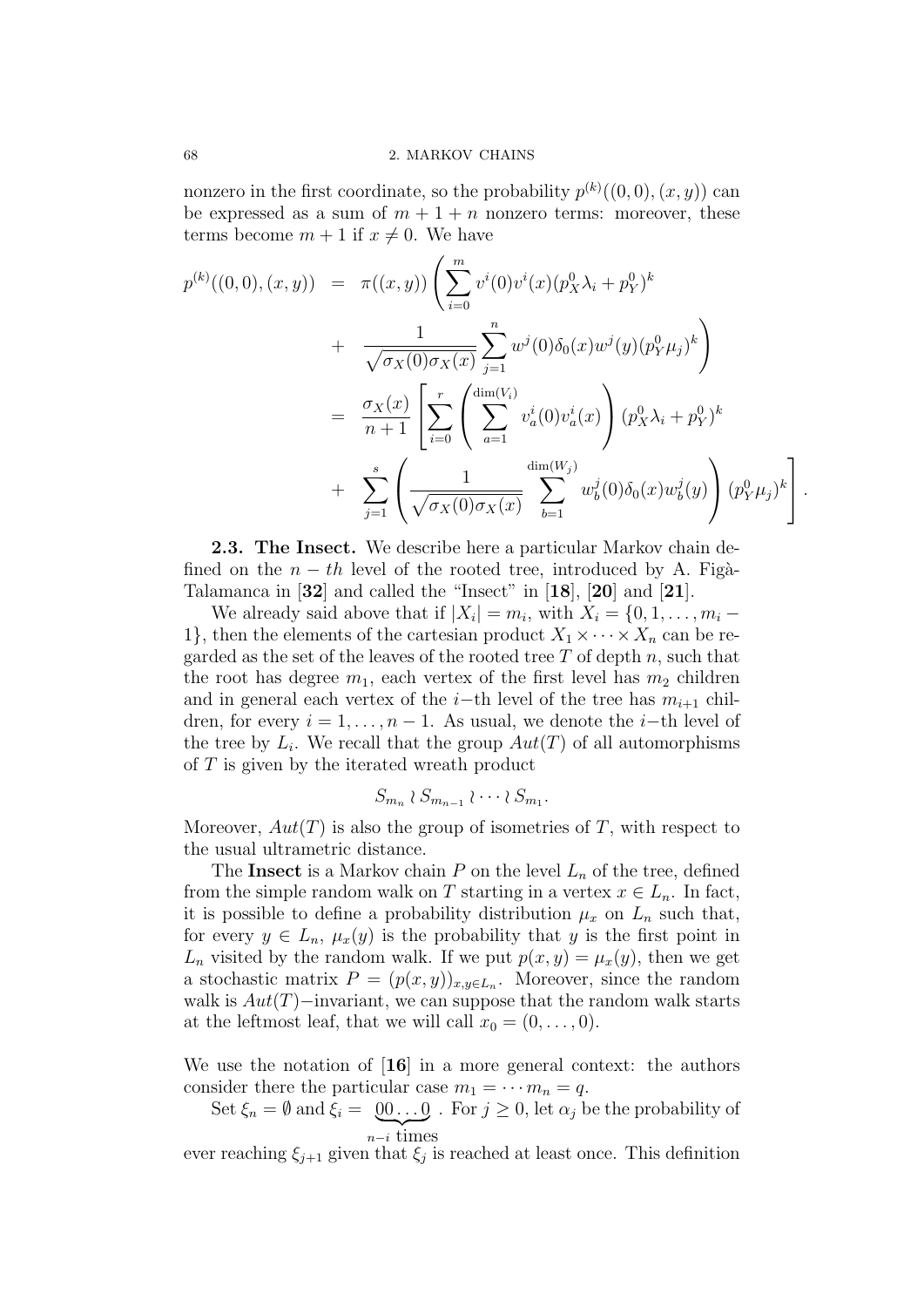nonzero in the first coordinate, so the probability  $p^{(k)}((0,0),(x,y))$  can be expressed as a sum of  $m + 1 + n$  nonzero terms: moreover, these terms become  $m + 1$  if  $x \neq 0$ . We have

$$
p^{(k)}((0,0),(x,y)) = \pi((x,y)) \left( \sum_{i=0}^{m} v^{i}(0)v^{i}(x)(p_{X}^{0}\lambda_{i}+p_{Y}^{0})^{k} + \frac{1}{\sqrt{\sigma_{X}(0)\sigma_{X}(x)}} \sum_{j=1}^{n} w^{j}(0)\delta_{0}(x)w^{j}(y)(p_{Y}^{0}\mu_{j})^{k} \right) = \frac{\sigma_{X}(x)}{n+1} \left[ \sum_{i=0}^{r} \left( \sum_{a=1}^{\dim(V_{i})} v_{a}^{i}(0)v_{a}^{i}(x) \right) (p_{X}^{0}\lambda_{i}+p_{Y}^{0})^{k} + \sum_{j=1}^{s} \left( \frac{1}{\sqrt{\sigma_{X}(0)\sigma_{X}(x)}} \sum_{b=1}^{\dim(W_{j})} w_{b}^{j}(0)\delta_{0}(x)w_{b}^{j}(y) \right) (p_{Y}^{0}\mu_{j})^{k} \right].
$$

2.3. The Insect. We describe here a particular Markov chain defined on the  $n - th$  level of the rooted tree, introduced by A. Figà-Talamanca in [32] and called the "Insect" in [18], [20] and [21].

We already said above that if  $|X_i| = m_i$ , with  $X_i = \{0, 1, \ldots, m_i - \}$ 1, then the elements of the cartesian product  $X_1 \times \cdots \times X_n$  can be regarded as the set of the leaves of the rooted tree  $T$  of depth  $n$ , such that the root has degree  $m_1$ , each vertex of the first level has  $m_2$  children and in general each vertex of the i–th level of the tree has  $m_{i+1}$  children, for every  $i = 1, \ldots, n - 1$ . As usual, we denote the *i*-th level of the tree by  $L_i$ . We recall that the group  $Aut(T)$  of all automorphisms of  $T$  is given by the iterated wreath product

$$
S_{m_n} \wr S_{m_{n-1}} \wr \cdots \wr S_{m_1}.
$$

Moreover,  $Aut(T)$  is also the group of isometries of T, with respect to the usual ultrametric distance.

The Insect is a Markov chain  $P$  on the level  $L_n$  of the tree, defined from the simple random walk on T starting in a vertex  $x \in L_n$ . In fact, it is possible to define a probability distribution  $\mu_x$  on  $L_n$  such that, for every  $y \in L_n$ ,  $\mu_x(y)$  is the probability that y is the first point in  $L_n$  visited by the random walk. If we put  $p(x, y) = \mu_x(y)$ , then we get a stochastic matrix  $P = (p(x, y))_{x, y \in L_n}$ . Moreover, since the random walk is  $Aut(T)$ −invariant, we can suppose that the random walk starts at the leftmost leaf, that we will call  $x_0 = (0, \ldots, 0)$ .

We use the notation of [16] in a more general context: the authors consider there the particular case  $m_1 = \cdots m_n = q$ .

Set  $\xi_n = \emptyset$  and  $\xi_i = \emptyset \emptyset \dots \emptyset$ . For  $j \geq 0$ , let  $\alpha_j$  be the probability of  $\sum_{n-i}$  times

ever reaching  $\xi_{j+1}$  given that  $\xi_j$  is reached at least once. This definition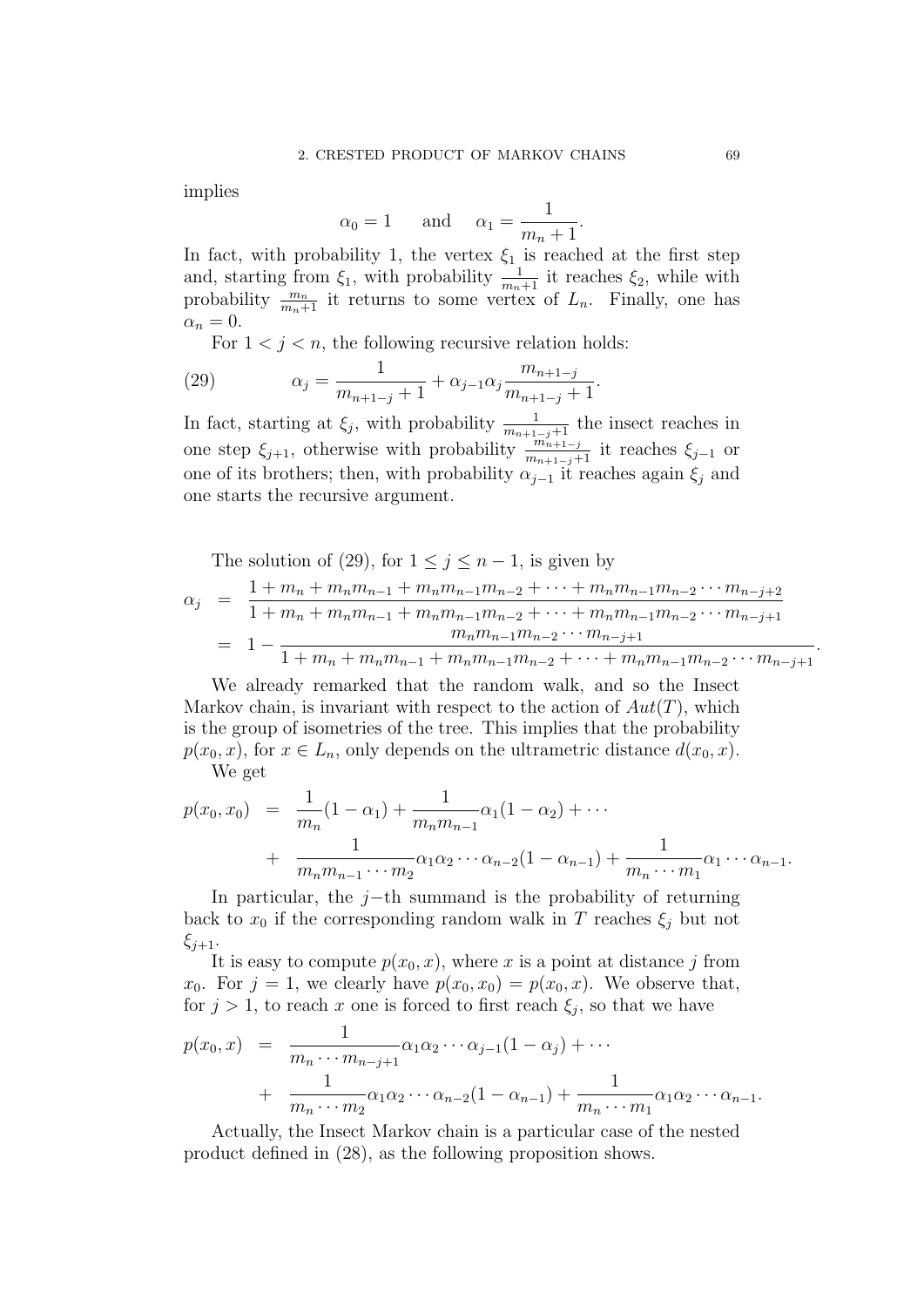implies

$$
\alpha_0 = 1
$$
 and  $\alpha_1 = \frac{1}{m_n + 1}$ .

In fact, with probability 1, the vertex  $\xi_1$  is reached at the first step and, starting from  $\xi_1$ , with probability  $\frac{1}{m_n+1}$  it reaches  $\xi_2$ , while with probability  $\frac{m_n}{m_n+1}$  it returns to some vertex of  $L_n$ . Finally, one has  $\alpha_n = 0.$ 

For  $1 < j < n$ , the following recursive relation holds:

(29) 
$$
\alpha_j = \frac{1}{m_{n+1-j}+1} + \alpha_{j-1}\alpha_j \frac{m_{n+1-j}}{m_{n+1-j}+1}.
$$

In fact, starting at  $\xi_j$ , with probability  $\frac{1}{m_{n+1-j}+1}$  the insect reaches in one step  $\xi_{j+1}$ , otherwise with probability  $\frac{m_{n+1-j}}{m_{n+1-j+1}}$  it reaches  $\xi_{j-1}$  or one of its brothers; then, with probability  $\alpha_{i-1}$  it reaches again  $\xi_i$  and one starts the recursive argument.

The solution of (29), for  $1 \leq j \leq n-1$ , is given by

$$
\alpha_j = \frac{1 + m_n + m_n m_{n-1} + m_n m_{n-1} m_{n-2} + \dots + m_n m_{n-1} m_{n-2} \dots m_{n-j+2}}{1 + m_n + m_n m_{n-1} + m_n m_{n-1} m_{n-2} + \dots + m_n m_{n-1} m_{n-2} \dots m_{n-j+1}}
$$
  
= 
$$
1 - \frac{m_n m_{n-1} m_{n-2} \dots m_{n-j+1}}{1 + m_n + m_n m_{n-1} + m_n m_{n-1} m_{n-2} + \dots + m_n m_{n-1} m_{n-2} \dots m_{n-j+1}}
$$

We already remarked that the random walk, and so the Insect Markov chain, is invariant with respect to the action of  $Aut(T)$ , which is the group of isometries of the tree. This implies that the probability  $p(x_0, x)$ , for  $x \in L_n$ , only depends on the ultrametric distance  $d(x_0, x)$ . We get

$$
p(x_0, x_0) = \frac{1}{m_n} (1 - \alpha_1) + \frac{1}{m_n m_{n-1}} \alpha_1 (1 - \alpha_2) + \cdots
$$
  
+ 
$$
\frac{1}{m_n m_{n-1} \cdots m_2} \alpha_1 \alpha_2 \cdots \alpha_{n-2} (1 - \alpha_{n-1}) + \frac{1}{m_n \cdots m_1} \alpha_1 \cdots \alpha_{n-1}.
$$

In particular, the j−th summand is the probability of returning back to  $x_0$  if the corresponding random walk in T reaches  $\xi_j$  but not  $\xi_{i+1}$ .

It is easy to compute  $p(x_0, x)$ , where x is a point at distance j from  $x_0$ . For  $j = 1$ , we clearly have  $p(x_0, x_0) = p(x_0, x)$ . We observe that, for  $j > 1$ , to reach x one is forced to first reach  $\xi_j$ , so that we have

$$
p(x_0, x) = \frac{1}{m_n \cdots m_{n-j+1}} \alpha_1 \alpha_2 \cdots \alpha_{j-1} (1 - \alpha_j) + \cdots + \frac{1}{m_n \cdots m_2} \alpha_1 \alpha_2 \cdots \alpha_{n-2} (1 - \alpha_{n-1}) + \frac{1}{m_n \cdots m_1} \alpha_1 \alpha_2 \cdots \alpha_{n-1}.
$$

Actually, the Insect Markov chain is a particular case of the nested product defined in (28), as the following proposition shows.

.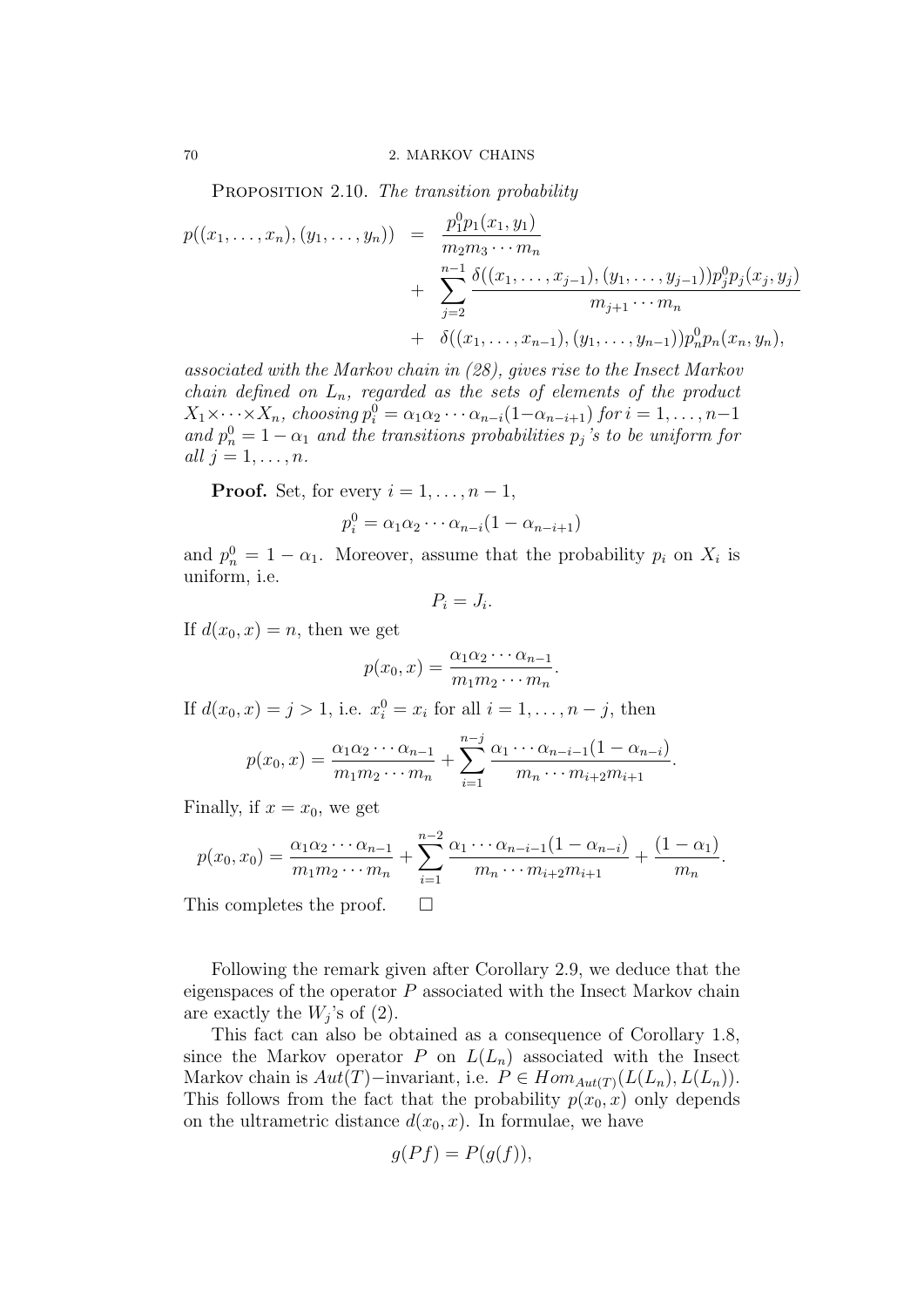PROPOSITION 2.10. The transition probability

$$
p((x_1,...,x_n),(y_1,...,y_n)) = \frac{p_1^0 p_1(x_1,y_1)}{m_2 m_3 \cdots m_n} + \sum_{j=2}^{n-1} \frac{\delta((x_1,...,x_{j-1}),(y_1,...,y_{j-1})) p_j^0 p_j(x_j,y_j)}{m_{j+1} \cdots m_n} + \delta((x_1,...,x_{n-1}),(y_1,...,y_{n-1})) p_n^0 p_n(x_n,y_n),
$$

associated with the Markov chain in (28), gives rise to the Insect Markov chain defined on  $L_n$ , regarded as the sets of elements of the product  $X_1 \times \cdots \times X_n$ , choosing  $p_i^0 = \alpha_1 \alpha_2 \cdots \alpha_{n-i}(1-\alpha_{n-i+1})$  for  $i = 1, \ldots, n-1$ and  $p_n^0 = 1 - \alpha_1$  and the transitions probabilities  $p_j$ 's to be uniform for all  $j = 1, \ldots, n$ .

**Proof.** Set, for every  $i = 1, \ldots, n-1$ ,

$$
p_i^0 = \alpha_1 \alpha_2 \cdots \alpha_{n-i} (1 - \alpha_{n-i+1})
$$

and  $p_n^0 = 1 - \alpha_1$ . Moreover, assume that the probability  $p_i$  on  $X_i$  is uniform, i.e.

$$
P_i = J_i.
$$

If  $d(x_0, x) = n$ , then we get

$$
p(x_0, x) = \frac{\alpha_1 \alpha_2 \cdots \alpha_{n-1}}{m_1 m_2 \cdots m_n}.
$$

If  $d(x_0, x) = j > 1$ , i.e.  $x_i^0 = x_i$  for all  $i = 1, ..., n - j$ , then

$$
p(x_0, x) = \frac{\alpha_1 \alpha_2 \cdots \alpha_{n-1}}{m_1 m_2 \cdots m_n} + \sum_{i=1}^{n-j} \frac{\alpha_1 \cdots \alpha_{n-i-1} (1 - \alpha_{n-i})}{m_n \cdots m_{i+2} m_{i+1}}.
$$

Finally, if  $x = x_0$ , we get

$$
p(x_0, x_0) = \frac{\alpha_1 \alpha_2 \cdots \alpha_{n-1}}{m_1 m_2 \cdots m_n} + \sum_{i=1}^{n-2} \frac{\alpha_1 \cdots \alpha_{n-i-1} (1 - \alpha_{n-i})}{m_n \cdots m_{i+2} m_{i+1}} + \frac{(1 - \alpha_1)}{m_n}.
$$

This completes the proof.  $\square$ 

Following the remark given after Corollary 2.9, we deduce that the eigenspaces of the operator  $P$  associated with the Insect Markov chain are exactly the  $W_j$ 's of  $(2)$ .

This fact can also be obtained as a consequence of Corollary 1.8, since the Markov operator P on  $L(L_n)$  associated with the Insect Markov chain is  $Aut(T)$ −invariant, i.e.  $P \in Hom_{Aut(T)}(L(L_n), L(L_n)).$ This follows from the fact that the probability  $p(x_0, x)$  only depends on the ultrametric distance  $d(x_0, x)$ . In formulae, we have

$$
g(Pf) = P(g(f)),
$$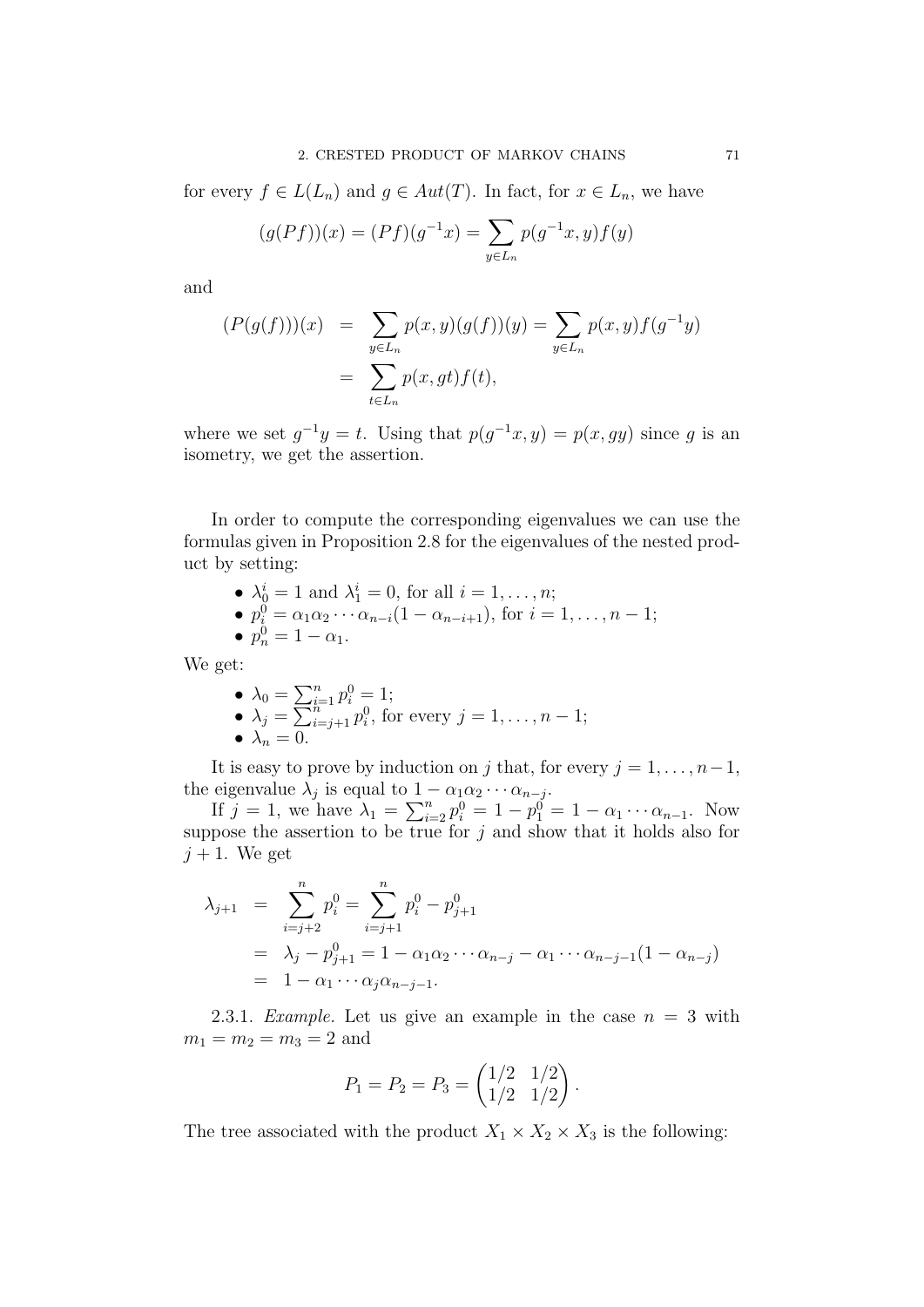for every  $f \in L(L_n)$  and  $g \in Aut(T)$ . In fact, for  $x \in L_n$ , we have

$$
(g(Pf))(x) = (Pf)(g^{-1}x) = \sum_{y \in L_n} p(g^{-1}x, y)f(y)
$$

and

$$
(P(g(f)))(x) = \sum_{y \in L_n} p(x, y)(g(f))(y) = \sum_{y \in L_n} p(x, y)f(g^{-1}y)
$$
  
= 
$$
\sum_{t \in L_n} p(x, gt)f(t),
$$

where we set  $g^{-1}y = t$ . Using that  $p(g^{-1}x, y) = p(x, gy)$  since g is an isometry, we get the assertion.

In order to compute the corresponding eigenvalues we can use the formulas given in Proposition 2.8 for the eigenvalues of the nested product by setting:

• 
$$
\lambda_0^i = 1
$$
 and  $\lambda_1^i = 0$ , for all  $i = 1, ..., n$ ;

•  $p_i^0 = \alpha_1 \alpha_2 \cdots \alpha_{n-i} (1 - \alpha_{n-i+1}),$  for  $i = 1, \ldots, n-1;$ •  $p_n^0 = 1 - \alpha_1$ .

We get:

• 
$$
\lambda_0 = \sum_{i=1}^n p_i^0 = 1;
$$
  
\n•  $\lambda_j = \sum_{i=j+1}^n p_i^0$ , for every  $j = 1, ..., n-1;$   
\n•  $\lambda_n = 0.$ 

It is easy to prove by induction on j that, for every  $j = 1, \ldots, n-1$ , the eigenvalue  $\lambda_j$  is equal to  $1 - \alpha_1 \alpha_2 \cdots \alpha_{n-j}$ .

If  $j = 1$ , we have  $\lambda_1 = \sum_{i=2}^n p_i^0 = 1 - p_1^0 = 1 - \alpha_1 \cdots \alpha_{n-1}$ . Now suppose the assertion to be true for  $j$  and show that it holds also for  $j + 1$ . We get

$$
\lambda_{j+1} = \sum_{i=j+2}^{n} p_i^0 = \sum_{i=j+1}^{n} p_i^0 - p_{j+1}^0
$$
  
=  $\lambda_j - p_{j+1}^0 = 1 - \alpha_1 \alpha_2 \cdots \alpha_{n-j} - \alpha_1 \cdots \alpha_{n-j-1} (1 - \alpha_{n-j})$   
=  $1 - \alpha_1 \cdots \alpha_j \alpha_{n-j-1}.$ 

2.3.1. Example. Let us give an example in the case  $n = 3$  with  $m_1 = m_2 = m_3 = 2$  and

$$
P_1 = P_2 = P_3 = \begin{pmatrix} 1/2 & 1/2 \\ 1/2 & 1/2 \end{pmatrix}.
$$

The tree associated with the product  $X_1 \times X_2 \times X_3$  is the following: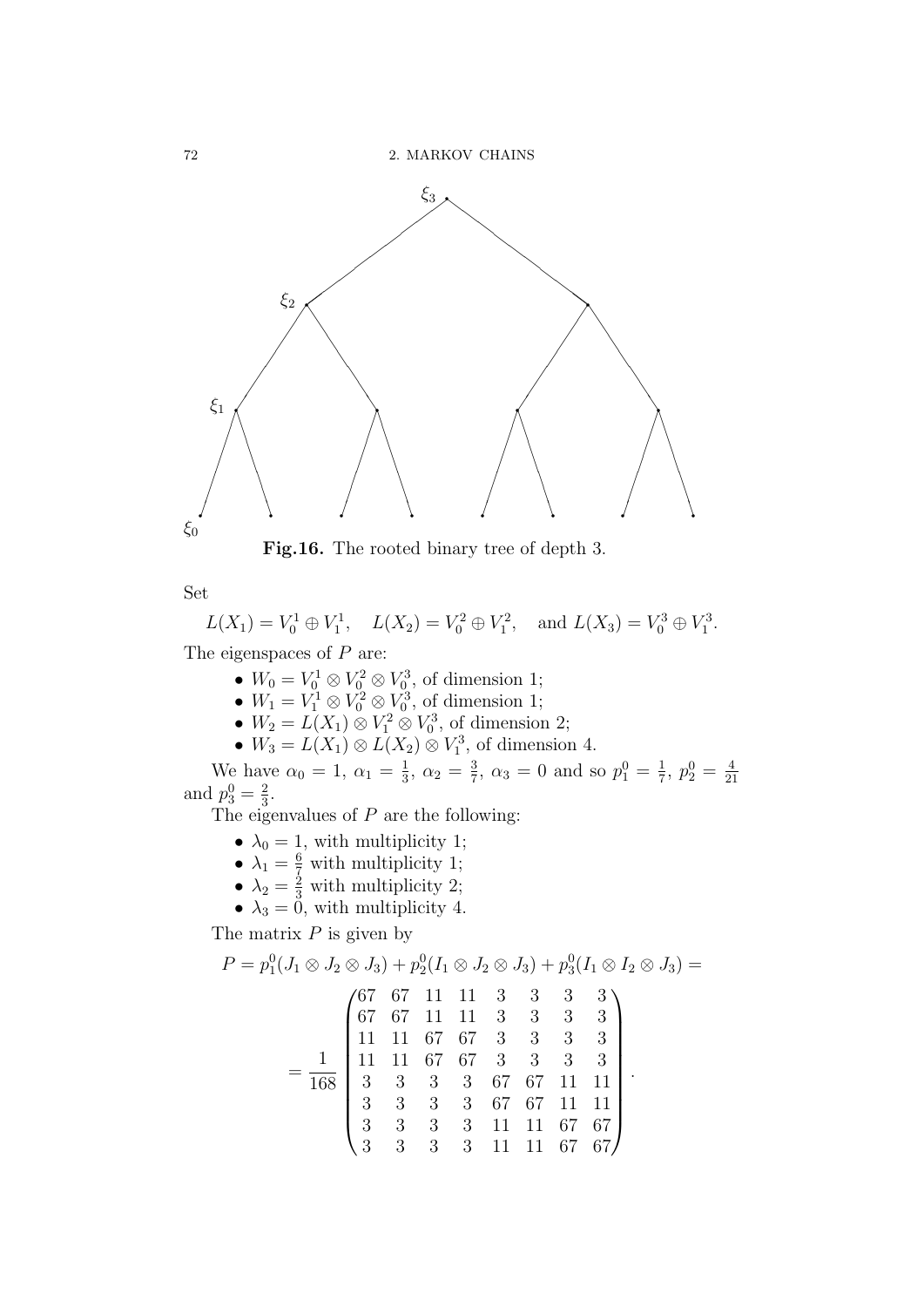

Fig.16. The rooted binary tree of depth 3.

Set

$$
L(X_1) = V_0^1 \oplus V_1^1, \quad L(X_2) = V_0^2 \oplus V_1^2, \quad \text{and } L(X_3) = V_0^3 \oplus V_1^3.
$$

The eigenspaces of  $P$  are:

- $W_0 = V_0^1 \otimes V_0^2 \otimes V_0^3$ , of dimension 1;
- $W_1 = V_1^1 \otimes V_0^2 \otimes V_0^3$ , of dimension 1;
- $W_2 = L(X_1) \otimes V_1^2 \otimes V_0^3$ , of dimension 2;
- $W_3 = L(X_1) \otimes L(X_2) \otimes V_1^3$ , of dimension 4.

We have  $\alpha_0 = 1, \alpha_1 = \frac{1}{3}$  $\frac{1}{3}$ ,  $\alpha_2 = \frac{3}{7}$  $\frac{3}{7}$ ,  $\alpha_3 = 0$  and so  $p_1^0 = \frac{1}{7}$  $\frac{1}{7}, p_2^0 = \frac{4}{21}$ we have  $\alpha_0 = 1$ ,  $\alpha_1 = 3$ ,  $\alpha_2 = 7$ ,  $\alpha_3 = 0$  and so  $p_1 = 7$ ,  $p_2 = 21$ <br>and  $p_3^0 = \frac{2}{3}$ .  $\frac{2}{3}$ .

The eigenvalues of  $P$  are the following:

- $\lambda_0 = 1$ , with multiplicity 1;
- $\lambda_1 = \frac{6}{7}$  with multiplicity 1;
- $\lambda_2 = \frac{2}{3}$  with multiplicity 2;
- $\lambda_3 = 0$ , with multiplicity 4.

The matrix  $P$  is given by

$$
P = p_1^0(J_1 \otimes J_2 \otimes J_3) + p_2^0(I_1 \otimes J_2 \otimes J_3) + p_3^0(I_1 \otimes I_2 \otimes J_3) =
$$
\n
$$
\begin{pmatrix}\n67 & 67 & 11 & 11 & 3 & 3 & 3 & 3 \\
67 & 67 & 11 & 11 & 3 & 3 & 3 & 3 \\
11 & 11 & 67 & 67 & 3 & 3 & 3 & 3 \\
11 & 11 & 67 & 67 & 3 & 3 & 3 & 3 \\
168 & 3 & 3 & 3 & 67 & 67 & 11 & 11 \\
3 & 3 & 3 & 3 & 67 & 67 & 11 & 11 \\
3 & 3 & 3 & 3 & 3 & 11 & 11 & 67 & 67 \\
3 & 3 & 3 & 3 & 11 & 11 & 67 & 67\n\end{pmatrix}
$$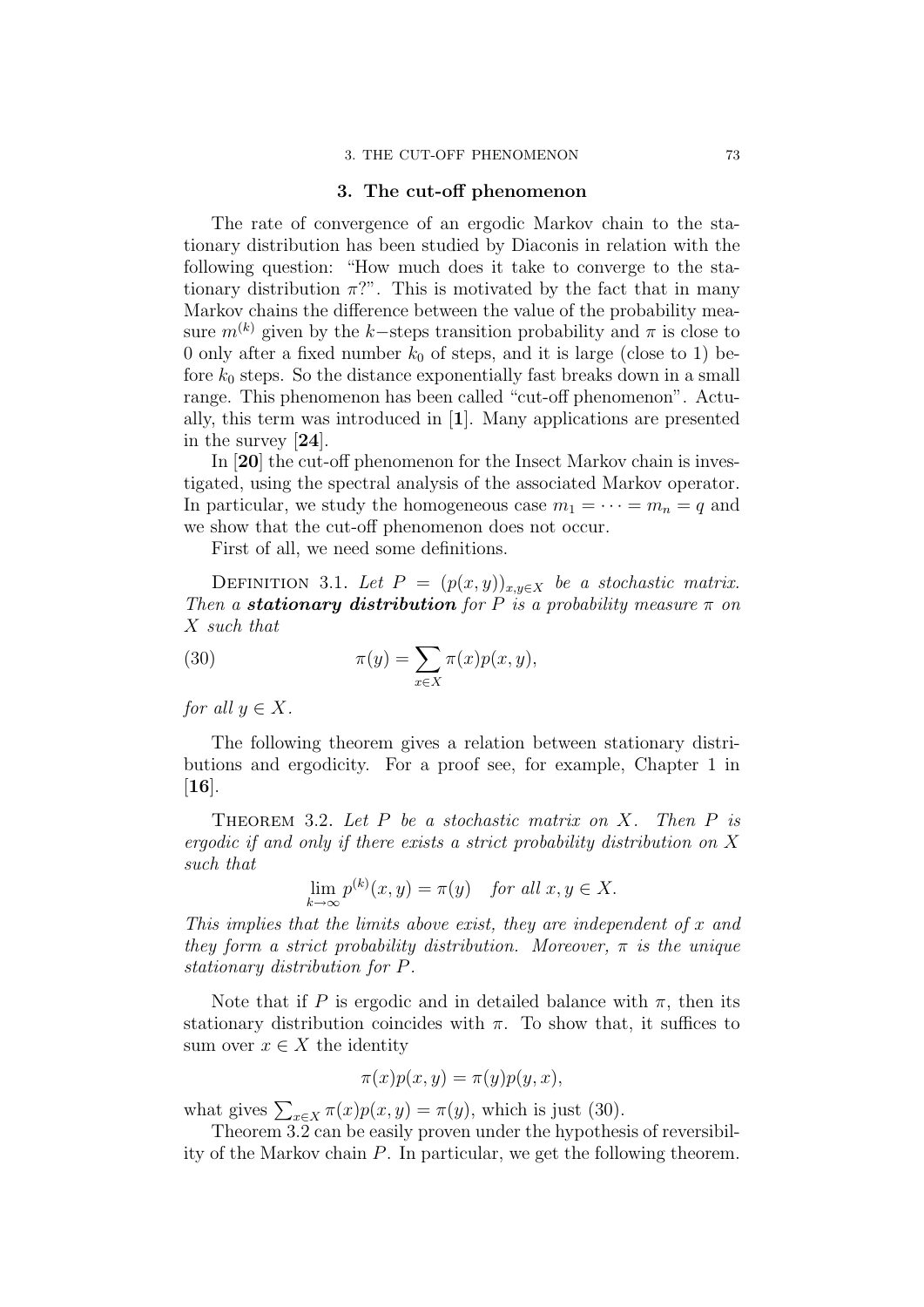#### 3. THE CUT-OFF PHENOMENON 73

# 3. The cut-off phenomenon

The rate of convergence of an ergodic Markov chain to the stationary distribution has been studied by Diaconis in relation with the following question: "How much does it take to converge to the stationary distribution  $\pi$ ?". This is motivated by the fact that in many Markov chains the difference between the value of the probability measure  $m^{(k)}$  given by the k–steps transition probability and  $\pi$  is close to 0 only after a fixed number  $k_0$  of steps, and it is large (close to 1) before  $k_0$  steps. So the distance exponentially fast breaks down in a small range. This phenomenon has been called "cut-off phenomenon". Actually, this term was introduced in [1]. Many applications are presented in the survey [24].

In [20] the cut-off phenomenon for the Insect Markov chain is investigated, using the spectral analysis of the associated Markov operator. In particular, we study the homogeneous case  $m_1 = \cdots = m_n = q$  and we show that the cut-off phenomenon does not occur.

First of all, we need some definitions.

DEFINITION 3.1. Let  $P = (p(x, y))_{x,y \in X}$  be a stochastic matrix. Then a **stationary distribution** for P is a probability measure  $\pi$  on X such that

(30) 
$$
\pi(y) = \sum_{x \in X} \pi(x) p(x, y),
$$

for all  $y \in X$ .

The following theorem gives a relation between stationary distributions and ergodicity. For a proof see, for example, Chapter 1 in  $[16]$ .

THEOREM 3.2. Let  $P$  be a stochastic matrix on  $X$ . Then  $P$  is ergodic if and only if there exists a strict probability distribution on X such that

$$
\lim_{k \to \infty} p^{(k)}(x, y) = \pi(y) \quad \text{for all } x, y \in X.
$$

This implies that the limits above exist, they are independent of  $x$  and they form a strict probability distribution. Moreover,  $\pi$  is the unique stationary distribution for P.

Note that if P is ergodic and in detailed balance with  $\pi$ , then its stationary distribution coincides with  $\pi$ . To show that, it suffices to sum over  $x \in X$  the identity

$$
\pi(x)p(x,y) = \pi(y)p(y,x),
$$

what gives  $\sum_{x \in X} \pi(x) p(x, y) = \pi(y)$ , which is just (30).

Theorem 3.2 can be easily proven under the hypothesis of reversibility of the Markov chain P. In particular, we get the following theorem.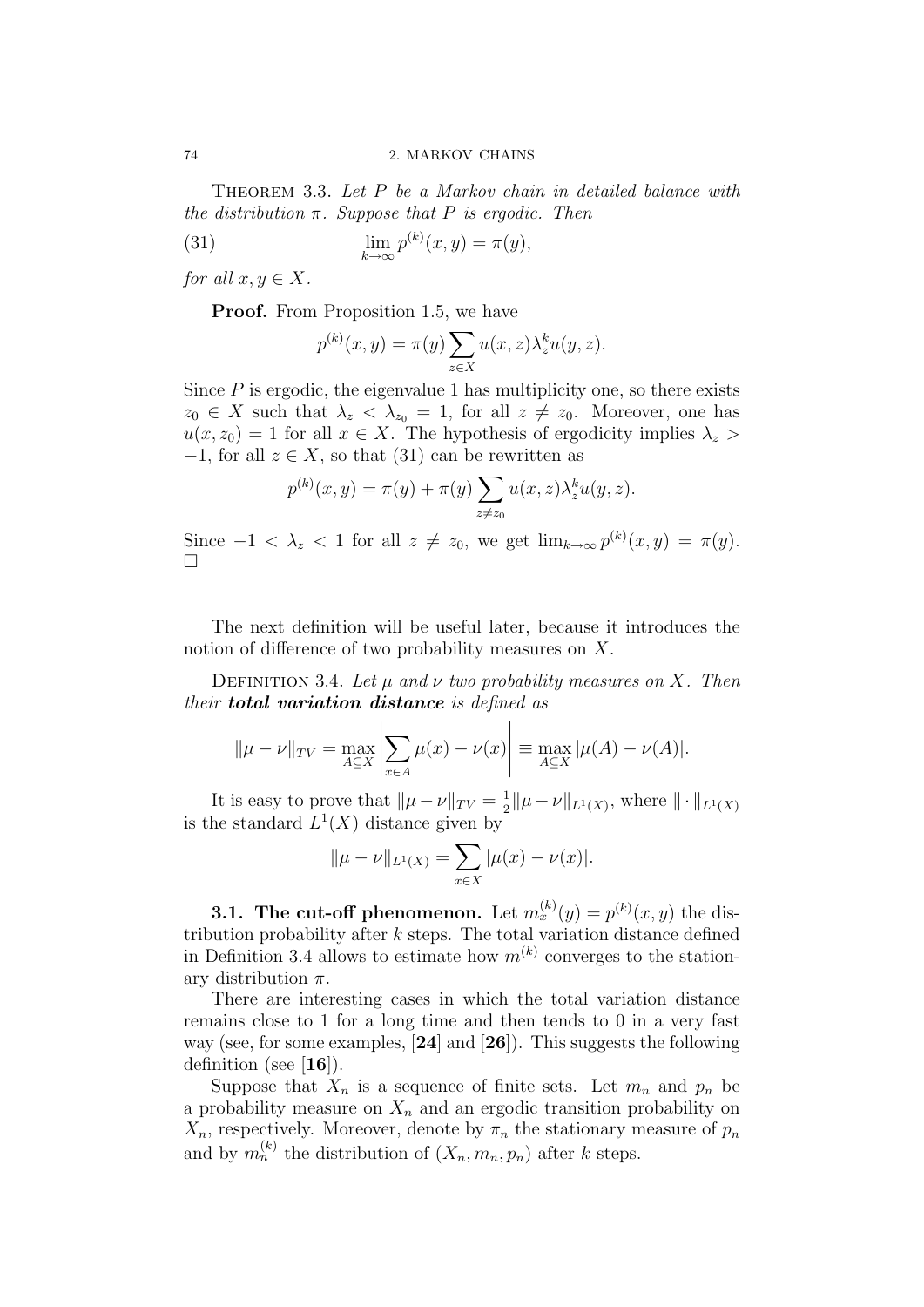THEOREM 3.3. Let P be a Markov chain in detailed balance with the distribution  $\pi$ . Suppose that P is ergodic. Then

(31) 
$$
\lim_{k \to \infty} p^{(k)}(x, y) = \pi(y),
$$

for all  $x, y \in X$ .

**Proof.** From Proposition 1.5, we have

$$
p^{(k)}(x,y) = \pi(y) \sum_{z \in X} u(x,z) \lambda_z^k u(y,z).
$$

Since  $P$  is ergodic, the eigenvalue 1 has multiplicity one, so there exists  $z_0 \in X$  such that  $\lambda_z < \lambda_{z_0} = 1$ , for all  $z \neq z_0$ . Moreover, one has  $u(x, z_0) = 1$  for all  $x \in X$ . The hypothesis of ergodicity implies  $\lambda_z$  $-1$ , for all  $z \in X$ , so that (31) can be rewritten as

$$
p^{(k)}(x, y) = \pi(y) + \pi(y) \sum_{z \neq z_0} u(x, z) \lambda_z^k u(y, z).
$$

Since  $-1 < \lambda_z < 1$  for all  $z \neq z_0$ , we get  $\lim_{k \to \infty} p^{(k)}(x, y) = \pi(y)$ .  $\Box$ 

The next definition will be useful later, because it introduces the notion of difference of two probability measures on X.

DEFINITION 3.4. Let  $\mu$  and  $\nu$  two probability measures on X. Then their **total variation distance** is defined as

$$
\|\mu - \nu\|_{TV} = \max_{A \subseteq X} \left| \sum_{x \in A} \mu(x) - \nu(x) \right| \equiv \max_{A \subseteq X} |\mu(A) - \nu(A)|.
$$

It is easy to prove that  $\|\mu - \nu\|_{TV} = \frac{1}{2}$  $\frac{1}{2} \|\mu - \nu\|_{L^1(X)}$ , where  $\|\cdot\|_{L^1(X)}$ is the standard  $L^1(X)$  distance given by

$$
\|\mu - \nu\|_{L^1(X)} = \sum_{x \in X} |\mu(x) - \nu(x)|.
$$

**3.1.** The cut-off phenomenon. Let  $m_x^{(k)}(y) = p^{(k)}(x, y)$  the distribution probability after  $k$  steps. The total variation distance defined in Definition 3.4 allows to estimate how  $m^{(k)}$  converges to the stationary distribution  $\pi$ .

There are interesting cases in which the total variation distance remains close to 1 for a long time and then tends to 0 in a very fast way (see, for some examples, [24] and [26]). This suggests the following definition (see  $[16]$ ).

Suppose that  $X_n$  is a sequence of finite sets. Let  $m_n$  and  $p_n$  be a probability measure on  $X_n$  and an ergodic transition probability on  $X_n$ , respectively. Moreover, denote by  $\pi_n$  the stationary measure of  $p_n$ and by  $m_n^{(k)}$  the distribution of  $(X_n, m_n, p_n)$  after k steps.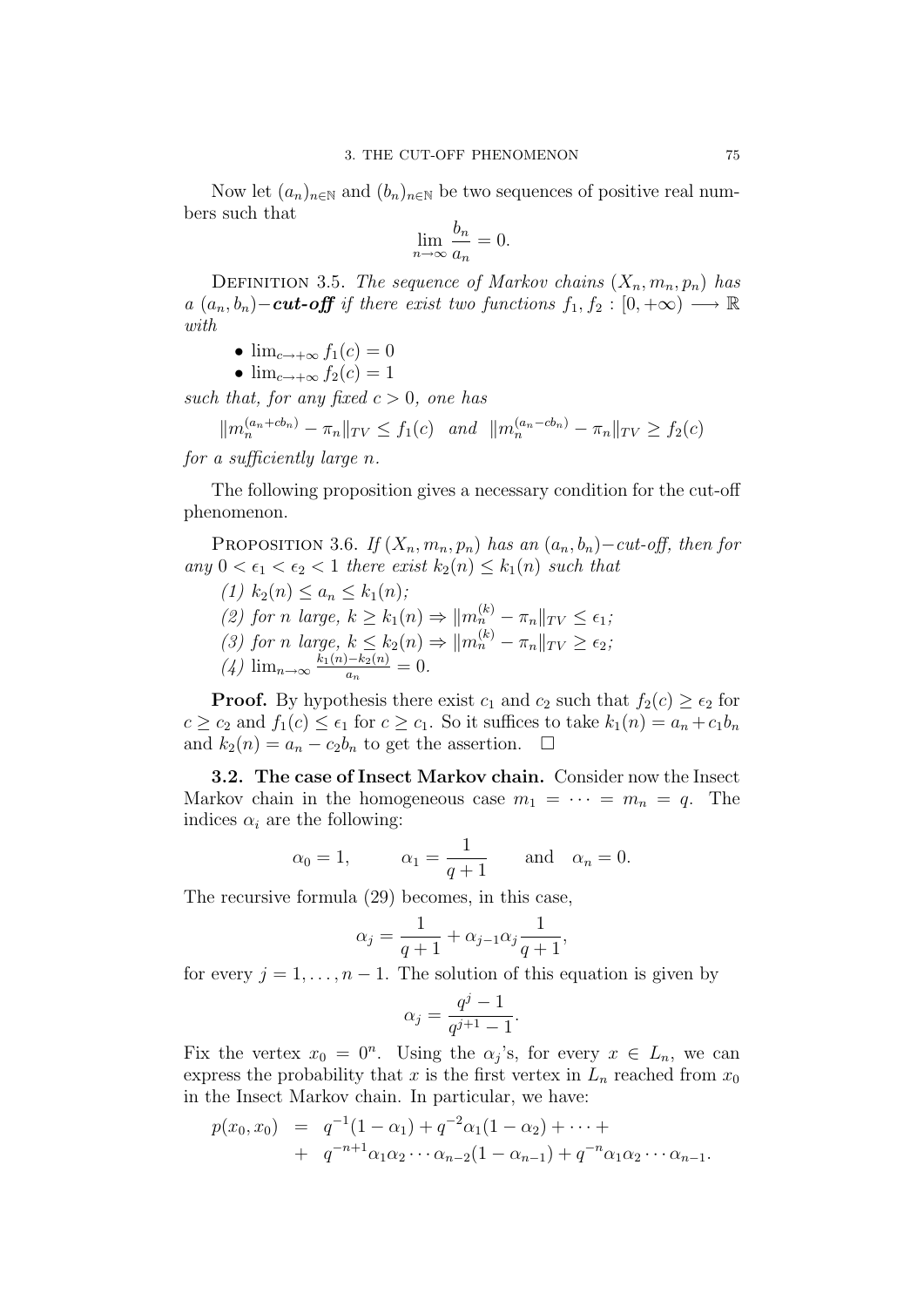Now let  $(a_n)_{n\in\mathbb{N}}$  and  $(b_n)_{n\in\mathbb{N}}$  be two sequences of positive real numbers such that

$$
\lim_{n \to \infty} \frac{b_n}{a_n} = 0.
$$

DEFINITION 3.5. The sequence of Markov chains  $(X_n, m_n, p_n)$  has a  $(a_n, b_n)$  − cut-off if there exist two functions  $f_1, f_2 : [0, +\infty) \longrightarrow \mathbb{R}$ with

$$
\bullet \ \lim_{c \to +\infty} f_1(c) = 0
$$

$$
\bullet \ \lim_{c \to +\infty} f_2(c) = 1
$$

such that, for any fixed  $c > 0$ , one has

$$
||m_n^{(a_n+cb_n)} - \pi_n||_{TV} \le f_1(c) \quad and \quad ||m_n^{(a_n-cb_n)} - \pi_n||_{TV} \ge f_2(c)
$$

for a sufficiently large n.

The following proposition gives a necessary condition for the cut-off phenomenon.

PROPOSITION 3.6. If  $(X_n, m_n, p_n)$  has an  $(a_n, b_n)-cut-off$ , then for any  $0 < \epsilon_1 < \epsilon_2 < 1$  there exist  $k_2(n) \leq k_1(n)$  such that

(1)  $k_2(n) \le a_n \le k_1(n);$ (2) for n large,  $k \geq k_1(n) \Rightarrow ||m_n^{(k)} - \pi_n||_{TV} \leq \epsilon_1$ ; (3) for n large,  $k \leq k_2(n) \Rightarrow ||m_n^{(k)} - \pi_n||_{TV} \geq \epsilon_2$ ;  $\left(4\right)$  lim<sub>n→∞</sub>  $\frac{k_1(n)-k_2(n)}{a_n}$  $\frac{1-\kappa_2(n)}{a_n}=0.$ 

**Proof.** By hypothesis there exist  $c_1$  and  $c_2$  such that  $f_2(c) \geq \epsilon_2$  for  $c \ge c_2$  and  $f_1(c) \le \epsilon_1$  for  $c \ge c_1$ . So it suffices to take  $k_1(n) = a_n + c_1b_n$ and  $k_2(n) = a_n - c_2b_n$  to get the assertion.  $\Box$ 

3.2. The case of Insect Markov chain. Consider now the Insect Markov chain in the homogeneous case  $m_1 = \cdots = m_n = q$ . The indices  $\alpha_i$  are the following:

$$
\alpha_0 = 1,
$$
\n $\alpha_1 = \frac{1}{q+1}$ \nand\n $\alpha_n = 0.$ 

The recursive formula (29) becomes, in this case,

$$
\alpha_j = \frac{1}{q+1} + \alpha_{j-1}\alpha_j \frac{1}{q+1},
$$

for every  $j = 1, \ldots, n - 1$ . The solution of this equation is given by

$$
\alpha_j = \frac{q^j - 1}{q^{j+1} - 1}.
$$

Fix the vertex  $x_0 = 0^n$ . Using the  $\alpha_j$ 's, for every  $x \in L_n$ , we can express the probability that x is the first vertex in  $L_n$  reached from  $x_0$ in the Insect Markov chain. In particular, we have:

$$
p(x_0, x_0) = q^{-1}(1 - \alpha_1) + q^{-2}\alpha_1(1 - \alpha_2) + \cdots +
$$
  
+ 
$$
q^{-n+1}\alpha_1\alpha_2 \cdots \alpha_{n-2}(1 - \alpha_{n-1}) + q^{-n}\alpha_1\alpha_2 \cdots \alpha_{n-1}.
$$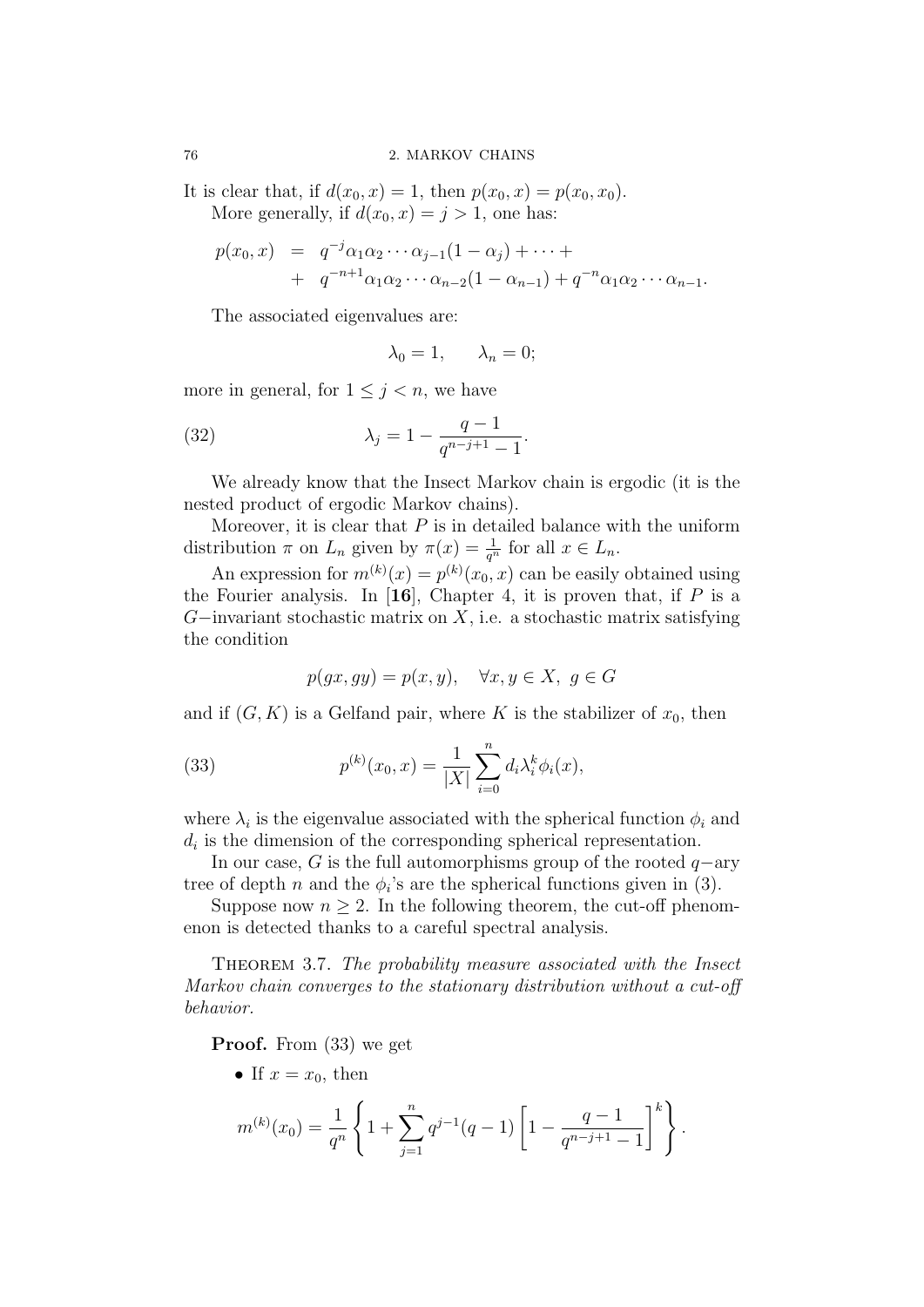It is clear that, if  $d(x_0, x) = 1$ , then  $p(x_0, x) = p(x_0, x_0)$ . More generally, if  $d(x_0, x) = j > 1$ , one has:

$$
p(x_0, x) = q^{-j} \alpha_1 \alpha_2 \cdots \alpha_{j-1} (1 - \alpha_j) + \cdots +
$$
  
+ 
$$
q^{-n+1} \alpha_1 \alpha_2 \cdots \alpha_{n-2} (1 - \alpha_{n-1}) + q^{-n} \alpha_1 \alpha_2 \cdots \alpha_{n-1}.
$$

The associated eigenvalues are:

$$
\lambda_0=1, \qquad \lambda_n=0;
$$

more in general, for  $1 \leq j \leq n$ , we have

(32) 
$$
\lambda_j = 1 - \frac{q-1}{q^{n-j+1}-1}.
$$

We already know that the Insect Markov chain is ergodic (it is the nested product of ergodic Markov chains).

Moreover, it is clear that  $P$  is in detailed balance with the uniform distribution  $\pi$  on  $L_n$  given by  $\pi(x) = \frac{1}{q^n}$  for all  $x \in L_n$ .

An expression for  $m^{(k)}(x) = p^{(k)}(x_0, x)$  can be easily obtained using the Fourier analysis. In [16], Chapter 4, it is proven that, if  $P$  is a  $G$ −invariant stochastic matrix on  $X$ , i.e. a stochastic matrix satisfying the condition

$$
p(gx, gy) = p(x, y), \quad \forall x, y \in X, \ g \in G
$$

and if  $(G, K)$  is a Gelfand pair, where K is the stabilizer of  $x_0$ , then

(33) 
$$
p^{(k)}(x_0, x) = \frac{1}{|X|} \sum_{i=0}^{n} d_i \lambda_i^k \phi_i(x),
$$

where  $\lambda_i$  is the eigenvalue associated with the spherical function  $\phi_i$  and  $d_i$  is the dimension of the corresponding spherical representation.

In our case, G is the full automorphisms group of the rooted  $q$ −ary tree of depth *n* and the  $\phi_i$ 's are the spherical functions given in (3).

Suppose now  $n \geq 2$ . In the following theorem, the cut-off phenomenon is detected thanks to a careful spectral analysis.

THEOREM 3.7. The probability measure associated with the Insect Markov chain converges to the stationary distribution without a cut-off behavior.

Proof. From (33) we get

• If  $x = x_0$ , then

$$
m^{(k)}(x_0) = \frac{1}{q^n} \left\{ 1 + \sum_{j=1}^n q^{j-1}(q-1) \left[ 1 - \frac{q-1}{q^{n-j+1}-1} \right]^k \right\}.
$$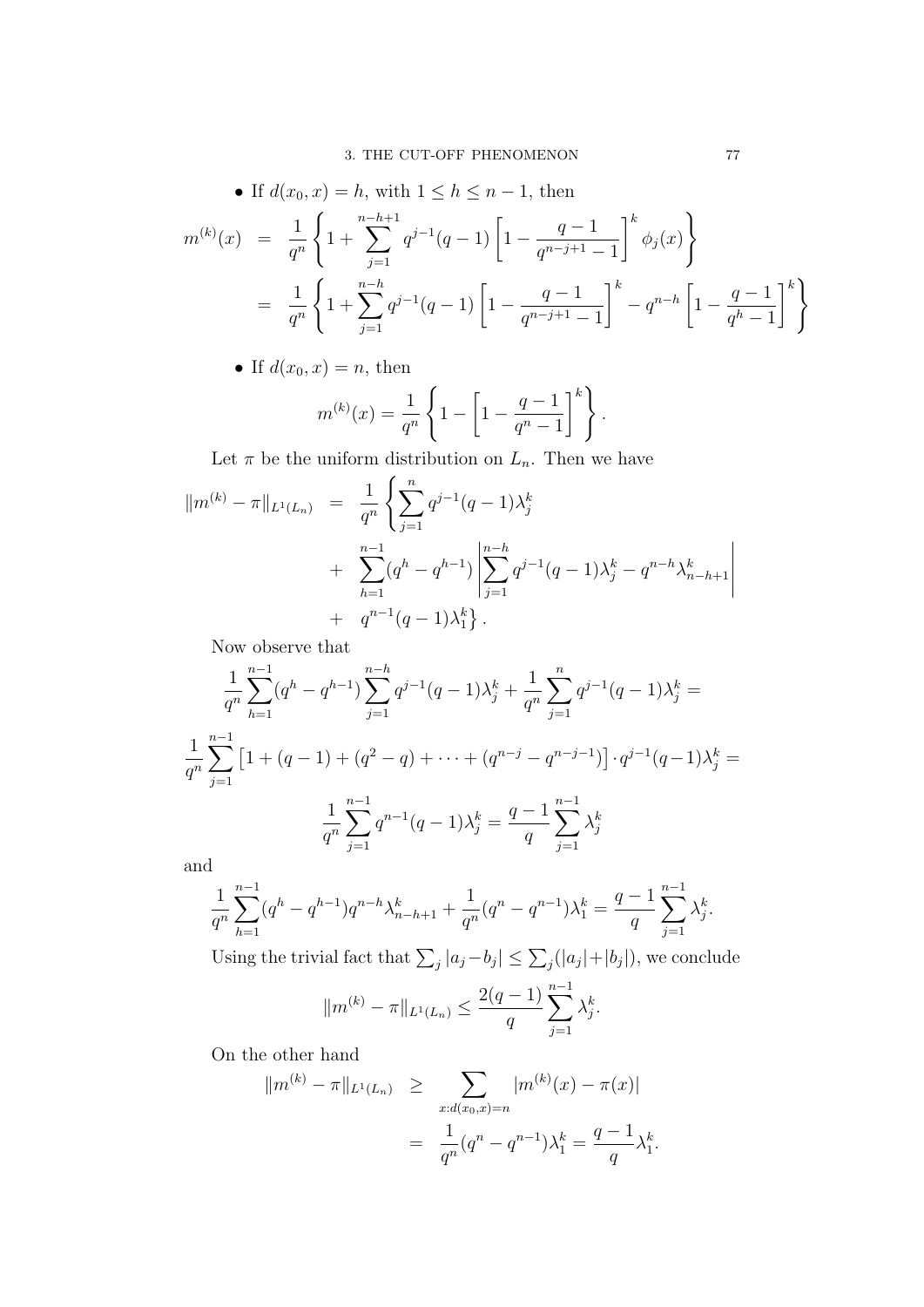• If 
$$
d(x_0, x) = h
$$
, with  $1 \le h \le n - 1$ , then  
\n
$$
m^{(k)}(x) = \frac{1}{q^n} \left\{ 1 + \sum_{j=1}^{n-h+1} q^{j-1} (q-1) \left[ 1 - \frac{q-1}{q^{n-j+1}-1} \right]^k \phi_j(x) \right\}
$$
\n
$$
= \frac{1}{q^n} \left\{ 1 + \sum_{j=1}^{n-h} q^{j-1} (q-1) \left[ 1 - \frac{q-1}{q^{n-j+1}-1} \right]^k - q^{n-h} \left[ 1 - \frac{q-1}{q^h-1} \right]^k \right\}
$$

• If  $d(x_0, x) = n$ , then

$$
m^{(k)}(x) = \frac{1}{q^n} \left\{ 1 - \left[ 1 - \frac{q-1}{q^n - 1} \right]^k \right\}.
$$

Let  $\pi$  be the uniform distribution on  $L_n$ . Then we have

$$
\|m^{(k)} - \pi\|_{L^1(L_n)} = \frac{1}{q^n} \left\{ \sum_{j=1}^n q^{j-1} (q-1) \lambda_j^k + \sum_{h=1}^{n-1} (q^h - q^{h-1}) \left| \sum_{j=1}^{n-h} q^{j-1} (q-1) \lambda_j^k - q^{n-h} \lambda_{n-h+1}^k \right| + q^{n-1} (q-1) \lambda_1^k \right\}.
$$

Now observe that

$$
\frac{1}{q^n} \sum_{h=1}^{n-1} (q^h - q^{h-1}) \sum_{j=1}^{n-h} q^{j-1} (q-1) \lambda_j^k + \frac{1}{q^n} \sum_{j=1}^n q^{j-1} (q-1) \lambda_j^k =
$$
\n
$$
\frac{1}{q^n} \sum_{j=1}^{n-1} \left[ 1 + (q-1) + (q^2 - q) + \dots + (q^{n-j} - q^{n-j-1}) \right] \cdot q^{j-1} (q-1) \lambda_j^k =
$$
\n
$$
\frac{1}{q^n} \sum_{j=1}^{n-1} q^{n-1} (q-1) \lambda_j^k = \frac{q-1}{q} \sum_{j=1}^{n-1} \lambda_j^k
$$

and

$$
\frac{1}{q^n} \sum_{h=1}^{n-1} (q^h - q^{h-1}) q^{n-h} \lambda_{n-h+1}^k + \frac{1}{q^n} (q^n - q^{n-1}) \lambda_1^k = \frac{q-1}{q} \sum_{j=1}^{n-1} \lambda_j^k.
$$

Using the trivial fact that  $\sum_j |a_j - b_j| \leq \sum_j (|a_j| + |b_j|)$ , we conclude

$$
||m^{(k)} - \pi||_{L^1(L_n)} \leq \frac{2(q-1)}{q} \sum_{j=1}^{n-1} \lambda_j^k.
$$

On the other hand

$$
\|m^{(k)} - \pi\|_{L^1(L_n)} \ge \sum_{x:d(x_0,x)=n} |m^{(k)}(x) - \pi(x)|
$$
  
= 
$$
\frac{1}{q^n} (q^n - q^{n-1}) \lambda_1^k = \frac{q-1}{q} \lambda_1^k.
$$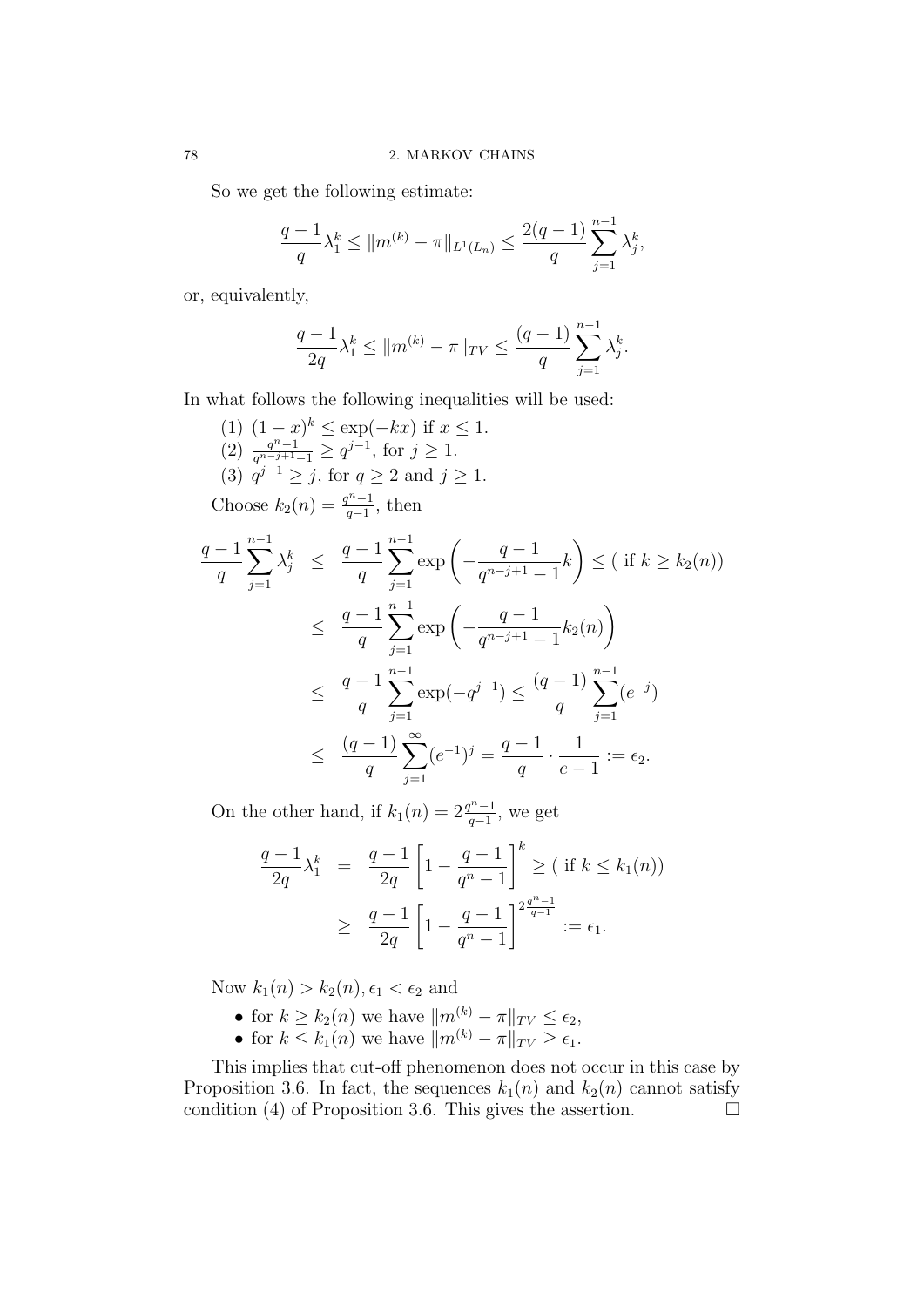So we get the following estimate:

$$
\frac{q-1}{q}\lambda_1^k \le ||m^{(k)} - \pi||_{L^1(L_n)} \le \frac{2(q-1)}{q} \sum_{j=1}^{n-1} \lambda_j^k,
$$

or, equivalently,

$$
\frac{q-1}{2q}\lambda_1^k \le ||m^{(k)} - \pi||_{TV} \le \frac{(q-1)}{q} \sum_{j=1}^{n-1} \lambda_j^k.
$$

In what follows the following inequalities will be used:

$$
(1) (1-x)^{k} \le \exp(-kx) \text{ if } x \le 1.
$$
\n
$$
(2) \frac{q^{n-1}}{q^{n-j+1}-1} \ge q^{j-1}, \text{ for } j \ge 1.
$$
\n
$$
(3) q^{j-1} \ge j, \text{ for } q \ge 2 \text{ and } j \ge 1.
$$
\nChoose  $k_2(n) = \frac{q^{n-1}}{q-1}$ , then\n
$$
\frac{q-1}{q} \sum_{j=1}^{n-1} \lambda_j^k \le \frac{q-1}{q} \sum_{j=1}^{n-1} \exp\left(-\frac{q-1}{q^{n-j+1}-1}k\right) \le (\text{ if } k \ge k_2(n))
$$
\n
$$
\le \frac{q-1}{q} \sum_{j=1}^{n-1} \exp\left(-\frac{q-1}{q^{n-j+1}-1}k_2(n)\right)
$$
\n
$$
\le \frac{q-1}{q} \sum_{j=1}^{n-1} \exp(-q^{j-1}) \le \frac{(q-1)}{q} \sum_{j=1}^{n-1} (e^{-j})
$$
\n
$$
\le \frac{(q-1)}{q} \sum_{j=1}^{\infty} (e^{-1})^j = \frac{q-1}{q} \cdot \frac{1}{e-1} := \epsilon_2.
$$

On the other hand, if  $k_1(n) = 2\frac{q^n-1}{q-1}$  $\frac{q^{n}-1}{q-1}$ , we get

 $j=1$ 

$$
\frac{q-1}{2q}\lambda_1^k = \frac{q-1}{2q} \left[ 1 - \frac{q-1}{q^n - 1} \right]^k \ge (\text{ if } k \le k_1(n))
$$
  
 
$$
\ge \frac{q-1}{2q} \left[ 1 - \frac{q-1}{q^n - 1} \right]^{2\frac{q^n - 1}{q-1}} := \epsilon_1.
$$

Now  $k_1(n) > k_2(n), \epsilon_1 < \epsilon_2$  and

- for  $k \geq k_2(n)$  we have  $||m^{(k)} \pi||_{TV} \leq \epsilon_2$ ,
- for  $k \leq k_1(n)$  we have  $||m^{(k)} \pi||_{TV} \geq \epsilon_1$ .

This implies that cut-off phenomenon does not occur in this case by Proposition 3.6. In fact, the sequences  $k_1(n)$  and  $k_2(n)$  cannot satisfy condition (4) of Proposition 3.6. This gives the assertion.  $\Box$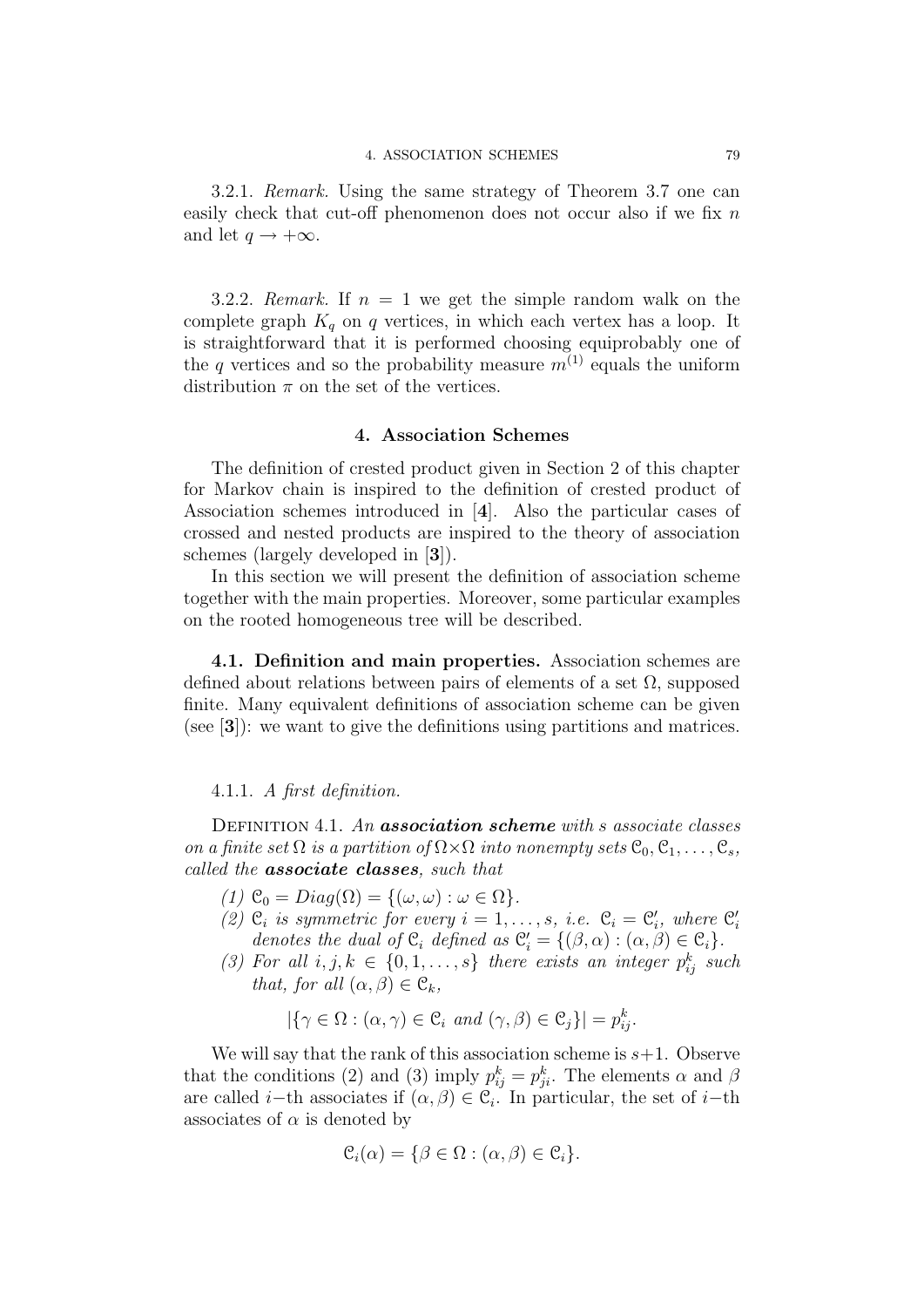3.2.1. Remark. Using the same strategy of Theorem 3.7 one can easily check that cut-off phenomenon does not occur also if we fix n and let  $q \rightarrow +\infty$ .

3.2.2. Remark. If  $n = 1$  we get the simple random walk on the complete graph  $K_q$  on q vertices, in which each vertex has a loop. It is straightforward that it is performed choosing equiprobably one of the q vertices and so the probability measure  $m^{(1)}$  equals the uniform distribution  $\pi$  on the set of the vertices.

# 4. Association Schemes

The definition of crested product given in Section 2 of this chapter for Markov chain is inspired to the definition of crested product of Association schemes introduced in [4]. Also the particular cases of crossed and nested products are inspired to the theory of association schemes (largely developed in [3]).

In this section we will present the definition of association scheme together with the main properties. Moreover, some particular examples on the rooted homogeneous tree will be described.

4.1. Definition and main properties. Association schemes are defined about relations between pairs of elements of a set  $\Omega$ , supposed finite. Many equivalent definitions of association scheme can be given (see [3]): we want to give the definitions using partitions and matrices.

### 4.1.1. A first definition.

DEFINITION 4.1. An **association scheme** with s associate classes on a finite set  $\Omega$  is a partition of  $\Omega \times \Omega$  into nonempty sets  $\mathcal{C}_0, \mathcal{C}_1, \ldots, \mathcal{C}_s$ , called the **associate classes**, such that

- (1)  $\mathfrak{C}_0 = Diag(\Omega) = \{(\omega, \omega) : \omega \in \Omega\}.$
- (2)  $\mathcal{C}_i$  is symmetric for every  $i = 1, \ldots, s$ , i.e.  $\mathcal{C}_i = \mathcal{C}'_i$ , where  $\mathcal{C}'_i$ denotes the dual of  $\mathfrak{C}_i$  defined as  $\mathfrak{C}'_i = \{(\beta, \alpha) : (\alpha, \beta) \in \mathfrak{C}_i\}.$
- (3) For all  $i, j, k \in \{0, 1, \ldots, s\}$  there exists an integer  $p_{ij}^k$  such that, for all  $(\alpha, \beta) \in \mathcal{C}_k$ ,

$$
|\{\gamma \in \Omega : (\alpha, \gamma) \in \mathcal{C}_i \text{ and } (\gamma, \beta) \in \mathcal{C}_j\}| = p_{ij}^k.
$$

We will say that the rank of this association scheme is  $s+1$ . Observe that the conditions (2) and (3) imply  $p_{ij}^k = p_{ji}^k$ . The elements  $\alpha$  and  $\beta$ are called *i*−th associates if  $(\alpha, \beta) \in \mathcal{C}_i$ . In particular, the set of *i*−th associates of  $\alpha$  is denoted by

$$
\mathcal{C}_i(\alpha) = \{ \beta \in \Omega : (\alpha, \beta) \in \mathcal{C}_i \}.
$$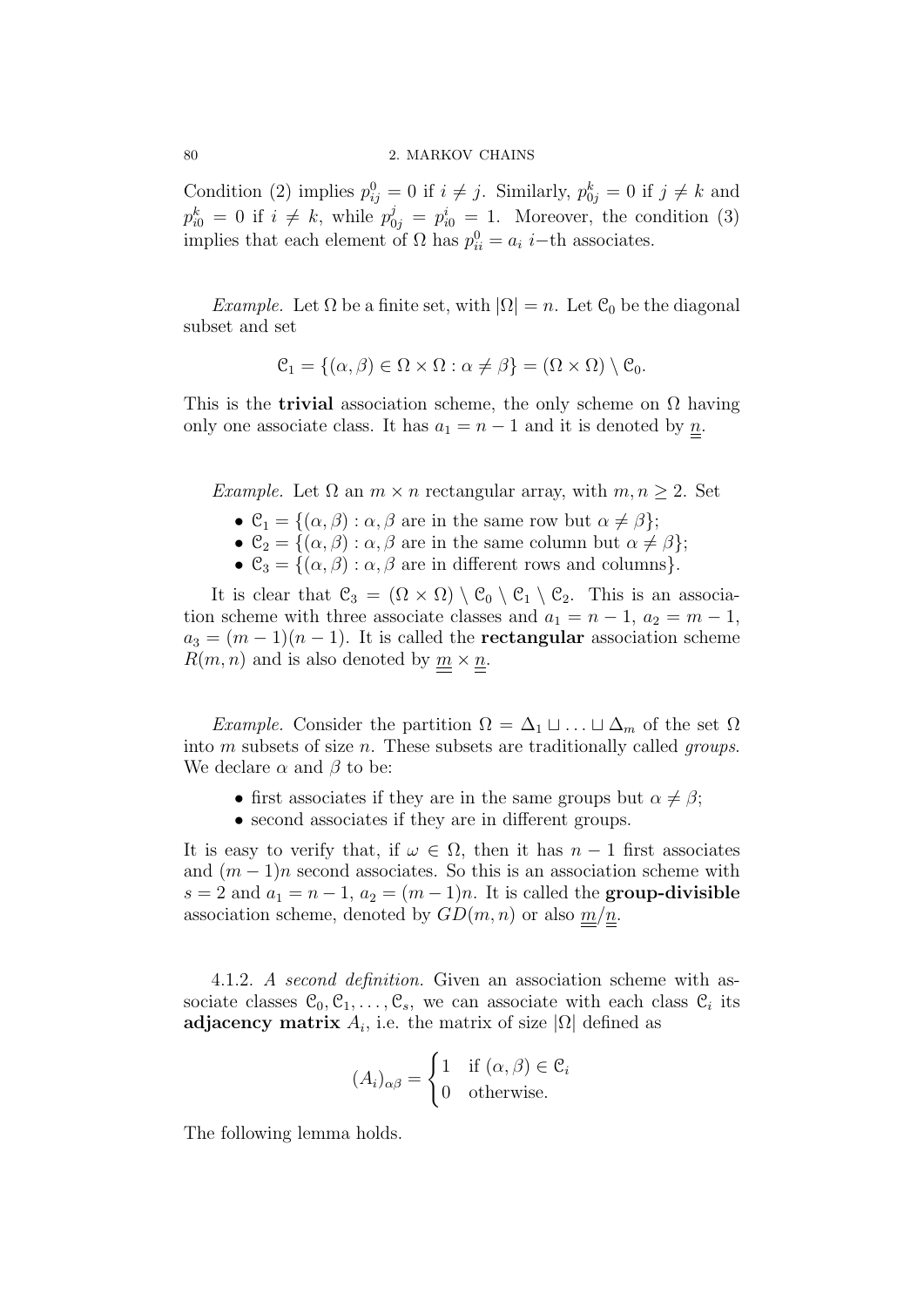#### 80 2. MARKOV CHAINS

Condition (2) implies  $p_{ij}^0 = 0$  if  $i \neq j$ . Similarly,  $p_{0j}^k = 0$  if  $j \neq k$  and  $p_{i0}^k = 0$  if  $i \neq k$ , while  $p_{0j}^j = p_{i0}^i = 1$ . Moreover, the condition (3) implies that each element of  $\Omega$  has  $p_{ii}^0 = a_i$  *i*-th associates.

Example. Let  $\Omega$  be a finite set, with  $|\Omega|=n$ . Let  $\mathfrak{C}_0$  be the diagonal subset and set

$$
\mathcal{C}_1 = \{ (\alpha, \beta) \in \Omega \times \Omega : \alpha \neq \beta \} = (\Omega \times \Omega) \setminus \mathcal{C}_0.
$$

This is the **trivial** association scheme, the only scheme on  $\Omega$  having only one associate class. It has  $a_1 = n - 1$  and it is denoted by  $\underline{n}$ .

Example. Let  $\Omega$  an  $m \times n$  rectangular array, with  $m, n \geq 2$ . Set

- $\mathcal{C}_1 = \{(\alpha, \beta) : \alpha, \beta \text{ are in the same row but } \alpha \neq \beta\};$
- $\mathcal{C}_2 = \{(\alpha, \beta) : \alpha, \beta \text{ are in the same column but } \alpha \neq \beta\};$
- $\mathcal{C}_3 = \{(\alpha, \beta) : \alpha, \beta \text{ are in different rows and columns}\}.$

It is clear that  $\mathcal{C}_3 = (\Omega \times \Omega) \setminus \mathcal{C}_0 \setminus \mathcal{C}_1 \setminus \mathcal{C}_2$ . This is an association scheme with three associate classes and  $a_1 = n - 1$ ,  $a_2 = m - 1$ ,  $a_3 = (m-1)(n-1)$ . It is called the **rectangular** association scheme  $R(m, n)$  and is also denoted by  $\underline{m} \times \underline{n}$ .

*Example.* Consider the partition  $\Omega = \Delta_1 \sqcup \ldots \sqcup \Delta_m$  of the set  $\Omega$ into  $m$  subsets of size  $n$ . These subsets are traditionally called *groups*. We declare  $\alpha$  and  $\beta$  to be:

- first associates if they are in the same groups but  $\alpha \neq \beta$ ;
- second associates if they are in different groups.

It is easy to verify that, if  $\omega \in \Omega$ , then it has  $n-1$  first associates and  $(m-1)n$  second associates. So this is an association scheme with  $s = 2$  and  $a_1 = n - 1$ ,  $a_2 = (m - 1)n$ . It is called the **group-divisible** association scheme, denoted by  $GD(m, n)$  or also  $m/n$ .

4.1.2. A second definition. Given an association scheme with associate classes  $\mathcal{C}_0, \mathcal{C}_1, \ldots, \mathcal{C}_s$ , we can associate with each class  $\mathcal{C}_i$  its adjacency matrix  $A_i$ , i.e. the matrix of size  $|\Omega|$  defined as

$$
(A_i)_{\alpha\beta} = \begin{cases} 1 & \text{if } (\alpha, \beta) \in \mathcal{C}_i \\ 0 & \text{otherwise.} \end{cases}
$$

The following lemma holds.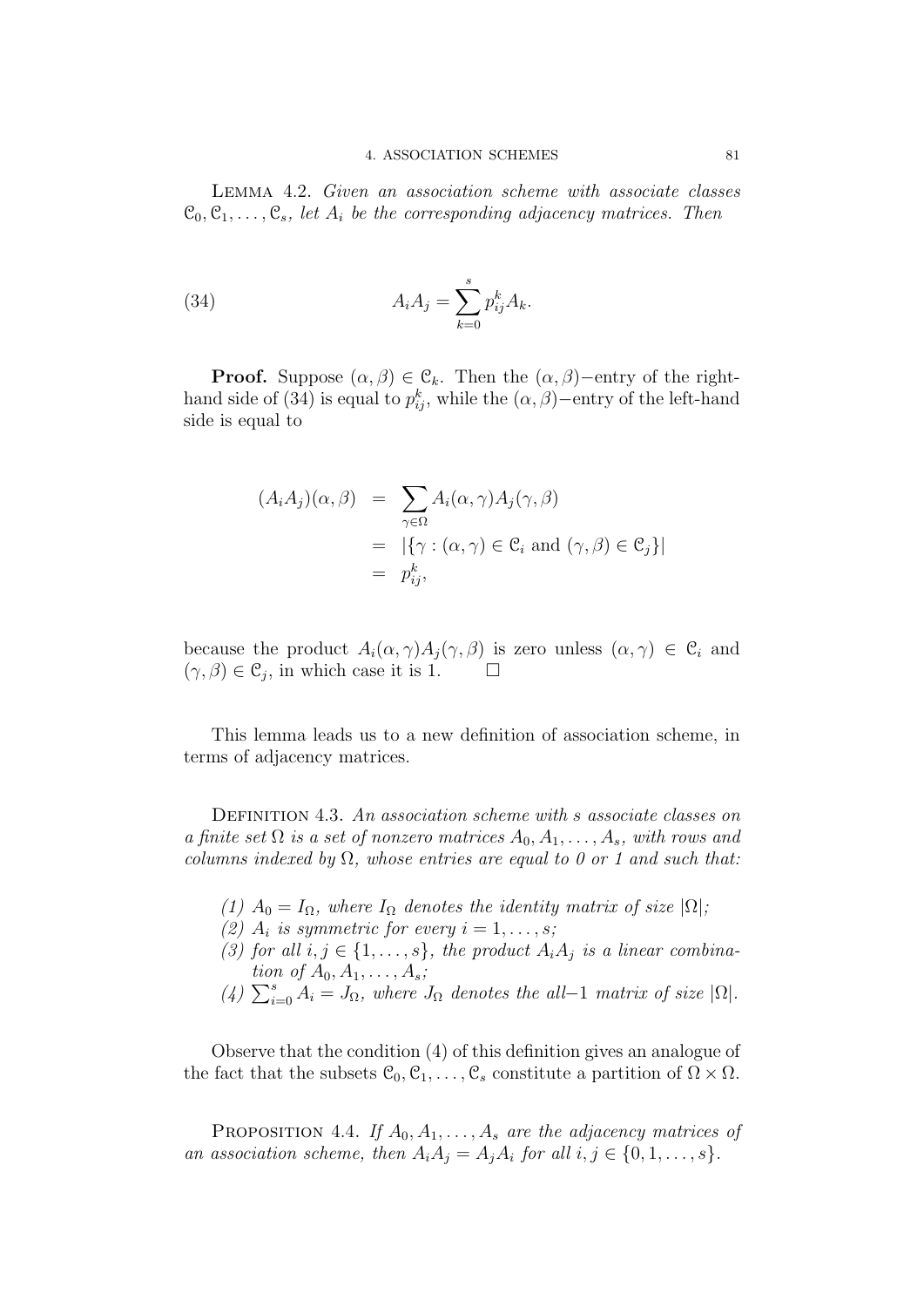Lemma 4.2. Given an association scheme with associate classes  $\mathcal{C}_0, \mathcal{C}_1, \ldots, \mathcal{C}_s$ , let  $A_i$  be the corresponding adjacency matrices. Then

(34) 
$$
A_i A_j = \sum_{k=0}^s p_{ij}^k A_k.
$$

**Proof.** Suppose  $(\alpha, \beta) \in \mathcal{C}_k$ . Then the  $(\alpha, \beta)$ –entry of the righthand side of (34) is equal to  $p_{ij}^k$ , while the  $(\alpha, \beta)$ –entry of the left-hand side is equal to

$$
(A_i A_j)(\alpha, \beta) = \sum_{\gamma \in \Omega} A_i(\alpha, \gamma) A_j(\gamma, \beta)
$$
  
=  $|\{\gamma : (\alpha, \gamma) \in \mathcal{C}_i \text{ and } (\gamma, \beta) \in \mathcal{C}_j\}|$   
=  $p_{ij}^k$ ,

because the product  $A_i(\alpha, \gamma)A_j(\gamma, \beta)$  is zero unless  $(\alpha, \gamma) \in \mathcal{C}_i$  and  $(\gamma, \beta) \in \mathfrak{C}_j$ , in which case it is 1.

This lemma leads us to a new definition of association scheme, in terms of adjacency matrices.

DEFINITION 4.3. An association scheme with s associate classes on a finite set  $\Omega$  is a set of nonzero matrices  $A_0, A_1, \ldots, A_s$ , with rows and columns indexed by  $\Omega$ , whose entries are equal to 0 or 1 and such that:

- (1)  $A_0 = I_\Omega$ , where  $I_\Omega$  denotes the identity matrix of size  $|\Omega|$ ;
- (2)  $A_i$  is symmetric for every  $i = 1, \ldots, s;$
- (3) for all  $i, j \in \{1, \ldots, s\}$ , the product  $A_i A_j$  is a linear combination of  $A_0, A_1, \ldots, A_s$ ;
- (4)  $\sum_{i=0}^{s} A_i = J_{\Omega}$ , where  $J_{\Omega}$  denotes the all-1 matrix of size  $|\Omega|$ .

Observe that the condition (4) of this definition gives an analogue of the fact that the subsets  $\mathcal{C}_0, \mathcal{C}_1, \ldots, \mathcal{C}_s$  constitute a partition of  $\Omega \times \Omega$ .

PROPOSITION 4.4. If  $A_0, A_1, \ldots, A_s$  are the adjacency matrices of an association scheme, then  $A_iA_j = A_jA_i$  for all  $i, j \in \{0, 1, \ldots, s\}.$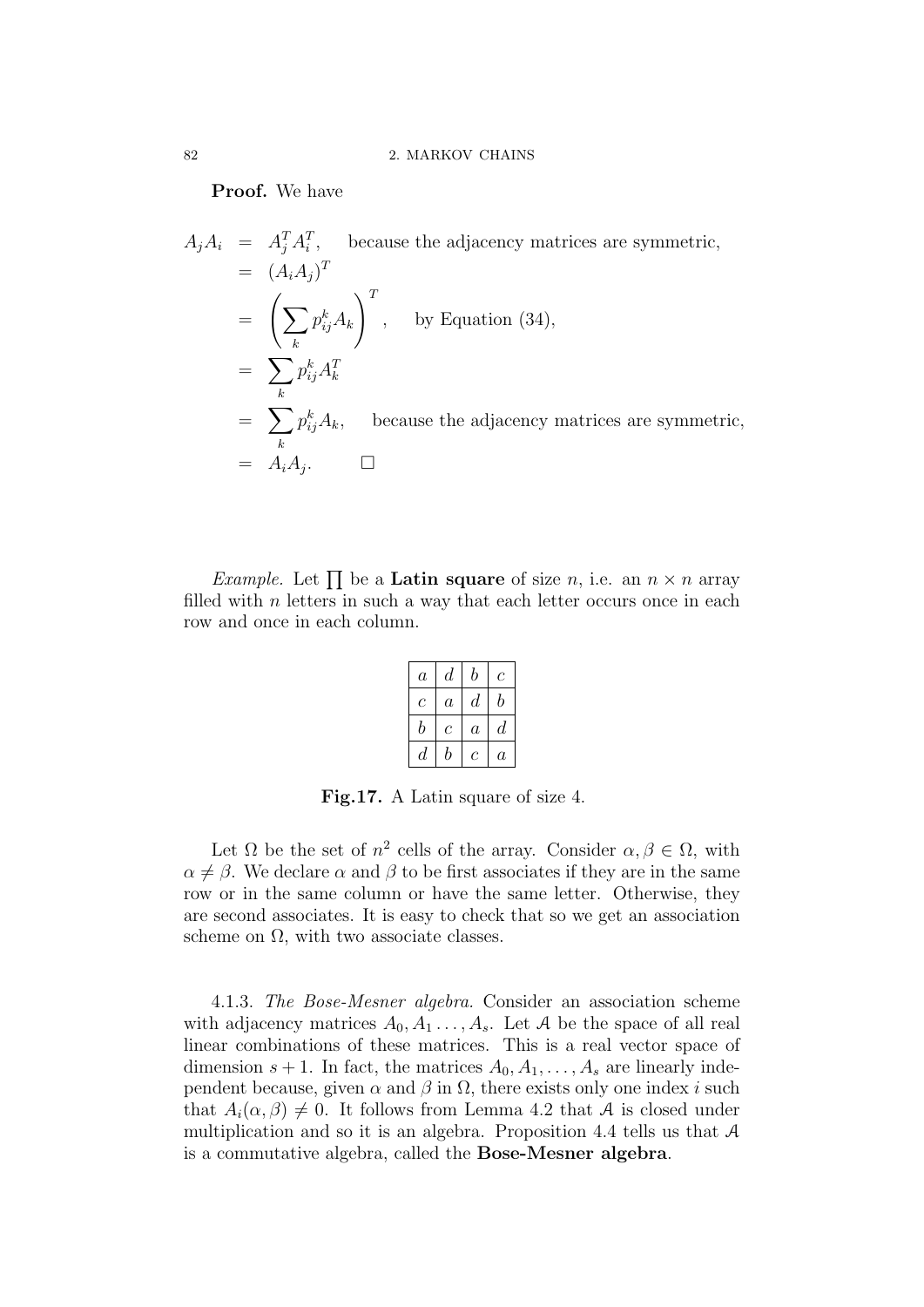Proof. We have

 $A_j A_i = A_j^T A_i^T$ , because the adjacency matrices are symmetric,  $= (A_i A_j)^T$  $=$   $\left(\sum \right)$ k  $p_{ij}^k A_k$  $\setminus^T$ , by Equation (34),  $=$   $\sum$ k  $p_{ij}^k A_k^T$  $=$   $\sum$ k  $p_i^k$ because the adjacency matrices are symmetric,  $% \alpha$  $= A_i A_j$ .  $\Box$ 

*Example.* Let  $\prod$  be a **Latin square** of size n, i.e. an  $n \times n$  array filled with  $n$  letters in such a way that each letter occurs once in each row and once in each column.

| $\boldsymbol{a}$ | $\,d$            | b                | С                |
|------------------|------------------|------------------|------------------|
| С                | $\boldsymbol{a}$ | $\it d$          | b                |
| b                | $\mathcal C$     | $\boldsymbol{a}$ | $\boldsymbol{d}$ |
| $\,d$            | b                | C                | $\it a$          |

Fig.17. A Latin square of size 4.

Let  $\Omega$  be the set of  $n^2$  cells of the array. Consider  $\alpha, \beta \in \Omega$ , with  $\alpha \neq \beta$ . We declare  $\alpha$  and  $\beta$  to be first associates if they are in the same row or in the same column or have the same letter. Otherwise, they are second associates. It is easy to check that so we get an association scheme on  $\Omega$ , with two associate classes.

4.1.3. The Bose-Mesner algebra. Consider an association scheme with adjacency matrices  $A_0, A_1, \ldots, A_s$ . Let A be the space of all real linear combinations of these matrices. This is a real vector space of dimension  $s + 1$ . In fact, the matrices  $A_0, A_1, \ldots, A_s$  are linearly independent because, given  $\alpha$  and  $\beta$  in  $\Omega$ , there exists only one index i such that  $A_i(\alpha, \beta) \neq 0$ . It follows from Lemma 4.2 that A is closed under multiplication and so it is an algebra. Proposition 4.4 tells us that A is a commutative algebra, called the Bose-Mesner algebra.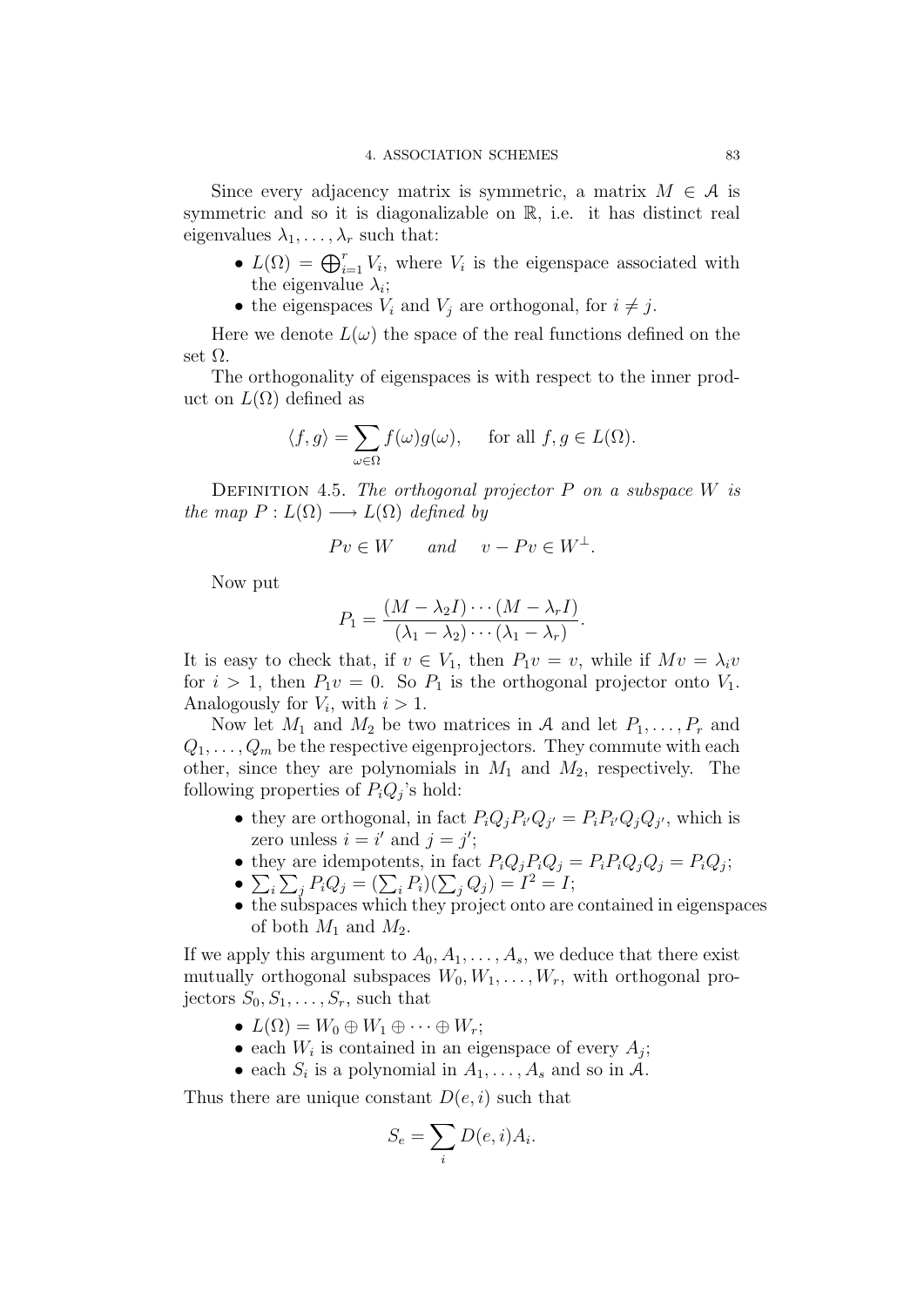Since every adjacency matrix is symmetric, a matrix  $M \in \mathcal{A}$  is symmetric and so it is diagonalizable on R, i.e. it has distinct real eigenvalues  $\lambda_1, \ldots, \lambda_r$  such that:

- $L(\Omega) = \bigoplus_{i=1}^r V_i$ , where  $V_i$  is the eigenspace associated with the eigenvalue  $\lambda_i$ ;
- the eigenspaces  $V_i$  and  $V_j$  are orthogonal, for  $i \neq j$ .

Here we denote  $L(\omega)$  the space of the real functions defined on the set  $\Omega$ .

The orthogonality of eigenspaces is with respect to the inner product on  $L(\Omega)$  defined as

$$
\langle f, g \rangle = \sum_{\omega \in \Omega} f(\omega)g(\omega)
$$
, for all  $f, g \in L(\Omega)$ .

DEFINITION 4.5. The orthogonal projector  $P$  on a subspace  $W$  is the map  $P: L(\Omega) \longrightarrow L(\Omega)$  defined by

$$
Pv \in W \qquad and \qquad v - Pv \in W^{\perp}.
$$

Now put

$$
P_1 = \frac{(M - \lambda_2 I) \cdots (M - \lambda_r I)}{(\lambda_1 - \lambda_2) \cdots (\lambda_1 - \lambda_r)}.
$$

It is easy to check that, if  $v \in V_1$ , then  $P_1v = v$ , while if  $Mv = \lambda_i v$ for  $i > 1$ , then  $P_1v = 0$ . So  $P_1$  is the orthogonal projector onto  $V_1$ . Analogously for  $V_i$ , with  $i > 1$ .

Now let  $M_1$  and  $M_2$  be two matrices in A and let  $P_1, \ldots, P_r$  and  $Q_1, \ldots, Q_m$  be the respective eigenprojectors. They commute with each other, since they are polynomials in  $M_1$  and  $M_2$ , respectively. The following properties of  $P_iQ_j$ 's hold:

- they are orthogonal, in fact  $P_iQ_jP_{i'}Q_{j'} = P_iP_{i'}Q_jQ_{j'}$ , which is zero unless  $i = i'$  and  $j = j'$ ;
- they are idempotents, in fact  $P_iQ_jP_iQ_j = P_iP_iQ_jQ_j = P_iQ_j;$
- $\sum_i \sum_j P_i Q_j = (\sum_i P_i)(\sum_j Q_j) = I^2 = I;$
- the subspaces which they project onto are contained in eigenspaces of both  $M_1$  and  $M_2$ .

If we apply this argument to  $A_0, A_1, \ldots, A_s$ , we deduce that there exist mutually orthogonal subspaces  $W_0, W_1, \ldots, W_r$ , with orthogonal projectors  $S_0, S_1, \ldots, S_r$ , such that

- $L(\Omega) = W_0 \oplus W_1 \oplus \cdots \oplus W_r;$
- each  $W_i$  is contained in an eigenspace of every  $A_j$ ;
- each  $S_i$  is a polynomial in  $A_1, \ldots, A_s$  and so in A.

Thus there are unique constant  $D(e, i)$  such that

$$
S_e = \sum_i D(e, i) A_i.
$$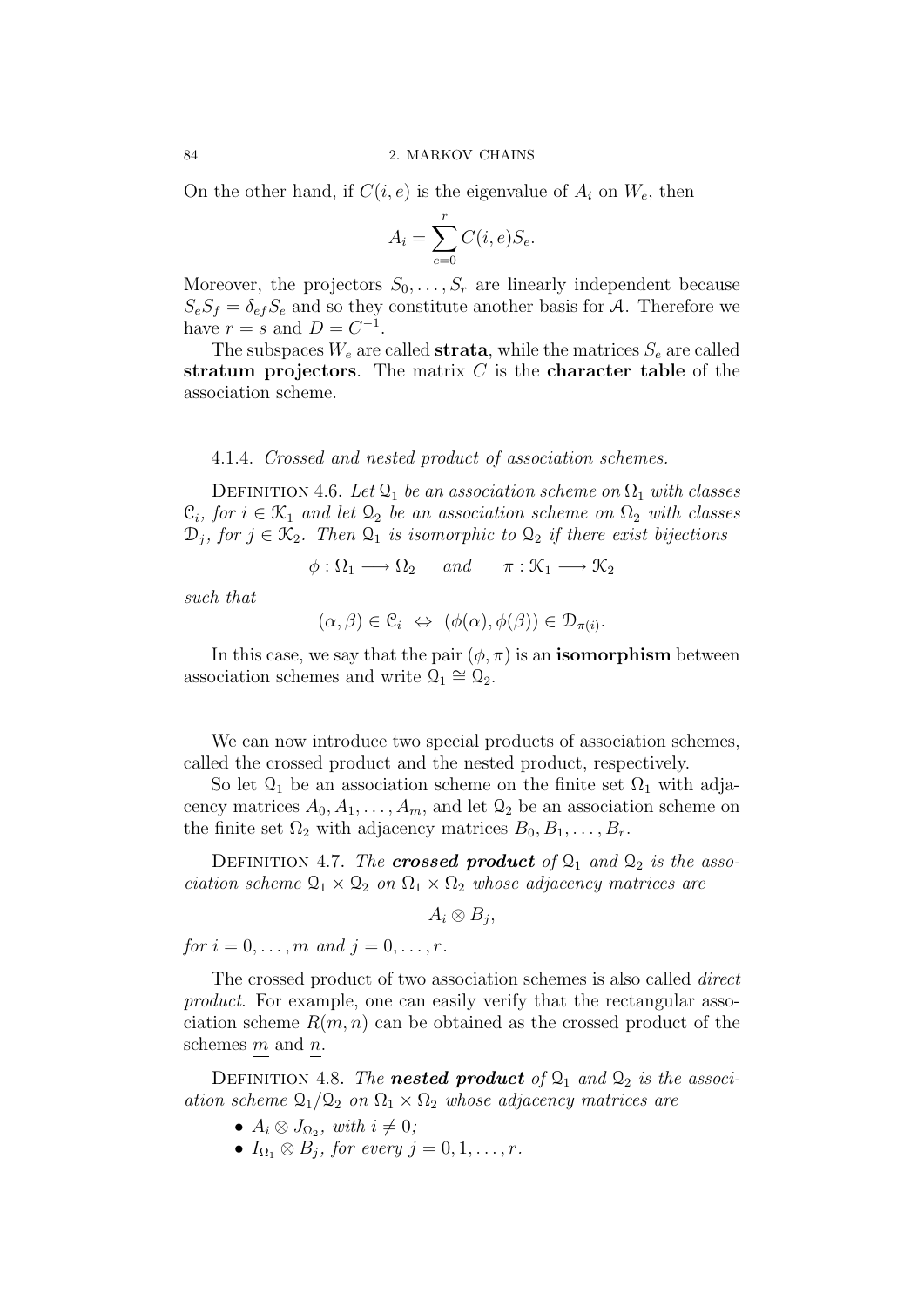On the other hand, if  $C(i, e)$  is the eigenvalue of  $A_i$  on  $W_e$ , then

$$
A_i = \sum_{e=0}^r C(i, e) S_e.
$$

Moreover, the projectors  $S_0, \ldots, S_r$  are linearly independent because  $S_eS_f = \delta_{ef}S_e$  and so they constitute another basis for A. Therefore we have  $r = s$  and  $D = C^{-1}$ .

The subspaces  $W_e$  are called **strata**, while the matrices  $S_e$  are called stratum projectors. The matrix  $C$  is the character table of the association scheme.

# 4.1.4. Crossed and nested product of association schemes.

DEFINITION 4.6. Let  $\mathcal{Q}_1$  be an association scheme on  $\Omega_1$  with classes  $\mathfrak{C}_i$ , for  $i \in \mathfrak{K}_1$  and let  $\mathfrak{Q}_2$  be an association scheme on  $\Omega_2$  with classes  $\mathcal{D}_j$ , for  $j \in \mathcal{K}_2$ . Then  $\mathcal{Q}_1$  is isomorphic to  $\mathcal{Q}_2$  if there exist bijections

$$
\phi : \Omega_1 \longrightarrow \Omega_2 \quad and \quad \pi : \mathcal{K}_1 \longrightarrow \mathcal{K}_2
$$

such that

$$
(\alpha, \beta) \in \mathcal{C}_i \Leftrightarrow (\phi(\alpha), \phi(\beta)) \in \mathcal{D}_{\pi(i)}.
$$

In this case, we say that the pair  $(\phi, \pi)$  is an **isomorphism** between association schemes and write  $\mathcal{Q}_1 \cong \mathcal{Q}_2$ .

We can now introduce two special products of association schemes, called the crossed product and the nested product, respectively.

So let  $\mathcal{Q}_1$  be an association scheme on the finite set  $\Omega_1$  with adjacency matrices  $A_0, A_1, \ldots, A_m$ , and let  $\mathcal{Q}_2$  be an association scheme on the finite set  $\Omega_2$  with adjacency matrices  $B_0, B_1, \ldots, B_r$ .

DEFINITION 4.7. The **crossed product** of  $\mathcal{Q}_1$  and  $\mathcal{Q}_2$  is the association scheme  $\mathcal{Q}_1 \times \mathcal{Q}_2$  on  $\Omega_1 \times \Omega_2$  whose adjacency matrices are

 $A_i \otimes B_j,$ 

for  $i = 0, ..., m$  and  $j = 0, ..., r$ .

The crossed product of two association schemes is also called direct product. For example, one can easily verify that the rectangular association scheme  $R(m, n)$  can be obtained as the crossed product of the schemes  $\underline{m}$  and  $\underline{n}$ .

DEFINITION 4.8. The **nested product** of  $\mathcal{Q}_1$  and  $\mathcal{Q}_2$  is the association scheme  $\Omega_1/\Omega_2$  on  $\Omega_1 \times \Omega_2$  whose adjacency matrices are

- $A_i \otimes J_{\Omega_2}$ , with  $i \neq 0$ ;
- $I_{\Omega_1} \otimes B_j$ , for every  $j = 0, 1, \ldots, r$ .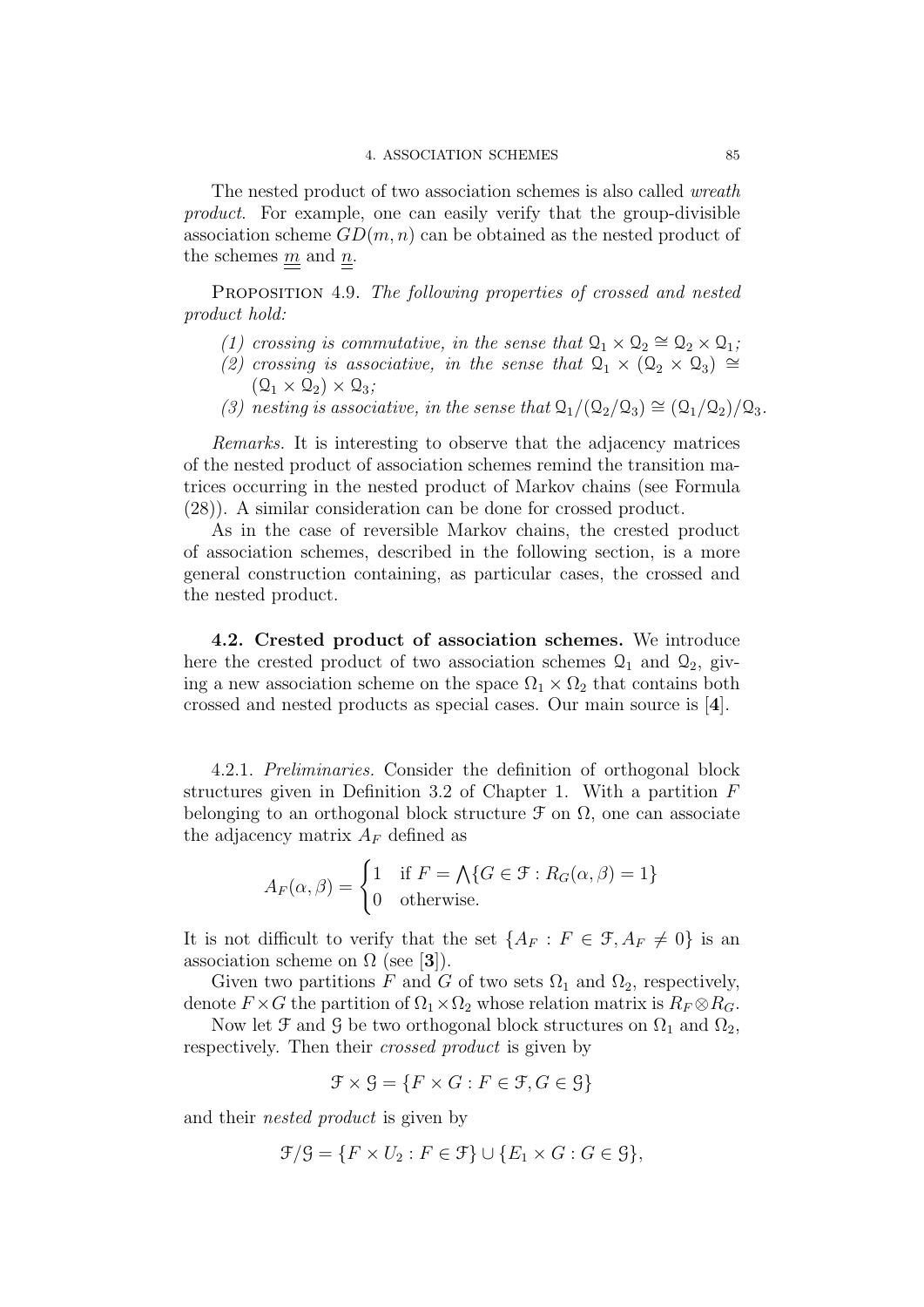The nested product of two association schemes is also called wreath product. For example, one can easily verify that the group-divisible association scheme  $GD(m, n)$  can be obtained as the nested product of the schemes  $\underline{m}$  and  $\underline{n}$ .

PROPOSITION 4.9. The following properties of crossed and nested product hold:

- (1) crossing is commutative, in the sense that  $\mathcal{Q}_1 \times \mathcal{Q}_2 \cong \mathcal{Q}_2 \times \mathcal{Q}_1$ ;
- (2) crossing is associative, in the sense that  $\mathcal{Q}_1 \times (\mathcal{Q}_2 \times \mathcal{Q}_3) \cong$  $(\mathcal{Q}_1 \times \mathcal{Q}_2) \times \mathcal{Q}_3;$
- (3) nesting is associative, in the sense that  $Q_1/(Q_2/Q_3) \cong (Q_1/Q_2)/Q_3$ .

Remarks. It is interesting to observe that the adjacency matrices of the nested product of association schemes remind the transition matrices occurring in the nested product of Markov chains (see Formula (28)). A similar consideration can be done for crossed product.

As in the case of reversible Markov chains, the crested product of association schemes, described in the following section, is a more general construction containing, as particular cases, the crossed and the nested product.

4.2. Crested product of association schemes. We introduce here the crested product of two association schemes  $\mathcal{Q}_1$  and  $\mathcal{Q}_2$ , giving a new association scheme on the space  $\Omega_1 \times \Omega_2$  that contains both crossed and nested products as special cases. Our main source is [4].

4.2.1. Preliminaries. Consider the definition of orthogonal block structures given in Definition 3.2 of Chapter 1. With a partition F belonging to an orthogonal block structure  $\mathcal F$  on  $\Omega$ , one can associate the adjacency matrix  $A_F$  defined as

$$
A_F(\alpha, \beta) = \begin{cases} 1 & \text{if } F = \bigwedge\{G \in \mathcal{F} : R_G(\alpha, \beta) = 1\} \\ 0 & \text{otherwise.} \end{cases}
$$

It is not difficult to verify that the set  $\{A_F : F \in \mathcal{F}, A_F \neq 0\}$  is an association scheme on  $\Omega$  (see [3]).

Given two partitions F and G of two sets  $\Omega_1$  and  $\Omega_2$ , respectively, denote  $F \times G$  the partition of  $\Omega_1 \times \Omega_2$  whose relation matrix is  $R_F \otimes R_G$ .

Now let  $\mathfrak F$  and  $\mathfrak G$  be two orthogonal block structures on  $\Omega_1$  and  $\Omega_2$ , respectively. Then their crossed product is given by

$$
\mathcal{F} \times \mathcal{G} = \{ F \times G : F \in \mathcal{F}, G \in \mathcal{G} \}
$$

and their nested product is given by

$$
\mathcal{F}/\mathcal{G} = \{ F \times U_2 : F \in \mathcal{F} \} \cup \{ E_1 \times G : G \in \mathcal{G} \},
$$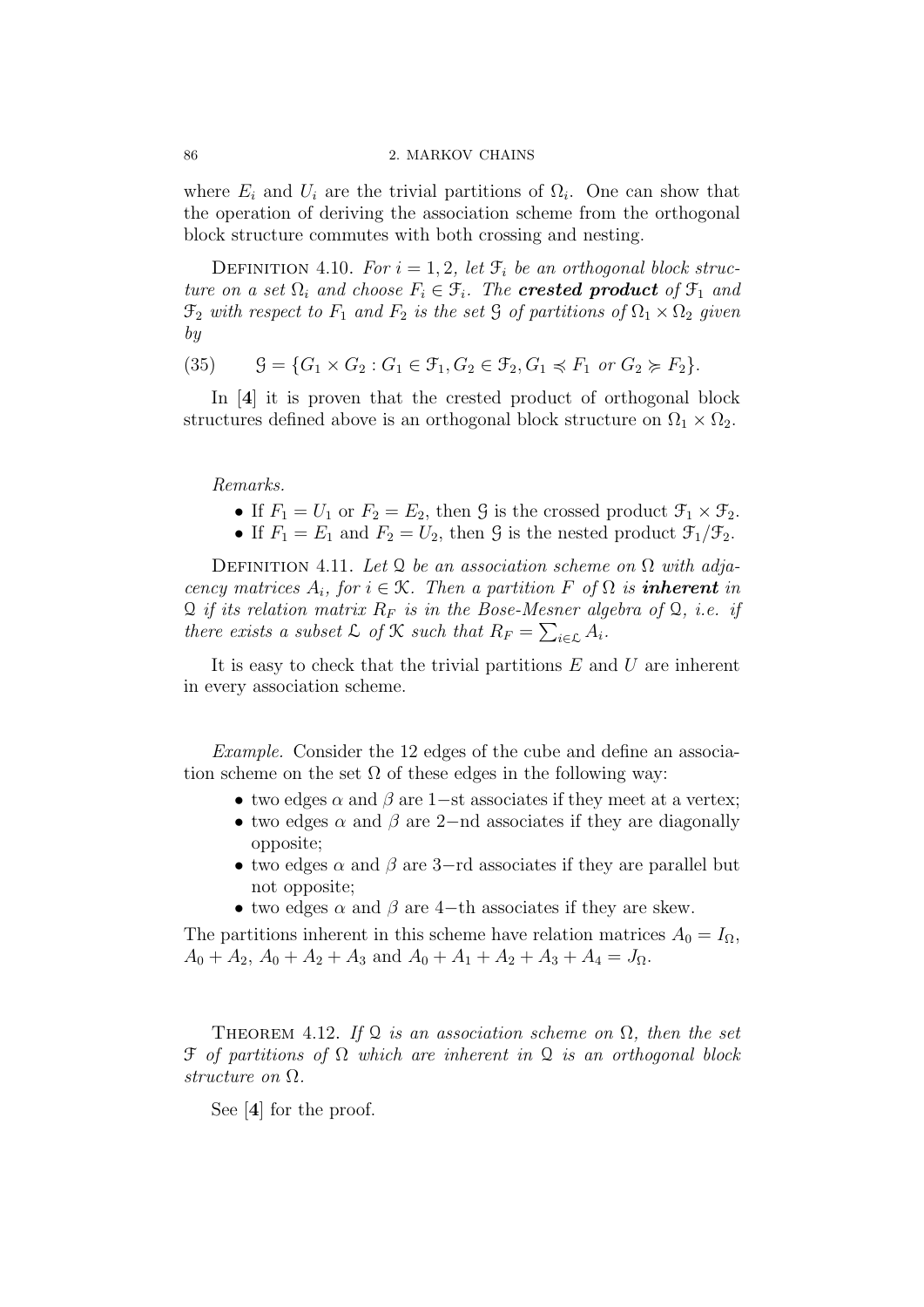#### 86 2. MARKOV CHAINS

where  $E_i$  and  $U_i$  are the trivial partitions of  $\Omega_i$ . One can show that the operation of deriving the association scheme from the orthogonal block structure commutes with both crossing and nesting.

DEFINITION 4.10. For  $i = 1, 2$ , let  $\mathcal{F}_i$  be an orthogonal block structure on a set  $\Omega_i$  and choose  $F_i \in \mathcal{F}_i$ . The **crested product** of  $\mathcal{F}_1$  and  $\mathfrak{F}_2$  with respect to  $F_1$  and  $F_2$  is the set  $\mathfrak{G}$  of partitions of  $\Omega_1 \times \Omega_2$  given by

(35) 
$$
\mathcal{G} = \{G_1 \times G_2 : G_1 \in \mathcal{F}_1, G_2 \in \mathcal{F}_2, G_1 \preccurlyeq F_1 \text{ or } G_2 \succcurlyeq F_2\}.
$$

In [4] it is proven that the crested product of orthogonal block structures defined above is an orthogonal block structure on  $\Omega_1 \times \Omega_2$ .

# Remarks.

- If  $F_1 = U_1$  or  $F_2 = E_2$ , then G is the crossed product  $\mathcal{F}_1 \times \mathcal{F}_2$ .
- If  $F_1 = E_1$  and  $F_2 = U_2$ , then G is the nested product  $\mathcal{F}_1/\mathcal{F}_2$ .

DEFINITION 4.11. Let Q be an association scheme on  $\Omega$  with adjacency matrices  $A_i$ , for  $i \in \mathcal{K}$ . Then a partition F of  $\Omega$  is **inherent** in  $\mathcal Q$  if its relation matrix  $R_F$  is in the Bose-Mesner algebra of  $\mathcal Q$ , i.e. if there exists a subset  $\mathcal L$  of  $\mathcal K$  such that  $R_F = \sum_{i \in \mathcal L} A_i$ .

It is easy to check that the trivial partitions  $E$  and  $U$  are inherent in every association scheme.

Example. Consider the 12 edges of the cube and define an association scheme on the set  $\Omega$  of these edges in the following way:

- two edges  $\alpha$  and  $\beta$  are 1–st associates if they meet at a vertex;
- two edges  $\alpha$  and  $\beta$  are 2–nd associates if they are diagonally opposite;
- two edges  $\alpha$  and  $\beta$  are 3-rd associates if they are parallel but not opposite;
- two edges  $\alpha$  and  $\beta$  are 4-th associates if they are skew.

The partitions inherent in this scheme have relation matrices  $A_0 = I_\Omega$ ,  $A_0 + A_2$ ,  $A_0 + A_2 + A_3$  and  $A_0 + A_1 + A_2 + A_3 + A_4 = J_{\Omega}$ .

THEOREM 4.12. If Q is an association scheme on  $\Omega$ , then the set  $\mathfrak F$  of partitions of  $\Omega$  which are inherent in  $\mathfrak Q$  is an orthogonal block structure on Ω.

See [4] for the proof.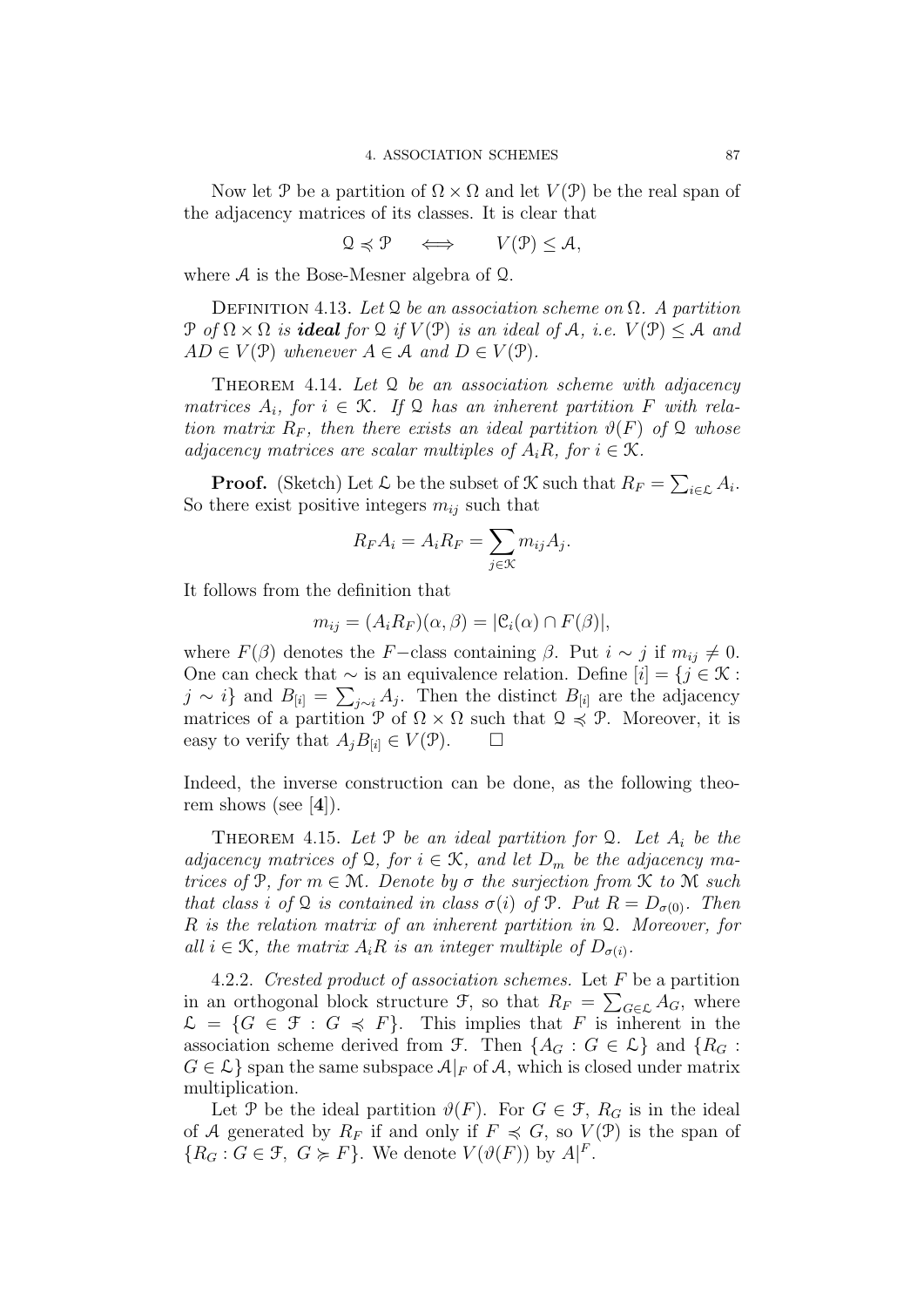Now let P be a partition of  $\Omega \times \Omega$  and let  $V(\mathcal{P})$  be the real span of the adjacency matrices of its classes. It is clear that

$$
\mathcal{Q} \preccurlyeq \mathcal{P} \quad \iff \quad V(\mathcal{P}) \leq \mathcal{A},
$$

where A is the Bose-Mesner algebra of Q.

DEFINITION 4.13. Let Q be an association scheme on  $\Omega$ . A partition  $\mathcal{P}$  of  $\Omega \times \Omega$  is **ideal** for  $\Omega$  if  $V(\mathcal{P})$  is an ideal of A, i.e.  $V(\mathcal{P}) \leq A$  and  $AD \in V(\mathcal{P})$  whenever  $A \in \mathcal{A}$  and  $D \in V(\mathcal{P})$ .

THEOREM 4.14. Let  $Q$  be an association scheme with adjacency matrices  $A_i$ , for  $i \in \mathcal{K}$ . If Q has an inherent partition F with relation matrix  $R_F$ , then there exists an ideal partition  $\vartheta(F)$  of Q whose adjacency matrices are scalar multiples of  $A_iR$ , for  $i \in \mathcal{K}$ .

**Proof.** (Sketch) Let  $\mathcal{L}$  be the subset of  $\mathcal{K}$  such that  $R_F = \sum_{i \in \mathcal{L}} A_i$ . So there exist positive integers  $m_{ij}$  such that

$$
R_F A_i = A_i R_F = \sum_{j \in \mathcal{K}} m_{ij} A_j.
$$

It follows from the definition that

$$
m_{ij} = (A_i R_F)(\alpha, \beta) = |\mathcal{C}_i(\alpha) \cap F(\beta)|,
$$

where  $F(\beta)$  denotes the F−class containing  $\beta$ . Put  $i \sim j$  if  $m_{ij} \neq 0$ . One can check that  $\sim$  is an equivalence relation. Define  $[i] = \{j \in \mathcal{K} :$  $j \sim i$ } and  $B_{[i]} = \sum_{j \sim i} A_j$ . Then the distinct  $B_{[i]}$  are the adjacency matrices of a partition P of  $\Omega \times \Omega$  such that  $\mathcal{Q} \preccurlyeq \mathcal{P}$ . Moreover, it is easy to verify that  $A_i B_{[i]} \in V(\mathcal{P})$ .  $\Box$ 

Indeed, the inverse construction can be done, as the following theorem shows (see  $[4]$ ).

THEOREM 4.15. Let  $\mathcal P$  be an ideal partition for  $\mathcal Q$ . Let  $A_i$  be the adjacency matrices of Q, for  $i \in \mathcal{K}$ , and let  $D_m$  be the adjacency matrices of P, for  $m \in \mathcal{M}$ . Denote by  $\sigma$  the surjection from  $\mathcal K$  to  $\mathcal M$  such that class i of Q is contained in class  $\sigma(i)$  of P. Put  $R = D_{\sigma(0)}$ . Then R is the relation matrix of an inherent partition in Q. Moreover, for all  $i \in \mathcal{K}$ , the matrix  $A_i R$  is an integer multiple of  $D_{\sigma(i)}$ .

4.2.2. Crested product of association schemes. Let F be a partition in an orthogonal block structure  $\mathcal{F}$ , so that  $R_F = \sum_{G \in \mathcal{L}} A_G$ , where  $\mathcal{L} = \{G \in \mathcal{F} : G \preccurlyeq F\}.$  This implies that F is inherent in the association scheme derived from F. Then  $\{A_G : G \in \mathcal{L}\}\$ and  $\{R_G :$  $G \in \mathcal{L}$  span the same subspace  $\mathcal{A}|_F$  of A, which is closed under matrix multiplication.

Let P be the ideal partition  $\vartheta(F)$ . For  $G \in \mathcal{F}$ ,  $R_G$  is in the ideal of A generated by  $R_F$  if and only if  $F \preccurlyeq G$ , so  $V(\mathcal{P})$  is the span of  ${R_G : G \in \mathcal{F}, G \succcurlyeq F}$ . We denote  $V(\vartheta(F))$  by  $A|F$ .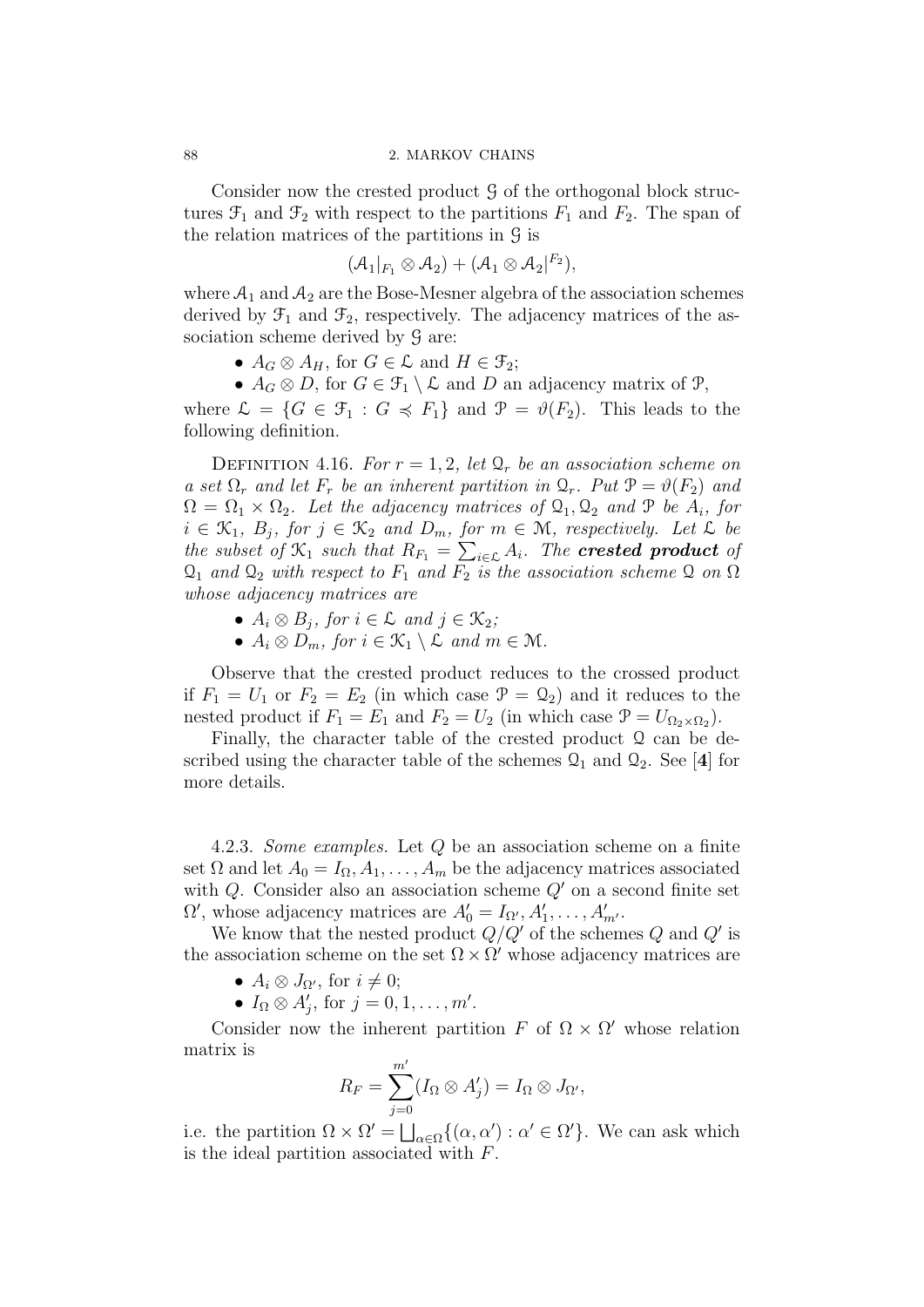Consider now the crested product  $\mathcal G$  of the orthogonal block structures  $\mathfrak{F}_1$  and  $\mathfrak{F}_2$  with respect to the partitions  $F_1$  and  $F_2$ . The span of the relation matrices of the partitions in  $\mathcal{G}$  is

$$
(\mathcal{A}_1|_{F_1}\otimes \mathcal{A}_2)+(\mathcal{A}_1\otimes \mathcal{A}_2|^{F_2}),
$$

where  $A_1$  and  $A_2$  are the Bose-Mesner algebra of the association schemes derived by  $\mathcal{F}_1$  and  $\mathcal{F}_2$ , respectively. The adjacency matrices of the association scheme derived by  $\mathcal G$  are:

•  $A_G \otimes A_H$ , for  $G \in \mathcal{L}$  and  $H \in \mathcal{F}_2$ ;

•  $A_G \otimes D$ , for  $G \in \mathcal{F}_1 \setminus \mathcal{L}$  and D an adjacency matrix of  $\mathcal{P}_1$ ,

where  $\mathcal{L} = \{G \in \mathcal{F}_1 : G \preccurlyeq F_1\}$  and  $\mathcal{P} = \vartheta(F_2)$ . This leads to the following definition.

DEFINITION 4.16. For  $r = 1, 2$ , let  $\mathcal{Q}_r$  be an association scheme on a set  $\Omega_r$  and let  $F_r$  be an inherent partition in  $\mathcal{Q}_r$ . Put  $\mathcal{P} = \vartheta(F_2)$  and  $\Omega = \Omega_1 \times \Omega_2$ . Let the adjacency matrices of  $\mathcal{Q}_1, \mathcal{Q}_2$  and  $\mathcal P$  be  $A_i$ , for  $i \in \mathcal{K}_1$ ,  $B_j$ , for  $j \in \mathcal{K}_2$  and  $D_m$ , for  $m \in \mathcal{M}$ , respectively. Let  $\mathcal L$  be the subset of  $\mathfrak{X}_1$  such that  $R_{F_1} = \sum_{i \in \mathcal{L}} A_i$ . The **crested product** of  $\mathcal{Q}_1$  and  $\mathcal{Q}_2$  with respect to  $F_1$  and  $F_2$  is the association scheme  $\mathcal Q$  on  $\Omega$ whose adjacency matrices are

- $A_i \otimes B_j$ , for  $i \in \mathcal{L}$  and  $j \in \mathcal{K}_2$ ;
- $A_i \otimes D_m$ , for  $i \in \mathcal{K}_1 \setminus \tilde{\mathcal{L}}$  and  $m \in \mathcal{M}$ .

Observe that the crested product reduces to the crossed product if  $F_1 = U_1$  or  $F_2 = E_2$  (in which case  $\mathcal{P} = \mathcal{Q}_2$ ) and it reduces to the nested product if  $F_1 = E_1$  and  $F_2 = U_2$  (in which case  $\mathcal{P} = U_{\Omega_2 \times \Omega_2}$ ).

Finally, the character table of the crested product Q can be described using the character table of the schemes  $\mathcal{Q}_1$  and  $\mathcal{Q}_2$ . See [4] for more details.

4.2.3. Some examples. Let Q be an association scheme on a finite set  $\Omega$  and let  $A_0 = I_{\Omega}, A_1, \ldots, A_m$  be the adjacency matrices associated with  $Q$ . Consider also an association scheme  $Q'$  on a second finite set  $\Omega'$ , whose adjacency matrices are  $A'_0 = I_{\Omega'}$ ,  $A'_1$ , ...,  $A'_m$ .

We know that the nested product  $Q/Q'$  of the schemes Q and Q' is the association scheme on the set  $\Omega \times \Omega'$  whose adjacency matrices are

- $A_i \otimes J_{\Omega'}$ , for  $i \neq 0$ ;
- $I_{\Omega} \otimes A'_{j}$ , for  $j = 0, 1, \ldots, m'$ .

Consider now the inherent partition F of  $\Omega \times \Omega'$  whose relation matrix is

$$
R_F = \sum_{j=0}^{m'} (I_{\Omega} \otimes A'_j) = I_{\Omega} \otimes J_{\Omega'},
$$

i.e. the partition  $\Omega \times \Omega' = \bigsqcup_{\alpha \in \Omega} \{(\alpha, \alpha') : \alpha' \in \Omega'\}.$  We can ask which is the ideal partition associated with F.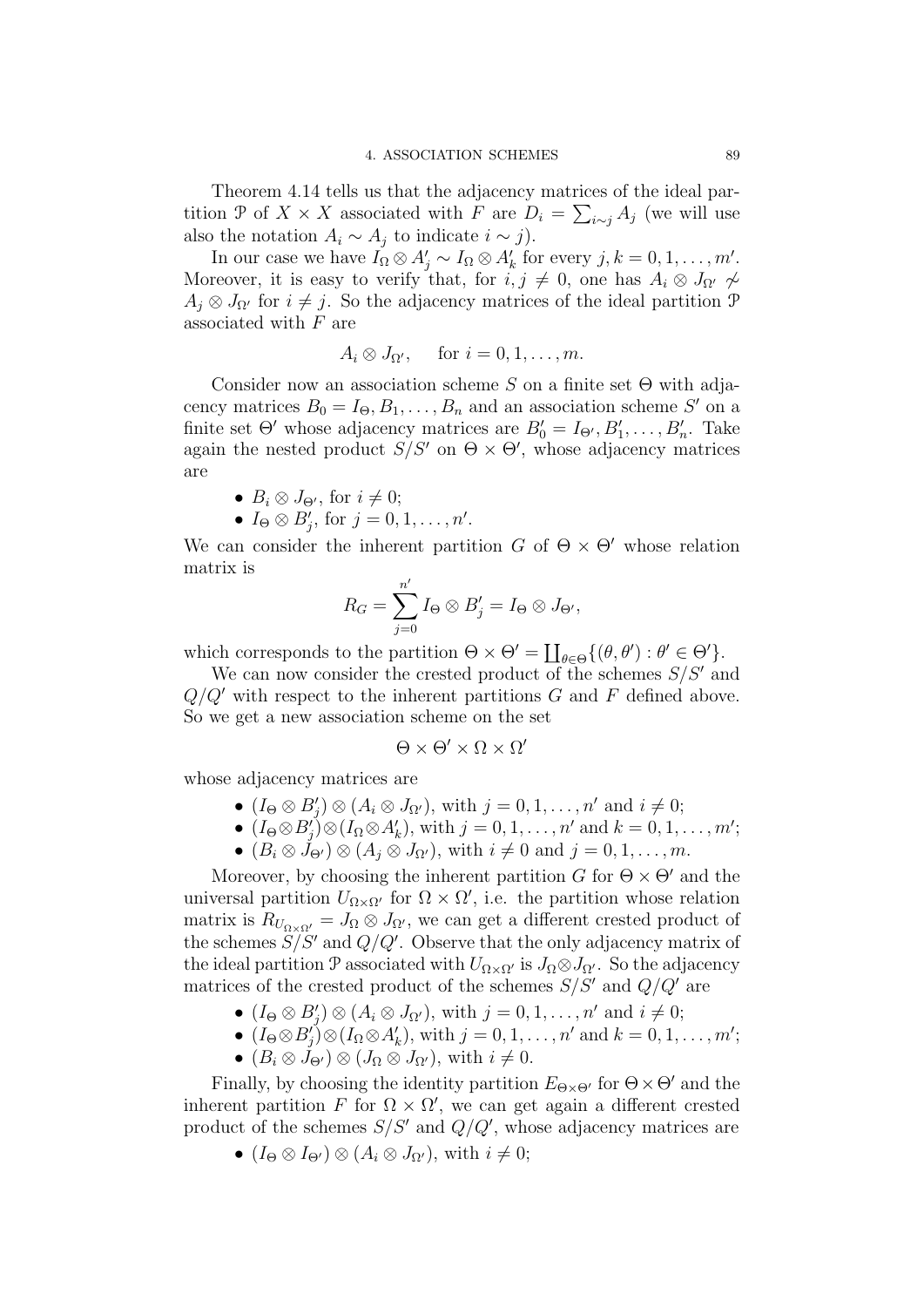Theorem 4.14 tells us that the adjacency matrices of the ideal partition P of  $X \times X$  associated with F are  $D_i = \sum_{i \sim j} A_j$  (we will use also the notation  $A_i \sim A_j$  to indicate  $i \sim j$ ).

In our case we have  $I_{\Omega} \otimes A'_{j} \sim I_{\Omega} \otimes A'_{k}$  for every  $j, k = 0, 1, ..., m'$ . Moreover, it is easy to verify that, for  $i, j \neq 0$ , one has  $A_i \otimes J_{\Omega'} \not\sim$  $A_i \otimes J_{\Omega'}$  for  $i \neq j$ . So the adjacency matrices of the ideal partition P associated with  $F$  are

$$
A_i \otimes J_{\Omega'}, \quad \text{ for } i = 0, 1, \dots, m.
$$

Consider now an association scheme S on a finite set  $\Theta$  with adjacency matrices  $B_0 = I_{\Theta}, B_1, \ldots, B_n$  and an association scheme S' on a finite set  $\Theta'$  whose adjacency matrices are  $B'_0 = I_{\Theta'}$ ,  $B'_1, \ldots, B'_n$ . Take again the nested product  $S/S'$  on  $\Theta \times \Theta'$ , whose adjacency matrices are

- $B_i \otimes J_{\Theta'}$ , for  $i \neq 0$ ;
- $I_{\Theta} \otimes B'_j$ , for  $j = 0, 1, \ldots, n'$ .

We can consider the inherent partition G of  $\Theta \times \Theta'$  whose relation matrix is

$$
R_G = \sum_{j=0}^{n'} I_{\Theta} \otimes B'_j = I_{\Theta} \otimes J_{\Theta'},
$$

which corresponds to the partition  $\Theta \times \Theta' = \coprod_{\theta \in \Theta} \{(\theta, \theta') : \theta' \in \Theta'\}.$ 

We can now consider the crested product of the schemes  $S/S'$  and  $Q/Q'$  with respect to the inherent partitions G and F defined above. So we get a new association scheme on the set

$$
\Theta\times\Theta'\times\Omega\times\Omega'
$$

whose adjacency matrices are

- $(I_{\Theta} \otimes B'_j) \otimes (A_i \otimes J_{\Omega'}),$  with  $j = 0, 1, \ldots, n'$  and  $i \neq 0;$
- $(I_{\Theta} \otimes B'_{j}) \otimes (I_{\Omega} \otimes A'_{k}),$  with  $j = 0, 1, ..., n'$  and  $k = 0, 1, ..., m'$ ;
- $(B_i \otimes \dot{J}_{\Theta'}) \otimes (A_i \otimes J_{\Omega'}),$  with  $i \neq 0$  and  $j = 0, 1, \ldots, m$ .

Moreover, by choosing the inherent partition G for  $\Theta \times \Theta'$  and the universal partition  $U_{\Omega\times\Omega'}$  for  $\Omega\times\Omega'$ , i.e. the partition whose relation matrix is  $R_{U_{\Omega\times\Omega'}}=J_{\Omega}\otimes J_{\Omega'}$ , we can get a different crested product of the schemes  $S/S'$  and  $Q/Q'$ . Observe that the only adjacency matrix of the ideal partition P associated with  $U_{\Omega\times\Omega}$  is  $J_{\Omega}\otimes J_{\Omega}$ . So the adjacency matrices of the crested product of the schemes  $S/S'$  and  $Q/Q'$  are

- $(I_{\Theta} \otimes B'_j) \otimes (A_i \otimes J_{\Omega'}),$  with  $j = 0, 1, \ldots, n'$  and  $i \neq 0;$
- $(I_{\Theta} \otimes B'_{j}) \otimes (I_{\Omega} \otimes A'_{k}),$  with  $j = 0, 1, ..., n'$  and  $k = 0, 1, ..., m'$ ;
- $(B_i \otimes J_{\Theta'}) \otimes (J_{\Omega} \otimes J_{\Omega'})$ , with  $i \neq 0$ .

Finally, by choosing the identity partition  $E_{\Theta \times \Theta'}$  for  $\Theta \times \Theta'$  and the inherent partition F for  $\Omega \times \Omega'$ , we can get again a different crested product of the schemes  $S/S'$  and  $Q/Q'$ , whose adjacency matrices are

•  $(I_{\Theta} \otimes I_{\Theta'}) \otimes (A_i \otimes J_{\Omega'})$ , with  $i \neq 0$ ;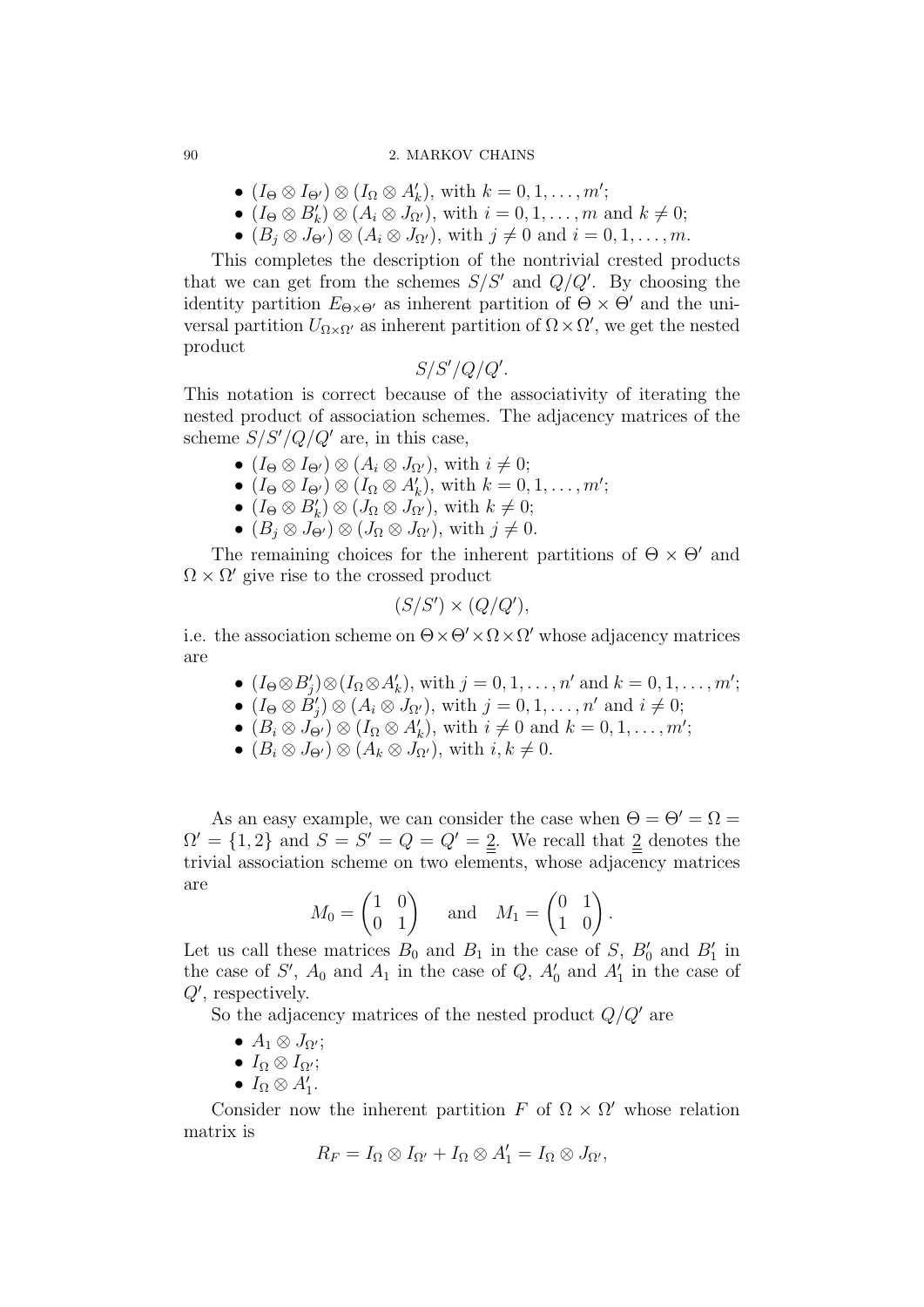#### 90 2. MARKOV CHAINS

- $(I_{\Theta} \otimes I_{\Theta'}) \otimes (I_{\Omega} \otimes A'_{k}),$  with  $k = 0, 1, ..., m'$ ;
- $(I_{\Theta} \otimes B'_{k}) \otimes (A_{i} \otimes J_{\Omega'}),$  with  $i = 0, 1, ..., m$  and  $k \neq 0;$
- $(B_i \otimes J_{\Theta'}) \otimes (A_i \otimes J_{\Omega'}),$  with  $j \neq 0$  and  $i = 0, 1, \ldots, m$ .

This completes the description of the nontrivial crested products that we can get from the schemes  $S/S'$  and  $Q/Q'$ . By choosing the identity partition  $E_{\Theta \times \Theta'}$  as inherent partition of  $\Theta \times \Theta'$  and the universal partition  $U_{\Omega \times \Omega'}$  as inherent partition of  $\Omega \times \Omega'$ , we get the nested product

$$
S/S'/Q/Q'.
$$

This notation is correct because of the associativity of iterating the nested product of association schemes. The adjacency matrices of the scheme  $S/S'/Q/Q'$  are, in this case,

- $(I_{\Theta} \otimes I_{\Theta'}) \otimes (A_i \otimes J_{\Omega'}),$  with  $i \neq 0;$
- $(I_{\Theta} \otimes I_{\Theta'}) \otimes (I_{\Omega} \otimes A'_{k}),$  with  $k = 0, 1, ..., m'$ ;
- $(I_{\Theta} \otimes B'_{k}) \otimes (J_{\Omega} \otimes J_{\Omega'}),$  with  $k \neq 0;$
- $(B_i \otimes J_{\Theta'}) \otimes (J_{\Omega} \otimes J_{\Omega'})$ , with  $j \neq 0$ .

The remaining choices for the inherent partitions of  $\Theta \times \Theta'$  and  $\Omega \times \Omega'$  give rise to the crossed product

$$
(S/S') \times (Q/Q'),
$$

i.e. the association scheme on  $\Theta \times \Theta' \times \Omega \times \Omega'$  whose adjacency matrices are

- $(I_{\Theta} \otimes B'_j) \otimes (I_{\Omega} \otimes A'_k)$ , with  $j = 0, 1, \ldots, n'$  and  $k = 0, 1, \ldots, m'$ ;
- $(I_{\Theta} \otimes \tilde{B}'_j) \otimes (A_i \otimes J_{\Omega'}),$  with  $j = 0, 1, \ldots, n'$  and  $i \neq 0;$
- $(B_i \otimes J_{\Theta'}) \otimes (I_{\Omega} \otimes A'_k)$ , with  $i \neq 0$  and  $k = 0, 1, \ldots, m'$ ;
- $(B_i \otimes J_{\Theta'}) \otimes (A_k \otimes J_{\Omega'})$ , with  $i, k \neq 0$ .

As an easy example, we can consider the case when  $\Theta = \Theta' = \Omega =$  $\Omega' = \{1, 2\}$  and  $S = S' = Q = Q' = 2$ . We recall that 2 denotes the trivial association scheme on two elements, whose adjacency matrices are

$$
M_0 = \begin{pmatrix} 1 & 0 \\ 0 & 1 \end{pmatrix} \quad \text{and} \quad M_1 = \begin{pmatrix} 0 & 1 \\ 1 & 0 \end{pmatrix}.
$$

Let us call these matrices  $B_0$  and  $B_1$  in the case of S,  $B'_0$  and  $B'_1$  in the case of  $S'$ ,  $A_0$  and  $A_1$  in the case of  $Q$ ,  $A'_0$  and  $A'_1$  in the case of  $Q'$ , respectively.

So the adjacency matrices of the nested product  $Q/Q'$  are

- $A_1 \otimes J_{\Omega'};$
- $I_{\Omega} \otimes I_{\Omega'};$
- $I_{\Omega} \otimes A'_{1}$ .

Consider now the inherent partition F of  $\Omega \times \Omega'$  whose relation matrix is

$$
R_F = I_{\Omega} \otimes I_{\Omega'} + I_{\Omega} \otimes A_1' = I_{\Omega} \otimes J_{\Omega'},
$$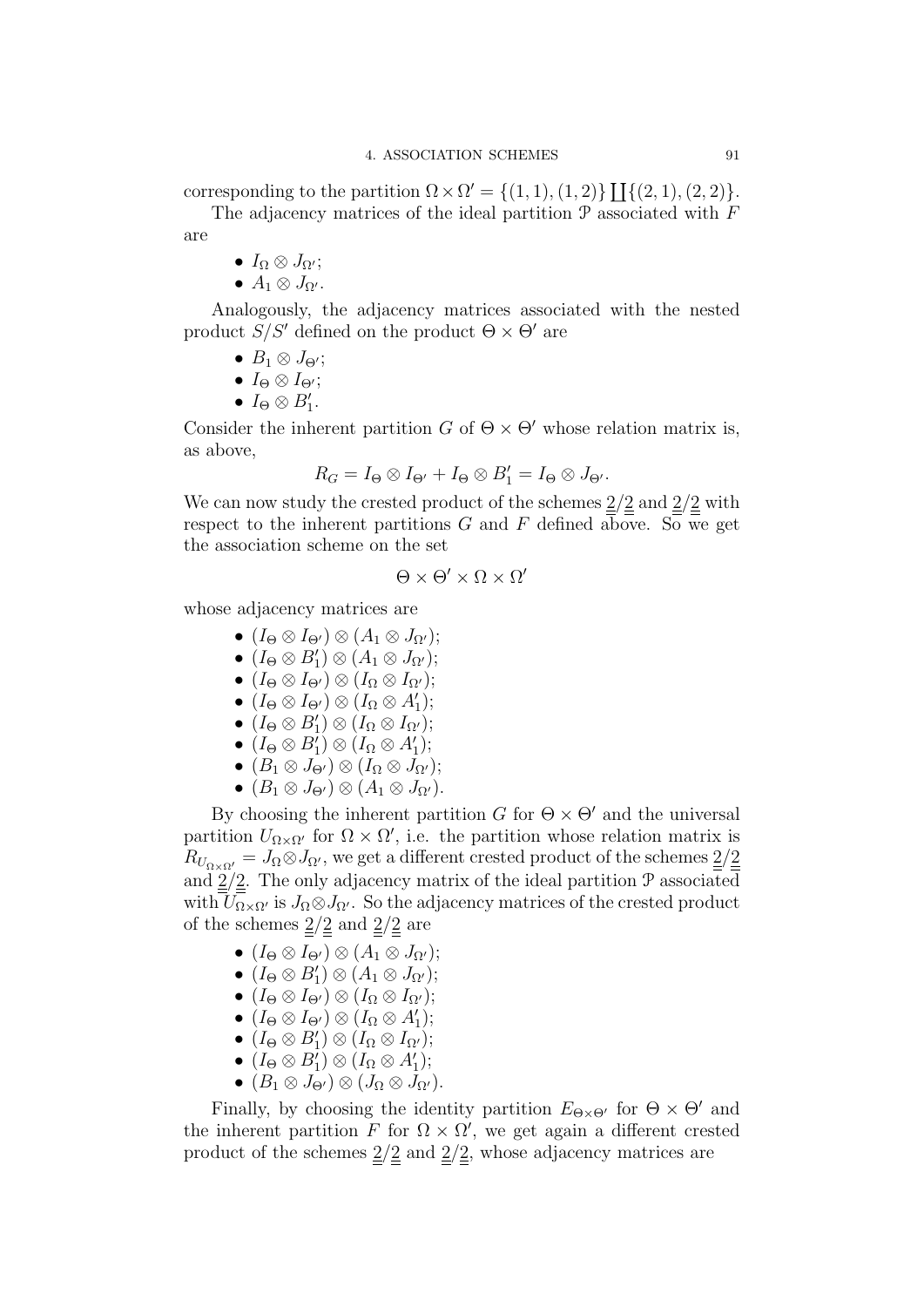corresponding to the partition  $\Omega \times \Omega' = \{(1,1), (1,2)\}\coprod \{(2,1), (2,2)\}.$ 

The adjacency matrices of the ideal partition  $P$  associated with  $F$ are

- $I_{\Omega} \otimes J_{\Omega'};$
- $A_1 \otimes J_{\Omega'}$ .

Analogously, the adjacency matrices associated with the nested product  $S/S'$  defined on the product  $\Theta \times \Theta'$  are

- $B_1 \otimes J_{\Theta'};$
- $I_{\Theta} \otimes I_{\Theta'};$
- $I_{\Theta} \otimes B'_1$ .

Consider the inherent partition G of  $\Theta \times \Theta'$  whose relation matrix is, as above,

$$
R_G = I_\Theta \otimes I_{\Theta'} + I_\Theta \otimes B'_1 = I_\Theta \otimes J_{\Theta'}.
$$

We can now study the crested product of the schemes  $\frac{2}{2}$  and  $\frac{2}{2}$  with respect to the inherent partitions  $G$  and  $F$  defined above. So we get the association scheme on the set

$$
\Theta\times\Theta'\times\Omega\times\Omega'
$$

whose adjacency matrices are

- $(I_{\Theta} \otimes I_{\Theta'}) \otimes (A_1 \otimes J_{\Omega'});$
- $(I_{\Theta} \otimes B'_{1}) \otimes (A_{1} \otimes J_{\Omega'});$
- $(I_{\Theta} \otimes I_{\Theta'}) \otimes (I_{\Omega} \otimes I_{\Omega'});$
- $(I_{\Theta} \otimes I_{\Theta'}) \otimes (I_{\Omega} \otimes A'_1);$
- $(I_{\Theta} \otimes B'_{1}) \otimes (I_{\Omega} \otimes I_{\Omega'});$
- $(I_{\Theta} \otimes B'_{1}) \otimes (I_{\Omega} \otimes A'_{1});$
- $(B_1 \otimes J_{\Theta'}) \otimes (I_{\Omega} \otimes J_{\Omega'});$
- $(B_1 \otimes J_{\Theta'}) \otimes (A_1 \otimes J_{\Omega'}).$

By choosing the inherent partition G for  $\Theta \times \Theta'$  and the universal partition  $U_{\Omega \times \Omega'}$  for  $\Omega \times \Omega'$ , i.e. the partition whose relation matrix is  $R_{U_{\alpha\times\alpha'}}=J_{\Omega}\otimes J_{\Omega'}$ , we get a different crested product of the schemes  $\underline{2}/\underline{2}$ and  $2/2$ . The only adjacency matrix of the ideal partition  $P$  associated with  $U_{\Omega\times\Omega'}$  is  $J_{\Omega}\otimes J_{\Omega'}$ . So the adjacency matrices of the crested product of the schemes  $\frac{2}{2}$  and  $\frac{2}{2}$  are

- $(I_{\Theta} \otimes I_{\Theta'}) \otimes (A_1 \otimes J_{\Omega'});$
- $(I_{\Theta} \otimes B'_{1}) \otimes (A_{1} \otimes J_{\Omega'});$
- $(I_{\Theta} \otimes I_{\Theta'}) \otimes (I_{\Omega} \otimes I_{\Omega'});$
- $(I_{\Theta} \otimes I_{\Theta'}) \otimes (I_{\Omega} \otimes A'_1);$
- $(I_{\Theta} \otimes B'_{1}) \otimes (I_{\Omega} \otimes I_{\Omega'});$
- $(I_{\Theta} \otimes B'_{1}) \otimes (I_{\Omega} \otimes A'_{1});$
- $(B_1 \otimes J_{\Theta'}) \otimes (J_{\Omega} \otimes J_{\Omega'}).$

Finally, by choosing the identity partition  $E_{\Theta \times \Theta'}$  for  $\Theta \times \Theta'$  and the inherent partition F for  $\Omega \times \Omega'$ , we get again a different crested product of the schemes  $\frac{2}{2}$  and  $\frac{2}{2}$ , whose adjacency matrices are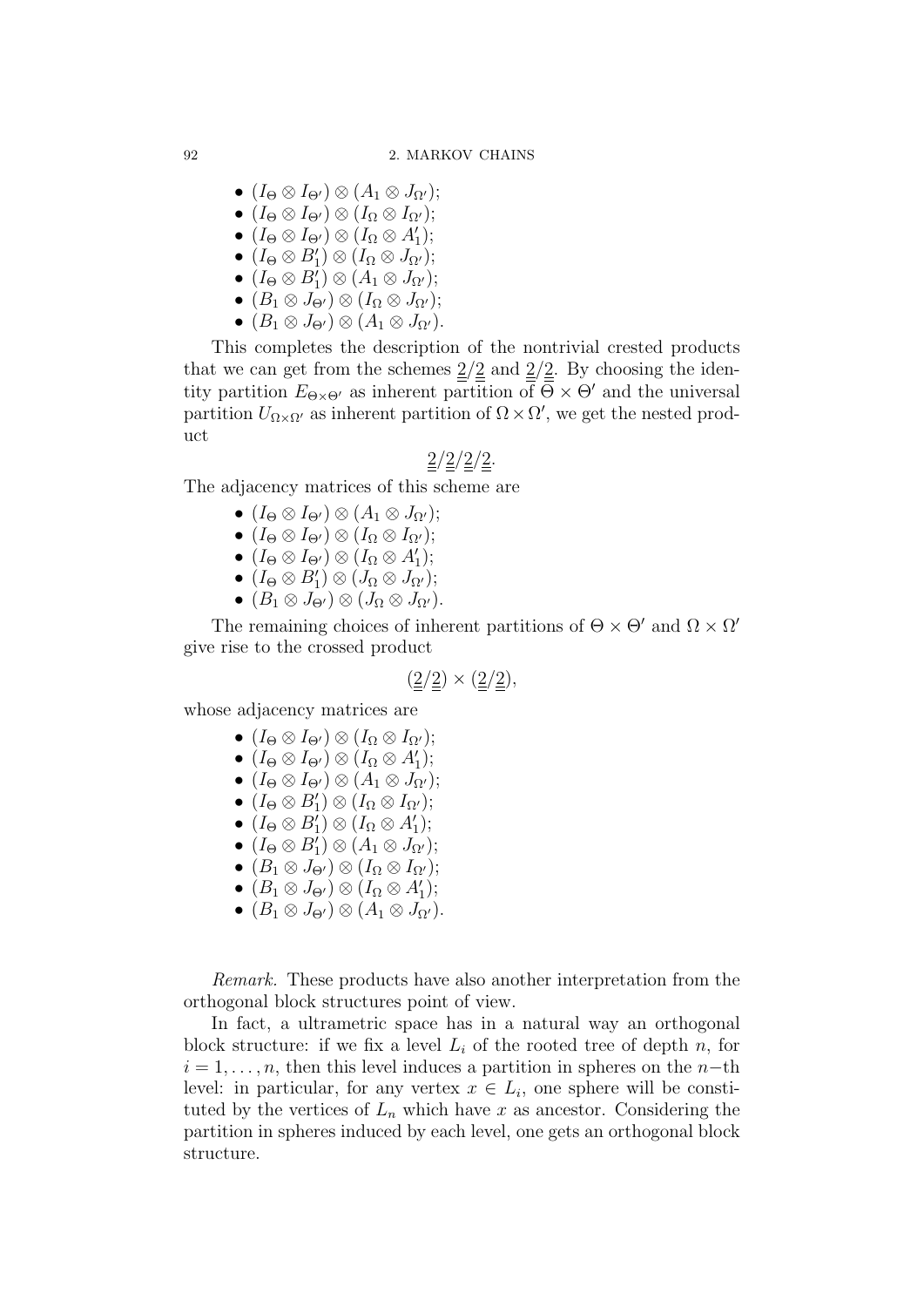- $(I_{\Theta} \otimes I_{\Theta'}) \otimes (A_1 \otimes J_{\Omega'});$
- $(I_{\Theta} \otimes I_{\Theta'}) \otimes (I_{\Omega} \otimes I_{\Omega'});$
- $(I_{\Theta} \otimes I_{\Theta'}) \otimes (I_{\Omega} \otimes A'_1);$
- $(I_{\Theta} \otimes B'_{1}) \otimes (I_{\Omega} \otimes J_{\Omega'});$
- $(I_{\Theta} \otimes B'_{1}) \otimes (A_{1} \otimes J_{\Omega'});$
- $(B_1 \otimes J_{\Theta'} ) \otimes (I_{\Omega} \otimes J_{\Omega'} );$
- $(B_1 \otimes J_{\Theta'}) \otimes (A_1 \otimes J_{\Omega'}).$

This completes the description of the nontrivial crested products that we can get from the schemes  $\frac{2}{2}$  and  $\frac{2}{2}$ . By choosing the identity partition  $E_{\Theta \times \Theta'}$  as inherent partition of  $\Theta \times \Theta'$  and the universal partition  $U_{\Omega \times \Omega'}$  as inherent partition of  $\Omega \times \Omega'$ , we get the nested product

# $2/2/2/2$ .

The adjacency matrices of this scheme are

- $(I_{\Theta} \otimes I_{\Theta'}) \otimes (A_1 \otimes J_{\Omega'});$
- $(I_{\Theta} \otimes I_{\Theta'}) \otimes (I_{\Omega} \otimes I_{\Omega'});$
- $(I_{\Theta} \otimes I_{\Theta'}) \otimes (I_{\Omega} \otimes A'_1);$
- $(I_{\Theta} \otimes B'_{1}) \otimes (J_{\Omega} \otimes J_{\Omega'});$
- $(B_1 \otimes J_{\Theta'}) \otimes (J_{\Omega} \otimes J_{\Omega'}).$

The remaining choices of inherent partitions of  $\Theta \times \Theta'$  and  $\Omega \times \Omega'$ give rise to the crossed product

$$
(\underline{2}/\underline{2}) \times (\underline{2}/\underline{2}),
$$

whose adjacency matrices are

- $(I_{\Theta} \otimes I_{\Theta'}) \otimes (I_{\Omega} \otimes I_{\Omega'});$
- $(I_{\Theta} \otimes I_{\Theta'}) \otimes (I_{\Omega} \otimes A'_1);$
- $(I_{\Theta} \otimes I_{\Theta'}) \otimes (A_1 \otimes J_{\Omega'});$
- $(I_{\Theta} \otimes B'_{1}) \otimes (I_{\Omega} \otimes I_{\Omega'});$
- $(I_{\Theta} \otimes B'_{1}) \otimes (I_{\Omega} \otimes A'_{1});$
- $(I_{\Theta} \otimes B'_{1}) \otimes (A_{1} \otimes J_{\Omega'});$
- $(B_1 \otimes J_{\Theta'}) \otimes (I_{\Omega} \otimes I_{\Omega'});$
- $(B_1 \otimes J_{\Theta'}) \otimes (I_{\Omega} \otimes A'_1);$
- $(B_1 \otimes J_{\Theta'}) \otimes (A_1 \otimes J_{\Omega'}).$

Remark. These products have also another interpretation from the orthogonal block structures point of view.

In fact, a ultrametric space has in a natural way an orthogonal block structure: if we fix a level  $L_i$  of the rooted tree of depth n, for  $i = 1, \ldots, n$ , then this level induces a partition in spheres on the n–th level: in particular, for any vertex  $x \in L_i$ , one sphere will be constituted by the vertices of  $L_n$  which have x as ancestor. Considering the partition in spheres induced by each level, one gets an orthogonal block structure.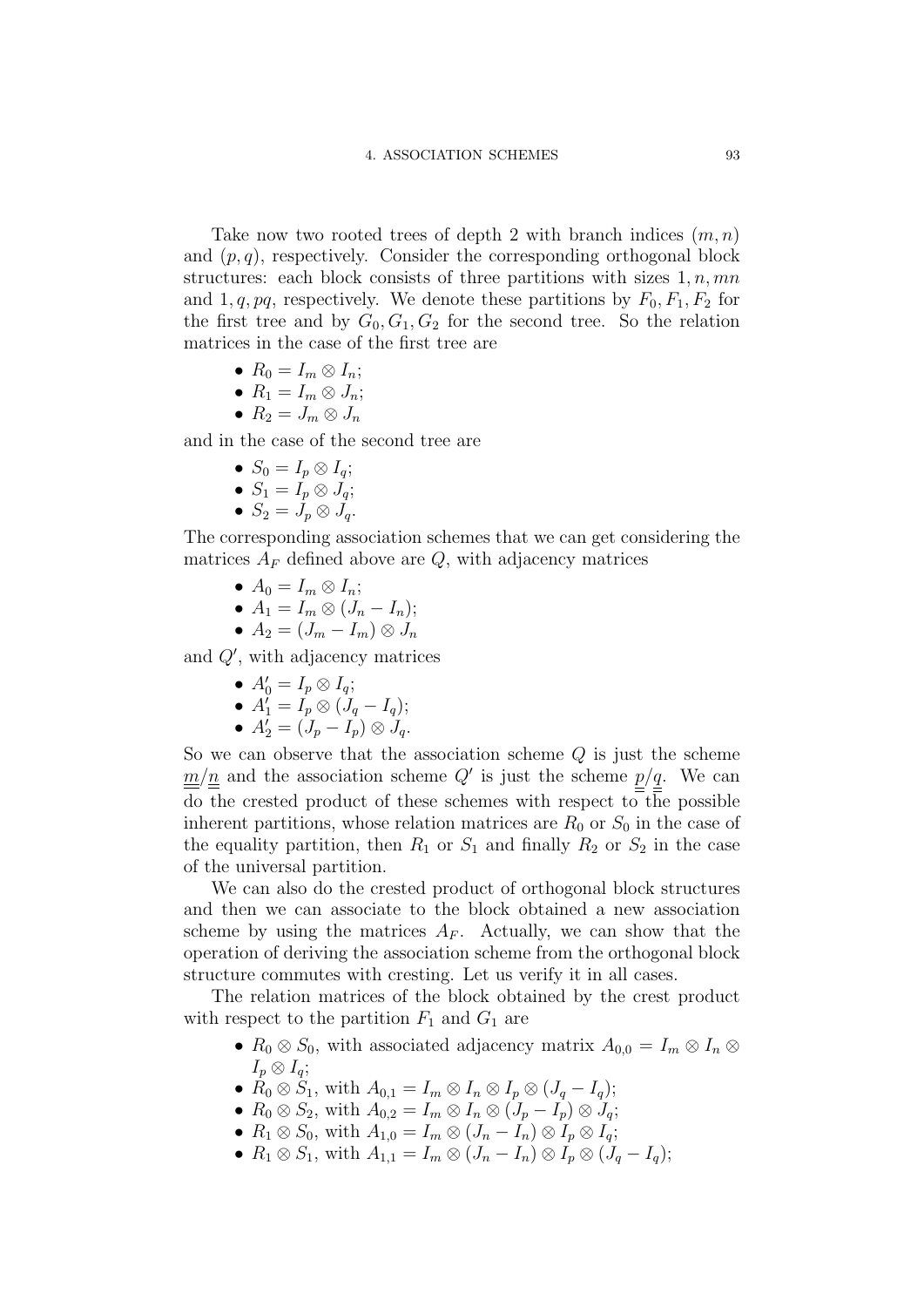Take now two rooted trees of depth 2 with branch indices  $(m, n)$ and  $(p, q)$ , respectively. Consider the corresponding orthogonal block structures: each block consists of three partitions with sizes  $1, n, mn$ and 1, q, pq, respectively. We denote these partitions by  $F_0, F_1, F_2$  for the first tree and by  $G_0, G_1, G_2$  for the second tree. So the relation matrices in the case of the first tree are

• 
$$
R_0 = I_m \otimes I_n;
$$

$$
\bullet \ \ R_1=I_m\otimes J_n;
$$

$$
\bullet \ \ R_2 = J_m \otimes J_n
$$

and in the case of the second tree are

- $S_0 = I_p \otimes I_q$ ;
- $S_1 = I_p \otimes J_q;$
- $S_2 = J_p \otimes J_q$ .

The corresponding association schemes that we can get considering the matrices  $A_F$  defined above are  $Q$ , with adjacency matrices

- $A_0 = I_m \otimes I_n$ ;
- $A_1 = I_m \otimes (J_n I_n);$

$$
\bullet\ A_2=(J_m-I_m)\otimes J_n
$$

and  $Q'$ , with adjacency matrices

•  $A'_0 = I_p \otimes I_q;$ 

• 
$$
A'_1 = I_p \otimes (J_q - I_q);
$$

•  $A'_2 = (J_p - I_p) \otimes J_q.$ 

So we can observe that the association scheme  $Q$  is just the scheme  $m/n$  and the association scheme Q' is just the scheme  $p/q$ . We can do the crested product of these schemes with respect to the possible inherent partitions, whose relation matrices are  $R_0$  or  $S_0$  in the case of the equality partition, then  $R_1$  or  $S_1$  and finally  $R_2$  or  $S_2$  in the case of the universal partition.

We can also do the crested product of orthogonal block structures and then we can associate to the block obtained a new association scheme by using the matrices  $A_F$ . Actually, we can show that the operation of deriving the association scheme from the orthogonal block structure commutes with cresting. Let us verify it in all cases.

The relation matrices of the block obtained by the crest product with respect to the partition  $F_1$  and  $G_1$  are

- $R_0 \otimes S_0$ , with associated adjacency matrix  $A_{0,0} = I_m \otimes I_n \otimes I_m$  $I_p \otimes I_q;$
- $\dot{R}_0 \otimes \dot{S}_1$ , with  $A_{0,1} = I_m \otimes I_n \otimes I_p \otimes (J_q I_q);$
- $R_0 \otimes S_2$ , with  $A_{0,2} = I_m \otimes I_n \otimes (J_p I_p) \otimes J_q$ ;
- $R_1 \otimes S_0$ , with  $A_{1,0} = I_m \otimes (J_n I_n) \otimes I_p \otimes I_q$ ;
- $R_1 \otimes S_1$ , with  $A_{1,1} = I_m \otimes (J_n I_n) \otimes I_p \otimes (J_q I_q);$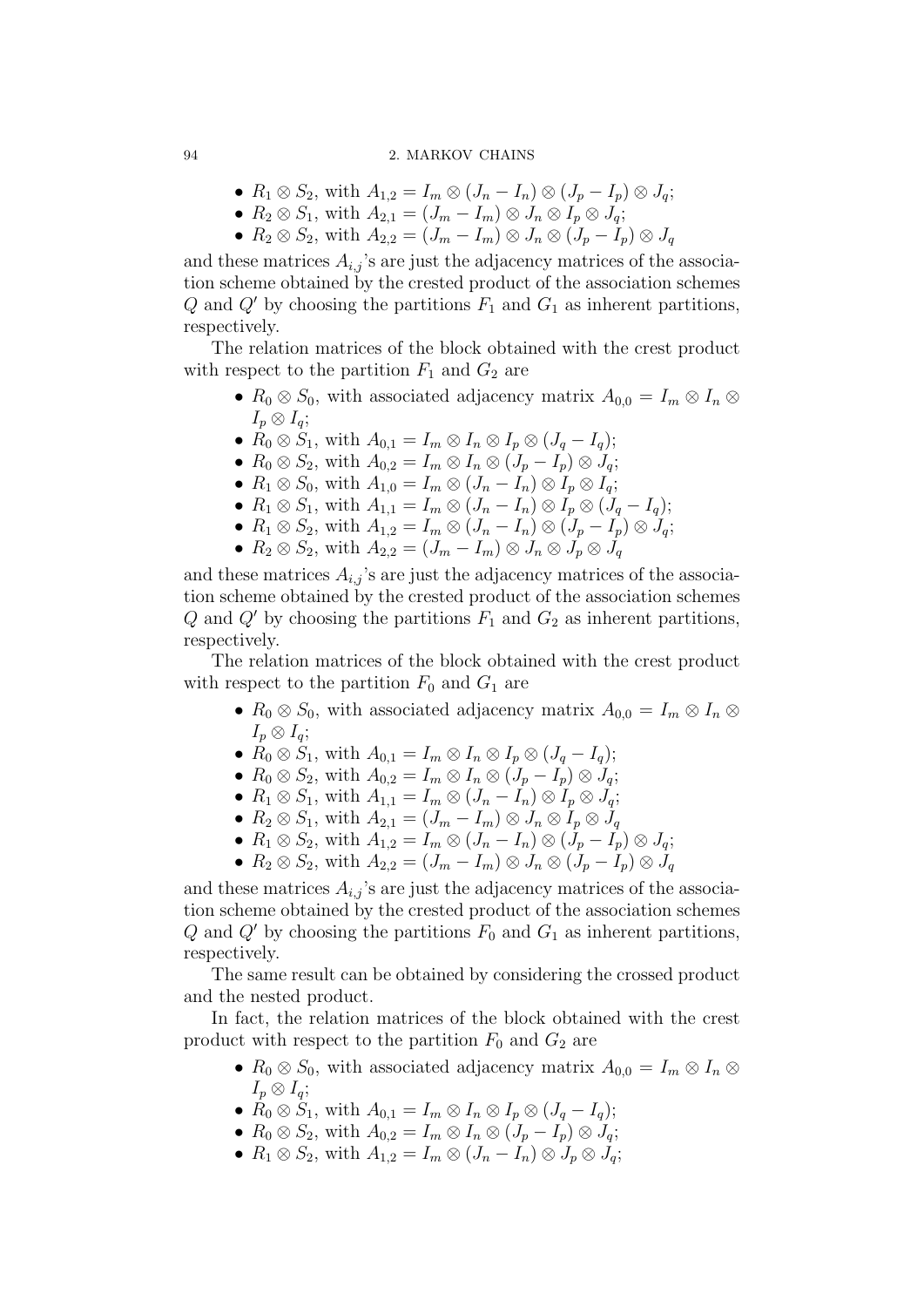- $R_1 \otimes S_2$ , with  $A_{1,2} = I_m \otimes (J_n I_n) \otimes (J_p I_p) \otimes J_q$ ;
- $R_2 \otimes S_1$ , with  $A_{2,1} = (J_m I_m) \otimes J_n \otimes I_p \otimes J_q$ ;
- $R_2 \otimes S_2$ , with  $A_{2,2} = (J_m I_m) \otimes J_n \otimes (J_p I_p) \otimes J_q$

and these matrices  $A_{i,j}$ 's are just the adjacency matrices of the association scheme obtained by the crested product of the association schemes Q and Q' by choosing the partitions  $F_1$  and  $G_1$  as inherent partitions, respectively.

The relation matrices of the block obtained with the crest product with respect to the partition  $F_1$  and  $G_2$  are

- $R_0 \otimes S_0$ , with associated adjacency matrix  $A_{0,0} = I_m \otimes I_n \otimes I_m$  $I_p \otimes I_q$ ;
- $\dot{R}_0 \otimes \dot{S}_1$ , with  $A_{0,1} = I_m \otimes I_n \otimes I_p \otimes (J_q I_q);$
- $R_0 \otimes S_2$ , with  $A_{0,2} = I_m \otimes I_n \otimes (J_p I_p) \otimes J_q$ ;
- $R_1 \otimes S_0$ , with  $A_{1,0} = I_m \otimes (J_n I_n) \otimes I_p \otimes I_q$ ;
- $R_1 \otimes S_1$ , with  $A_{1,1} = I_m \otimes (J_n I_n) \otimes I_p \otimes (J_q I_q);$
- $R_1 \otimes S_2$ , with  $A_{1,2} = I_m \otimes (J_n I_n) \otimes (J_p I_p) \otimes J_q$ ;
- $R_2 \otimes S_2$ , with  $A_{2,2} = (J_m I_m) \otimes J_n \otimes J_p \otimes J_q$

and these matrices  $A_{i,j}$ 's are just the adjacency matrices of the association scheme obtained by the crested product of the association schemes  $Q$  and  $Q'$  by choosing the partitions  $F_1$  and  $G_2$  as inherent partitions, respectively.

The relation matrices of the block obtained with the crest product with respect to the partition  $F_0$  and  $G_1$  are

- $R_0 \otimes S_0$ , with associated adjacency matrix  $A_{0,0} = I_m \otimes I_n \otimes I_m$  $I_p \otimes I_q;$
- $R_0 \otimes S_1$ , with  $A_{0,1} = I_m \otimes I_n \otimes I_p \otimes (J_q I_q);$
- $R_0 \otimes S_2$ , with  $A_{0,2} = I_m \otimes I_n \otimes (J_p I_p) \otimes J_q$ ;
- $R_1 \otimes S_1$ , with  $A_{1,1} = I_m \otimes (J_n I_n) \otimes I_p \otimes J_q$ ;
- $R_2 \otimes S_1$ , with  $A_{2,1} = (J_m I_m) \otimes J_n \otimes I_p \otimes J_q$
- $R_1 \otimes S_2$ , with  $A_{1,2} = I_m \otimes (J_n I_n) \otimes (J_p I_p) \otimes J_q$ ;
- $R_2 \otimes S_2$ , with  $A_{2,2} = (J_m I_m) \otimes J_n \otimes (J_p I_p) \otimes J_q$

and these matrices  $A_{i,j}$ 's are just the adjacency matrices of the association scheme obtained by the crested product of the association schemes Q and Q' by choosing the partitions  $F_0$  and  $G_1$  as inherent partitions, respectively.

The same result can be obtained by considering the crossed product and the nested product.

In fact, the relation matrices of the block obtained with the crest product with respect to the partition  $F_0$  and  $G_2$  are

- $R_0 \otimes S_0$ , with associated adjacency matrix  $A_{0,0} = I_m \otimes I_n \otimes I_m$  $I_p \otimes I_q$ ;
- $R_0 \otimes S_1$ , with  $A_{0,1} = I_m \otimes I_n \otimes I_p \otimes (J_q I_q);$
- $R_0 \otimes S_2$ , with  $A_{0,2} = I_m \otimes I_n \otimes (J_p I_p) \otimes J_q$ ;
- $R_1 \otimes S_2$ , with  $A_{1,2} = I_m \otimes (J_n I_n) \otimes J_p \otimes J_q$ ;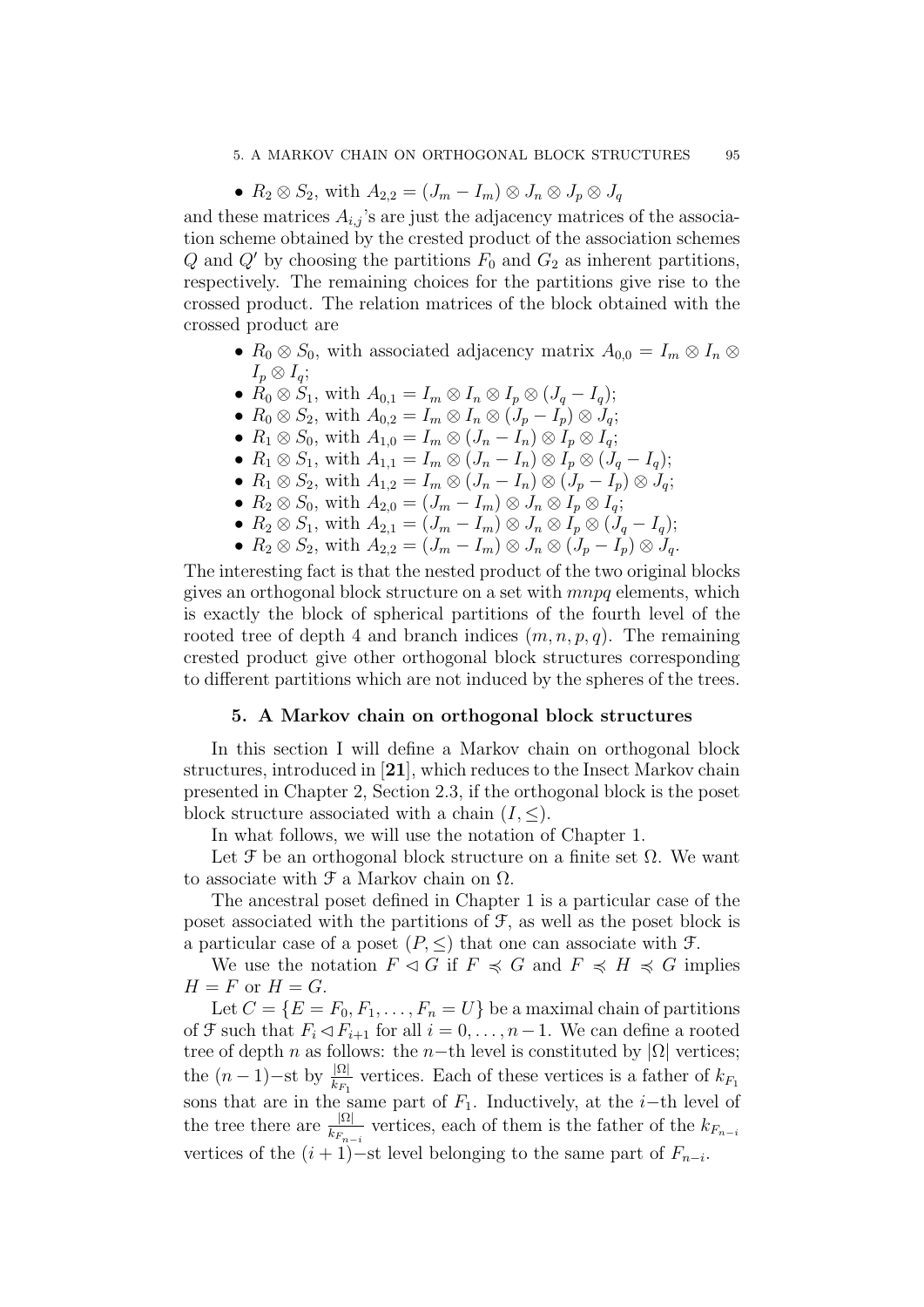#### 5. A MARKOV CHAIN ON ORTHOGONAL BLOCK STRUCTURES 95

•  $R_2 \otimes S_2$ , with  $A_{2,2} = (J_m - I_m) \otimes J_n \otimes J_p \otimes J_q$ 

and these matrices  $A_{i,j}$ 's are just the adjacency matrices of the association scheme obtained by the crested product of the association schemes Q and Q' by choosing the partitions  $F_0$  and  $G_2$  as inherent partitions, respectively. The remaining choices for the partitions give rise to the crossed product. The relation matrices of the block obtained with the crossed product are

- $R_0 \otimes S_0$ , with associated adjacency matrix  $A_{0,0} = I_m \otimes I_n \otimes I_m$  $I_n \otimes I_a$ ;
- $\hat{R}_0 \otimes \hat{S}_1$ , with  $A_{0,1} = I_m \otimes I_n \otimes I_p \otimes (J_q I_q);$
- $R_0 \otimes S_2$ , with  $A_{0,2} = I_m \otimes I_n \otimes (J_p I_p) \otimes J_q$ ;
- $R_1 \otimes S_0$ , with  $A_{1,0} = I_m \otimes (J_n I_n) \otimes I_p \otimes I_q$ ;
- $R_1 \otimes S_1$ , with  $A_{1,1} = I_m \otimes (J_n I_n) \otimes I_p \otimes (J_q I_q);$
- $R_1 \otimes S_2$ , with  $A_{1,2} = I_m \otimes (J_n I_n) \otimes (J_p I_p) \otimes J_q$ ;
- $R_2 \otimes S_0$ , with  $A_{2,0} = (J_m I_m) \otimes J_n \otimes I_p \otimes I_q$ ;
- $R_2 \otimes S_1$ , with  $A_{2,1} = (J_m I_m) \otimes J_n \otimes I_p \otimes (J_q I_q);$
- $R_2 \otimes S_2$ , with  $A_{2,2} = (J_m I_m) \otimes J_n \otimes (J_p I_p) \otimes J_q$ .

The interesting fact is that the nested product of the two original blocks gives an orthogonal block structure on a set with mnpq elements, which is exactly the block of spherical partitions of the fourth level of the rooted tree of depth 4 and branch indices  $(m, n, p, q)$ . The remaining crested product give other orthogonal block structures corresponding to different partitions which are not induced by the spheres of the trees.

# 5. A Markov chain on orthogonal block structures

In this section I will define a Markov chain on orthogonal block structures, introduced in [21], which reduces to the Insect Markov chain presented in Chapter 2, Section 2.3, if the orthogonal block is the poset block structure associated with a chain  $(I, \leq)$ .

In what follows, we will use the notation of Chapter 1.

Let  $\mathcal F$  be an orthogonal block structure on a finite set  $\Omega$ . We want to associate with  $\mathfrak F$  a Markov chain on  $\Omega$ .

The ancestral poset defined in Chapter 1 is a particular case of the poset associated with the partitions of  $\mathcal{F}$ , as well as the poset block is a particular case of a poset  $(P, \leq)$  that one can associate with  $\mathcal{F}$ .

We use the notation  $F \triangleleft G$  if  $F \preccurlyeq G$  and  $F \preccurlyeq H \preccurlyeq G$  implies  $H = F$  or  $H = G$ .

Let  $C = \{E = F_0, F_1, \ldots, F_n = U\}$  be a maximal chain of partitions of  $\mathcal F$  such that  $F_i \lhd F_{i+1}$  for all  $i = 0, \ldots, n-1$ . We can define a rooted tree of depth n as follows: the n−th level is constituted by  $|\Omega|$  vertices; the  $(n-1)$ -st by  $\frac{|\Omega|}{k_{F_1}}$  vertices. Each of these vertices is a father of  $k_{F_1}$ sons that are in the same part of  $F_1$ . Inductively, at the i–th level of the tree there are  $\frac{|\Omega|}{k_{F_{n-i}}}$  vertices, each of them is the father of the  $k_{F_{n-i}}$ vertices of the  $(i + 1)$ -st level belonging to the same part of  $F_{n-i}$ .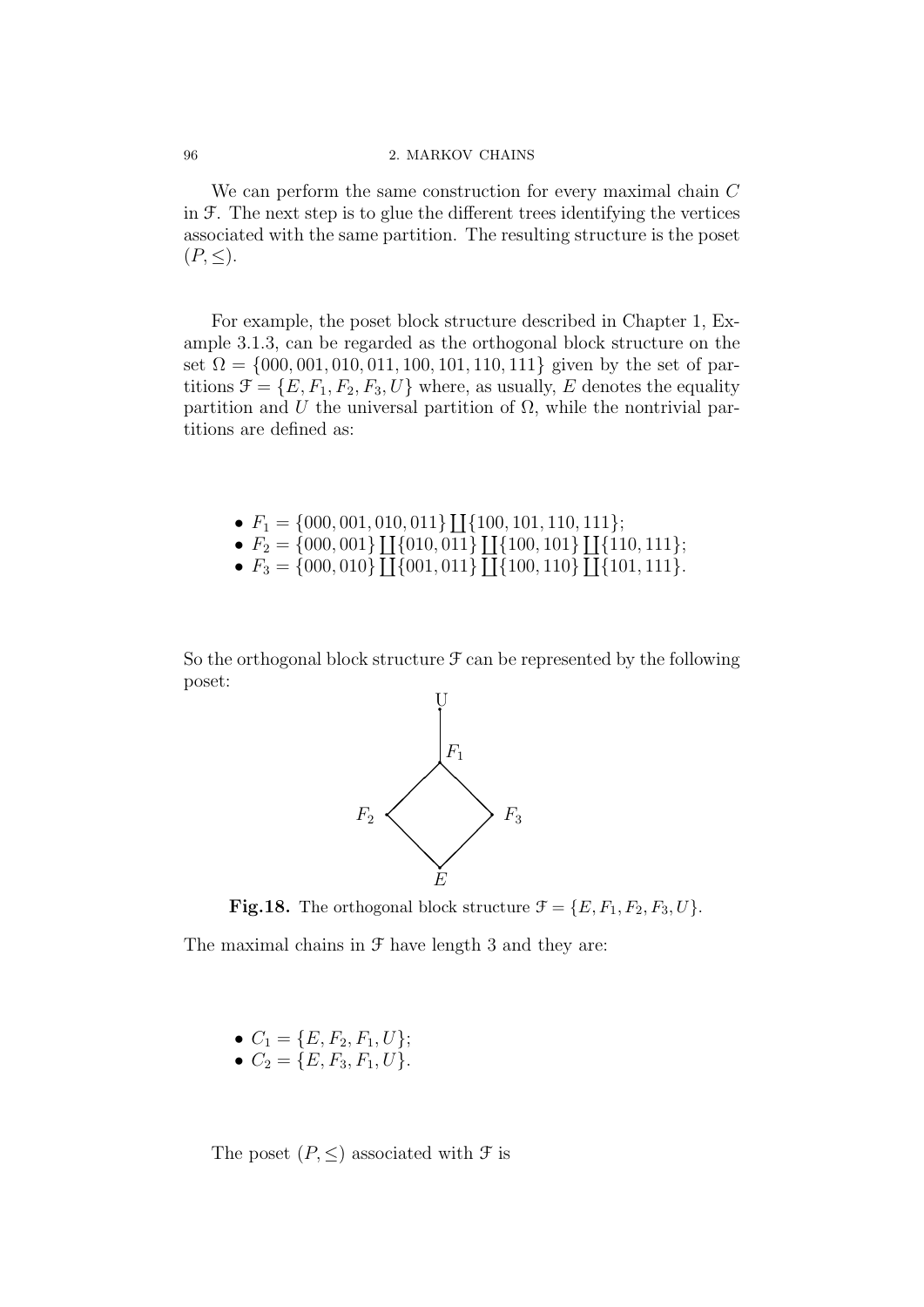We can perform the same construction for every maximal chain C in  $\mathcal F$ . The next step is to glue the different trees identifying the vertices associated with the same partition. The resulting structure is the poset  $(P,\leq).$ 

For example, the poset block structure described in Chapter 1, Example 3.1.3, can be regarded as the orthogonal block structure on the set  $\Omega = \{000, 001, 010, 011, 100, 101, 110, 111\}$  given by the set of partitions  $\mathcal{F} = \{E, F_1, F_2, F_3, U\}$  where, as usually, E denotes the equality partition and U the universal partition of  $\Omega$ , while the nontrivial partitions are defined as:

- $F_1 = \{000, 001, 010, 011\} \coprod \{100, 101, 110, 111\};$
- $F_2 = \{000, 001\} \coprod \{010, 011\} \coprod \{100, 101\} \coprod \{110, 111\};$
- $F_3 = \{000, 010\} \coprod \{001, 011\} \coprod \{100, 110\} \coprod \{101, 111\}.$

So the orthogonal block structure  $\mathcal F$  can be represented by the following poset:



**Fig.18.** The orthogonal block structure  $\mathcal{F} = \{E, F_1, F_2, F_3, U\}.$ 

The maximal chains in  $\mathcal F$  have length 3 and they are:

•  $C_1 = \{E, F_2, F_1, U\};$ 

• 
$$
C_2 = \{E, F_3, F_1, U\}.
$$

The poset  $(P, \leq)$  associated with  $\mathcal F$  is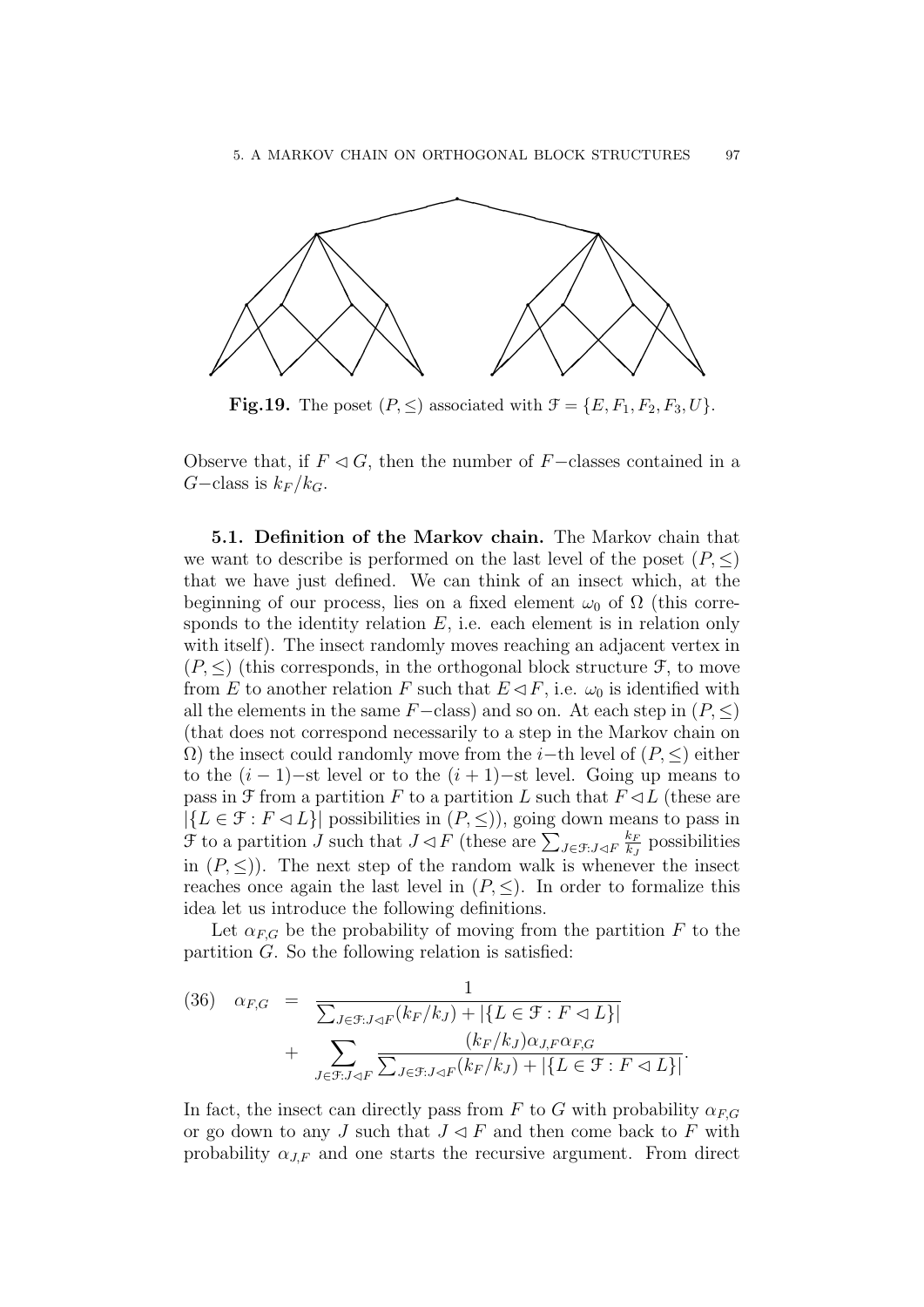

**Fig.19.** The poset  $(P, \leq)$  associated with  $\mathcal{F} = \{E, F_1, F_2, F_3, U\}$ .

Observe that, if  $F \triangleleft G$ , then the number of F−classes contained in a  $G$ –class is  $k_F / k_G$ .

5.1. Definition of the Markov chain. The Markov chain that we want to describe is performed on the last level of the poset  $(P, \leq)$ that we have just defined. We can think of an insect which, at the beginning of our process, lies on a fixed element  $\omega_0$  of  $\Omega$  (this corresponds to the identity relation  $E$ , i.e. each element is in relation only with itself). The insect randomly moves reaching an adjacent vertex in  $(P, \leq)$  (this corresponds, in the orthogonal block structure  $\mathcal{F}$ , to move from E to another relation F such that  $E \triangleleft F$ , i.e.  $\omega_0$  is identified with all the elements in the same  $F-\text{class}$  and so on. At each step in  $(P, \leq)$ (that does not correspond necessarily to a step in the Markov chain on  $\Omega$ ) the insect could randomly move from the *i*−th level of  $(P, \leq)$  either to the  $(i - 1)$ –st level or to the  $(i + 1)$ –st level. Going up means to pass in  $\mathcal F$  from a partition F to a partition L such that  $F \triangleleft L$  (these are  $|\{L \in \mathcal{F} : F \triangleleft L\}|$  possibilities in  $(P, \leq)$ , going down means to pass in  $\mathcal F$  to a partition  $J$  such that  $J \lhd F$  (these are  $\sum_{J \in \mathcal F : J \lhd F}$  $k_F$  $\frac{k_F}{k_J}$  possibilities in  $(P, \leq)$ ). The next step of the random walk is whenever the insect reaches once again the last level in  $(P, \leq)$ . In order to formalize this idea let us introduce the following definitions.

Let  $\alpha_{F,G}$  be the probability of moving from the partition F to the partition G. So the following relation is satisfied:

(36) 
$$
\alpha_{F,G} = \frac{1}{\sum_{J \in \mathcal{F}: J \triangleleft F} (k_F / k_J) + |\{L \in \mathcal{F}: F \triangleleft L\}|} + \sum_{J \in \mathcal{F}: J \triangleleft F} \frac{(k_F / k_J) \alpha_{J,F} \alpha_{F,G}}{\sum_{J \in \mathcal{F}: J \triangleleft F} (k_F / k_J) + |\{L \in \mathcal{F}: F \triangleleft L\}|}.
$$

In fact, the insect can directly pass from F to G with probability  $\alpha_{FG}$ or go down to any J such that  $J \triangleleft F$  and then come back to F with probability  $\alpha_{IF}$  and one starts the recursive argument. From direct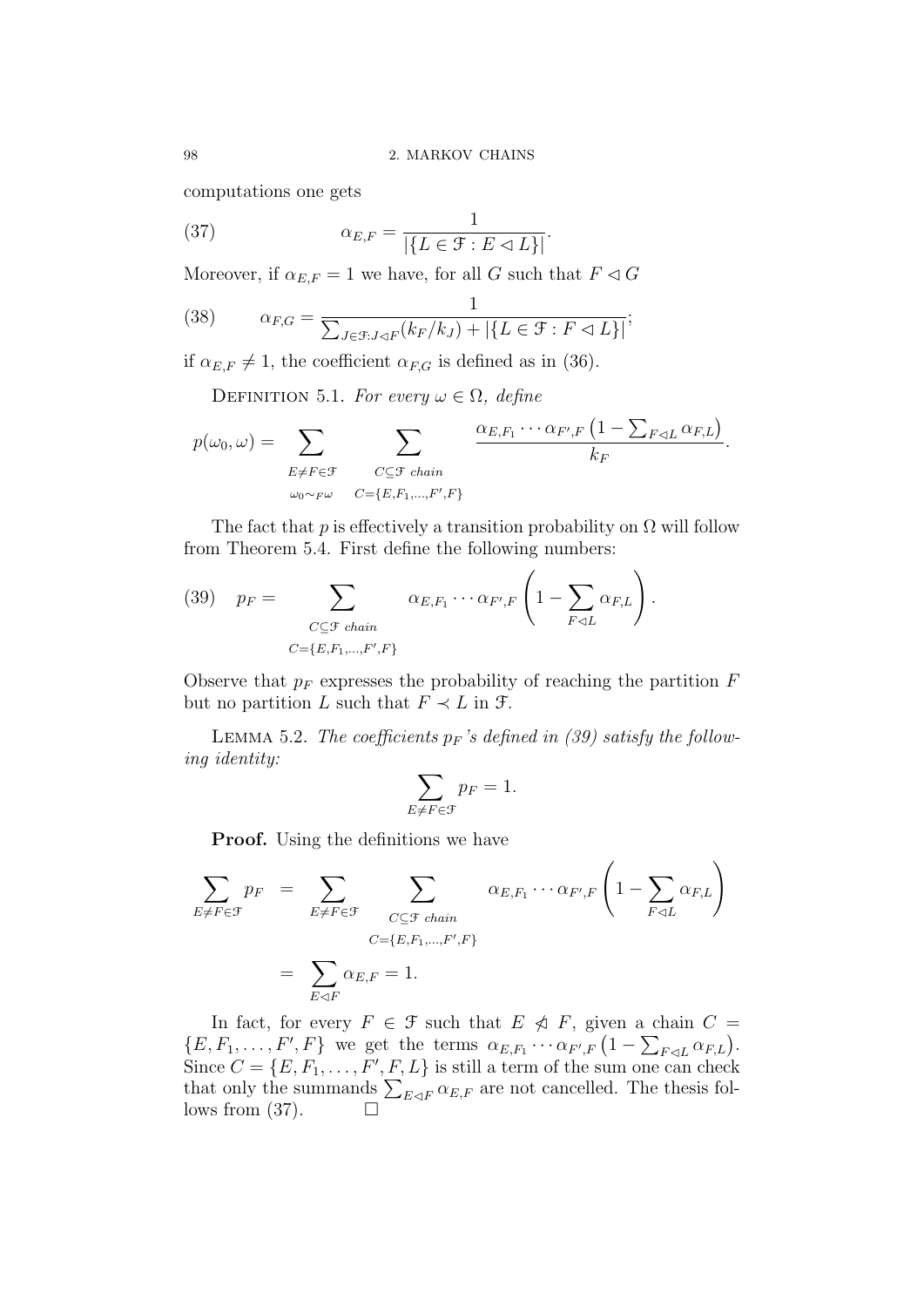computations one gets

(37) 
$$
\alpha_{E,F} = \frac{1}{|\{L \in \mathcal{F} : E \lhd L\}|}.
$$

Moreover, if  $\alpha_{E,F} = 1$  we have, for all G such that  $F \lhd G$ 

(38) 
$$
\alpha_{F,G} = \frac{1}{\sum_{J \in \mathcal{F}: J \triangleleft F} (k_F / k_J) + |\{L \in \mathcal{F}: F \triangleleft L\}|};
$$

if  $\alpha_{E,F} \neq 1$ , the coefficient  $\alpha_{F,G}$  is defined as in (36).

DEFINITION 5.1. For every  $\omega \in \Omega$ , define

$$
p(\omega_0, \omega) = \sum_{\substack{E \neq F \in \mathcal{F} \\ \omega_0 \sim_F \omega}} \sum_{\substack{C \subseteq \mathcal{F} \text{ chain} \\ C = \{E, F_1, \dots, F', F\}}} \frac{\alpha_{E, F_1} \cdots \alpha_{F', F} \left(1 - \sum_{F \lhd L} \alpha_{F, L}\right)}{k_F}.
$$

The fact that p is effectively a transition probability on  $\Omega$  will follow from Theorem 5.4. First define the following numbers:

(39) 
$$
p_F = \sum_{\substack{C \subseteq \mathcal{F} \ \text{chain} \\ C = \{E, F_1, \dots, F', F\}}} \alpha_{E, F_1} \cdots \alpha_{F', F} \left(1 - \sum_{F \lhd L} \alpha_{F, L}\right).
$$

Observe that  $p_F$  expresses the probability of reaching the partition  $F$ but no partition L such that  $F \prec L$  in  $\mathcal{F}$ .

LEMMA 5.2. The coefficients  $p_F$ 's defined in (39) satisfy the following identity:

$$
\sum_{E \neq F \in \mathcal{F}} p_F = 1.
$$

**Proof.** Using the definitions we have

$$
\sum_{E \neq F \in \mathcal{F}} p_F = \sum_{E \neq F \in \mathcal{F}} \sum_{\substack{C \subseteq \mathcal{F} \text{ chain} \\ C = \{E, F_1, \dots, F', F\}}} \alpha_{E, F_1} \cdots \alpha_{F', F} \left(1 - \sum_{F \lhd L} \alpha_{F, L}\right)
$$
\n
$$
= \sum_{E \lhd F} \alpha_{E, F} = 1.
$$

In fact, for every  $F \in \mathcal{F}$  such that  $E \ntriangleleft F$ , given a chain  $C =$  $\{E, F_1, \ldots, F', F\}$  we get the terms  $\alpha_{E,F_1} \cdots \alpha_{F',F} (1 - \sum_{F \lhd L} \alpha_{F,L}).$ Since  $C = \{E, F_1, \ldots, F', F, L\}$  is still a term of the sum one can check that only the summands  $\sum_{E \triangleleft F} \alpha_{E,F}$  are not cancelled. The thesis follows from  $(37)$ .  $\Box$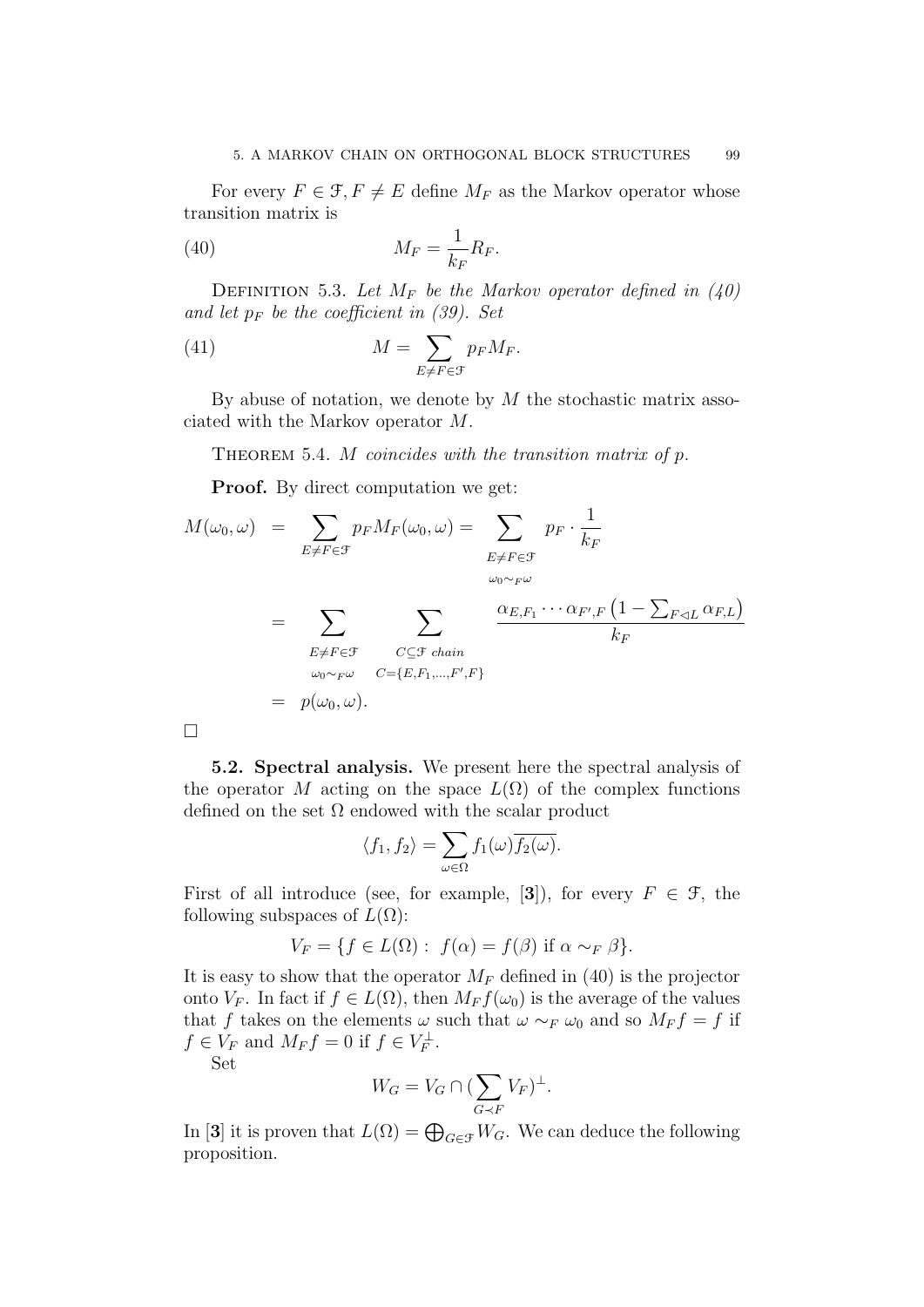For every  $F \in \mathcal{F}, F \neq E$  define  $M_F$  as the Markov operator whose transition matrix is

$$
M_F = \frac{1}{k_F} R_F.
$$

DEFINITION 5.3. Let  $M_F$  be the Markov operator defined in (40) and let  $p_F$  be the coefficient in (39). Set

(41) 
$$
M = \sum_{E \neq F \in \mathcal{F}} p_F M_F.
$$

By abuse of notation, we denote by  $M$  the stochastic matrix associated with the Markov operator M.

THEOREM 5.4. M coincides with the transition matrix of  $p$ .

**Proof.** By direct computation we get:

$$
M(\omega_0, \omega) = \sum_{E \neq F \in \mathcal{F}} p_F M_F(\omega_0, \omega) = \sum_{E \neq F \in \mathcal{F}} p_F \cdot \frac{1}{k_F}
$$
  

$$
= \sum_{E \neq F \in \mathcal{F}} \sum_{\substack{C \subseteq \mathcal{F} \text{ chain} \\ C = \{E, F_1, \dots, F', F\}}} \frac{\alpha_{E, F_1} \cdots \alpha_{F', F} (1 - \sum_{F \lhd L} \alpha_{F, L})}{k_F}
$$
  

$$
= p(\omega_0, \omega).
$$

5.2. Spectral analysis. We present here the spectral analysis of the operator M acting on the space  $L(\Omega)$  of the complex functions defined on the set  $\Omega$  endowed with the scalar product

$$
\langle f_1, f_2 \rangle = \sum_{\omega \in \Omega} f_1(\omega) \overline{f_2(\omega)}.
$$

First of all introduce (see, for example, [3]), for every  $F \in \mathcal{F}$ , the following subspaces of  $L(\Omega)$ :

$$
V_F = \{ f \in L(\Omega) : f(\alpha) = f(\beta) \text{ if } \alpha \sim_F \beta \}.
$$

It is easy to show that the operator  $M_F$  defined in (40) is the projector onto  $V_F$ . In fact if  $f \in L(\Omega)$ , then  $M_F f(\omega_0)$  is the average of the values that f takes on the elements  $\omega$  such that  $\omega \sim_F \omega_0$  and so  $M_F f = f$  if  $f \in V_F$  and  $M_F f = 0$  if  $f \in V_F^{\perp}$ .

Set

$$
W_G = V_G \cap (\sum_{G \prec F} V_F)^{\perp}.
$$

In [3] it is proven that  $L(\Omega) = \bigoplus_{G \in \mathcal{F}} W_G$ . We can deduce the following proposition.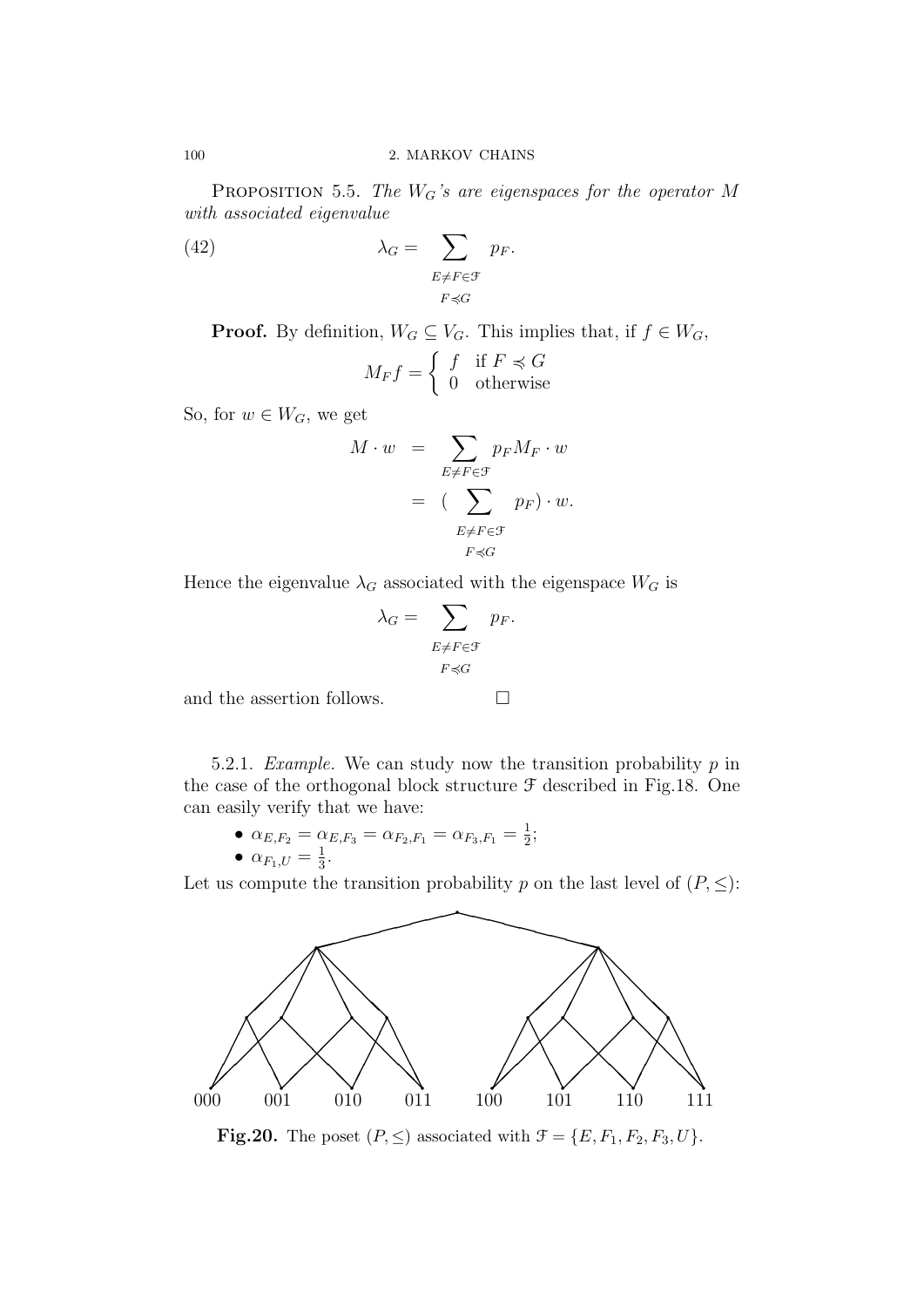PROPOSITION 5.5. The  $W_G$ 's are eigenspaces for the operator M with associated eigenvalue

(42) 
$$
\lambda_G = \sum_{\substack{E \neq F \in \mathcal{F} \\ F \preccurlyeq G}} p_F.
$$

**Proof.** By definition,  $W_G \subseteq V_G$ . This implies that, if  $f \in W_G$ ,

$$
M_F f = \begin{cases} f & \text{if } F \preccurlyeq G \\ 0 & \text{otherwise} \end{cases}
$$

So, for  $w \in W_G$ , we get

$$
M \cdot w = \sum_{E \neq F \in \mathcal{F}} p_F M_F \cdot w
$$
  
= 
$$
\left(\sum_{E \neq F \in \mathcal{F}} p_F\right) \cdot w.
$$
  

$$
F \preccurlyeq G
$$

Hence the eigenvalue  $\lambda_G$  associated with the eigenspace  $W_G$  is

$$
\lambda_G = \sum_{\substack{E \neq F \in \mathcal{F} \\ F \preccurlyeq G}} p_F.
$$

and the assertion follows.  $\Box$ 

5.2.1. Example. We can study now the transition probability  $p$  in the case of the orthogonal block structure  $\mathcal F$  described in Fig.18. One can easily verify that we have:

• 
$$
\alpha_{E,F_2} = \alpha_{E,F_3} = \alpha_{F_2,F_1} = \alpha_{F_3,F_1} = \frac{1}{2};
$$
  
•  $\alpha_{F_1,U} = \frac{1}{3}.$ 

Let us compute the transition probability p on the last level of  $(P, \leq)$ :



**Fig.20.** The poset  $(P, \leq)$  associated with  $\mathcal{F} = \{E, F_1, F_2, F_3, U\}.$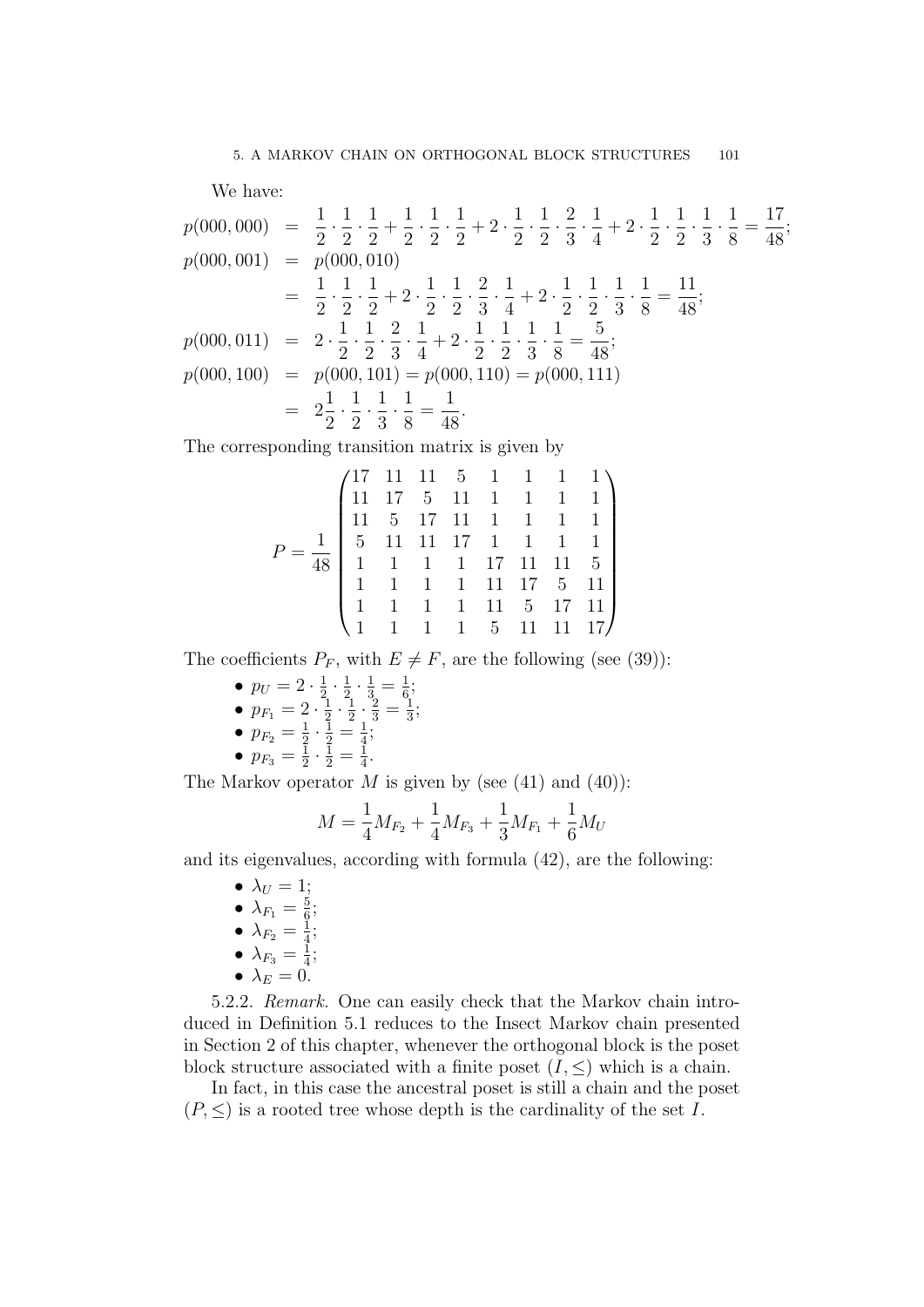We have:

$$
p(000,000) = \frac{1}{2} \cdot \frac{1}{2} \cdot \frac{1}{2} + \frac{1}{2} \cdot \frac{1}{2} \cdot \frac{1}{2} + 2 \cdot \frac{1}{2} \cdot \frac{1}{2} \cdot \frac{2}{3} \cdot \frac{1}{4} + 2 \cdot \frac{1}{2} \cdot \frac{1}{2} \cdot \frac{1}{3} \cdot \frac{1}{8} = \frac{17}{48};
$$
  
\n
$$
p(000,001) = p(000,010)
$$
  
\n
$$
= \frac{1}{2} \cdot \frac{1}{2} \cdot \frac{1}{2} + 2 \cdot \frac{1}{2} \cdot \frac{1}{2} \cdot \frac{2}{3} \cdot \frac{1}{4} + 2 \cdot \frac{1}{2} \cdot \frac{1}{2} \cdot \frac{1}{3} \cdot \frac{1}{8} = \frac{11}{48};
$$
  
\n
$$
p(000,011) = 2 \cdot \frac{1}{2} \cdot \frac{1}{2} \cdot \frac{2}{3} \cdot \frac{1}{4} + 2 \cdot \frac{1}{2} \cdot \frac{1}{2} \cdot \frac{1}{3} \cdot \frac{1}{8} = \frac{1}{48};
$$
  
\n
$$
p(000,100) = p(000,101) = p(000,110) = p(000,111)
$$
  
\n
$$
= 2\frac{1}{2} \cdot \frac{1}{2} \cdot \frac{1}{3} \cdot \frac{1}{8} = \frac{1}{48}.
$$

The corresponding transition matrix is given by

$$
P = \frac{1}{48} \begin{pmatrix} 17 & 11 & 11 & 5 & 1 & 1 & 1 & 1 \\ 11 & 17 & 5 & 11 & 1 & 1 & 1 & 1 \\ 11 & 5 & 17 & 11 & 1 & 1 & 1 & 1 \\ 5 & 11 & 11 & 17 & 1 & 1 & 1 & 1 \\ 1 & 1 & 1 & 1 & 17 & 11 & 11 & 5 \\ 1 & 1 & 1 & 1 & 11 & 17 & 5 & 11 \\ 1 & 1 & 1 & 1 & 1 & 5 & 17 & 11 \\ 1 & 1 & 1 & 1 & 5 & 11 & 11 & 17 \end{pmatrix}
$$

The coefficients  $P_F$ , with  $E \neq F$ , are the following (see (39)):

- $p_U = 2 \cdot \frac{1}{2}$  $\frac{1}{2} \cdot \frac{1}{2}$  $\frac{1}{2} \cdot \frac{1}{3} = \frac{1}{6}$  $\frac{1}{6}$ ;
- $\bullet$   $p_{F_1} = 2 \cdot \frac{1}{2}$  $rac{1}{2} \cdot \frac{1}{2}$  $\frac{1}{2} \cdot \frac{2}{3} = \frac{1}{3}$  $\frac{1}{3}$ ;
- $p_{F_2} = \frac{1}{2}$  $\frac{1}{2} \cdot \frac{1}{2} = \frac{1}{4}$  $\frac{1}{4}$ ;

$$
\bullet \, p_{F_3} = \tfrac{\overline{1}}{2} \cdot \tfrac{\overline{1}}{2} = \tfrac{\overline{1}}{4}
$$

The Markov operator  $M$  is given by (see (41) and (40)):

.

$$
M = \frac{1}{4}M_{F_2} + \frac{1}{4}M_{F_3} + \frac{1}{3}M_{F_1} + \frac{1}{6}M_U
$$

and its eigenvalues, according with formula (42), are the following:

- $\bullet \lambda_U = 1;$  $\bullet$   $\lambda_{F_1} = \frac{5}{6}$  $\frac{5}{6}$ ;  $\bullet$   $\lambda_{F_2}=\frac{1}{4}$  $\frac{1}{4}$ ;  $\bullet$   $\lambda_{F_3}=\frac{1}{4}$  $\frac{1}{4}$ ;
- 
- $\lambda_E = 0$ .

5.2.2. Remark. One can easily check that the Markov chain introduced in Definition 5.1 reduces to the Insect Markov chain presented in Section 2 of this chapter, whenever the orthogonal block is the poset block structure associated with a finite poset  $(I, \leq)$  which is a chain.

In fact, in this case the ancestral poset is still a chain and the poset  $(P, \leq)$  is a rooted tree whose depth is the cardinality of the set I.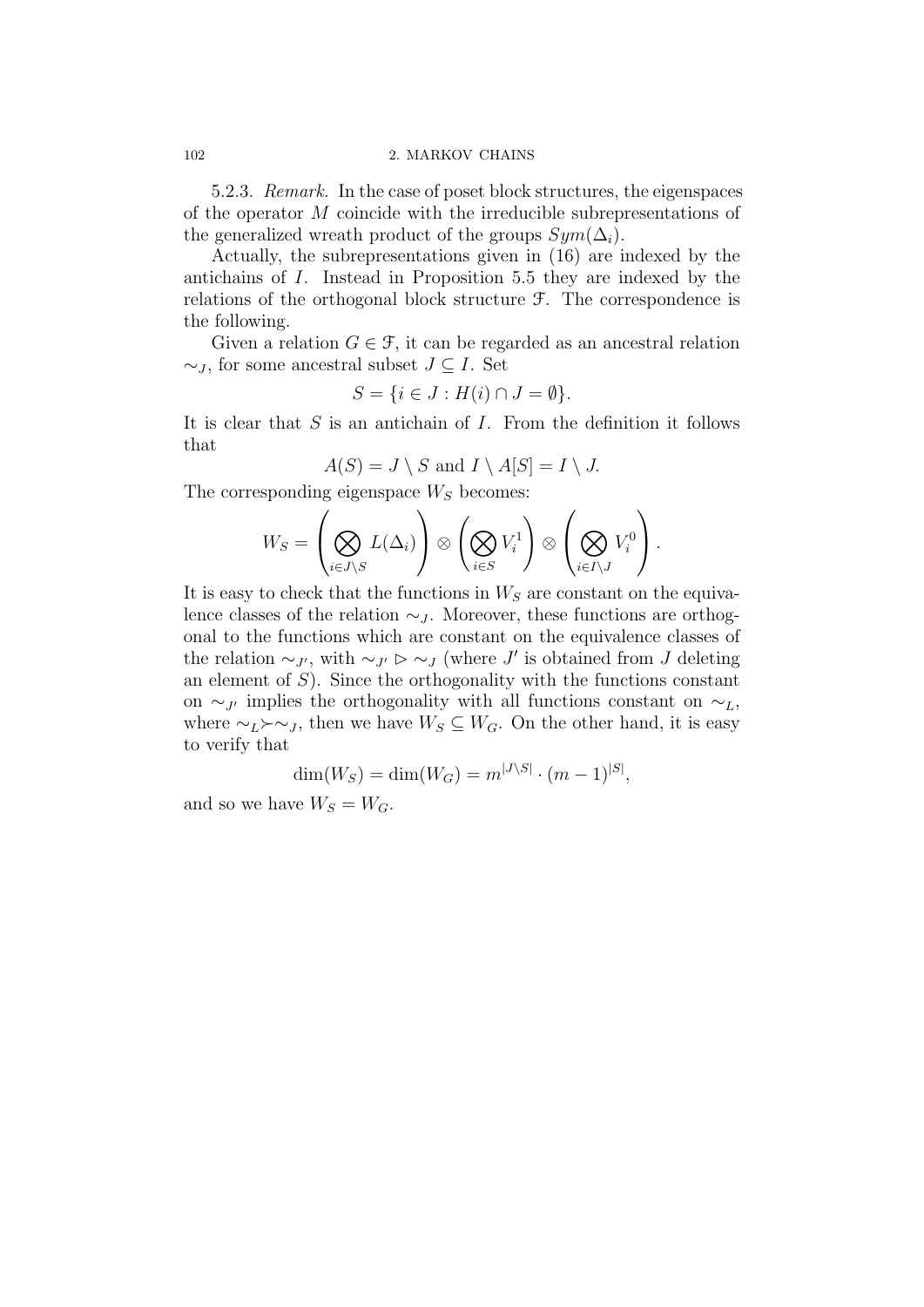5.2.3. Remark. In the case of poset block structures, the eigenspaces of the operator M coincide with the irreducible subrepresentations of the generalized wreath product of the groups  $Sym(\Delta_i)$ .

Actually, the subrepresentations given in (16) are indexed by the antichains of I. Instead in Proposition 5.5 they are indexed by the relations of the orthogonal block structure F. The correspondence is the following.

Given a relation  $G \in \mathcal{F}$ , it can be regarded as an ancestral relation  $\sim_J$ , for some ancestral subset  $J \subseteq I$ . Set

$$
S = \{ i \in J : H(i) \cap J = \emptyset \}.
$$

It is clear that  $S$  is an antichain of  $I$ . From the definition it follows that

$$
A(S) = J \setminus S \text{ and } I \setminus A[S] = I \setminus J.
$$

The corresponding eigenspace  $W<sub>S</sub>$  becomes:

$$
W_S = \left(\bigotimes_{i \in J \setminus S} L(\Delta_i)\right) \otimes \left(\bigotimes_{i \in S} V_i^1\right) \otimes \left(\bigotimes_{i \in I \setminus J} V_i^0\right).
$$

It is easy to check that the functions in  $W<sub>S</sub>$  are constant on the equivalence classes of the relation  $\sim$ *J*. Moreover, these functions are orthogonal to the functions which are constant on the equivalence classes of the relation  $\sim_{J'}$ , with  $\sim_{J'} \triangleright \sim_J$  (where J' is obtained from J deleting an element of  $S$ ). Since the orthogonality with the functions constant on ∼<sub>J'</sub> implies the orthogonality with all functions constant on  $\sim$ <sub>L</sub>, where  $\sim_L \succ \sim_J$ , then we have  $W_S \subseteq W_G$ . On the other hand, it is easy to verify that

$$
\dim(W_S) = \dim(W_G) = m^{|J \setminus S|} \cdot (m-1)^{|S|},
$$

and so we have  $W_S = W_G$ .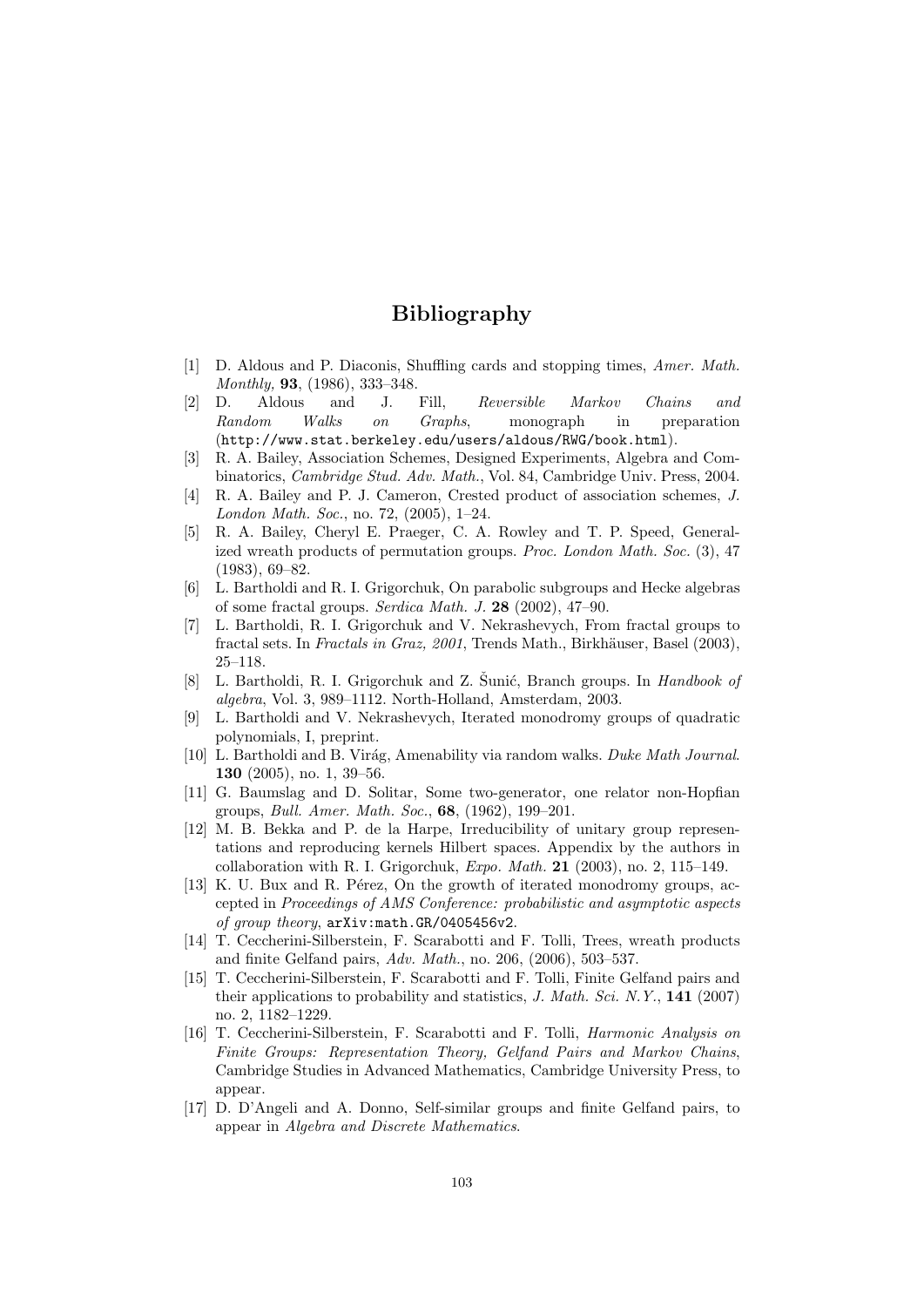# Bibliography

- [1] D. Aldous and P. Diaconis, Shuffling cards and stopping times, Amer. Math. Monthly, 93, (1986), 333–348.
- [2] D. Aldous and J. Fill, Reversible Markov Chains and Random Walks on Graphs, monograph in preparation (http://www.stat.berkeley.edu/users/aldous/RWG/book.html).
- [3] R. A. Bailey, Association Schemes, Designed Experiments, Algebra and Combinatorics, Cambridge Stud. Adv. Math., Vol. 84, Cambridge Univ. Press, 2004.
- [4] R. A. Bailey and P. J. Cameron, Crested product of association schemes, J. London Math. Soc., no. 72, (2005), 1–24.
- [5] R. A. Bailey, Cheryl E. Praeger, C. A. Rowley and T. P. Speed, Generalized wreath products of permutation groups. Proc. London Math. Soc. (3), 47 (1983), 69–82.
- [6] L. Bartholdi and R. I. Grigorchuk, On parabolic subgroups and Hecke algebras of some fractal groups. Serdica Math. J. 28 (2002), 47–90.
- [7] L. Bartholdi, R. I. Grigorchuk and V. Nekrashevych, From fractal groups to fractal sets. In Fractals in Graz, 2001, Trends Math., Birkhäuser, Basel (2003). 25–118.
- [8] L. Bartholdi, R. I. Grigorchuk and Z. Šunić, Branch groups. In *Handbook of* algebra, Vol. 3, 989–1112. North-Holland, Amsterdam, 2003.
- [9] L. Bartholdi and V. Nekrashevych, Iterated monodromy groups of quadratic polynomials, I, preprint.
- [10] L. Bartholdi and B. Virág, Amenability via random walks. Duke Math Journal. 130 (2005), no. 1, 39–56.
- [11] G. Baumslag and D. Solitar, Some two-generator, one relator non-Hopfian groups, Bull. Amer. Math. Soc., 68, (1962), 199–201.
- [12] M. B. Bekka and P. de la Harpe, Irreducibility of unitary group representations and reproducing kernels Hilbert spaces. Appendix by the authors in collaboration with R. I. Grigorchuk,  $Expo. Math. 21 (2003)$ , no. 2, 115–149.
- [13] K. U. Bux and R. Pérez, On the growth of iterated monodromy groups, accepted in Proceedings of AMS Conference: probabilistic and asymptotic aspects of group theory, arXiv:math.GR/0405456v2.
- [14] T. Ceccherini-Silberstein, F. Scarabotti and F. Tolli, Trees, wreath products and finite Gelfand pairs, Adv. Math., no. 206, (2006), 503–537.
- [15] T. Ceccherini-Silberstein, F. Scarabotti and F. Tolli, Finite Gelfand pairs and their applications to probability and statistics,  $J. Math. Sci. N. Y., 141 (2007)$ no. 2, 1182–1229.
- [16] T. Ceccherini-Silberstein, F. Scarabotti and F. Tolli, Harmonic Analysis on Finite Groups: Representation Theory, Gelfand Pairs and Markov Chains, Cambridge Studies in Advanced Mathematics, Cambridge University Press, to appear.
- [17] D. D'Angeli and A. Donno, Self-similar groups and finite Gelfand pairs, to appear in Algebra and Discrete Mathematics.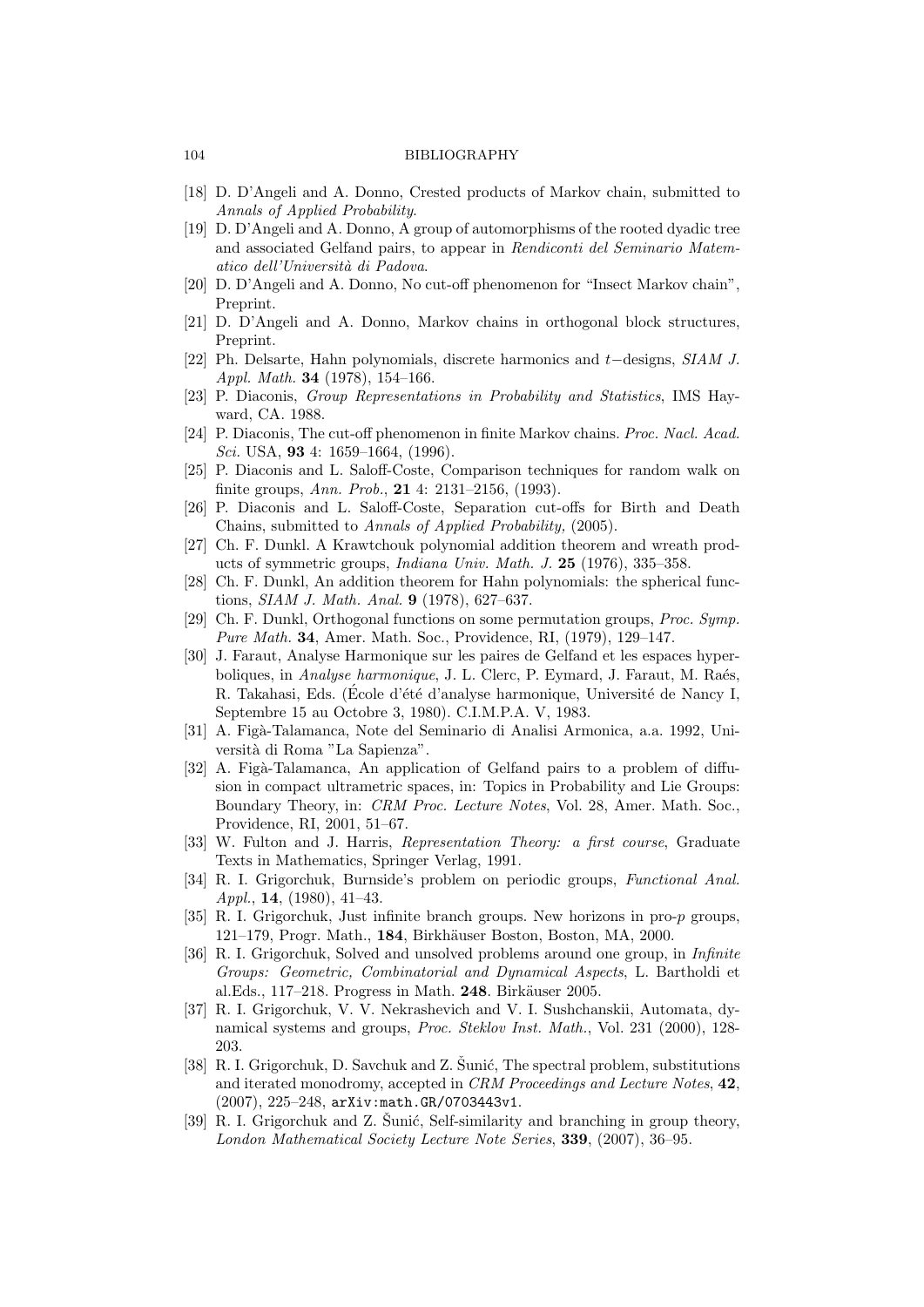#### 104 BIBLIOGRAPHY

- [18] D. D'Angeli and A. Donno, Crested products of Markov chain, submitted to Annals of Applied Probability.
- [19] D. D'Angeli and A. Donno, A group of automorphisms of the rooted dyadic tree and associated Gelfand pairs, to appear in Rendiconti del Seminario Matematico dell'Università di Padova.
- [20] D. D'Angeli and A. Donno, No cut-off phenomenon for "Insect Markov chain", Preprint.
- [21] D. D'Angeli and A. Donno, Markov chains in orthogonal block structures, Preprint.
- [22] Ph. Delsarte, Hahn polynomials, discrete harmonics and t−designs, SIAM J. Appl. Math. 34 (1978), 154–166.
- [23] P. Diaconis, Group Representations in Probability and Statistics, IMS Hayward, CA. 1988.
- [24] P. Diaconis, The cut-off phenomenon in finite Markov chains. Proc. Nacl. Acad. Sci. USA, 93 4: 1659–1664, (1996).
- [25] P. Diaconis and L. Saloff-Coste, Comparison techniques for random walk on finite groups, Ann. Prob., 21 4: 2131–2156, (1993).
- [26] P. Diaconis and L. Saloff-Coste, Separation cut-offs for Birth and Death Chains, submitted to Annals of Applied Probability, (2005).
- [27] Ch. F. Dunkl. A Krawtchouk polynomial addition theorem and wreath products of symmetric groups, Indiana Univ. Math. J. 25 (1976), 335–358.
- [28] Ch. F. Dunkl, An addition theorem for Hahn polynomials: the spherical functions, SIAM J. Math. Anal. 9 (1978), 627–637.
- [29] Ch. F. Dunkl, Orthogonal functions on some permutation groups, Proc. Symp. Pure Math. 34, Amer. Math. Soc., Providence, RI, (1979), 129–147.
- [30] J. Faraut, Analyse Harmonique sur les paires de Gelfand et les espaces hyperboliques, in *Analyse harmonique*, J. L. Clerc, P. Eymard, J. Faraut, M. Raés, R. Takahasi, Eds. (École d'été d'analyse harmonique, Université de Nancy I, Septembre 15 au Octobre 3, 1980). C.I.M.P.A. V, 1983.
- [31] A. Figà-Talamanca, Note del Seminario di Analisi Armonica, a.a. 1992, Università di Roma "La Sapienza".
- [32] A. Figà-Talamanca, An application of Gelfand pairs to a problem of diffusion in compact ultrametric spaces, in: Topics in Probability and Lie Groups: Boundary Theory, in: CRM Proc. Lecture Notes, Vol. 28, Amer. Math. Soc., Providence, RI, 2001, 51–67.
- [33] W. Fulton and J. Harris, Representation Theory: a first course, Graduate Texts in Mathematics, Springer Verlag, 1991.
- [34] R. I. Grigorchuk, Burnside's problem on periodic groups, Functional Anal. Appl., 14, (1980), 41–43.
- [35] R. I. Grigorchuk, Just infinite branch groups. New horizons in pro-p groups, 121–179, Progr. Math., 184, Birkh¨auser Boston, Boston, MA, 2000.
- [36] R. I. Grigorchuk, Solved and unsolved problems around one group, in Infinite Groups: Geometric, Combinatorial and Dynamical Aspects, L. Bartholdi et al.Eds., 117–218. Progress in Math. 248. Birkäuser 2005.
- [37] R. I. Grigorchuk, V. V. Nekrashevich and V. I. Sushchanskii, Automata, dynamical systems and groups, Proc. Steklov Inst. Math., Vol. 231 (2000), 128- 203.
- [38] R. I. Grigorchuk, D. Savchuk and Z. Šunić, The spectral problem, substitutions and iterated monodromy, accepted in CRM Proceedings and Lecture Notes, 42, (2007), 225–248, arXiv:math.GR/0703443v1.
- [39] R. I. Grigorchuk and Z. Šunić, Self-similarity and branching in group theory, London Mathematical Society Lecture Note Series, 339, (2007), 36–95.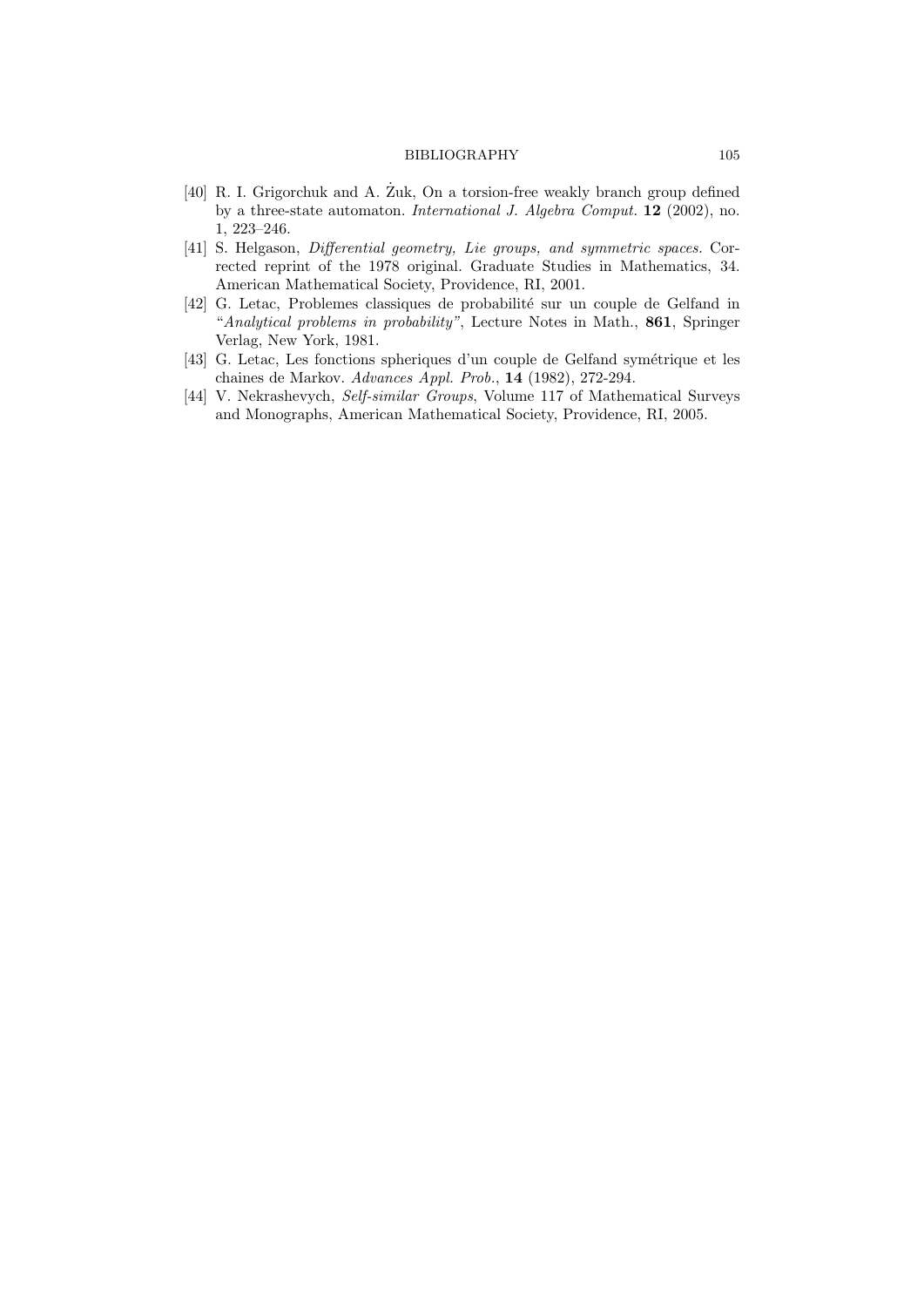#### BIBLIOGRAPHY 105

- $[40]$  R. I. Grigorchuk and A. Zuk, On a torsion-free weakly branch group defined by a three-state automaton. International J. Algebra Comput. 12 (2002), no. 1, 223–246.
- [41] S. Helgason, *Differential geometry, Lie groups, and symmetric spaces.* Corrected reprint of the 1978 original. Graduate Studies in Mathematics, 34. American Mathematical Society, Providence, RI, 2001.
- [42] G. Letac, Problemes classiques de probabilité sur un couple de Gelfand in "Analytical problems in probability", Lecture Notes in Math., 861, Springer Verlag, New York, 1981.
- [43] G. Letac, Les fonctions spheriques d'un couple de Gelfand symétrique et les chaines de Markov. Advances Appl. Prob., 14 (1982), 272-294.
- [44] V. Nekrashevych, Self-similar Groups, Volume 117 of Mathematical Surveys and Monographs, American Mathematical Society, Providence, RI, 2005.